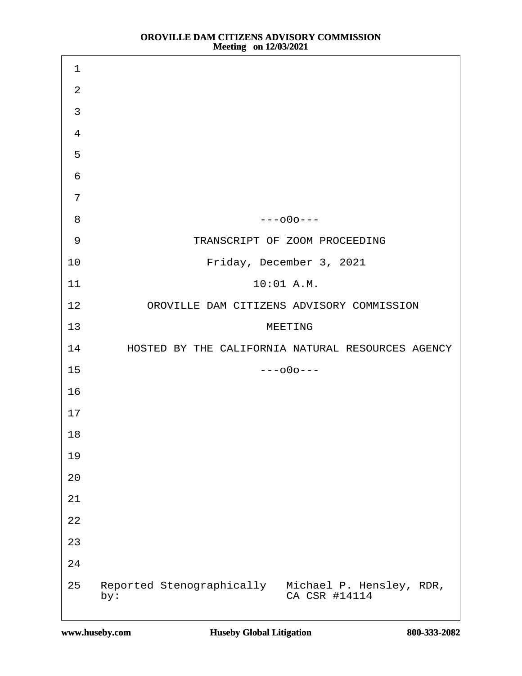| $\mathbf 1$    |                                                                     |
|----------------|---------------------------------------------------------------------|
| $\overline{2}$ |                                                                     |
| 3              |                                                                     |
| $\overline{4}$ |                                                                     |
| 5              |                                                                     |
| 6              |                                                                     |
| $\overline{7}$ |                                                                     |
| 8              | $--000--$                                                           |
| $9\,$          | TRANSCRIPT OF ZOOM PROCEEDING                                       |
| 10             | Friday, December 3, 2021                                            |
| 11             | 10:01 A.M.                                                          |
| 12             | OROVILLE DAM CITIZENS ADVISORY COMMISSION                           |
| 13             | <b>MEETING</b>                                                      |
| 14             | HOSTED BY THE CALIFORNIA NATURAL RESOURCES AGENCY                   |
| 15             | $--000--$                                                           |
| 16             |                                                                     |
| 17             |                                                                     |
| 18             |                                                                     |
| 19             |                                                                     |
| 20             |                                                                     |
| 21             |                                                                     |
| 22             |                                                                     |
| 23             |                                                                     |
| 24             |                                                                     |
| 25<br>by:      | Reported Stenographically Michael P. Hensley, RDR,<br>CA CSR #14114 |

 $\mathbf{I}$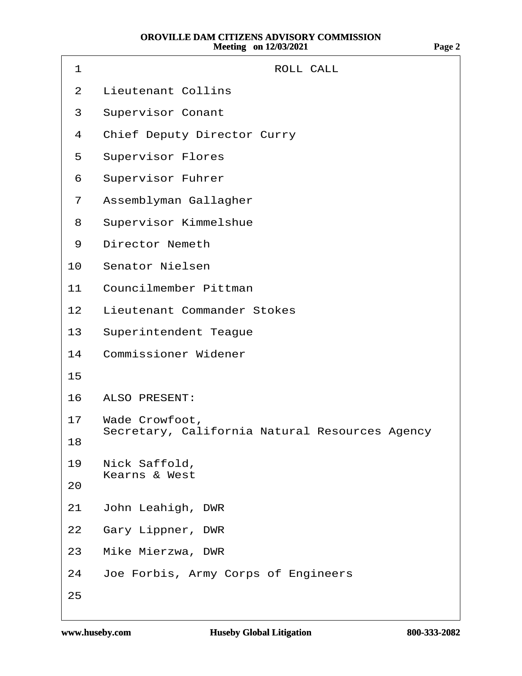| <b>ROLL CALL</b><br>1                                               |
|---------------------------------------------------------------------|
| <b>Lieutenant Collins</b><br>2                                      |
| <b>Supervisor Conant</b><br>3                                       |
| <b>Chief Deputy Director Curry</b><br>4                             |
| <b>Supervisor Flores</b><br>5                                       |
| <b>Supervisor Fuhrer</b><br>6                                       |
| Assemblyman Gallagher<br>7                                          |
| <b>Supervisor Kimmelshue</b><br>8                                   |
| <b>Director Nemeth</b><br>9                                         |
| <b>Senator Nielsen</b><br>10                                        |
| <b>Councilmember Pittman</b><br>11                                  |
| <b>Lieutenant Commander Stokes</b><br>12 <sup>2</sup>               |
| <b>Superintendent Teague</b><br>13                                  |
| <b>Commissioner Widener</b><br>14                                   |
| 15                                                                  |
| <b>ALSO PRESENT:</b><br>16                                          |
| 17 Wade Crowfoot,<br>Secretary, California Natural Resources Agency |
| 18                                                                  |
| Nick Saffold,<br>19<br><b>Kearns &amp; West</b>                     |
| 20                                                                  |
| John Leahigh, DWR<br>21                                             |
| Gary Lippner, DWR<br>22                                             |
| Mike Mierzwa, DWR<br>23                                             |
| Joe Forbis, Army Corps of Engineers<br>24                           |
| 25                                                                  |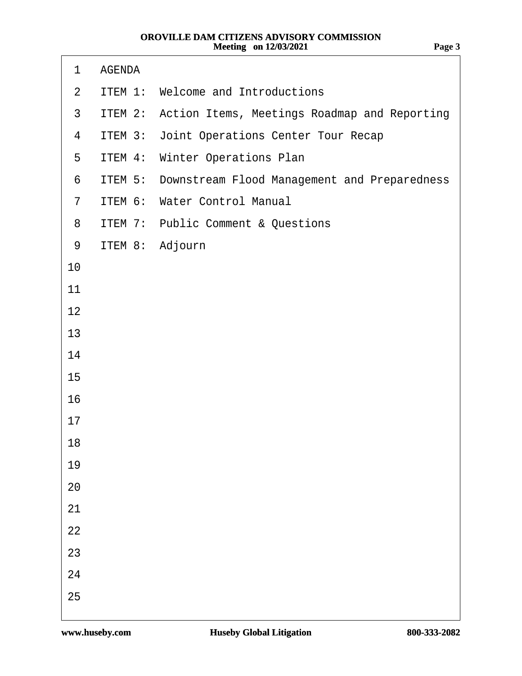| 1              | <b>AGENDA</b>   |                                                      |
|----------------|-----------------|------------------------------------------------------|
| $\overline{2}$ |                 | ITEM 1: Welcome and Introductions                    |
| $\mathfrak{S}$ |                 | ITEM 2: Action Items, Meetings Roadmap and Reporting |
| 4              |                 | <b>ITEM 3: Joint Operations Center Tour Recap</b>    |
| 5              |                 | <b>ITEM 4: Winter Operations Plan</b>                |
| 6              |                 | ITEM 5: Downstream Flood Management and Preparedness |
| $\overline{7}$ |                 | ITEM 6: Water Control Manual                         |
| 8              |                 | <b>ITEM 7: Public Comment &amp; Questions</b>        |
| 9              | ITEM 8: Adjourn |                                                      |
| 10             |                 |                                                      |
| 11             |                 |                                                      |
| 12             |                 |                                                      |
| 13             |                 |                                                      |
| 14             |                 |                                                      |
| 15             |                 |                                                      |
| 16             |                 |                                                      |
| 17             |                 |                                                      |
| 18             |                 |                                                      |
| 19             |                 |                                                      |
| 20             |                 |                                                      |
| 21             |                 |                                                      |
| 22             |                 |                                                      |
| 23             |                 |                                                      |
| 24             |                 |                                                      |
| 25             |                 |                                                      |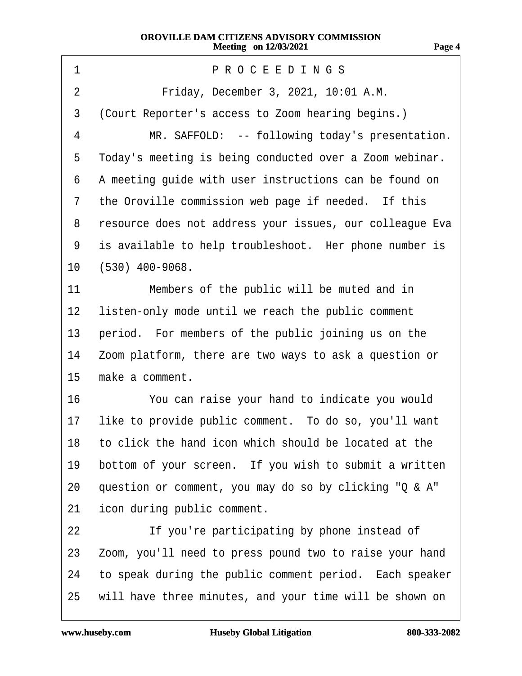| Friday, December 3, 2021, 10:01 A.M.<br>$\overline{2}$<br>3<br>(Court Reporter's access to Zoom hearing begins.)<br>MR. SAFFOLD: -- following today's presentation.<br>4<br>Today's meeting is being conducted over a Zoom webinar.<br>5<br>A meeting guide with user instructions can be found on<br>6<br>the Oroville commission web page if needed. If this<br>$\overline{7}$<br>resource does not address your issues, our colleague Eva<br>8<br>is available to help troubleshoot. Her phone number is<br>9 |  |
|------------------------------------------------------------------------------------------------------------------------------------------------------------------------------------------------------------------------------------------------------------------------------------------------------------------------------------------------------------------------------------------------------------------------------------------------------------------------------------------------------------------|--|
|                                                                                                                                                                                                                                                                                                                                                                                                                                                                                                                  |  |
|                                                                                                                                                                                                                                                                                                                                                                                                                                                                                                                  |  |
|                                                                                                                                                                                                                                                                                                                                                                                                                                                                                                                  |  |
|                                                                                                                                                                                                                                                                                                                                                                                                                                                                                                                  |  |
|                                                                                                                                                                                                                                                                                                                                                                                                                                                                                                                  |  |
|                                                                                                                                                                                                                                                                                                                                                                                                                                                                                                                  |  |
|                                                                                                                                                                                                                                                                                                                                                                                                                                                                                                                  |  |
|                                                                                                                                                                                                                                                                                                                                                                                                                                                                                                                  |  |
| $(530)$ 400-9068.<br>10                                                                                                                                                                                                                                                                                                                                                                                                                                                                                          |  |
| 11<br>Members of the public will be muted and in                                                                                                                                                                                                                                                                                                                                                                                                                                                                 |  |
| listen-only mode until we reach the public comment<br>12                                                                                                                                                                                                                                                                                                                                                                                                                                                         |  |
| period. For members of the public joining us on the<br>13                                                                                                                                                                                                                                                                                                                                                                                                                                                        |  |
| Zoom platform, there are two ways to ask a question or<br>14                                                                                                                                                                                                                                                                                                                                                                                                                                                     |  |
| 15<br>make a comment.                                                                                                                                                                                                                                                                                                                                                                                                                                                                                            |  |
| 16<br>You can raise your hand to indicate you would                                                                                                                                                                                                                                                                                                                                                                                                                                                              |  |
| like to provide public comment. To do so, you'll want<br>17                                                                                                                                                                                                                                                                                                                                                                                                                                                      |  |
| 18 to click the hand icon which should be located at the                                                                                                                                                                                                                                                                                                                                                                                                                                                         |  |
| bottom of your screen. If you wish to submit a written<br>19                                                                                                                                                                                                                                                                                                                                                                                                                                                     |  |
| question or comment, you may do so by clicking "Q & A"<br>20                                                                                                                                                                                                                                                                                                                                                                                                                                                     |  |
| icon during public comment.<br>21                                                                                                                                                                                                                                                                                                                                                                                                                                                                                |  |
| If you're participating by phone instead of<br>22                                                                                                                                                                                                                                                                                                                                                                                                                                                                |  |
| Zoom, you'll need to press pound two to raise your hand<br>23                                                                                                                                                                                                                                                                                                                                                                                                                                                    |  |
| to speak during the public comment period. Each speaker<br>24                                                                                                                                                                                                                                                                                                                                                                                                                                                    |  |
| will have three minutes, and your time will be shown on<br>25                                                                                                                                                                                                                                                                                                                                                                                                                                                    |  |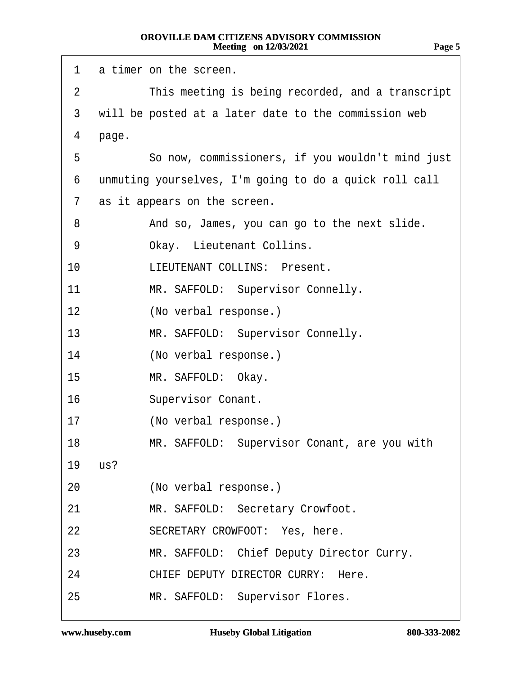| 1  | a timer on the screen.                                 |
|----|--------------------------------------------------------|
| 2  | This meeting is being recorded, and a transcript       |
| 3  | will be posted at a later date to the commission web   |
| 4  | page.                                                  |
| 5  | So now, commissioners, if you wouldn't mind just       |
| 6  | unmuting yourselves, I'm going to do a quick roll call |
| 7  | as it appears on the screen.                           |
| 8  | And so, James, you can go to the next slide.           |
| 9  | Okay. Lieutenant Collins.                              |
| 10 | <b>LIEUTENANT COLLINS: Present.</b>                    |
| 11 | MR. SAFFOLD: Supervisor Connelly.                      |
| 12 | (No verbal response.)                                  |
| 13 | MR. SAFFOLD: Supervisor Connelly.                      |
| 14 | (No verbal response.)                                  |
| 15 | MR. SAFFOLD: Okay.                                     |
| 16 | <b>Supervisor Conant.</b>                              |
| 17 | (No verbal response.)                                  |
| 18 | MR. SAFFOLD: Supervisor Conant, are you with           |
| 19 | us?                                                    |
| 20 | (No verbal response.)                                  |
| 21 | MR. SAFFOLD: Secretary Crowfoot.                       |
| 22 | SECRETARY CROWFOOT: Yes, here.                         |
| 23 | MR. SAFFOLD: Chief Deputy Director Curry.              |
| 24 | CHIEF DEPUTY DIRECTOR CURRY: Here.                     |
| 25 | MR. SAFFOLD: Supervisor Flores.                        |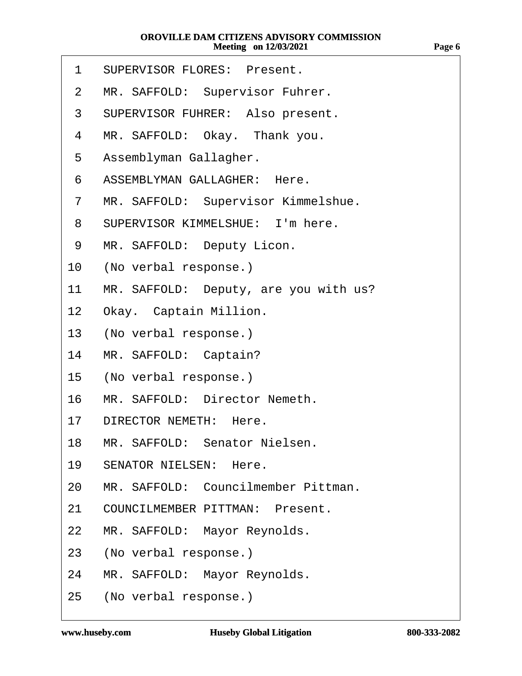- 1 SUPERVISOR FLORES: Present.
- 2 MR. SAFFOLD: Supervisor Fuhrer.
- 3 SUPERVISOR FUHRER: Also present.
- 4 MR. SAFFOLD: Okay. Thank you.
- 5 Assemblyman Gallagher.
- 6 ASSEMBLYMAN GALLAGHER: Here.
- 7 MR. SAFFOLD: Supervisor Kimmelshue.
- 8 SUPERVISOR KIMMELSHUE: I'm here.
- 9 MR. SAFFOLD: Deputy Licon.
- 10 (No verbal response.)
- 11 MR. SAFFOLD: Deputy, are you with us?
- 12 Okay. Captain Million.
- 13 (No verbal response.)
- 14 MR. SAFFOLD: Captain?
- 15 (No verbal response.)
- 16 MR. SAFFOLD: Director Nemeth.
- 17 DIRECTOR NEMETH: Here.
- 18 MR. SAFFOLD: Senator Nielsen.
- 19 SENATOR NIELSEN: Here.
- 20 MR. SAFFOLD: Councilmember Pittman.
- 21 COUNCILMEMBER PITTMAN: Present.
- 22 MR. SAFFOLD: Mayor Reynolds.
- 23 (No verbal response.)
- 24 MR. SAFFOLD: Mayor Reynolds.
- 25 (No verbal response.)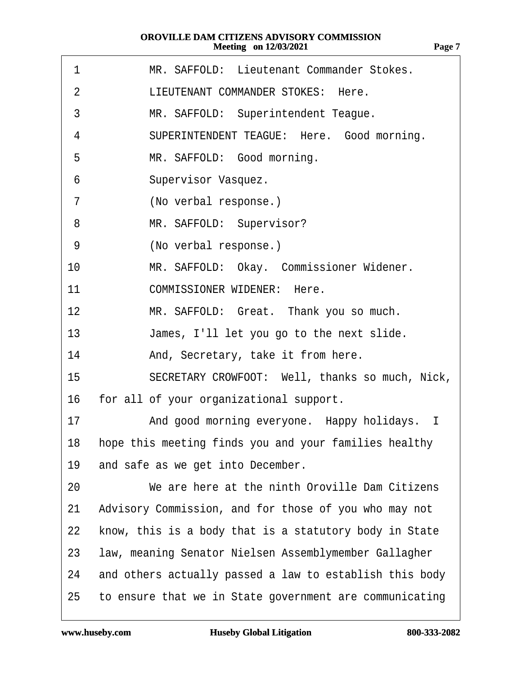| 1              | MR. SAFFOLD: Lieutenant Commander Stokes.                |
|----------------|----------------------------------------------------------|
| $\overline{2}$ | LIEUTENANT COMMANDER STOKES: Here.                       |
| 3              | MR. SAFFOLD: Superintendent Teague.                      |
| 4              | SUPERINTENDENT TEAGUE: Here. Good morning.               |
| 5              | MR. SAFFOLD: Good morning.                               |
| 6              | Supervisor Vasquez.                                      |
| 7              | (No verbal response.)                                    |
| 8              | MR. SAFFOLD: Supervisor?                                 |
| 9              | (No verbal response.)                                    |
| 10             | MR. SAFFOLD: Okay. Commissioner Widener.                 |
| 11             | <b>COMMISSIONER WIDENER: Here.</b>                       |
| 12             | MR. SAFFOLD: Great. Thank you so much.                   |
| 13             | James, I'll let you go to the next slide.                |
| 14             | And, Secretary, take it from here.                       |
| 15             | SECRETARY CROWFOOT: Well, thanks so much, Nick,          |
| 16             | for all of your organizational support.                  |
| 17             | And good morning everyone. Happy holidays. I             |
|                | 18 hope this meeting finds you and your families healthy |
| 19             | and safe as we get into December.                        |
| 20             | We are here at the ninth Oroville Dam Citizens           |
| 21             | Advisory Commission, and for those of you who may not    |
| 22             | know, this is a body that is a statutory body in State   |
| 23             | law, meaning Senator Nielsen Assemblymember Gallagher    |
| 24             | and others actually passed a law to establish this body  |
| 25             | to ensure that we in State government are communicating  |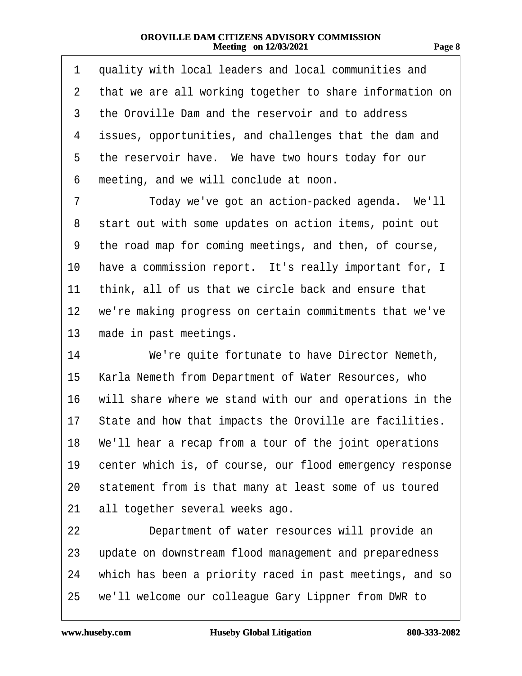| 1            | quality with local leaders and local communities and     |
|--------------|----------------------------------------------------------|
| $\mathbf{2}$ | that we are all working together to share information on |
| 3            | the Oroville Dam and the reservoir and to address        |
| 4            | issues, opportunities, and challenges that the dam and   |
| 5            | the reservoir have. We have two hours today for our      |
| 6            | meeting, and we will conclude at noon.                   |
| 7            | Today we've got an action-packed agenda. We'll           |
| 8            | start out with some updates on action items, point out   |
| 9            | the road map for coming meetings, and then, of course,   |
| 10           | have a commission report. It's really important for, I   |
| 11           | think, all of us that we circle back and ensure that     |
| 12           | we're making progress on certain commitments that we've  |
| 13           | made in past meetings.                                   |
| 14           | We're quite fortunate to have Director Nemeth,           |
| 15           | Karla Nemeth from Department of Water Resources, who     |
| 16           | will share where we stand with our and operations in the |
| 17           | State and how that impacts the Oroville are facilities.  |
| 18           | We'll hear a recap from a tour of the joint operations   |
| 19           | center which is, of course, our flood emergency response |
| 20           | statement from is that many at least some of us toured   |
| 21           | all together several weeks ago.                          |
| 22           | Department of water resources will provide an            |
| 23           | update on downstream flood management and preparedness   |
| 24           | which has been a priority raced in past meetings, and so |
| 25           | we'll welcome our colleague Gary Lippner from DWR to     |
|              |                                                          |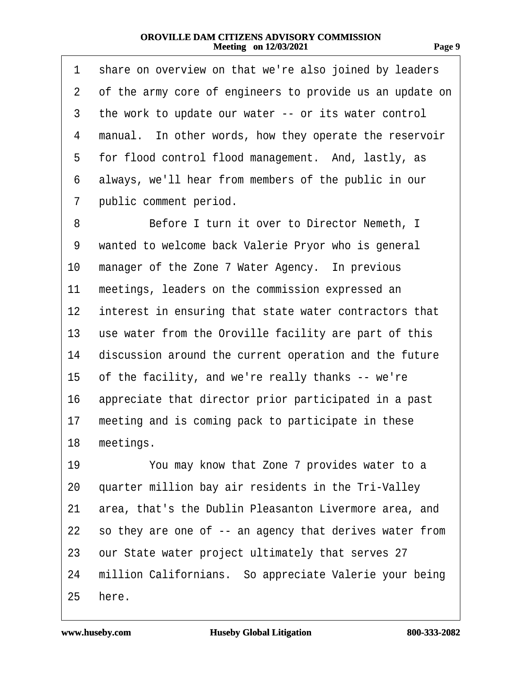| 1              | share on overview on that we're also joined by leaders   |
|----------------|----------------------------------------------------------|
| $\overline{2}$ | of the army core of engineers to provide us an update on |
| 3              | the work to update our water -- or its water control     |
| 4              | manual. In other words, how they operate the reservoir   |
| 5              | for flood control flood management. And, lastly, as      |
| 6              | always, we'll hear from members of the public in our     |
| 7              | public comment period.                                   |
| 8              | Before I turn it over to Director Nemeth, I              |
| 9              | wanted to welcome back Valerie Pryor who is general      |
| 10             | manager of the Zone 7 Water Agency. In previous          |
| 11             | meetings, leaders on the commission expressed an         |
| 12             | interest in ensuring that state water contractors that   |
| 13             | use water from the Oroville facility are part of this    |
| 14             | discussion around the current operation and the future   |
| 15             | of the facility, and we're really thanks -- we're        |
| 16             | appreciate that director prior participated in a past    |
| 17             | meeting and is coming pack to participate in these       |
|                | 18 meetings.                                             |
| 19             | You may know that Zone 7 provides water to a             |
| 20             | quarter million bay air residents in the Tri-Valley      |
| 21             | area, that's the Dublin Pleasanton Livermore area, and   |
| 22             | so they are one of -- an agency that derives water from  |
| 23             | our State water project ultimately that serves 27        |
| 24             | million Californians. So appreciate Valerie your being   |
| 25             | here.                                                    |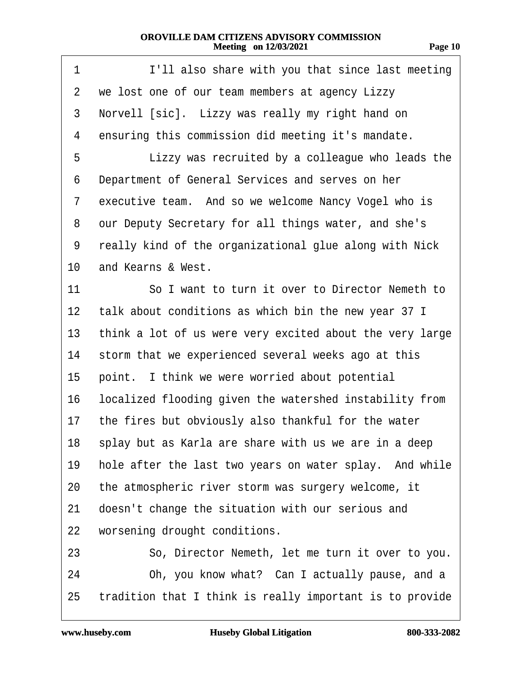| 1               | I'll also share with you that since last meeting         |
|-----------------|----------------------------------------------------------|
| 2               | we lost one of our team members at agency Lizzy          |
| 3               | Norvell [sic]. Lizzy was really my right hand on         |
| 4               | ensuring this commission did meeting it's mandate.       |
| 5               | Lizzy was recruited by a colleague who leads the         |
| 6               | Department of General Services and serves on her         |
| 7               | executive team. And so we welcome Nancy Vogel who is     |
| 8               | our Deputy Secretary for all things water, and she's     |
| 9               | really kind of the organizational glue along with Nick   |
| 10              | and Kearns & West.                                       |
| 11              | So I want to turn it over to Director Nemeth to          |
| 12              | talk about conditions as which bin the new year 37 I     |
| 13              | think a lot of us were very excited about the very large |
| 14              | storm that we experienced several weeks ago at this      |
| 15              | point. I think we were worried about potential           |
| 16              | localized flooding given the watershed instability from  |
| 17 <sup>1</sup> | the fires but obviously also thankful for the water      |
|                 | 18 splay but as Karla are share with us we are in a deep |
| 19              | hole after the last two years on water splay. And while  |
| 20              | the atmospheric river storm was surgery welcome, it      |
| 21              | doesn't change the situation with our serious and        |
| 22              | worsening drought conditions.                            |
| 23              | So, Director Nemeth, let me turn it over to you.         |
| 24              | Oh, you know what? Can I actually pause, and a           |
| 25              | tradition that I think is really important is to provide |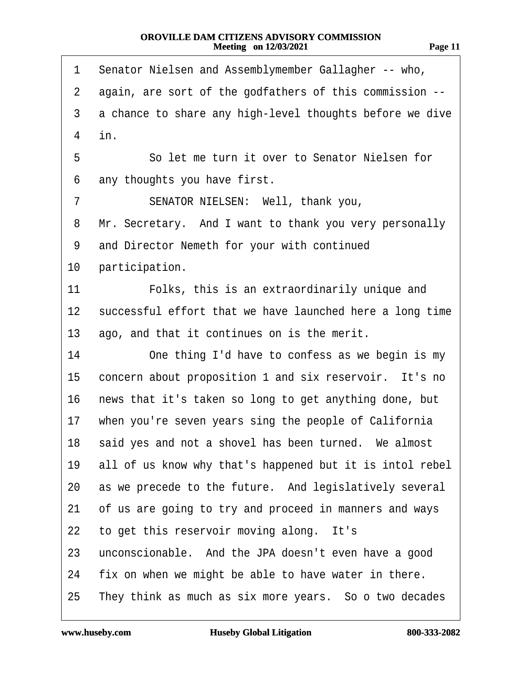| m<br>г.<br>.,<br>н |  |
|--------------------|--|
|                    |  |

| 1              | Senator Nielsen and Assemblymember Gallagher -- who,     |
|----------------|----------------------------------------------------------|
| $\overline{2}$ | again, are sort of the godfathers of this commission --  |
| 3              | a chance to share any high-level thoughts before we dive |
| $\overline{4}$ | in.                                                      |
| 5              | So let me turn it over to Senator Nielsen for            |
| 6              | any thoughts you have first.                             |
| 7              | SENATOR NIELSEN: Well, thank you,                        |
| 8              | Mr. Secretary. And I want to thank you very personally   |
| 9              | and Director Nemeth for your with continued              |
| 10             | participation.                                           |
| 11             | Folks, this is an extraordinarily unique and             |
| $12 \,$        | successful effort that we have launched here a long time |
| 13             | ago, and that it continues on is the merit.              |
| 14             | One thing I'd have to confess as we begin is my          |
| 15             | concern about proposition 1 and six reservoir. It's no   |
| 16             | news that it's taken so long to get anything done, but   |
| 17             | when you're seven years sing the people of California    |
|                | 18 said yes and not a shovel has been turned. We almost  |
| 19             | all of us know why that's happened but it is intol rebel |
| 20             | as we precede to the future. And legislatively several   |
| 21             | of us are going to try and proceed in manners and ways   |
| 22             | to get this reservoir moving along. It's                 |
| 23             | unconscionable. And the JPA doesn't even have a good     |
| 24             | fix on when we might be able to have water in there.     |
| 25             | They think as much as six more years. So o two decades   |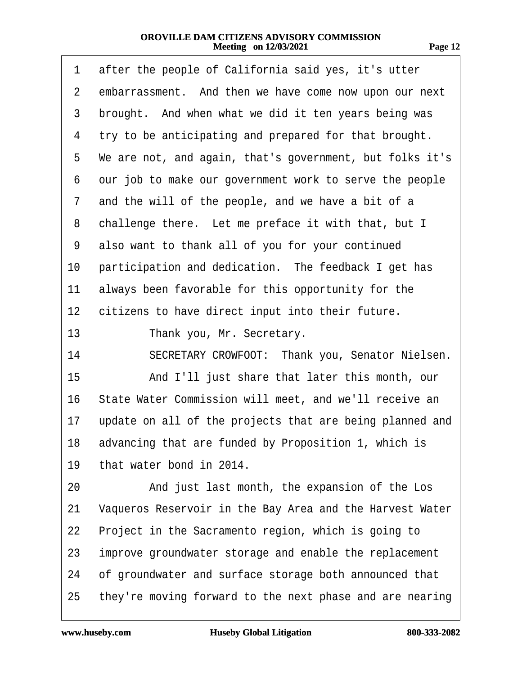| 71<br>., |  |
|----------|--|
|          |  |

| 1              | after the people of California said yes, it's utter      |
|----------------|----------------------------------------------------------|
| $\overline{2}$ | embarrassment. And then we have come now upon our next   |
| 3              | brought. And when what we did it ten years being was     |
| 4              | try to be anticipating and prepared for that brought.    |
| 5              | We are not, and again, that's government, but folks it's |
| 6              | our job to make our government work to serve the people  |
| 7              | and the will of the people, and we have a bit of a       |
| 8              | challenge there. Let me preface it with that, but I      |
| 9              | also want to thank all of you for your continued         |
| 10             | participation and dedication. The feedback I get has     |
| 11             | always been favorable for this opportunity for the       |
| 12             | citizens to have direct input into their future.         |
| 13             | Thank you, Mr. Secretary.                                |
| 14             | SECRETARY CROWFOOT: Thank you, Senator Nielsen.          |
| 15             | And I'll just share that later this month, our           |
| 16             | State Water Commission will meet, and we'll receive an   |
| 17             | update on all of the projects that are being planned and |
| 18             | advancing that are funded by Proposition 1, which is     |
| 19             | that water bond in 2014.                                 |
| 20             | And just last month, the expansion of the Los            |
| 21             | Vaqueros Reservoir in the Bay Area and the Harvest Water |
| 22             | Project in the Sacramento region, which is going to      |
| 23             | improve groundwater storage and enable the replacement   |
| 24             | of groundwater and surface storage both announced that   |
| 25             | they're moving forward to the next phase and are nearing |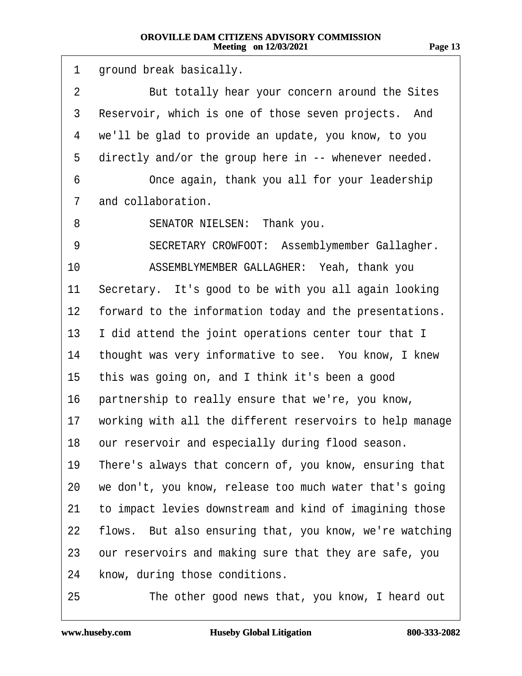| 1  | ground break basically.                                  |
|----|----------------------------------------------------------|
| 2  | But totally hear your concern around the Sites           |
| 3  | Reservoir, which is one of those seven projects. And     |
| 4  | we'll be glad to provide an update, you know, to you     |
| 5  | directly and/or the group here in -- whenever needed.    |
| 6  | Once again, thank you all for your leadership            |
| 7  | and collaboration.                                       |
| 8  | SENATOR NIELSEN: Thank you.                              |
| 9  | SECRETARY CROWFOOT: Assemblymember Gallagher.            |
| 10 | ASSEMBLYMEMBER GALLAGHER: Yeah, thank you                |
| 11 | Secretary. It's good to be with you all again looking    |
| 12 | forward to the information today and the presentations.  |
| 13 | I did attend the joint operations center tour that I     |
| 14 | thought was very informative to see. You know, I knew    |
| 15 | this was going on, and I think it's been a good          |
| 16 | partnership to really ensure that we're, you know,       |
| 17 | working with all the different reservoirs to help manage |
|    | 18 our reservoir and especially during flood season.     |
| 19 | There's always that concern of, you know, ensuring that  |
| 20 | we don't, you know, release too much water that's going  |
| 21 | to impact levies downstream and kind of imagining those  |
| 22 | flows. But also ensuring that, you know, we're watching  |
| 23 | our reservoirs and making sure that they are safe, you   |
| 24 | know, during those conditions.                           |
| 25 | The other good news that, you know, I heard out          |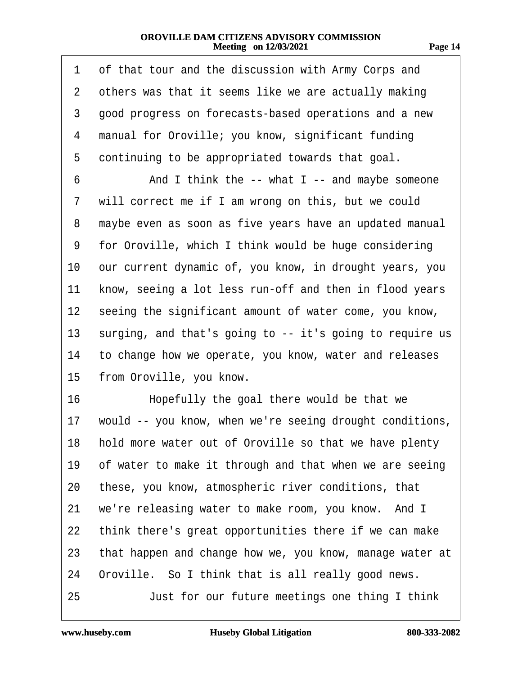| œ |  |
|---|--|
|   |  |

| 1            | of that tour and the discussion with Army Corps and       |
|--------------|-----------------------------------------------------------|
| $\mathbf{2}$ | others was that it seems like we are actually making      |
| 3            | good progress on forecasts-based operations and a new     |
| 4            | manual for Oroville; you know, significant funding        |
| 5            | continuing to be appropriated towards that goal.          |
| 6            | And I think the -- what I -- and maybe someone            |
| 7            | will correct me if I am wrong on this, but we could       |
| 8            | maybe even as soon as five years have an updated manual   |
| 9            | for Oroville, which I think would be huge considering     |
| 10           | our current dynamic of, you know, in drought years, you   |
| 11           | know, seeing a lot less run-off and then in flood years   |
| 12           | seeing the significant amount of water come, you know,    |
| 13           | surging, and that's going to -- it's going to require us  |
| 14           | to change how we operate, you know, water and releases    |
| 15           | from Oroville, you know.                                  |
| 16           | Hopefully the goal there would be that we                 |
| 17           | would -- you know, when we're seeing drought conditions,  |
|              | 18 hold more water out of Oroville so that we have plenty |
| 19           | of water to make it through and that when we are seeing   |
| 20           | these, you know, atmospheric river conditions, that       |
| 21           | we're releasing water to make room, you know. And I       |
| 22           | think there's great opportunities there if we can make    |
| 23           | that happen and change how we, you know, manage water at  |
| 24           | Oroville. So I think that is all really good news.        |
| 25           | Just for our future meetings one thing I think            |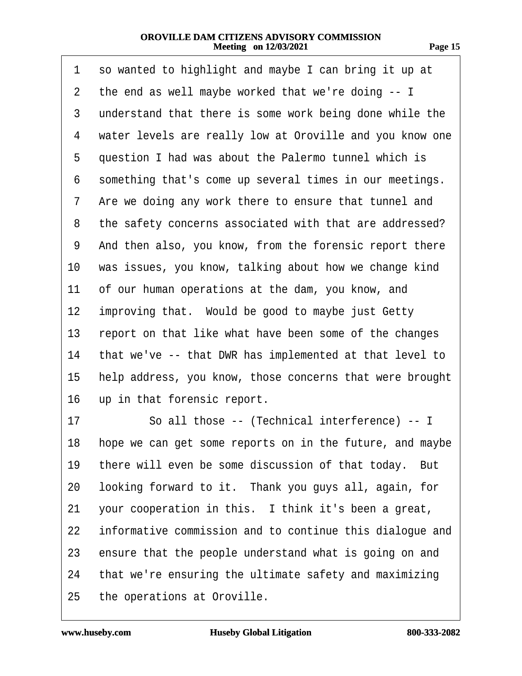| 1  | so wanted to highlight and maybe I can bring it up at    |
|----|----------------------------------------------------------|
| 2  | the end as well maybe worked that we're doing -- I       |
| 3  | understand that there is some work being done while the  |
| 4  | water levels are really low at Oroville and you know one |
| 5  | question I had was about the Palermo tunnel which is     |
| 6  | something that's come up several times in our meetings.  |
| 7  | Are we doing any work there to ensure that tunnel and    |
| 8  | the safety concerns associated with that are addressed?  |
| 9  | And then also, you know, from the forensic report there  |
| 10 | was issues, you know, talking about how we change kind   |
| 11 | of our human operations at the dam, you know, and        |
| 12 | improving that. Would be good to maybe just Getty        |
| 13 | report on that like what have been some of the changes   |
| 14 | that we've -- that DWR has implemented at that level to  |
| 15 | help address, you know, those concerns that were brought |
| 16 | up in that forensic report.                              |
| 17 | So all those -- (Technical interference) -- I            |
| 18 | hope we can get some reports on in the future, and maybe |
| 19 | there will even be some discussion of that today. But    |
| 20 | looking forward to it. Thank you guys all, again, for    |
| 21 | your cooperation in this. I think it's been a great,     |
| 22 | informative commission and to continue this dialogue and |
| 23 | ensure that the people understand what is going on and   |
| 24 | that we're ensuring the ultimate safety and maximizing   |
| 25 | the operations at Oroville.                              |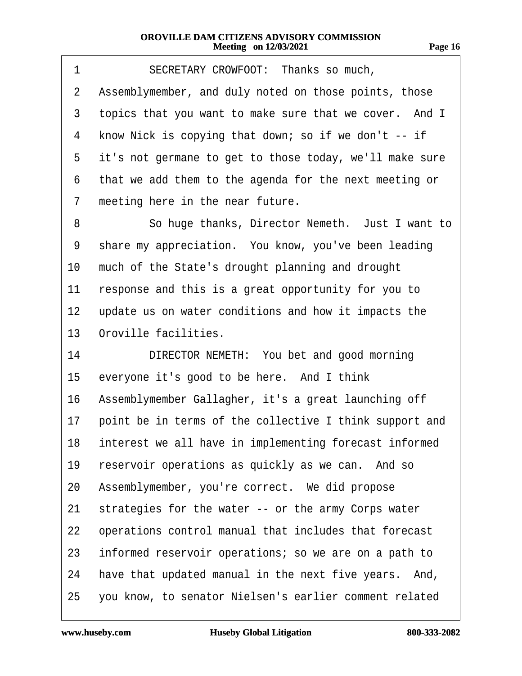| 1  | SECRETARY CROWFOOT: Thanks so much,                       |  |  |
|----|-----------------------------------------------------------|--|--|
| 2  | Assemblymember, and duly noted on those points, those     |  |  |
| 3  | topics that you want to make sure that we cover. And I    |  |  |
| 4  | know Nick is copying that down; so if we don't -- if      |  |  |
| 5  | it's not germane to get to those today, we'll make sure   |  |  |
| 6  | that we add them to the agenda for the next meeting or    |  |  |
| 7  | meeting here in the near future.                          |  |  |
| 8  | So huge thanks, Director Nemeth. Just I want to           |  |  |
| 9  | share my appreciation. You know, you've been leading      |  |  |
| 10 | much of the State's drought planning and drought          |  |  |
| 11 | response and this is a great opportunity for you to       |  |  |
| 12 | update us on water conditions and how it impacts the      |  |  |
| 13 | Oroville facilities.                                      |  |  |
| 14 | DIRECTOR NEMETH: You bet and good morning                 |  |  |
| 15 | everyone it's good to be here. And I think                |  |  |
| 16 | Assemblymember Gallagher, it's a great launching off      |  |  |
| 17 | point be in terms of the collective I think support and   |  |  |
|    | 18 interest we all have in implementing forecast informed |  |  |
| 19 | reservoir operations as quickly as we can. And so         |  |  |
| 20 | Assemblymember, you're correct. We did propose            |  |  |
| 21 | strategies for the water -- or the army Corps water       |  |  |
| 22 | operations control manual that includes that forecast     |  |  |
| 23 | informed reservoir operations; so we are on a path to     |  |  |
| 24 | have that updated manual in the next five years. And,     |  |  |
| 25 | you know, to senator Nielsen's earlier comment related    |  |  |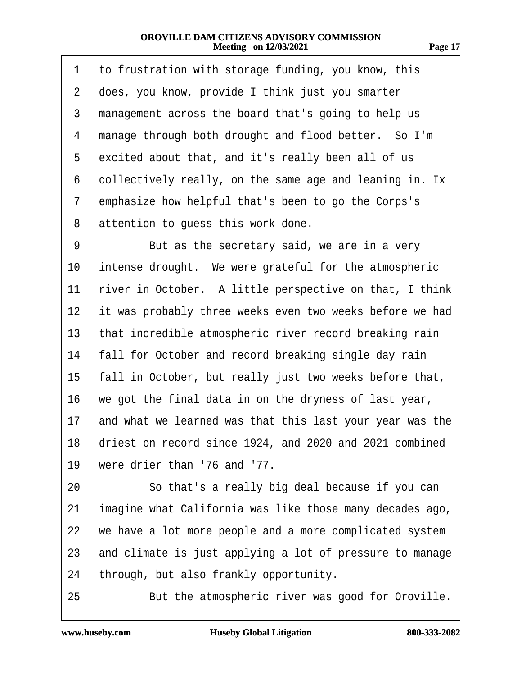| TT. |  |
|-----|--|
|     |  |

| 1  | to frustration with storage funding, you know, this        |
|----|------------------------------------------------------------|
| 2  | does, you know, provide I think just you smarter           |
| 3  | management across the board that's going to help us        |
| 4  | manage through both drought and flood better. So I'm       |
| 5  | excited about that, and it's really been all of us         |
| 6  | collectively really, on the same age and leaning in. Ix    |
| 7  | emphasize how helpful that's been to go the Corps's        |
| 8  | attention to guess this work done.                         |
| 9  | But as the secretary said, we are in a very                |
| 10 | intense drought. We were grateful for the atmospheric      |
| 11 | river in October. A little perspective on that, I think    |
| 12 | it was probably three weeks even two weeks before we had   |
| 13 | that incredible atmospheric river record breaking rain     |
| 14 | fall for October and record breaking single day rain       |
| 15 | fall in October, but really just two weeks before that,    |
| 16 | we got the final data in on the dryness of last year,      |
| 17 | and what we learned was that this last your year was the   |
|    | 18 driest on record since 1924, and 2020 and 2021 combined |
| 19 | were drier than '76 and '77.                               |
| 20 | So that's a really big deal because if you can             |
| 21 | imagine what California was like those many decades ago,   |
| 22 | we have a lot more people and a more complicated system    |
| 23 | and climate is just applying a lot of pressure to manage   |
| 24 | through, but also frankly opportunity.                     |
| 25 | But the atmospheric river was good for Oroville.           |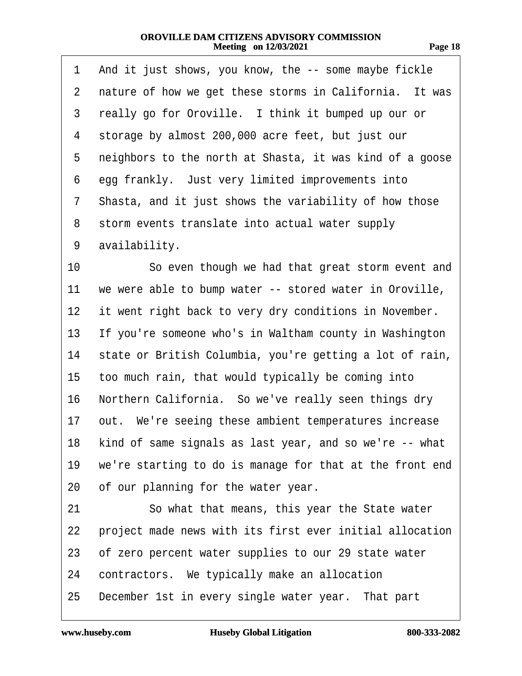| m<br>v<br>.,<br>. . | œ |
|---------------------|---|
|                     |   |

| 1  | And it just shows, you know, the -- some maybe fickle      |
|----|------------------------------------------------------------|
| 2  | nature of how we get these storms in California. It was    |
| 3  | really go for Oroville. I think it bumped up our or        |
| 4  | storage by almost 200,000 acre feet, but just our          |
| 5  | neighbors to the north at Shasta, it was kind of a goose   |
| 6  | egg frankly. Just very limited improvements into           |
| 7  | Shasta, and it just shows the variability of how those     |
| 8  | storm events translate into actual water supply            |
| 9  | availability.                                              |
| 10 | So even though we had that great storm event and           |
| 11 | we were able to bump water -- stored water in Oroville,    |
| 12 | it went right back to very dry conditions in November.     |
| 13 | If you're someone who's in Waltham county in Washington    |
| 14 | state or British Columbia, you're getting a lot of rain,   |
| 15 | too much rain, that would typically be coming into         |
| 16 | Northern California. So we've really seen things dry       |
| 17 | out. We're seeing these ambient temperatures increase      |
|    | 18 kind of same signals as last year, and so we're -- what |
| 19 | we're starting to do is manage for that at the front end   |
| 20 | of our planning for the water year.                        |
| 21 | So what that means, this year the State water              |
| 22 | project made news with its first ever initial allocation   |
| 23 | of zero percent water supplies to our 29 state water       |
| 24 | contractors. We typically make an allocation               |
| 25 | December 1st in every single water year. That part         |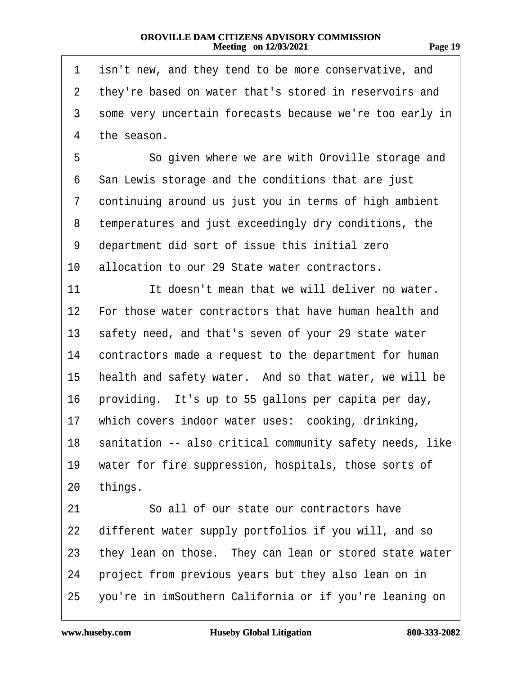| 'TQ<br>л |  |
|----------|--|
|          |  |

| 1              | isn't new, and they tend to be more conservative, and       |
|----------------|-------------------------------------------------------------|
| $\overline{2}$ | they're based on water that's stored in reservoirs and      |
| 3              | some very uncertain forecasts because we're too early in    |
| 4              | the season.                                                 |
| 5              | So given where we are with Oroville storage and             |
| 6              | San Lewis storage and the conditions that are just          |
| 7              | continuing around us just you in terms of high ambient      |
| 8              | temperatures and just exceedingly dry conditions, the       |
| 9              | department did sort of issue this initial zero              |
| 10             | allocation to our 29 State water contractors.               |
| 11             | It doesn't mean that we will deliver no water.              |
| 12             | For those water contractors that have human health and      |
| 13             | safety need, and that's seven of your 29 state water        |
| 14             | contractors made a request to the department for human      |
| 15             | health and safety water. And so that water, we will be      |
| 16             | providing. It's up to 55 gallons per capita per day,        |
| 17             | which covers indoor water uses: cooking, drinking,          |
|                | 18 sanitation -- also critical community safety needs, like |
| 19             | water for fire suppression, hospitals, those sorts of       |
| 20             | things.                                                     |
| 21             | So all of our state our contractors have                    |
| 22             | different water supply portfolios if you will, and so       |
| 23             | they lean on those. They can lean or stored state water     |
| 24             | project from previous years but they also lean on in        |
| 25             | you're in imSouthern California or if you're leaning on     |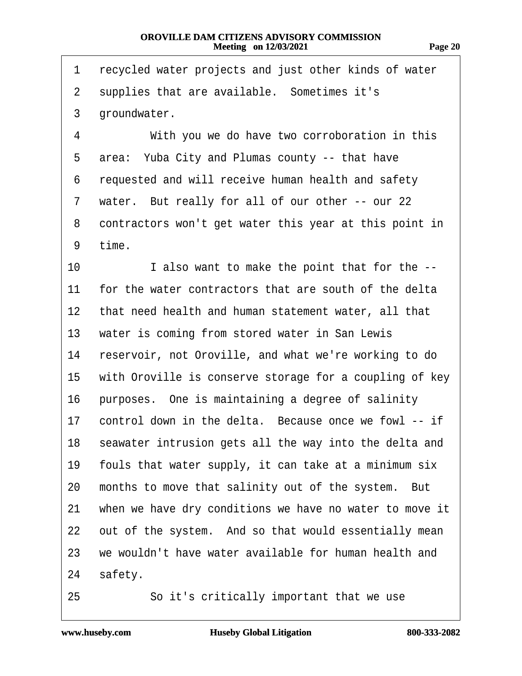**Page 20**

| 1              | recycled water projects and just other kinds of water   |
|----------------|---------------------------------------------------------|
| $\overline{2}$ | supplies that are available. Sometimes it's             |
| 3              | groundwater.                                            |
| 4              | With you we do have two corroboration in this           |
| 5              | area: Yuba City and Plumas county -- that have          |
| 6              | requested and will receive human health and safety      |
| 7              | water. But really for all of our other -- our 22        |
| 8              | contractors won't get water this year at this point in  |
| 9              | time.                                                   |
| 10             | I also want to make the point that for the --           |
| 11             | for the water contractors that are south of the delta   |
| 12             | that need health and human statement water, all that    |
| 13             | water is coming from stored water in San Lewis          |
| 14             | reservoir, not Oroville, and what we're working to do   |
| 15             | with Oroville is conserve storage for a coupling of key |
| 16             | purposes. One is maintaining a degree of salinity       |
| 17             | control down in the delta. Because once we fowl -- if   |
| 18             | seawater intrusion gets all the way into the delta and  |
| 19             | fouls that water supply, it can take at a minimum six   |
| 20             | months to move that salinity out of the system. But     |
| 21             | when we have dry conditions we have no water to move it |
| 22             | out of the system. And so that would essentially mean   |
| 23             | we wouldn't have water available for human health and   |
| 24             | safety.                                                 |
| 25             | So it's critically important that we use                |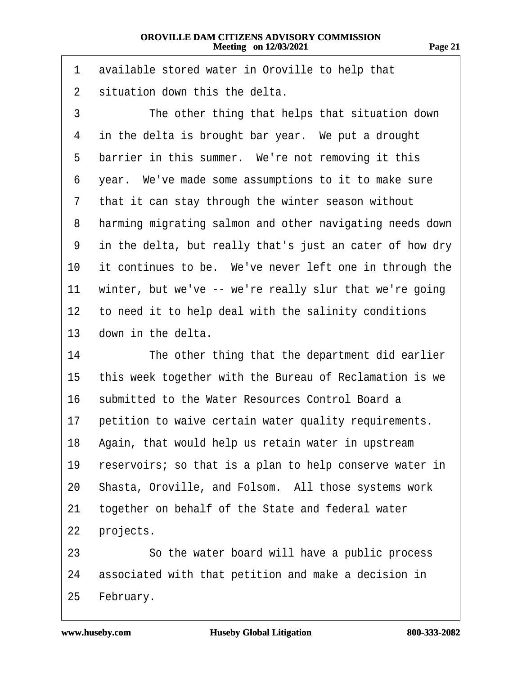1 available stored water in Oroville to help that 2 situation down this the delta. 3 The other thing that helps that situation down 4 in the delta is brought bar year. We put a drought 5 barrier in this summer. We're not removing it this ·6· ·year.· We've made some assumptions to it to make sure 7 that it can stay through the winter season without 8 harming migrating salmon and other navigating needs down 9 in the delta, but really that's just an cater of how dry 10 it continues to be. We've never left one in through the 11 winter, but we've -- we're really slur that we're going 12 to need it to help deal with the salinity conditions 13 down in the delta. 14 The other thing that the department did earlier 15 this week together with the Bureau of Reclamation is we 16 submitted to the Water Resources Control Board a 17 petition to waive certain water quality requirements. 18 Again, that would help us retain water in upstream 19 reservoirs; so that is a plan to help conserve water in 20 Shasta, Oroville, and Folsom. All those systems work 21 together on behalf of the State and federal water 22 projects. 23 So the water board will have a public process 24 associated with that petition and make a decision in 25 February.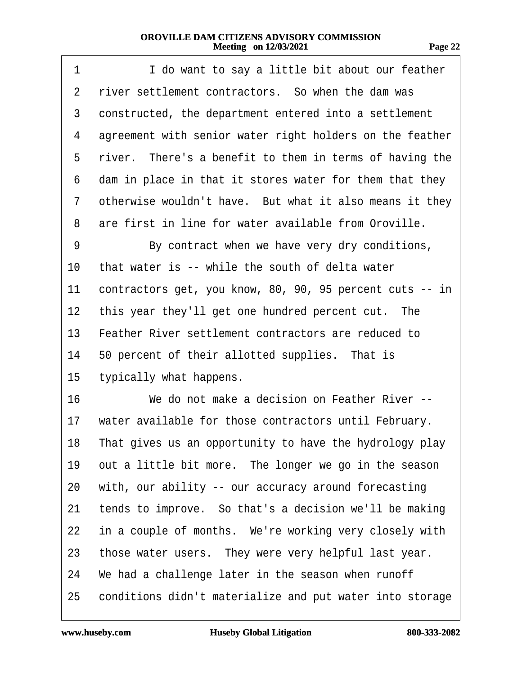| 1               | I do want to say a little bit about our feather          |
|-----------------|----------------------------------------------------------|
| 2               | river settlement contractors. So when the dam was        |
| 3               | constructed, the department entered into a settlement    |
| 4               | agreement with senior water right holders on the feather |
| 5               | river. There's a benefit to them in terms of having the  |
| 6               | dam in place in that it stores water for them that they  |
| 7               | otherwise wouldn't have. But what it also means it they  |
| 8               | are first in line for water available from Oroville.     |
| 9               | By contract when we have very dry conditions,            |
| 10              | that water is -- while the south of delta water          |
| 11              | contractors get, you know, 80, 90, 95 percent cuts -- in |
| 12 <sub>2</sub> | this year they'll get one hundred percent cut. The       |
| 13              | Feather River settlement contractors are reduced to      |
| 14              | 50 percent of their allotted supplies. That is           |
| 15              | typically what happens.                                  |
| 16              | We do not make a decision on Feather River --            |
| 17              | water available for those contractors until February.    |
| 18              | That gives us an opportunity to have the hydrology play  |
| 19              | out a little bit more. The longer we go in the season    |
| 20              | with, our ability -- our accuracy around forecasting     |
| 21              | tends to improve. So that's a decision we'll be making   |
| 22              | in a couple of months. We're working very closely with   |
| 23              | those water users. They were very helpful last year.     |
| 24              | We had a challenge later in the season when runoff       |
| 25              | conditions didn't materialize and put water into storage |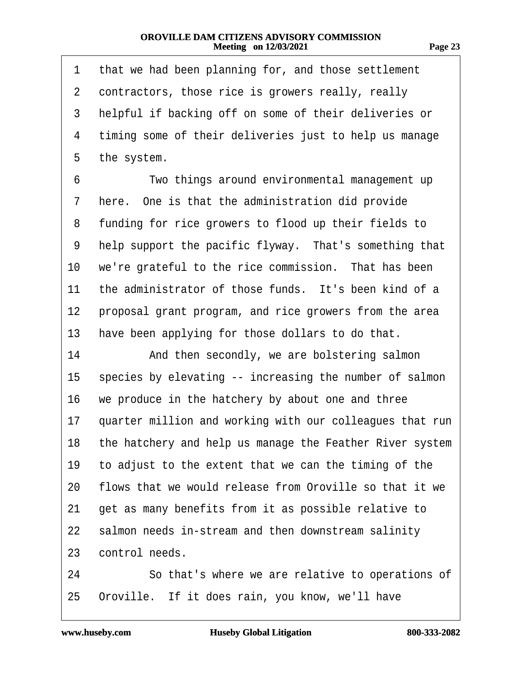| п<br>., |  |
|---------|--|
|---------|--|

| 1              | that we had been planning for, and those settlement         |
|----------------|-------------------------------------------------------------|
| $\overline{2}$ | contractors, those rice is growers really, really           |
| 3              | helpful if backing off on some of their deliveries or       |
| 4              | timing some of their deliveries just to help us manage      |
| 5              | the system.                                                 |
| 6              | Two things around environmental management up               |
| 7              | here. One is that the administration did provide            |
| 8              | funding for rice growers to flood up their fields to        |
| 9              | help support the pacific flyway. That's something that      |
| 10             | we're grateful to the rice commission. That has been        |
| 11             | the administrator of those funds. It's been kind of a       |
| 12             | proposal grant program, and rice growers from the area      |
| 13             | have been applying for those dollars to do that.            |
| 14             | And then secondly, we are bolstering salmon                 |
| 15             | species by elevating -- increasing the number of salmon     |
| 16             | we produce in the hatchery by about one and three           |
| 17             | quarter million and working with our colleagues that run    |
|                | 18 the hatchery and help us manage the Feather River system |
| 19             | to adjust to the extent that we can the timing of the       |
| 20             | flows that we would release from Oroville so that it we     |
| 21             | get as many benefits from it as possible relative to        |
| 22             | salmon needs in-stream and then downstream salinity         |
| 23             | control needs.                                              |
| 24             | So that's where we are relative to operations of            |
| 25             | Oroville. If it does rain, you know, we'll have             |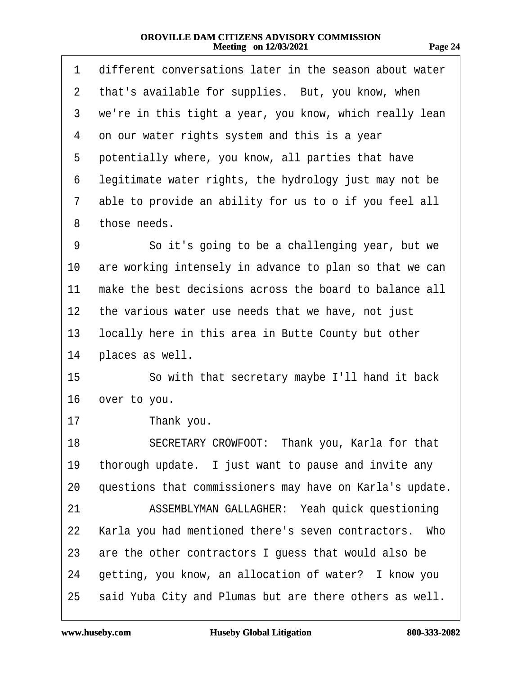1 different conversations later in the season about water

| $\mathbf{2}^{\mathsf{I}}$ | that's available for supplies. But, you know, when       |
|---------------------------|----------------------------------------------------------|
| 3                         | we're in this tight a year, you know, which really lean  |
| 4                         | on our water rights system and this is a year            |
| 5                         | potentially where, you know, all parties that have       |
| 6                         | legitimate water rights, the hydrology just may not be   |
| 7                         | able to provide an ability for us to o if you feel all   |
| 8                         | those needs.                                             |
| 9                         | So it's going to be a challenging year, but we           |
| 10                        | are working intensely in advance to plan so that we can  |
| 11                        | make the best decisions across the board to balance all  |
| 12 <sub>2</sub>           | the various water use needs that we have, not just       |
| 13                        | locally here in this area in Butte County but other      |
| 14                        | places as well.                                          |
| 15                        | So with that secretary maybe I'll hand it back           |
| 16                        | over to you.                                             |
| 17                        | Thank you.                                               |
| 18                        | SECRETARY CROWFOOT: Thank you, Karla for that            |
| 19                        | thorough update. I just want to pause and invite any     |
| 20                        | questions that commissioners may have on Karla's update. |
| 21                        | ASSEMBLYMAN GALLAGHER: Yeah quick questioning            |
| 22                        | Karla you had mentioned there's seven contractors. Who   |
| 23                        | are the other contractors I guess that would also be     |
| 24                        | getting, you know, an allocation of water? I know you    |
| 25                        | said Yuba City and Plumas but are there others as well.  |
|                           |                                                          |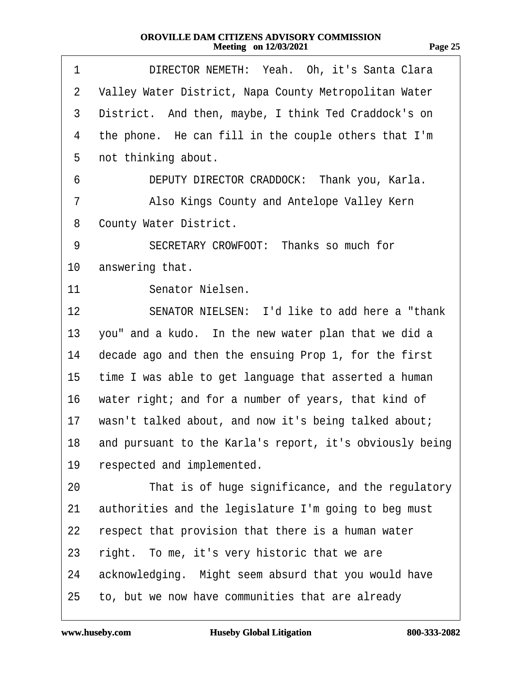| . .<br>., |  |
|-----------|--|
|           |  |

| 1              | DIRECTOR NEMETH: Yeah. Oh, it's Santa Clara                 |
|----------------|-------------------------------------------------------------|
| $\overline{2}$ | Valley Water District, Napa County Metropolitan Water       |
| 3              | District. And then, maybe, I think Ted Craddock's on        |
| 4              | the phone. He can fill in the couple others that I'm        |
| 5              | not thinking about.                                         |
| 6              | DEPUTY DIRECTOR CRADDOCK: Thank you, Karla.                 |
| 7              | Also Kings County and Antelope Valley Kern                  |
| 8              | <b>County Water District.</b>                               |
| 9              | SECRETARY CROWFOOT: Thanks so much for                      |
| 10             | answering that.                                             |
| 11             | Senator Nielsen.                                            |
| 12             | SENATOR NIELSEN: I'd like to add here a "thank"             |
| 13             | you" and a kudo. In the new water plan that we did a        |
| 14             | decade ago and then the ensuing Prop 1, for the first       |
| 15             | time I was able to get language that asserted a human       |
| 16             | water right; and for a number of years, that kind of        |
| 17             | wasn't talked about, and now it's being talked about;       |
|                | 18 and pursuant to the Karla's report, it's obviously being |
| 19             | respected and implemented.                                  |
| 20             | That is of huge significance, and the regulatory            |
| 21             | authorities and the legislature I'm going to beg must       |
| 22             | respect that provision that there is a human water          |
| 23             | right. To me, it's very historic that we are                |
| 24             | acknowledging. Might seem absurd that you would have        |
| 25             | to, but we now have communities that are already            |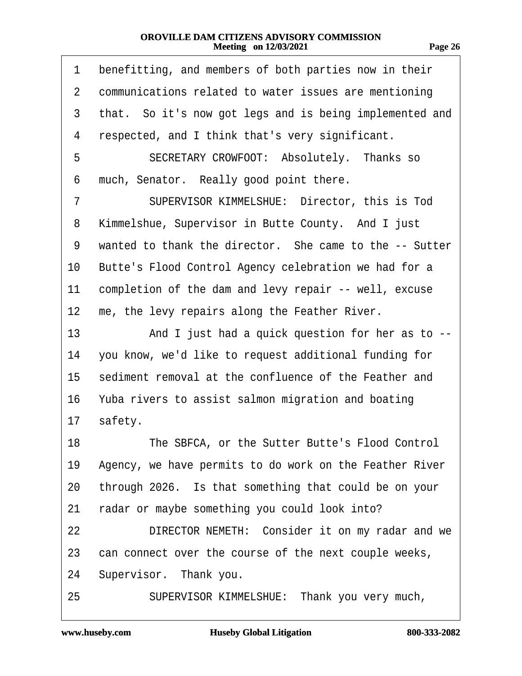1 benefitting, and members of both parties now in their

| $\overline{2}$ | communications related to water issues are mentioning   |
|----------------|---------------------------------------------------------|
| 3              | that. So it's now got legs and is being implemented and |
| 4              | respected, and I think that's very significant.         |
| 5              | SECRETARY CROWFOOT: Absolutely. Thanks so               |
| 6              | much, Senator. Really good point there.                 |
| 7              | SUPERVISOR KIMMELSHUE: Director, this is Tod            |
| 8              | Kimmelshue, Supervisor in Butte County. And I just      |
| 9              | wanted to thank the director. She came to the -- Sutter |
| 10             | Butte's Flood Control Agency celebration we had for a   |
| 11             | completion of the dam and levy repair -- well, excuse   |
| 12             | me, the levy repairs along the Feather River.           |
| 13             | And I just had a quick question for her as to --        |
| 14             | you know, we'd like to request additional funding for   |
| 15             | sediment removal at the confluence of the Feather and   |
| 16             | Yuba rivers to assist salmon migration and boating      |
| 17             | safety.                                                 |
| 18             | The SBFCA, or the Sutter Butte's Flood Control          |
| 19             | Agency, we have permits to do work on the Feather River |
| 20             | through 2026. Is that something that could be on your   |
| 21             | radar or maybe something you could look into?           |
| 22             | DIRECTOR NEMETH: Consider it on my radar and we         |
| 23             | can connect over the course of the next couple weeks,   |
| 24             | Supervisor. Thank you.                                  |
| 25             | SUPERVISOR KIMMELSHUE: Thank you very much,             |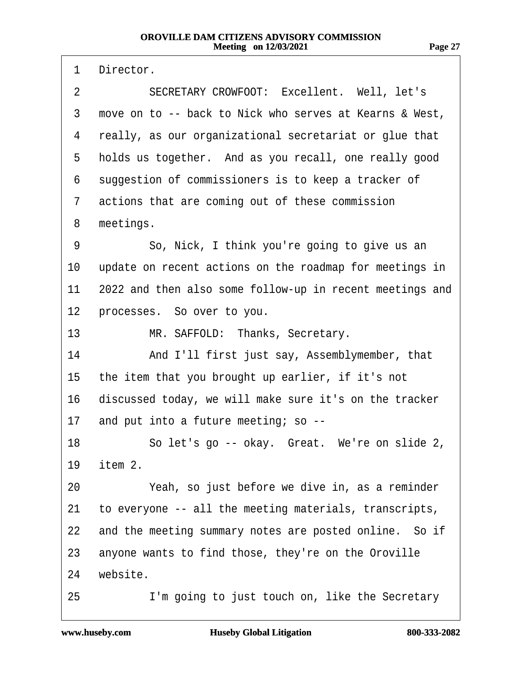1 Director. 2 SECRETARY CROWFOOT: Excellent. Well, let's 3 move on to -- back to Nick who serves at Kearns & West, 4 really, as our organizational secretariat or glue that 5 holds us together. And as you recall, one really good 6 suggestion of commissioners is to keep a tracker of 7 actions that are coming out of these commission 8 meetings. 9 · · · So, Nick, I think you're going to give us an 10 update on recent actions on the roadmap for meetings in 11 2022 and then also some follow-up in recent meetings and 12 processes. So over to you. 13 MR. SAFFOLD: Thanks, Secretary. 14 • And I'll first just say, Assemblymember, that 15 the item that you brought up earlier, if it's not 16 discussed today, we will make sure it's on the tracker 17 and put into a future meeting; so --18 Solet's go -- okay. Great. We're on slide 2, 19 *item 2.* 20 Yeah, so just before we dive in, as a reminder 21 to everyone -- all the meeting materials, transcripts, 22 and the meeting summary notes are posted online. So if 23 anyone wants to find those, they're on the Oroville 24 website. 25 I'm going to just touch on, like the Secretary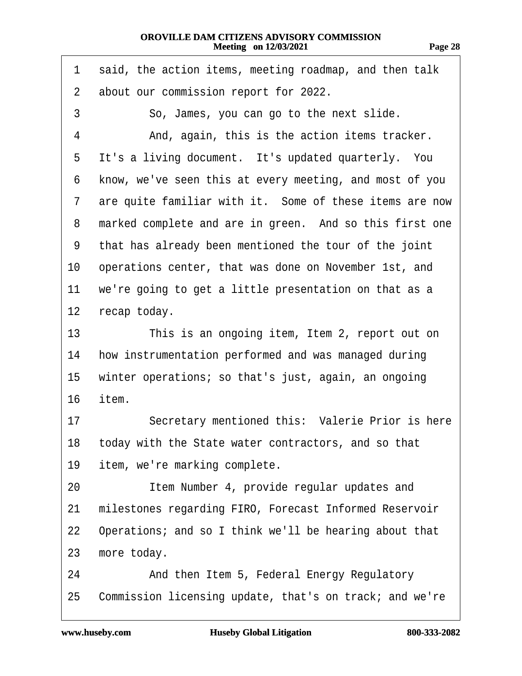| Page 2 |  |
|--------|--|
|        |  |
|        |  |
|        |  |

1 said, the action items, meeting roadmap, and then talk 2 about our commission report for 2022. 3 · · · So, James, you can go to the next slide. 4 • And, again, this is the action items tracker. 5 It's a living document. It's updated quarterly. You 6 know, we've seen this at every meeting, and most of you 7 are quite familiar with it. Some of these items are now 8 marked complete and are in green. And so this first one ·9· ·that has already been mentioned the tour of the joint 10 operations center, that was done on November 1st, and 11 we're going to get a little presentation on that as a 12 recap today. 13 This is an ongoing item, Item 2, report out on 14 how instrumentation performed and was managed during 15 winter operations; so that's just, again, an ongoing 16 item. 17 Secretary mentioned this: Valerie Prior is here 18 today with the State water contractors, and so that 19 item, we're marking complete. 20 **Item Number 4, provide regular updates and** 21 milestones regarding FIRO, Forecast Informed Reservoir 22 Operations; and so I think we'll be hearing about that 23 more today. 24 And then Item 5, Federal Energy Regulatory

25 Commission licensing update, that's on track; and we're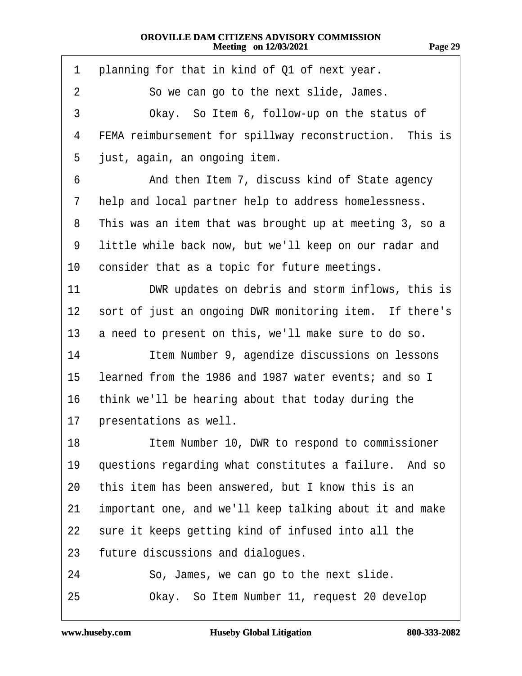| 1               | planning for that in kind of Q1 of next year.           |
|-----------------|---------------------------------------------------------|
| 2               | So we can go to the next slide, James.                  |
| 3               | Okay. So Item 6, follow-up on the status of             |
| 4               | FEMA reimbursement for spillway reconstruction. This is |
| 5               | just, again, an ongoing item.                           |
| 6               | And then Item 7, discuss kind of State agency           |
| 7               | help and local partner help to address homelessness.    |
| 8               | This was an item that was brought up at meeting 3, so a |
| 9               | little while back now, but we'll keep on our radar and  |
| 10              | consider that as a topic for future meetings.           |
| 11              | DWR updates on debris and storm inflows, this is        |
| 12 <sub>2</sub> | sort of just an ongoing DWR monitoring item. If there's |
| 13              | a need to present on this, we'll make sure to do so.    |
| 14              | Item Number 9, agendize discussions on lessons          |
| 15              | learned from the 1986 and 1987 water events; and so I   |
| 16              | think we'll be hearing about that today during the      |
| 17              | presentations as well.                                  |
| 18              | Item Number 10, DWR to respond to commissioner          |
| 19              | questions regarding what constitutes a failure. And so  |
| 20              | this item has been answered, but I know this is an      |
| 21              | important one, and we'll keep talking about it and make |
| 22              | sure it keeps getting kind of infused into all the      |
| 23              | future discussions and dialogues.                       |
| 24              | So, James, we can go to the next slide.                 |
| 25              | Okay. So Item Number 11, request 20 develop             |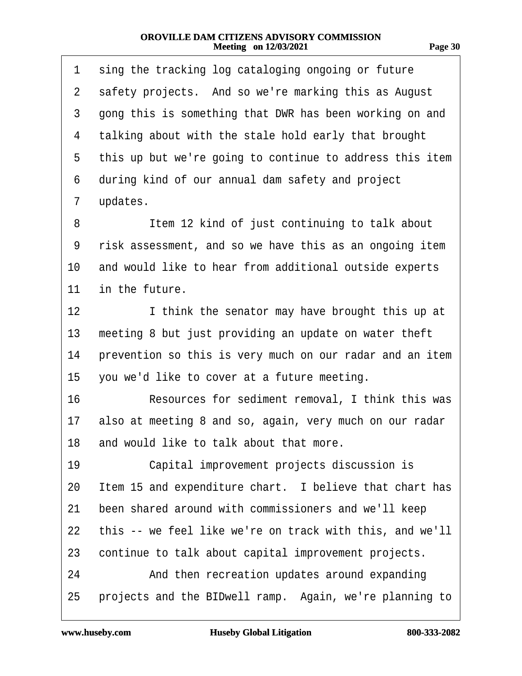| 1  | sing the tracking log cataloging ongoing or future       |
|----|----------------------------------------------------------|
| 2  | safety projects. And so we're marking this as August     |
| 3  | gong this is something that DWR has been working on and  |
| 4  | talking about with the stale hold early that brought     |
| 5  | this up but we're going to continue to address this item |
| 6  | during kind of our annual dam safety and project         |
| 7  | updates.                                                 |
| 8  | Item 12 kind of just continuing to talk about            |
| 9  | risk assessment, and so we have this as an ongoing item  |
| 10 | and would like to hear from additional outside experts   |
| 11 | in the future.                                           |
| 12 | I think the senator may have brought this up at          |
| 13 | meeting 8 but just providing an update on water theft    |
| 14 | prevention so this is very much on our radar and an item |
| 15 | you we'd like to cover at a future meeting.              |
| 16 | Resources for sediment removal, I think this was         |
| 17 | also at meeting 8 and so, again, very much on our radar  |
|    | 18 and would like to talk about that more.               |
| 19 | Capital improvement projects discussion is               |
| 20 | Item 15 and expenditure chart. I believe that chart has  |
| 21 | been shared around with commissioners and we'll keep     |
| 22 | this -- we feel like we're on track with this, and we'll |
| 23 | continue to talk about capital improvement projects.     |
| 24 | And then recreation updates around expanding             |
| 25 | projects and the BIDwell ramp. Again, we're planning to  |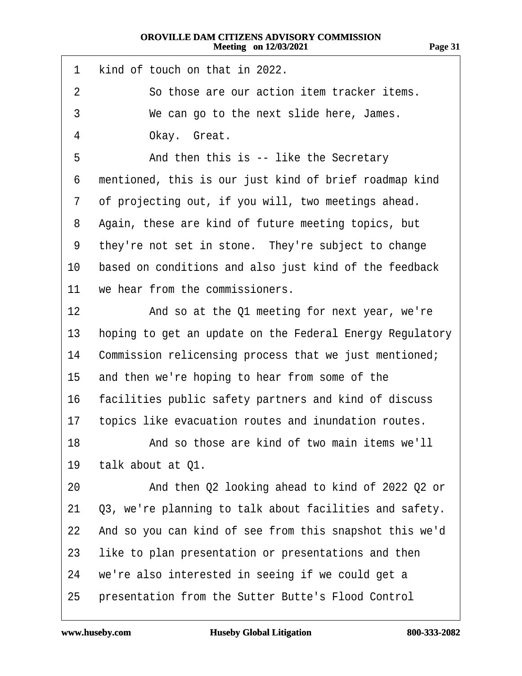- 1 kind of touch on that in 2022.
- 2 So those are our action item tracker items.
- 3 We can go to the next slide here, James.
- 4 Okay. Great.
- 5 **And then this is -- like the Secretary**
- 6 mentioned, this is our just kind of brief roadmap kind
- 7 of projecting out, if you will, two meetings ahead.
- 8 Again, these are kind of future meeting topics, but
- 9 they're not set in stone. They're subject to change
- 10 based on conditions and also just kind of the feedback
- 11 we hear from the commissioners.
- 12 And so at the Q1 meeting for next year, we're
- 13 hoping to get an update on the Federal Energy Regulatory
- 14 Commission relicensing process that we just mentioned;
- 15 and then we're hoping to hear from some of the
- 16 facilities public safety partners and kind of discuss
- 17 topics like evacuation routes and inundation routes.
- 18· · · · · ·And so those are kind of two main items we'll
- 19 talk about at Q1.
- 20 • And then Q2 looking ahead to kind of 2022 Q2 or
- 21 Q3, we're planning to talk about facilities and safety.
- 22 And so you can kind of see from this snapshot this we'd
- 23 like to plan presentation or presentations and then
- 24 we're also interested in seeing if we could get a
- 25 presentation from the Sutter Butte's Flood Control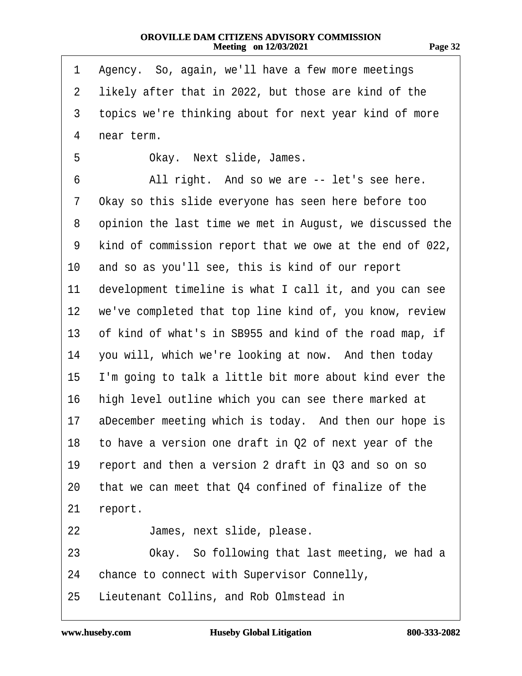| r. |  |
|----|--|
|----|--|

| 1               | Agency. So, again, we'll have a few more meetings        |
|-----------------|----------------------------------------------------------|
| 2               | likely after that in 2022, but those are kind of the     |
| 3               | topics we're thinking about for next year kind of more   |
| 4               | near term.                                               |
| 5               | Okay. Next slide, James.                                 |
| 6               | All right. And so we are -- let's see here.              |
| 7               | Okay so this slide everyone has seen here before too     |
| 8               | opinion the last time we met in August, we discussed the |
| 9               | kind of commission report that we owe at the end of 022, |
| 10              | and so as you'll see, this is kind of our report         |
| 11              | development timeline is what I call it, and you can see  |
| 12 <sup>°</sup> | we've completed that top line kind of, you know, review  |
| 13              | of kind of what's in SB955 and kind of the road map, if  |
| 14              | you will, which we're looking at now. And then today     |
| 15              | I'm going to talk a little bit more about kind ever the  |
| 16              | high level outline which you can see there marked at     |
| 17              | aDecember meeting which is today. And then our hope is   |
|                 | 18 to have a version one draft in Q2 of next year of the |
| 19              | report and then a version 2 draft in Q3 and so on so     |
| 20              | that we can meet that Q4 confined of finalize of the     |
| 21              | report.                                                  |
| 22              | James, next slide, please.                               |
| 23              | Okay. So following that last meeting, we had a           |
| 24              | chance to connect with Supervisor Connelly,              |
| 25              | Lieutenant Collins, and Rob Olmstead in                  |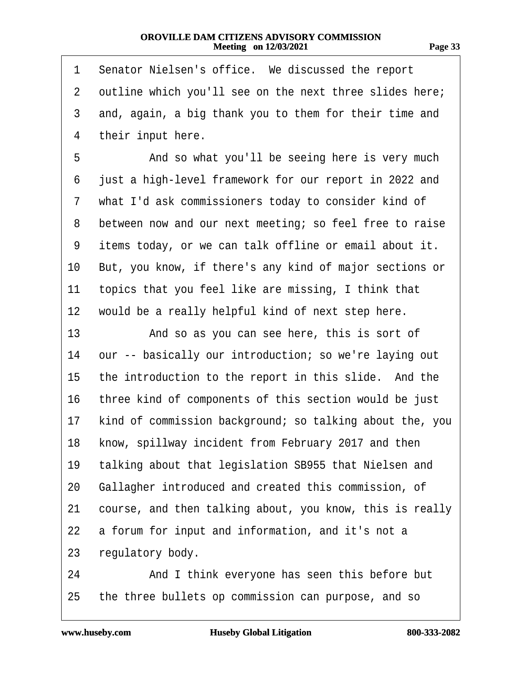| ., |  |
|----|--|
|----|--|

| 1              | Senator Nielsen's office. We discussed the report        |
|----------------|----------------------------------------------------------|
| $\overline{2}$ | outline which you'll see on the next three slides here;  |
| 3              | and, again, a big thank you to them for their time and   |
| 4              | their input here.                                        |
| 5              | And so what you'll be seeing here is very much           |
| 6              | just a high-level framework for our report in 2022 and   |
| 7              | what I'd ask commissioners today to consider kind of     |
| 8              | between now and our next meeting; so feel free to raise  |
| 9              | items today, or we can talk offline or email about it.   |
| 10             | But, you know, if there's any kind of major sections or  |
| 11             | topics that you feel like are missing, I think that      |
| 12             | would be a really helpful kind of next step here.        |
| 13             | And so as you can see here, this is sort of              |
| 14             | our -- basically our introduction; so we're laying out   |
| 15             | the introduction to the report in this slide. And the    |
| 16             | three kind of components of this section would be just   |
| 17             | kind of commission background; so talking about the, you |
| 18.            | know, spillway incident from February 2017 and then      |
| 19             | talking about that legislation SB955 that Nielsen and    |
| 20             | Gallagher introduced and created this commission, of     |
| 21             | course, and then talking about, you know, this is really |
| 22             | a forum for input and information, and it's not a        |
| 23             | regulatory body.                                         |
| 24             | And I think everyone has seen this before but            |
| 25             | the three bullets op commission can purpose, and so      |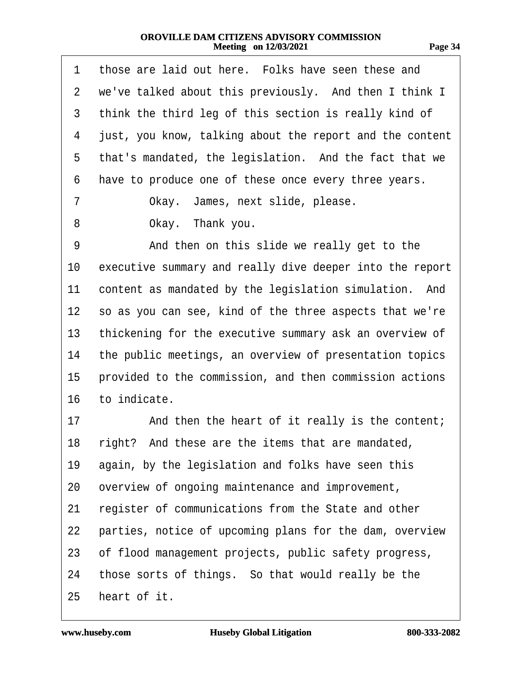| 1               | those are laid out here. Folks have seen these and       |
|-----------------|----------------------------------------------------------|
|                 | 2 we've talked about this previously. And then I think I |
| 3               | think the third leg of this section is really kind of    |
| 4               | just, you know, talking about the report and the content |
| 5               | that's mandated, the legislation. And the fact that we   |
| 6               | have to produce one of these once every three years.     |
| 7               | Okay. James, next slide, please.                         |
| 8               | Okay. Thank you.                                         |
| 9               | And then on this slide we really get to the              |
| 10              | executive summary and really dive deeper into the report |
| 11              | content as mandated by the legislation simulation. And   |
| 12 <sub>2</sub> | so as you can see, kind of the three aspects that we're  |
| 13              | thickening for the executive summary ask an overview of  |
| 14              | the public meetings, an overview of presentation topics  |
| 15              | provided to the commission, and then commission actions  |
| 16              | to indicate.                                             |
| 17              | And then the heart of it really is the content;          |
|                 | 18 right? And these are the items that are mandated,     |
| 19              | again, by the legislation and folks have seen this       |
|                 | 20 overview of ongoing maintenance and improvement,      |
| 21              | register of communications from the State and other      |
| 22              | parties, notice of upcoming plans for the dam, overview  |
| 23              | of flood management projects, public safety progress,    |
| 24              | those sorts of things. So that would really be the       |
| 25              | heart of it.                                             |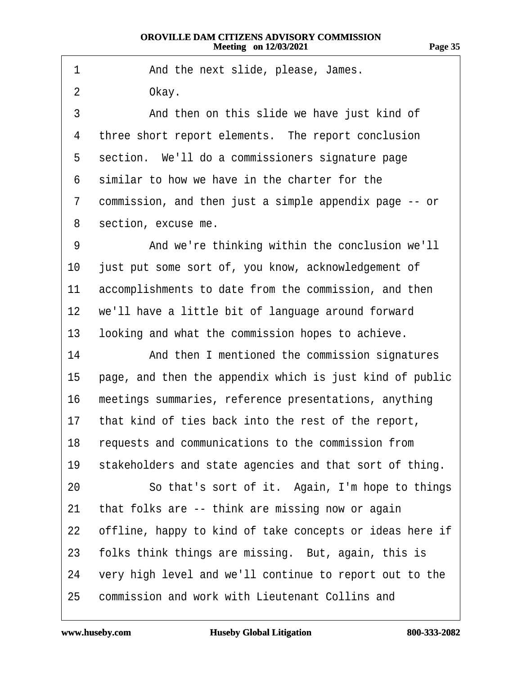- 1 **And the next slide, please, James.**
- 2 Okay.

3 • • And then on this slide we have just kind of 4 three short report elements. The report conclusion 5 section. We'll do a commissioners signature page 6 similar to how we have in the charter for the ·7· ·commission, and then just a simple appendix page -- or 8 section, excuse me. 9 • • And we're thinking within the conclusion we'll 10 just put some sort of, you know, acknowledgement of 11 accomplishments to date from the commission, and then 12 we'll have a little bit of language around forward 13 looking and what the commission hopes to achieve. 14 And then I mentioned the commission signatures 15 page, and then the appendix which is just kind of public 16 meetings summaries, reference presentations, anything 17 that kind of ties back into the rest of the report, 18 requests and communications to the commission from 19 stakeholders and state agencies and that sort of thing. 20 **· · · So that's sort of it.** Again, I'm hope to things 21 that folks are -- think are missing now or again 22 offline, happy to kind of take concepts or ideas here if 23 folks think things are missing. But, again, this is 24 very high level and we'll continue to report out to the 25 commission and work with Lieutenant Collins and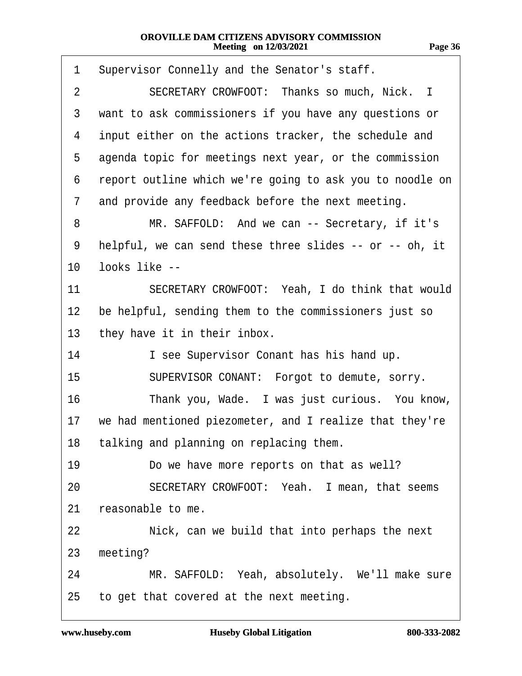| 1  | Supervisor Connelly and the Senator's staff.             |
|----|----------------------------------------------------------|
| 2  | SECRETARY CROWFOOT: Thanks so much, Nick. I              |
| 3  | want to ask commissioners if you have any questions or   |
| 4  | input either on the actions tracker, the schedule and    |
| 5  | agenda topic for meetings next year, or the commission   |
| 6  | report outline which we're going to ask you to noodle on |
| 7  | and provide any feedback before the next meeting.        |
| 8  | MR. SAFFOLD: And we can -- Secretary, if it's            |
| 9  | helpful, we can send these three slides -- or -- oh, it  |
| 10 | looks like --                                            |
| 11 | SECRETARY CROWFOOT: Yeah, I do think that would          |
| 12 | be helpful, sending them to the commissioners just so    |
| 13 | they have it in their inbox.                             |
| 14 | I see Supervisor Conant has his hand up.                 |
| 15 | SUPERVISOR CONANT: Forgot to demute, sorry.              |
| 16 | Thank you, Wade. I was just curious. You know,           |
| 17 | we had mentioned piezometer, and I realize that they're  |
| 18 | talking and planning on replacing them.                  |
| 19 | Do we have more reports on that as well?                 |
| 20 | SECRETARY CROWFOOT: Yeah. I mean, that seems             |
| 21 | reasonable to me.                                        |
| 22 | Nick, can we build that into perhaps the next            |
| 23 | meeting?                                                 |
| 24 | MR. SAFFOLD: Yeah, absolutely. We'll make sure           |
| 25 | to get that covered at the next meeting.                 |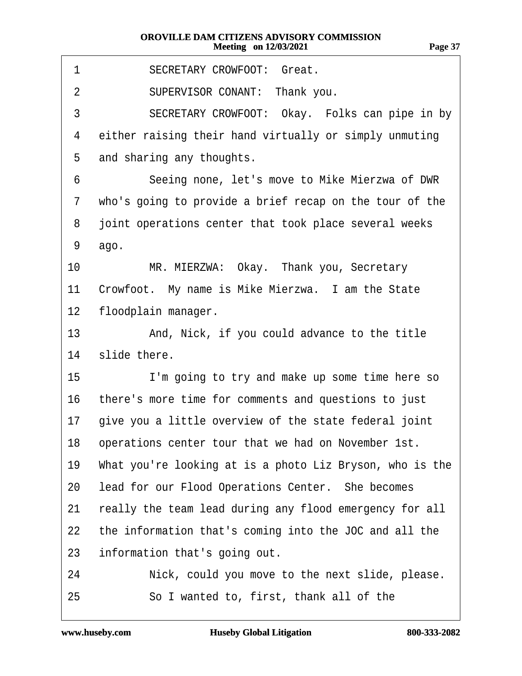| 1              | <b>SECRETARY CROWFOOT: Great.</b>                        |
|----------------|----------------------------------------------------------|
| $\overline{2}$ | SUPERVISOR CONANT: Thank you.                            |
| 3              | SECRETARY CROWFOOT: Okay. Folks can pipe in by           |
| 4              | either raising their hand virtually or simply unmuting   |
| 5              | and sharing any thoughts.                                |
| 6              | Seeing none, let's move to Mike Mierzwa of DWR           |
| 7              | who's going to provide a brief recap on the tour of the  |
| 8              | joint operations center that took place several weeks    |
| 9              | ago.                                                     |
| 10             | MR. MIERZWA: Okay. Thank you, Secretary                  |
| 11             | Crowfoot. My name is Mike Mierzwa. I am the State        |
| 12             | floodplain manager.                                      |
| 13             | And, Nick, if you could advance to the title             |
| 14             | slide there.                                             |
| 15             | I'm going to try and make up some time here so           |
| 16             | there's more time for comments and questions to just     |
|                | 17 give you a little overview of the state federal joint |
|                | 18 operations center tour that we had on November 1st.   |
| 19             | What you're looking at is a photo Liz Bryson, who is the |
| 20             | lead for our Flood Operations Center. She becomes        |
| 21             | really the team lead during any flood emergency for all  |
| 22             | the information that's coming into the JOC and all the   |
| 23             | information that's going out.                            |
| 24             | Nick, could you move to the next slide, please.          |
| 25             | So I wanted to, first, thank all of the                  |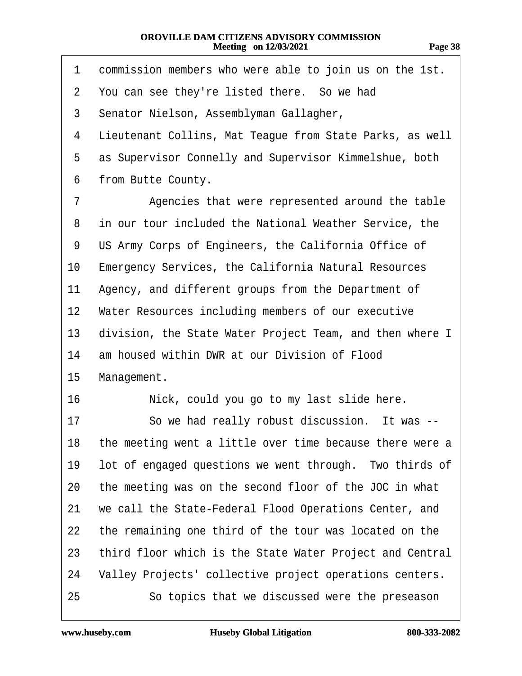| .<br>o<br>.,<br>. . | n<br>г |
|---------------------|--------|
|                     |        |

| commission members who were able to join us on the 1st.<br>1      |
|-------------------------------------------------------------------|
| $\overline{2}$<br>You can see they're listed there. So we had     |
| 3<br>Senator Nielson, Assemblyman Gallagher,                      |
| Lieutenant Collins, Mat Teague from State Parks, as well<br>4     |
| as Supervisor Connelly and Supervisor Kimmelshue, both<br>5       |
| from Butte County.<br>6                                           |
| Agencies that were represented around the table<br>7              |
| in our tour included the National Weather Service, the<br>8       |
| US Army Corps of Engineers, the California Office of<br>9         |
| <b>Emergency Services, the California Natural Resources</b><br>10 |
| Agency, and different groups from the Department of<br>11         |
| Water Resources including members of our executive<br>$12 \,$     |
| division, the State Water Project Team, and then where I<br>13    |
| am housed within DWR at our Division of Flood<br>14               |
| 15<br>Management.                                                 |
| 16<br>Nick, could you go to my last slide here.                   |
| So we had really robust discussion. It was --<br>17               |
| the meeting went a little over time because there were a<br>18    |
| lot of engaged questions we went through. Two thirds of<br>19     |
| the meeting was on the second floor of the JOC in what<br>20      |
| we call the State-Federal Flood Operations Center, and<br>21      |
| the remaining one third of the tour was located on the<br>22      |
| third floor which is the State Water Project and Central<br>23    |
| Valley Projects' collective project operations centers.<br>24     |
| 25<br>So topics that we discussed were the preseason              |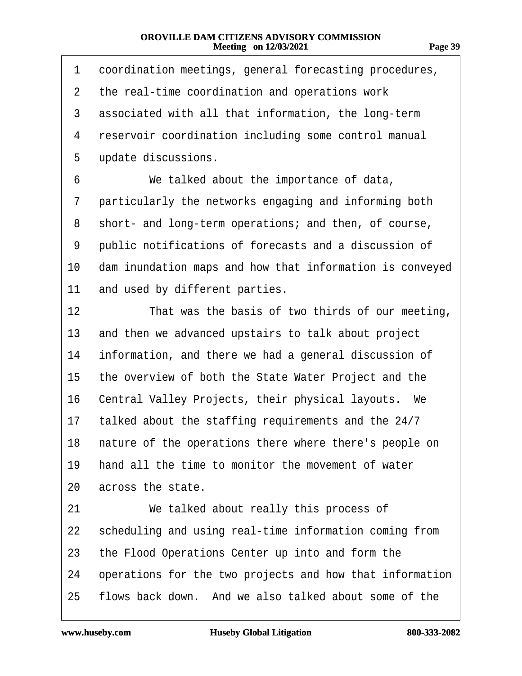| 1         | coordination meetings, general forecasting procedures,    |
|-----------|-----------------------------------------------------------|
| 2         | the real-time coordination and operations work            |
| 3         | associated with all that information, the long-term       |
| 4         | reservoir coordination including some control manual      |
| 5         | update discussions.                                       |
| 6         | We talked about the importance of data,                   |
| 7         | particularly the networks engaging and informing both     |
| 8         | short- and long-term operations; and then, of course,     |
| 9         | public notifications of forecasts and a discussion of     |
| 10        | dam inundation maps and how that information is conveyed  |
| 11        | and used by different parties.                            |
| 12        | That was the basis of two thirds of our meeting,          |
| 13        | and then we advanced upstairs to talk about project       |
| 14        | information, and there we had a general discussion of     |
| 15        | the overview of both the State Water Project and the      |
| 16        | Central Valley Projects, their physical layouts. We       |
| 17        | talked about the staffing requirements and the 24/7       |
|           | 18 nature of the operations there where there's people on |
| 19        | hand all the time to monitor the movement of water        |
| 20        | across the state.                                         |
| 21        | We talked about really this process of                    |
| <u>22</u> | scheduling and using real-time information coming from    |
| 23        | the Flood Operations Center up into and form the          |
| 24        | operations for the two projects and how that information  |
| 25        | flows back down. And we also talked about some of the     |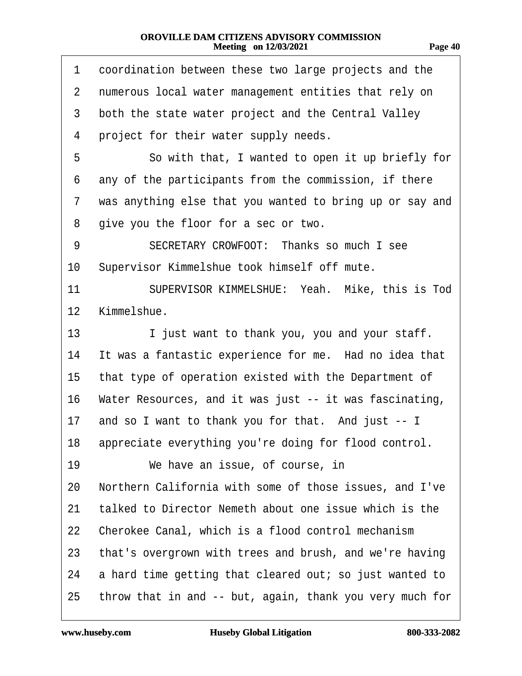| .æ | I |
|----|---|
| œ  | ľ |
|    |   |

| 1              | coordination between these two large projects and the    |
|----------------|----------------------------------------------------------|
| $\overline{2}$ | numerous local water management entities that rely on    |
| 3              | both the state water project and the Central Valley      |
| 4              | project for their water supply needs.                    |
| 5              | So with that, I wanted to open it up briefly for         |
| 6              | any of the participants from the commission, if there    |
| 7              | was anything else that you wanted to bring up or say and |
| 8              | give you the floor for a sec or two.                     |
| 9              | SECRETARY CROWFOOT: Thanks so much I see                 |
| 10             | Supervisor Kimmelshue took himself off mute.             |
| 11             | SUPERVISOR KIMMELSHUE: Yeah. Mike, this is Tod           |
| $12 \,$        | Kimmelshue.                                              |
| 13             | I just want to thank you, you and your staff.            |
| 14             | It was a fantastic experience for me. Had no idea that   |
| 15             | that type of operation existed with the Department of    |
| 16             | Water Resources, and it was just -- it was fascinating,  |
| 17             | and so I want to thank you for that. And just -- I       |
|                | 18 appreciate everything you're doing for flood control. |
| 19             | We have an issue, of course, in                          |
| 20             | Northern California with some of those issues, and I've  |
| 21             | talked to Director Nemeth about one issue which is the   |
| 22             | Cherokee Canal, which is a flood control mechanism       |
| 23             | that's overgrown with trees and brush, and we're having  |
| 24             | a hard time getting that cleared out; so just wanted to  |
| 25             | throw that in and -- but, again, thank you very much for |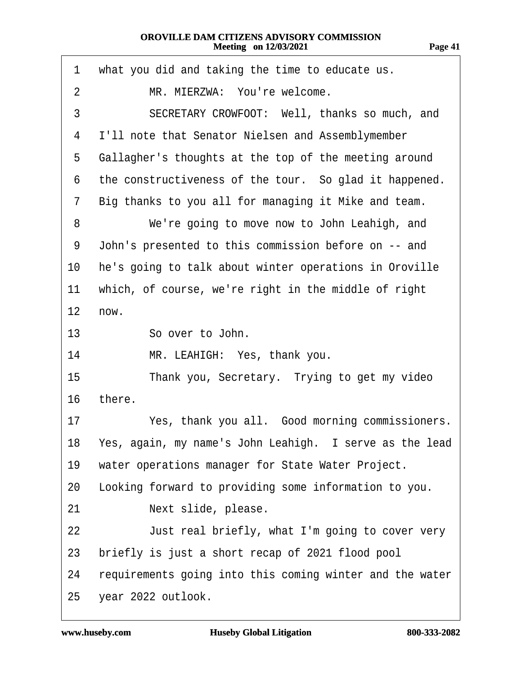| 1  | what you did and taking the time to educate us.          |
|----|----------------------------------------------------------|
| 2  | MR. MIERZWA: You're welcome.                             |
| 3  | SECRETARY CROWFOOT: Well, thanks so much, and            |
| 4  | I'll note that Senator Nielsen and Assemblymember        |
| 5  | Gallagher's thoughts at the top of the meeting around    |
| 6  | the constructiveness of the tour. So glad it happened.   |
| 7  | Big thanks to you all for managing it Mike and team.     |
| 8  | We're going to move now to John Leahigh, and             |
| 9  | John's presented to this commission before on -- and     |
| 10 | he's going to talk about winter operations in Oroville   |
| 11 | which, of course, we're right in the middle of right     |
| 12 | now.                                                     |
| 13 | So over to John.                                         |
| 14 | MR. LEAHIGH: Yes, thank you.                             |
| 15 | Thank you, Secretary. Trying to get my video             |
| 16 | there.                                                   |
| 17 | Yes, thank you all. Good morning commissioners.          |
| 18 | Yes, again, my name's John Leahigh. I serve as the lead  |
| 19 | water operations manager for State Water Project.        |
| 20 | Looking forward to providing some information to you.    |
| 21 | Next slide, please.                                      |
| 22 | Just real briefly, what I'm going to cover very          |
| 23 | briefly is just a short recap of 2021 flood pool         |
| 24 | requirements going into this coming winter and the water |
| 25 | year 2022 outlook.                                       |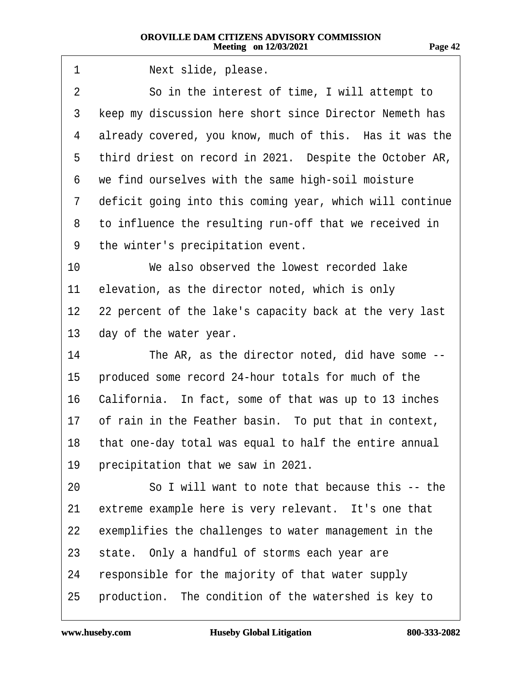| 1  | Next slide, please.                                       |
|----|-----------------------------------------------------------|
| 2  | So in the interest of time, I will attempt to             |
| 3  | keep my discussion here short since Director Nemeth has   |
| 4  | already covered, you know, much of this. Has it was the   |
| 5  | third driest on record in 2021. Despite the October AR,   |
| 6  | we find ourselves with the same high-soil moisture        |
| 7  | deficit going into this coming year, which will continue  |
| 8  | to influence the resulting run-off that we received in    |
| 9  | the winter's precipitation event.                         |
| 10 | We also observed the lowest recorded lake                 |
| 11 | elevation, as the director noted, which is only           |
| 12 | 22 percent of the lake's capacity back at the very last   |
| 13 | day of the water year.                                    |
| 14 | The AR, as the director noted, did have some --           |
| 15 | produced some record 24-hour totals for much of the       |
| 16 | California. In fact, some of that was up to 13 inches     |
| 17 | of rain in the Feather basin. To put that in context,     |
|    | 18 that one-day total was equal to half the entire annual |
| 19 | precipitation that we saw in 2021.                        |
| 20 | So I will want to note that because this -- the           |
| 21 | extreme example here is very relevant. It's one that      |
| 22 | exemplifies the challenges to water management in the     |
| 23 | state. Only a handful of storms each year are             |
| 24 | responsible for the majority of that water supply         |
| 25 | production. The condition of the watershed is key to      |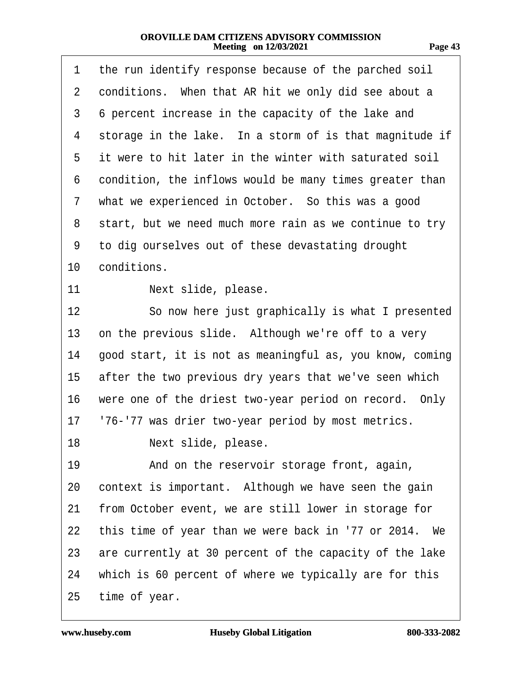| 1               | the run identify response because of the parched soil    |
|-----------------|----------------------------------------------------------|
| $\overline{2}$  | conditions. When that AR hit we only did see about a     |
| 3               | 6 percent increase in the capacity of the lake and       |
| 4               | storage in the lake. In a storm of is that magnitude if  |
| 5               | it were to hit later in the winter with saturated soil   |
| 6               | condition, the inflows would be many times greater than  |
| 7               | what we experienced in October. So this was a good       |
| 8               | start, but we need much more rain as we continue to try  |
| 9               | to dig ourselves out of these devastating drought        |
| 10 <sup>°</sup> | conditions.                                              |
| 11              | Next slide, please.                                      |
| 12              | So now here just graphically is what I presented         |
| 13              | on the previous slide. Although we're off to a very      |
| 14              | good start, it is not as meaningful as, you know, coming |
| 15              | after the two previous dry years that we've seen which   |
| 16              | were one of the driest two-year period on record. Only   |
| 17              | '76-'77 was drier two-year period by most metrics.       |
| 18              | Next slide, please                                       |
| 19              | And on the reservoir storage front, again,               |
| 20              | context is important. Although we have seen the gain     |
| 21              | from October event, we are still lower in storage for    |
| 22              | this time of year than we were back in '77 or 2014. We   |
| 23              | are currently at 30 percent of the capacity of the lake  |
| 24              | which is 60 percent of where we typically are for this   |
| 25              | time of year.                                            |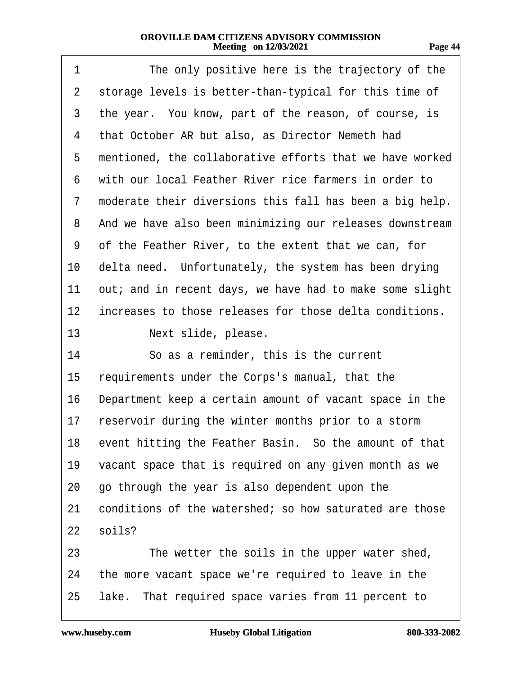| u<br>71<br>г. |
|---------------|
|---------------|

| 1  | The only positive here is the trajectory of the           |
|----|-----------------------------------------------------------|
| 2  | storage levels is better-than-typical for this time of    |
| 3  | the year. You know, part of the reason, of course, is     |
| 4  | that October AR but also, as Director Nemeth had          |
| 5  | mentioned, the collaborative efforts that we have worked  |
| 6  | with our local Feather River rice farmers in order to     |
| 7  | moderate their diversions this fall has been a big help.  |
| 8  | And we have also been minimizing our releases downstream  |
| 9  | of the Feather River, to the extent that we can, for      |
| 10 | delta need. Unfortunately, the system has been drying     |
| 11 | out; and in recent days, we have had to make some slight  |
| 12 | increases to those releases for those delta conditions.   |
| 13 | Next slide, please.                                       |
| 14 | So as a reminder, this is the current                     |
| 15 | requirements under the Corps's manual, that the           |
| 16 | Department keep a certain amount of vacant space in the   |
| 17 | reservoir during the winter months prior to a storm       |
|    | 18 event hitting the Feather Basin. So the amount of that |
| 19 | vacant space that is required on any given month as we    |
| 20 | go through the year is also dependent upon the            |
| 21 | conditions of the watershed; so how saturated are those   |
| 22 | soils?                                                    |
| 23 | The wetter the soils in the upper water shed,             |
| 24 | the more vacant space we're required to leave in the      |
| 25 | lake. That required space varies from 11 percent to       |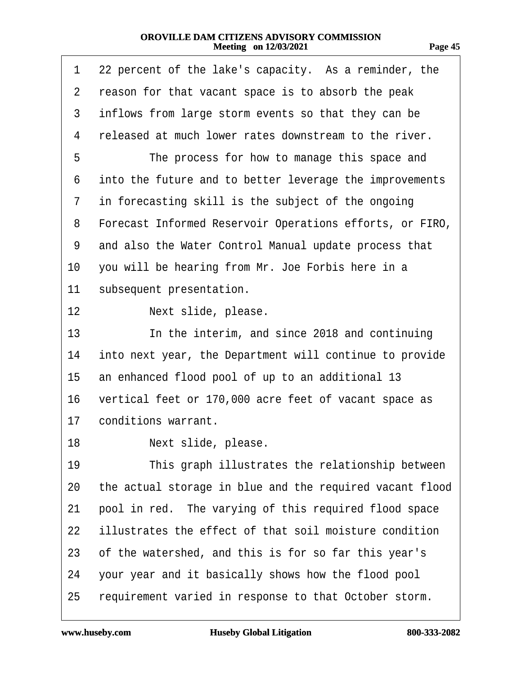| 1              | 22 percent of the lake's capacity. As a reminder, the    |  |  |
|----------------|----------------------------------------------------------|--|--|
| $\overline{2}$ | reason for that vacant space is to absorb the peak       |  |  |
| 3              | inflows from large storm events so that they can be      |  |  |
| 4              | released at much lower rates downstream to the river.    |  |  |
| 5              | The process for how to manage this space and             |  |  |
| 6              | into the future and to better leverage the improvements  |  |  |
| 7              | in forecasting skill is the subject of the ongoing       |  |  |
| 8              | Forecast Informed Reservoir Operations efforts, or FIRO, |  |  |
| 9              | and also the Water Control Manual update process that    |  |  |
| 10             | you will be hearing from Mr. Joe Forbis here in a        |  |  |
| 11             | subsequent presentation.                                 |  |  |
| 12             | Next slide, please.                                      |  |  |
| 13             | In the interim, and since 2018 and continuing            |  |  |
| 14             | into next year, the Department will continue to provide  |  |  |
| 15             | an enhanced flood pool of up to an additional 13         |  |  |
| 16             | vertical feet or 170,000 acre feet of vacant space as    |  |  |
| 17             | conditions warrant.                                      |  |  |
| 18.            | Next slide, please.                                      |  |  |
| 19             | This graph illustrates the relationship between          |  |  |
| 20             | the actual storage in blue and the required vacant flood |  |  |
| 21             | pool in red. The varying of this required flood space    |  |  |
| 22             | illustrates the effect of that soil moisture condition   |  |  |
| 23             | of the watershed, and this is for so far this year's     |  |  |
| 24             | your year and it basically shows how the flood pool      |  |  |
| 25             | requirement varied in response to that October storm.    |  |  |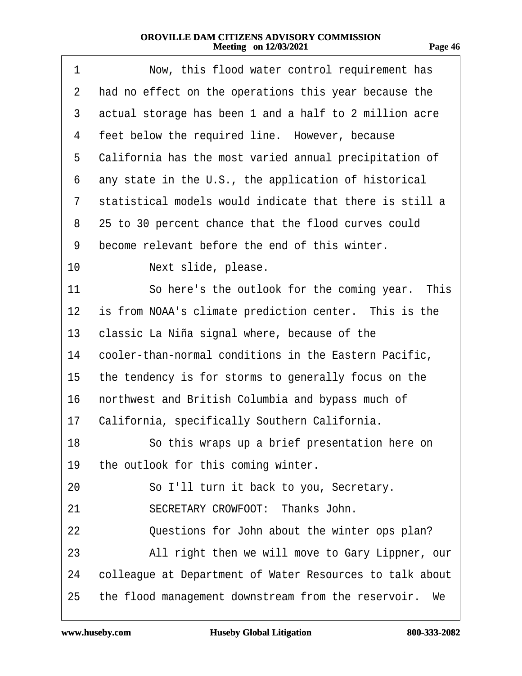| 1  | Now, this flood water control requirement has            |  |
|----|----------------------------------------------------------|--|
| 2  | had no effect on the operations this year because the    |  |
| 3  | actual storage has been 1 and a half to 2 million acre   |  |
| 4  | feet below the required line. However, because           |  |
| 5  | California has the most varied annual precipitation of   |  |
| 6  | any state in the U.S., the application of historical     |  |
| 7  | statistical models would indicate that there is still a  |  |
| 8  | 25 to 30 percent chance that the flood curves could      |  |
| 9  | become relevant before the end of this winter.           |  |
| 10 | Next slide, please.                                      |  |
| 11 | So here's the outlook for the coming year. This          |  |
| 12 | is from NOAA's climate prediction center. This is the    |  |
| 13 | classic La Niña signal where, because of the             |  |
| 14 | cooler-than-normal conditions in the Eastern Pacific,    |  |
| 15 | the tendency is for storms to generally focus on the     |  |
| 16 | northwest and British Columbia and bypass much of        |  |
| 17 | California, specifically Southern California.            |  |
| 18 | So this wraps up a brief presentation here on            |  |
| 19 | the outlook for this coming winter.                      |  |
| 20 | So I'll turn it back to you, Secretary.                  |  |
| 21 | SECRETARY CROWFOOT: Thanks John.                         |  |
| 22 | Questions for John about the winter ops plan?            |  |
| 23 | All right then we will move to Gary Lippner, our         |  |
| 24 | colleague at Department of Water Resources to talk about |  |
| 25 | the flood management downstream from the reservoir. We   |  |
|    |                                                          |  |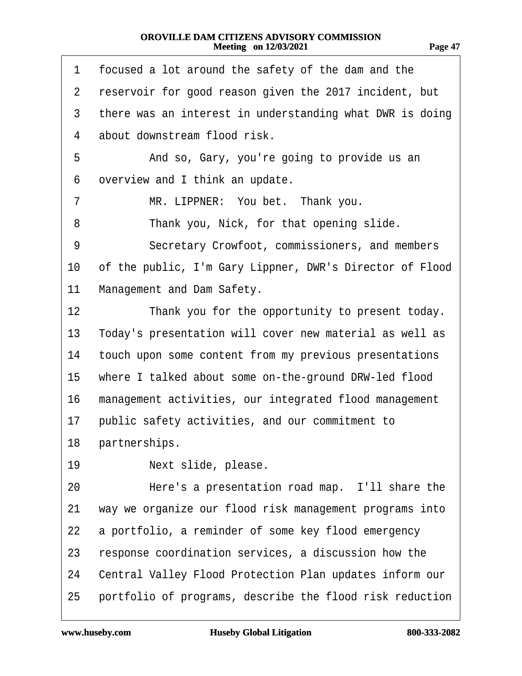| π.<br>п<br>. . |  |
|----------------|--|
|                |  |

| 1              | focused a lot around the safety of the dam and the       |  |
|----------------|----------------------------------------------------------|--|
| $\overline{2}$ | reservoir for good reason given the 2017 incident, but   |  |
| 3              | there was an interest in understanding what DWR is doing |  |
| 4              | about downstream flood risk.                             |  |
| 5              | And so, Gary, you're going to provide us an              |  |
| 6              | overview and I think an update.                          |  |
| 7              | MR. LIPPNER: You bet. Thank you.                         |  |
| 8              | Thank you, Nick, for that opening slide.                 |  |
| 9              | Secretary Crowfoot, commissioners, and members           |  |
| 10             | of the public, I'm Gary Lippner, DWR's Director of Flood |  |
| 11             | Management and Dam Safety.                               |  |
| 12             | Thank you for the opportunity to present today.          |  |
| 13             | Today's presentation will cover new material as well as  |  |
| 14             | touch upon some content from my previous presentations   |  |
| 15             | where I talked about some on-the-ground DRW-led flood    |  |
| 16             | management activities, our integrated flood management   |  |
| 17             | public safety activities, and our commitment to          |  |
|                | 18 partnerships.                                         |  |
| 19             | Next slide, please.                                      |  |
| 20             | Here's a presentation road map. I'll share the           |  |
| 21             | way we organize our flood risk management programs into  |  |
| 22             | a portfolio, a reminder of some key flood emergency      |  |
| 23             | response coordination services, a discussion how the     |  |
| 24             | Central Valley Flood Protection Plan updates inform our  |  |
| 25             | portfolio of programs, describe the flood risk reduction |  |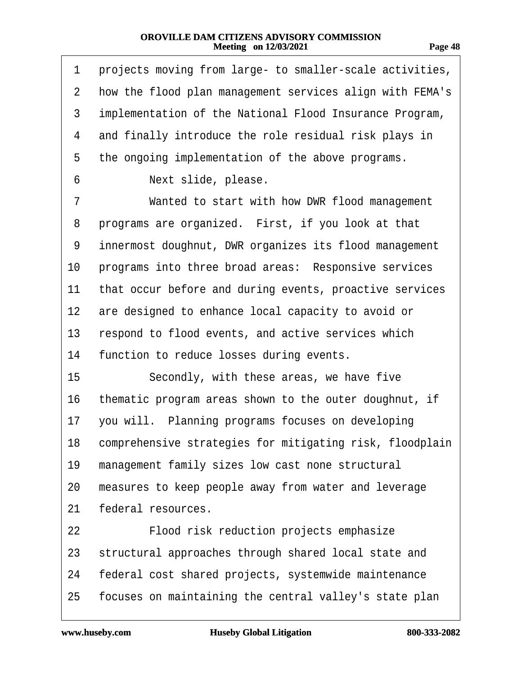| m<br>. . |
|----------|
|----------|

| 1  | projects moving from large- to smaller-scale activities,    |  |
|----|-------------------------------------------------------------|--|
| 2  | how the flood plan management services align with FEMA's    |  |
| 3  | implementation of the National Flood Insurance Program,     |  |
| 4  | and finally introduce the role residual risk plays in       |  |
| 5  | the ongoing implementation of the above programs.           |  |
| 6  | Next slide, please.                                         |  |
| 7  | Wanted to start with how DWR flood management               |  |
| 8  | programs are organized. First, if you look at that          |  |
| 9  | innermost doughnut, DWR organizes its flood management      |  |
| 10 | programs into three broad areas: Responsive services        |  |
| 11 | that occur before and during events, proactive services     |  |
|    | 12 are designed to enhance local capacity to avoid or       |  |
| 13 | respond to flood events, and active services which          |  |
| 14 | function to reduce losses during events.                    |  |
| 15 | Secondly, with these areas, we have five                    |  |
| 16 | thematic program areas shown to the outer doughnut, if      |  |
| 17 | you will. Planning programs focuses on developing           |  |
|    | 18 comprehensive strategies for mitigating risk, floodplain |  |
| 19 | management family sizes low cast none structural            |  |
| 20 | measures to keep people away from water and leverage        |  |
| 21 | federal resources.                                          |  |
| 22 | Flood risk reduction projects emphasize                     |  |
| 23 | structural approaches through shared local state and        |  |
| 24 | federal cost shared projects, systemwide maintenance        |  |
| 25 | focuses on maintaining the central valley's state plan      |  |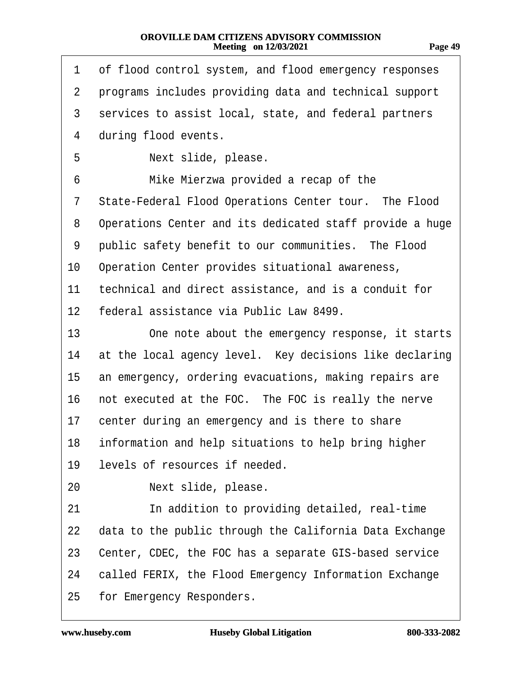| и<br>77<br>п | и |
|--------------|---|
|              |   |

| 1               | of flood control system, and flood emergency responses   |
|-----------------|----------------------------------------------------------|
| $\mathbf{2}$    | programs includes providing data and technical support   |
| 3               | services to assist local, state, and federal partners    |
| 4               | during flood events.                                     |
| 5               | Next slide, please.                                      |
| 6               | Mike Mierzwa provided a recap of the                     |
| 7               | State-Federal Flood Operations Center tour. The Flood    |
| 8               | Operations Center and its dedicated staff provide a huge |
| 9               | public safety benefit to our communities. The Flood      |
| 10              | Operation Center provides situational awareness,         |
| 11              | technical and direct assistance, and is a conduit for    |
| 12 <sub>2</sub> | federal assistance via Public Law 8499.                  |
| 13              | One note about the emergency response, it starts         |
| 14              | at the local agency level. Key decisions like declaring  |
| 15              | an emergency, ordering evacuations, making repairs are   |
| 16              | not executed at the FOC. The FOC is really the nerve     |
| 17              | center during an emergency and is there to share         |
|                 | 18 information and help situations to help bring higher  |
| 19              | levels of resources if needed.                           |
| 20              | Next slide, please.                                      |
| 21              | In addition to providing detailed, real-time             |
| 22              | data to the public through the California Data Exchange  |
| 23              | Center, CDEC, the FOC has a separate GIS-based service   |
| 24              | called FERIX, the Flood Emergency Information Exchange   |
| 25              | for Emergency Responders.                                |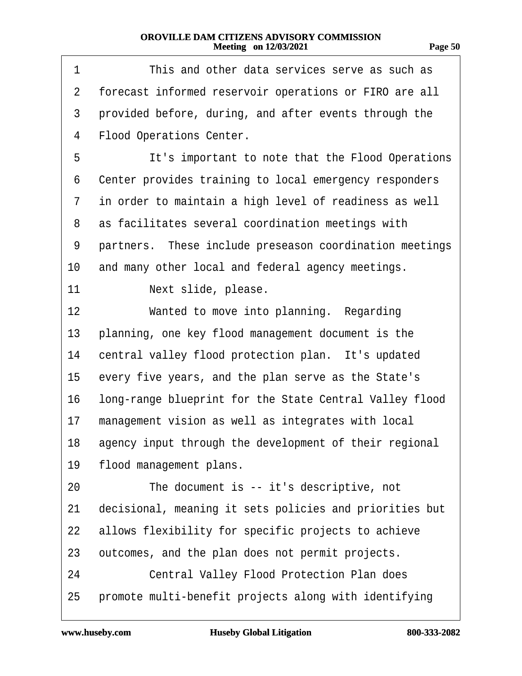| . .<br>., |  |
|-----------|--|
|           |  |

| 1  | This and other data services serve as such as           |  |
|----|---------------------------------------------------------|--|
| 2  | forecast informed reservoir operations or FIRO are all  |  |
| 3  | provided before, during, and after events through the   |  |
| 4  | <b>Flood Operations Center.</b>                         |  |
| 5  | It's important to note that the Flood Operations        |  |
| 6  | Center provides training to local emergency responders  |  |
| 7  | in order to maintain a high level of readiness as well  |  |
| 8  | as facilitates several coordination meetings with       |  |
| 9  | partners. These include preseason coordination meetings |  |
| 10 | and many other local and federal agency meetings.       |  |
| 11 | Next slide, please.                                     |  |
| 12 | Wanted to move into planning. Regarding                 |  |
| 13 | planning, one key flood management document is the      |  |
| 14 | central valley flood protection plan. It's updated      |  |
| 15 | every five years, and the plan serve as the State's     |  |
| 16 | long-range blueprint for the State Central Valley flood |  |
| 17 | management vision as well as integrates with local      |  |
| 18 | agency input through the development of their regional  |  |
| 19 | flood management plans.                                 |  |
| 20 | The document is -- it's descriptive, not                |  |
| 21 | decisional, meaning it sets policies and priorities but |  |
| 22 | allows flexibility for specific projects to achieve     |  |
| 23 | outcomes, and the plan does not permit projects.        |  |
| 24 | <b>Central Valley Flood Protection Plan does</b>        |  |
| 25 | promote multi-benefit projects along with identifying   |  |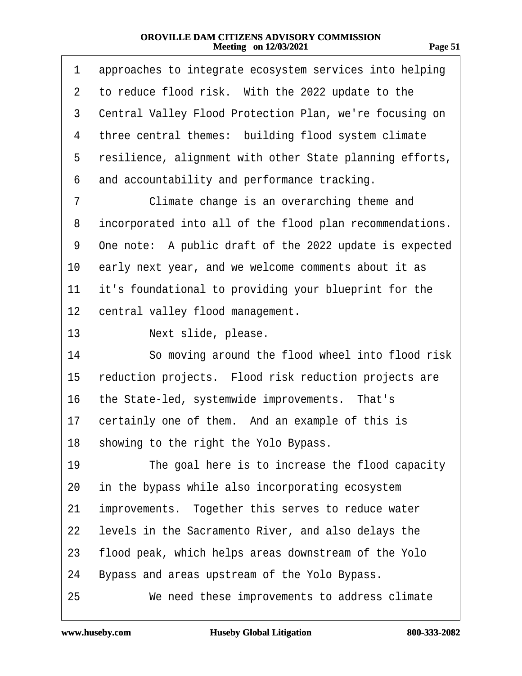| -яое |  |
|------|--|
|      |  |

| 1              | approaches to integrate ecosystem services into helping  |
|----------------|----------------------------------------------------------|
| $\overline{2}$ | to reduce flood risk. With the 2022 update to the        |
| 3              | Central Valley Flood Protection Plan, we're focusing on  |
| 4              | three central themes: building flood system climate      |
| 5              | resilience, alignment with other State planning efforts, |
| 6              | and accountability and performance tracking.             |
| 7              | Climate change is an overarching theme and               |
| 8              | incorporated into all of the flood plan recommendations. |
| 9              | One note: A public draft of the 2022 update is expected  |
| 10             | early next year, and we welcome comments about it as     |
| 11             | it's foundational to providing your blueprint for the    |
| 12             | central valley flood management.                         |
| 13             | Next slide, please.                                      |
| 14             | So moving around the flood wheel into flood risk         |
| 15             | reduction projects. Flood risk reduction projects are    |
| 16             | the State-led, systemwide improvements. That's           |
| 17             | certainly one of them. And an example of this is         |
| 18             | showing to the right the Yolo Bypass.                    |
| 19             | The goal here is to increase the flood capacity          |
| 20             | in the bypass while also incorporating ecosystem         |
| 21             | improvements. Together this serves to reduce water       |
| 22             | levels in the Sacramento River, and also delays the      |
| 23             | flood peak, which helps areas downstream of the Yolo     |
| 24             | Bypass and areas upstream of the Yolo Bypass.            |
| 25             | We need these improvements to address climate            |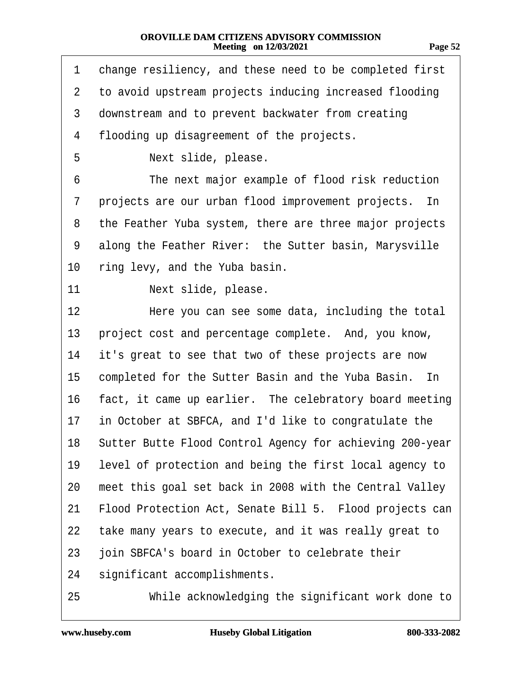|--|

| 1              | change resiliency, and these need to be completed first     |
|----------------|-------------------------------------------------------------|
| $\overline{2}$ | to avoid upstream projects inducing increased flooding      |
| 3              | downstream and to prevent backwater from creating           |
| 4              | flooding up disagreement of the projects.                   |
| 5              | Next slide, please.                                         |
| 6              | The next major example of flood risk reduction              |
| 7              | projects are our urban flood improvement projects. In       |
| 8              | the Feather Yuba system, there are three major projects     |
| 9              | along the Feather River: the Sutter basin, Marysville       |
| 10             | ring levy, and the Yuba basin.                              |
| 11             | Next slide, please.                                         |
| 12             | Here you can see some data, including the total             |
| 13             | project cost and percentage complete. And, you know,        |
| 14             | it's great to see that two of these projects are now        |
| 15             | completed for the Sutter Basin and the Yuba Basin. In       |
| 16             | fact, it came up earlier. The celebratory board meeting     |
| 17             | in October at SBFCA, and I'd like to congratulate the       |
|                | 18 Sutter Butte Flood Control Agency for achieving 200-year |
| 19             | level of protection and being the first local agency to     |
| 20             | meet this goal set back in 2008 with the Central Valley     |
| 21             | Flood Protection Act, Senate Bill 5. Flood projects can     |
| 22             | take many years to execute, and it was really great to      |
| 23             | join SBFCA's board in October to celebrate their            |
| 24             | significant accomplishments.                                |
| 25             | While acknowledging the significant work done to            |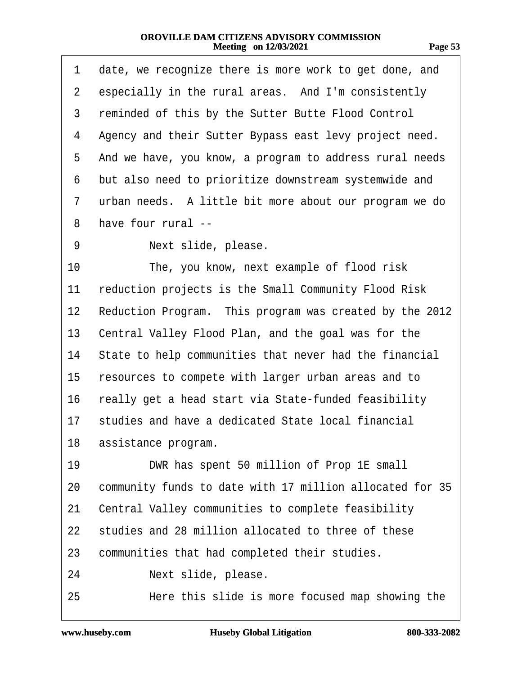| . .<br>٠<br>r. |
|----------------|
|----------------|

| 1              | date, we recognize there is more work to get done, and   |
|----------------|----------------------------------------------------------|
| $\overline{2}$ | especially in the rural areas. And I'm consistently      |
| 3              | reminded of this by the Sutter Butte Flood Control       |
| 4              | Agency and their Sutter Bypass east levy project need.   |
| 5              | And we have, you know, a program to address rural needs  |
| 6              | but also need to prioritize downstream systemwide and    |
| 7              | urban needs. A little bit more about our program we do   |
| 8              | have four rural --                                       |
| 9              | Next slide, please.                                      |
| 10             | The, you know, next example of flood risk                |
| 11             | reduction projects is the Small Community Flood Risk     |
| 12             | Reduction Program. This program was created by the 2012  |
| 13             | Central Valley Flood Plan, and the goal was for the      |
| 14             | State to help communities that never had the financial   |
| 15             | resources to compete with larger urban areas and to      |
| 16             | really get a head start via State-funded feasibility     |
| 17             | studies and have a dedicated State local financial       |
| 18             | assistance program.                                      |
| 19             | DWR has spent 50 million of Prop 1E small                |
| 20             | community funds to date with 17 million allocated for 35 |
| 21             | Central Valley communities to complete feasibility       |
| 22             | studies and 28 million allocated to three of these       |
| 23             | communities that had completed their studies.            |
| 24             | Next slide, please.                                      |
| 25             | Here this slide is more focused map showing the          |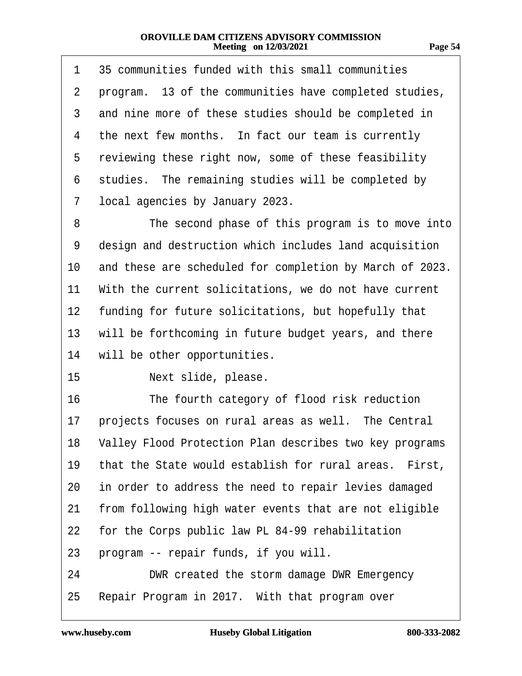| . .<br>r. |  |
|-----------|--|
|           |  |

| 1  | 35 communities funded with this small communities          |
|----|------------------------------------------------------------|
| 2  | program. 13 of the communities have completed studies,     |
| 3  | and nine more of these studies should be completed in      |
| 4  | the next few months. In fact our team is currently         |
| 5  | reviewing these right now, some of these feasibility       |
| 6  | studies. The remaining studies will be completed by        |
| 7  | local agencies by January 2023.                            |
| 8  | The second phase of this program is to move into           |
| 9  | design and destruction which includes land acquisition     |
| 10 | and these are scheduled for completion by March of 2023.   |
| 11 | With the current solicitations, we do not have current     |
|    | 12 funding for future solicitations, but hopefully that    |
| 13 | will be forthcoming in future budget years, and there      |
| 14 | will be other opportunities.                               |
| 15 | Next slide, please.                                        |
| 16 | The fourth category of flood risk reduction                |
| 17 | projects focuses on rural areas as well. The Central       |
|    | 18 Valley Flood Protection Plan describes two key programs |
| 19 | that the State would establish for rural areas. First,     |
| 20 | in order to address the need to repair levies damaged      |
| 21 | from following high water events that are not eligible     |
| 22 | for the Corps public law PL 84-99 rehabilitation           |
| 23 | program -- repair funds, if you will.                      |
| 24 | DWR created the storm damage DWR Emergency                 |
| 25 | Repair Program in 2017. With that program over             |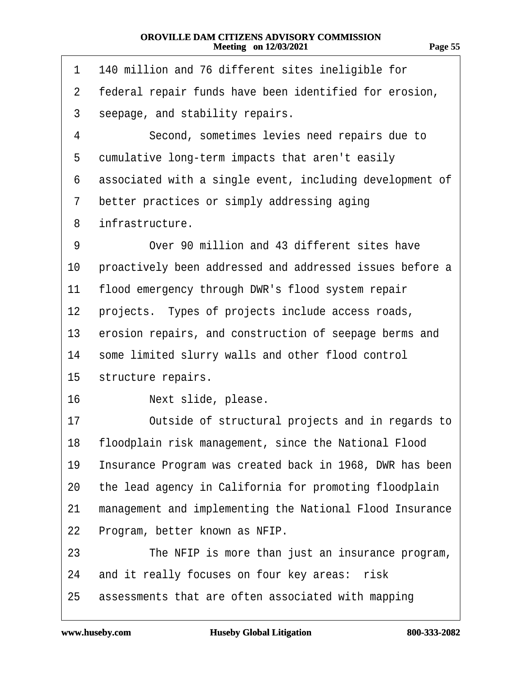**Page 55**

- 1 140 million and 76 different sites ineligible for
- 2 federal repair funds have been identified for erosion,
- 3 seepage, and stability repairs.
- 4 **Second, sometimes levies need repairs due to**
- 5 cumulative long-term impacts that aren't easily
- 6 associated with a single event, including development of
- 7 better practices or simply addressing aging
- 8 infrastructure.
- 9 Over 90 million and 43 different sites have
- 10 proactively been addressed and addressed issues before a
- 11 flood emergency through DWR's flood system repair
- 12 projects. Types of projects include access roads,
- 13 erosion repairs, and construction of seepage berms and
- 14 some limited slurry walls and other flood control
- 15 structure repairs.
- 16 · · · · Next slide, please.
- 17 **C** Outside of structural projects and in regards to
- 18 floodplain risk management, since the National Flood
- 19 Insurance Program was created back in 1968, DWR has been
- 20 the lead agency in California for promoting floodplain
- 21 management and implementing the National Flood Insurance
- 22 Program, better known as NFIP.
- 23 The NFIP is more than just an insurance program,
- 24 and it really focuses on four key areas: risk
- 25 assessments that are often associated with mapping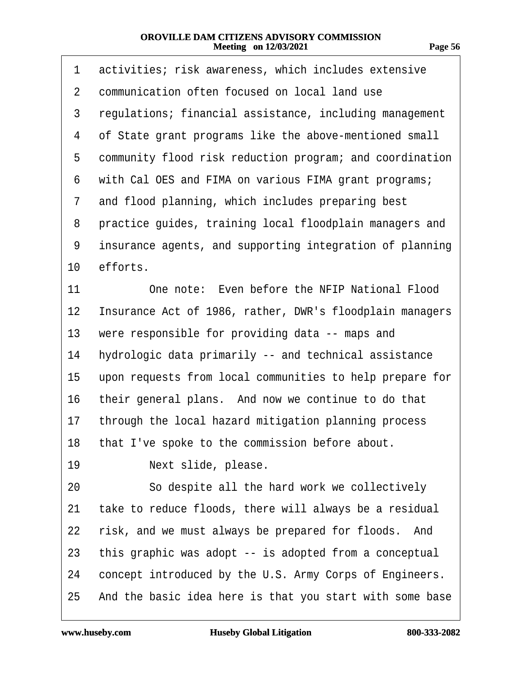| 1  | activities; risk awareness, which includes extensive     |
|----|----------------------------------------------------------|
| 2  | communication often focused on local land use            |
| 3  | regulations; financial assistance, including management  |
| 4  | of State grant programs like the above-mentioned small   |
| 5  | community flood risk reduction program; and coordination |
| 6  | with Cal OES and FIMA on various FIMA grant programs;    |
| 7  | and flood planning, which includes preparing best        |
| 8  | practice guides, training local floodplain managers and  |
| 9  | insurance agents, and supporting integration of planning |
| 10 | efforts.                                                 |
| 11 | One note: Even before the NFIP National Flood            |
| 12 | Insurance Act of 1986, rather, DWR's floodplain managers |
| 13 | were responsible for providing data -- maps and          |
| 14 | hydrologic data primarily -- and technical assistance    |
| 15 | upon requests from local communities to help prepare for |
| 16 | their general plans. And now we continue to do that      |
| 17 | through the local hazard mitigation planning process     |
|    | 18 that I've spoke to the commission before about.       |
| 19 | Next slide, please.                                      |
| 20 | So despite all the hard work we collectively             |
| 21 | take to reduce floods, there will always be a residual   |
| 22 | risk, and we must always be prepared for floods. And     |
| 23 | this graphic was adopt -- is adopted from a conceptual   |
| 24 | concept introduced by the U.S. Army Corps of Engineers.  |
| 25 | And the basic idea here is that you start with some base |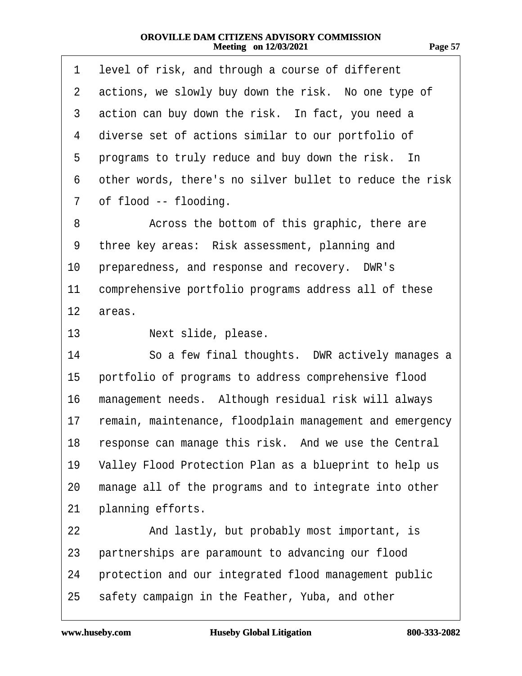| 1               | level of risk, and through a course of different         |
|-----------------|----------------------------------------------------------|
| 2               | actions, we slowly buy down the risk. No one type of     |
| 3               | action can buy down the risk. In fact, you need a        |
| 4               | diverse set of actions similar to our portfolio of       |
| 5               | programs to truly reduce and buy down the risk. In       |
| 6               | other words, there's no silver bullet to reduce the risk |
| 7               | of flood -- flooding.                                    |
| 8               | Across the bottom of this graphic, there are             |
| 9               | three key areas: Risk assessment, planning and           |
| 10              | preparedness, and response and recovery. DWR's           |
| 11              | comprehensive portfolio programs address all of these    |
| 12              | areas.                                                   |
| 13 <sup>2</sup> | Next slide, please.                                      |
| 14              | So a few final thoughts. DWR actively manages a          |
| 15              | portfolio of programs to address comprehensive flood     |
| 16              | management needs. Although residual risk will always     |
| 17              | remain, maintenance, floodplain management and emergency |
|                 | 18 response can manage this risk. And we use the Central |
| 19              | Valley Flood Protection Plan as a blueprint to help us   |
| 20              | manage all of the programs and to integrate into other   |
| 21              | planning efforts.                                        |
| 22              | And lastly, but probably most important, is              |
| 23              | partnerships are paramount to advancing our flood        |
| 24              | protection and our integrated flood management public    |
| 25              | safety campaign in the Feather, Yuba, and other          |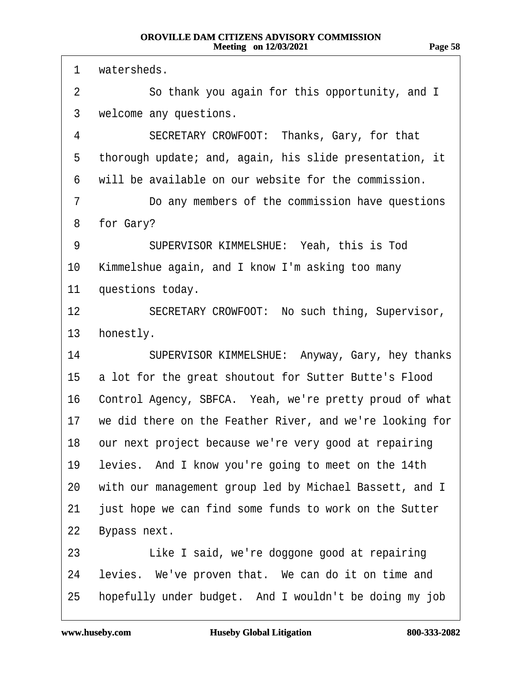**Page 58**

1 watersheds. 2 So thank you again for this opportunity, and I 3 welcome any questions. 4 SECRETARY CROWFOOT: Thanks, Gary, for that 5 thorough update; and, again, his slide presentation, it 6 will be available on our website for the commission. 7 **Do any members of the commission have questions** 8 for Gary? 9 SUPERVISOR KIMMELSHUE: Yeah, this is Tod 10 Kimmelshue again, and I know I'm asking too many 11 questions today. 12 SECRETARY CROWFOOT: No such thing, Supervisor, 13 honestly. 14 SUPERVISOR KIMMELSHUE: Anyway, Gary, hey thanks 15 a lot for the great shoutout for Sutter Butte's Flood 16 Control Agency, SBFCA. Yeah, we're pretty proud of what 17 we did there on the Feather River, and we're looking for 18 our next project because we're very good at repairing 19 levies. And I know you're going to meet on the 14th 20 with our management group led by Michael Bassett, and I 21 just hope we can find some funds to work on the Sutter 22 Bypass next. 23 Like I said, we're doggone good at repairing 24 levies. We've proven that. We can do it on time and 25 hopefully under budget. And I wouldn't be doing my job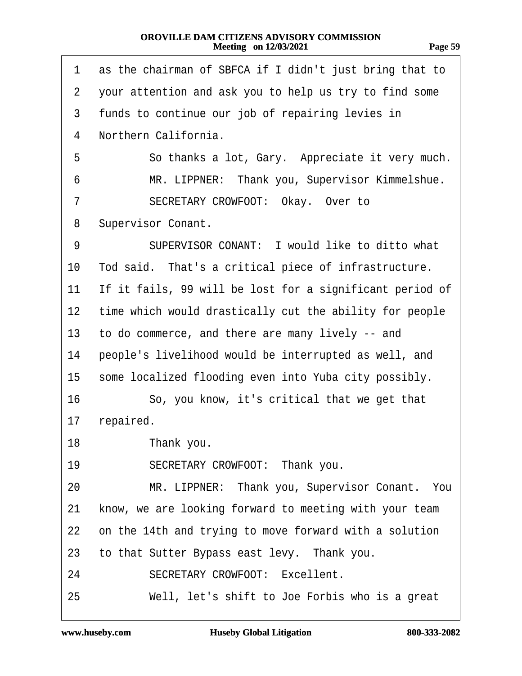| π. |  |
|----|--|
|    |  |

| 1              | as the chairman of SBFCA if I didn't just bring that to  |
|----------------|----------------------------------------------------------|
| $\overline{2}$ | your attention and ask you to help us try to find some   |
| 3              | funds to continue our job of repairing levies in         |
| 4              | Northern California.                                     |
| 5              | So thanks a lot, Gary. Appreciate it very much.          |
| 6              | MR. LIPPNER: Thank you, Supervisor Kimmelshue.           |
| 7              | SECRETARY CROWFOOT: Okay. Over to                        |
| 8              | Supervisor Conant.                                       |
| 9              | SUPERVISOR CONANT: I would like to ditto what            |
| 10             | Tod said. That's a critical piece of infrastructure.     |
| 11             | If it fails, 99 will be lost for a significant period of |
| 12             | time which would drastically cut the ability for people  |
| 13             | to do commerce, and there are many lively -- and         |
| 14             | people's livelihood would be interrupted as well, and    |
| 15             | some localized flooding even into Yuba city possibly.    |
| 16             | So, you know, it's critical that we get that             |
| 17             | repaired.                                                |
| 18             | Thank you.                                               |
| 19             | SECRETARY CROWFOOT: Thank you.                           |
| 20             | MR. LIPPNER: Thank you, Supervisor Conant. You           |
| 21             | know, we are looking forward to meeting with your team   |
| 22             | on the 14th and trying to move forward with a solution   |
| 23             | to that Sutter Bypass east levy. Thank you.              |
| 24             | <b>SECRETARY CROWFOOT: Excellent.</b>                    |
| 25             | Well, let's shift to Joe Forbis who is a great           |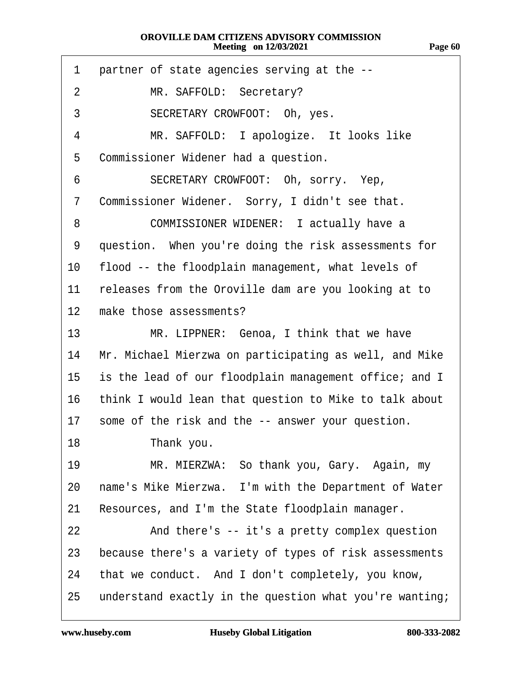| 1               | partner of state agencies serving at the --               |
|-----------------|-----------------------------------------------------------|
| 2               | MR. SAFFOLD: Secretary?                                   |
| 3               | SECRETARY CROWFOOT: Oh, yes.                              |
| 4               | MR. SAFFOLD: I apologize. It looks like                   |
| 5               | Commissioner Widener had a question.                      |
| 6               | SECRETARY CROWFOOT: Oh, sorry. Yep,                       |
| 7               | Commissioner Widener. Sorry, I didn't see that.           |
| 8               | COMMISSIONER WIDENER: I actually have a                   |
| 9               | question. When you're doing the risk assessments for      |
| 10              | flood -- the floodplain management, what levels of        |
| 11              | releases from the Oroville dam are you looking at to      |
| 12 <sup>°</sup> | make those assessments?                                   |
| 13 <sup>°</sup> | MR. LIPPNER: Genoa, I think that we have                  |
| 14              | Mr. Michael Mierzwa on participating as well, and Mike    |
| 15              | is the lead of our floodplain management office; and I    |
|                 | 16 think I would lean that question to Mike to talk about |
| 17              | some of the risk and the -- answer your question.         |
| 18              | Thank you.                                                |
| 19              | MR. MIERZWA: So thank you, Gary. Again, my                |
| 20              | name's Mike Mierzwa. I'm with the Department of Water     |
| 21              | Resources, and I'm the State floodplain manager.          |
| 22              | And there's -- it's a pretty complex question             |
| 23              | because there's a variety of types of risk assessments    |
| 24              | that we conduct. And I don't completely, you know,        |
| 25              | understand exactly in the question what you're wanting;   |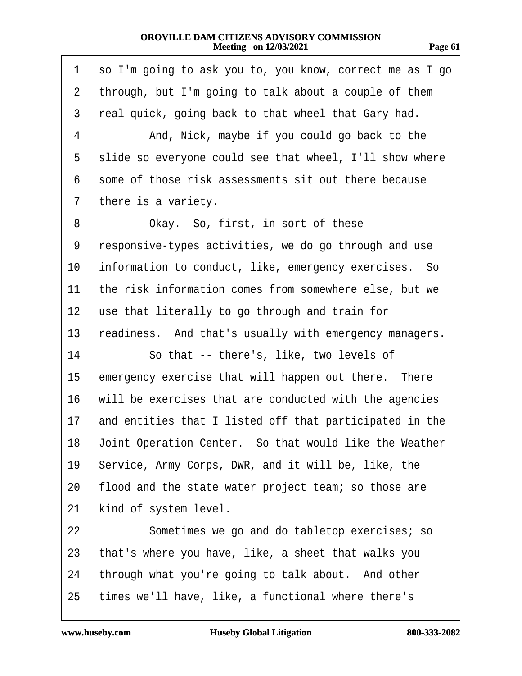| 78 F<br>o<br>. . | ш |
|------------------|---|
|                  |   |

| 1               | so I'm going to ask you to, you know, correct me as I go |
|-----------------|----------------------------------------------------------|
| $\overline{2}$  | through, but I'm going to talk about a couple of them    |
| 3               | real quick, going back to that wheel that Gary had.      |
| 4               | And, Nick, maybe if you could go back to the             |
| 5               | slide so everyone could see that wheel, I'll show where  |
| 6               | some of those risk assessments sit out there because     |
| 7               | there is a variety.                                      |
| 8               | Okay. So, first, in sort of these                        |
| 9               | responsive-types activities, we do go through and use    |
| 10              | information to conduct, like, emergency exercises. So    |
| 11              | the risk information comes from somewhere else, but we   |
| 12 <sub>2</sub> | use that literally to go through and train for           |
| 13              | readiness. And that's usually with emergency managers.   |
| 14              | So that -- there's, like, two levels of                  |
| 15              | emergency exercise that will happen out there. There     |
| 16              | will be exercises that are conducted with the agencies   |
| 17              | and entities that I listed off that participated in the  |
| 18              | Joint Operation Center. So that would like the Weather   |
| 19              | Service, Army Corps, DWR, and it will be, like, the      |
| 20              | flood and the state water project team; so those are     |
| 21              | kind of system level.                                    |
| 22              | Sometimes we go and do tabletop exercises; so            |
| 23              | that's where you have, like, a sheet that walks you      |
| 24              | through what you're going to talk about. And other       |
| 25              | times we'll have, like, a functional where there's       |
|                 |                                                          |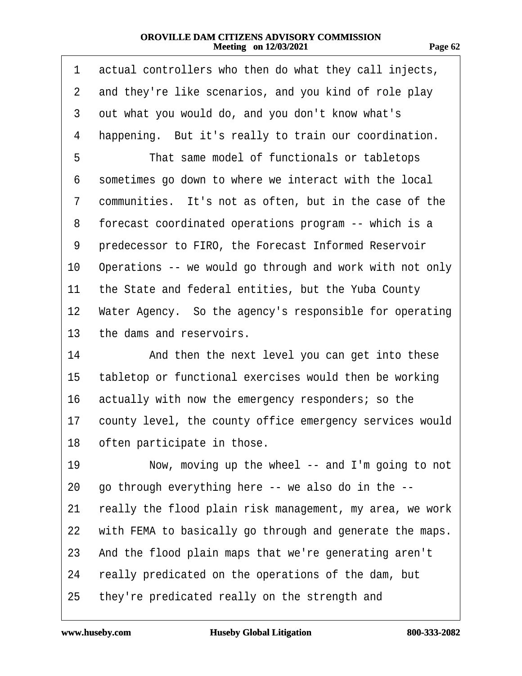| 77<br>Ù,<br>ш.<br>н |  |
|---------------------|--|
|---------------------|--|

| 1              | actual controllers who then do what they call injects,   |  |
|----------------|----------------------------------------------------------|--|
| $\overline{2}$ | and they're like scenarios, and you kind of role play    |  |
| 3              | out what you would do, and you don't know what's         |  |
| 4              | happening. But it's really to train our coordination.    |  |
| 5              | That same model of functionals or tabletops              |  |
| 6              | sometimes go down to where we interact with the local    |  |
| 7              | communities. It's not as often, but in the case of the   |  |
| 8              | forecast coordinated operations program -- which is a    |  |
| 9              | predecessor to FIRO, the Forecast Informed Reservoir     |  |
| 10             | Operations -- we would go through and work with not only |  |
| 11             | the State and federal entities, but the Yuba County      |  |
| 12             | Water Agency. So the agency's responsible for operating  |  |
| 13             | the dams and reservoirs.                                 |  |
| 14             | And then the next level you can get into these           |  |
| 15             | tabletop or functional exercises would then be working   |  |
| 16             | actually with now the emergency responders; so the       |  |
| 17             | county level, the county office emergency services would |  |
|                | 18 often participate in those                            |  |
| 19             | Now, moving up the wheel -- and I'm going to not         |  |
| 20             | go through everything here -- we also do in the --       |  |
| 21             | really the flood plain risk management, my area, we work |  |
| 22             | with FEMA to basically go through and generate the maps. |  |
| 23             | And the flood plain maps that we're generating aren't    |  |
| 24             | really predicated on the operations of the dam, but      |  |
| 25             | they're predicated really on the strength and            |  |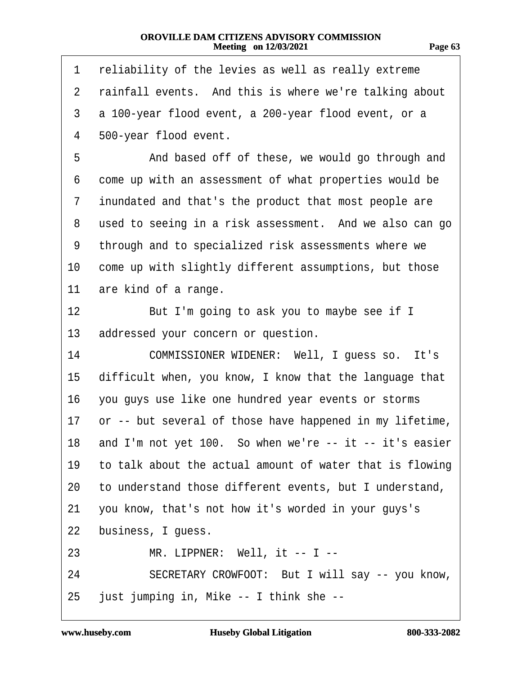| 1              | reliability of the levies as well as really extreme      |
|----------------|----------------------------------------------------------|
| $\overline{2}$ | rainfall events. And this is where we're talking about   |
| 3              | a 100-year flood event, a 200-year flood event, or a     |
| 4              | 500-year flood event.                                    |
| 5              | And based off of these, we would go through and          |
| 6              | come up with an assessment of what properties would be   |
| 7              | inundated and that's the product that most people are    |
| 8              | used to seeing in a risk assessment. And we also can go  |
| 9              | through and to specialized risk assessments where we     |
| 10             | come up with slightly different assumptions, but those   |
| 11             | are kind of a range.                                     |
| 12             | But I'm going to ask you to maybe see if I               |
| 13             | addressed your concern or question.                      |
| 14             | COMMISSIONER WIDENER: Well, I guess so. It's             |
| 15             | difficult when, you know, I know that the language that  |
| 16             | you guys use like one hundred year events or storms      |
| 17             | or -- but several of those have happened in my lifetime, |
| 18             | and I'm not yet 100. So when we're -- it -- it's easier  |
| 19             | to talk about the actual amount of water that is flowing |
| 20             | to understand those different events, but I understand,  |
| 21             | you know, that's not how it's worded in your guys's      |
| 22             | business, I guess.                                       |
| 23             | MR. LIPPNER: Well, it -- I --                            |
| 24             | SECRETARY CROWFOOT: But I will say -- you know,          |
| 25             | just jumping in, Mike -- I think she --                  |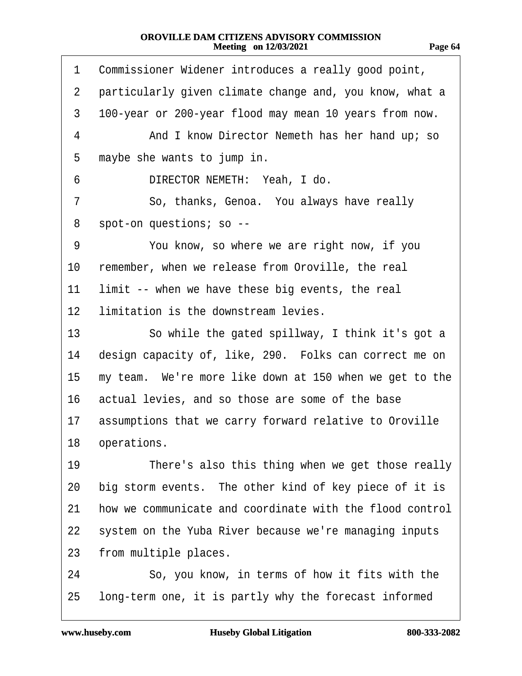| 1              | Commissioner Widener introduces a really good point,    |
|----------------|---------------------------------------------------------|
| $\overline{2}$ | particularly given climate change and, you know, what a |
| 3              | 100-year or 200-year flood may mean 10 years from now.  |
| 4              | And I know Director Nemeth has her hand up; so          |
| 5              | maybe she wants to jump in.                             |
| 6              | DIRECTOR NEMETH: Yeah, I do.                            |
| 7              | So, thanks, Genoa. You always have really               |
| 8              | spot-on questions; so --                                |
| 9              | You know, so where we are right now, if you             |
| 10             | remember, when we release from Oroville, the real       |
| 11             | limit -- when we have these big events, the real        |
| 12             | limitation is the downstream levies.                    |
| 13             | So while the gated spillway, I think it's got a         |
| 14             | design capacity of, like, 290. Folks can correct me on  |
| 15             | my team. We're more like down at 150 when we get to the |
| 16             | actual levies, and so those are some of the base        |
| 17             | assumptions that we carry forward relative to Oroville  |
| 18             | operations.                                             |

- 19 There's also this thing when we get those really
- 20 big storm events. The other kind of key piece of it is
- 21 how we communicate and coordinate with the flood control
- 22 system on the Yuba River because we're managing inputs
- 23 from multiple places.

24 · · So, you know, in terms of how it fits with the 25 long-term one, it is partly why the forecast informed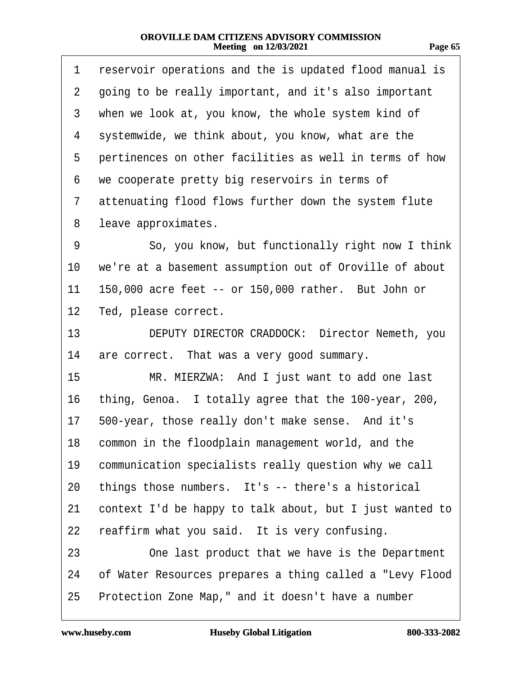| 71<br>г.<br>.,<br>ш<br>٠ |  |
|--------------------------|--|
|                          |  |

| 1              | reservoir operations and the is updated flood manual is  |
|----------------|----------------------------------------------------------|
| $\overline{2}$ | going to be really important, and it's also important    |
| 3              | when we look at, you know, the whole system kind of      |
| 4              | systemwide, we think about, you know, what are the       |
| 5              | pertinences on other facilities as well in terms of how  |
| 6              | we cooperate pretty big reservoirs in terms of           |
| 7              | attenuating flood flows further down the system flute    |
| 8              | leave approximates.                                      |
| 9              | So, you know, but functionally right now I think         |
| 10             | we're at a basement assumption out of Oroville of about  |
| 11             | 150,000 acre feet -- or 150,000 rather. But John or      |
| 12             | Ted, please correct.                                     |
| 13             | DEPUTY DIRECTOR CRADDOCK: Director Nemeth, you           |
| 14             | are correct. That was a very good summary.               |
| 15             | MR. MIERZWA: And I just want to add one last             |
| 16             | thing, Genoa. I totally agree that the 100-year, 200,    |
|                | 17 500-year, those really don't make sense. And it's     |
|                | 18 common in the floodplain management world, and the    |
| 19             | communication specialists really question why we call    |
| 20             | things those numbers. It's -- there's a historical       |
| 21             | context I'd be happy to talk about, but I just wanted to |
| 22             | reaffirm what you said. It is very confusing.            |
| 23             | One last product that we have is the Department          |
| 24             | of Water Resources prepares a thing called a "Levy Flood |
| 25             | Protection Zone Map," and it doesn't have a number       |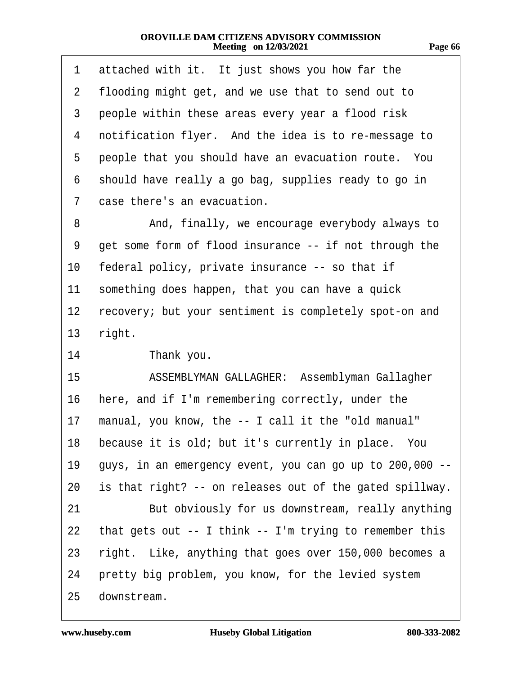| 1  | attached with it. It just shows you how far the          |  |
|----|----------------------------------------------------------|--|
| 2  | flooding might get, and we use that to send out to       |  |
| 3  | people within these areas every year a flood risk        |  |
| 4  | notification flyer. And the idea is to re-message to     |  |
| 5  | people that you should have an evacuation route. You     |  |
| 6  | should have really a go bag, supplies ready to go in     |  |
| 7  | case there's an evacuation.                              |  |
| 8  | And, finally, we encourage everybody always to           |  |
| 9  | get some form of flood insurance -- if not through the   |  |
| 10 | federal policy, private insurance -- so that if          |  |
| 11 | something does happen, that you can have a quick         |  |
| 12 | recovery; but your sentiment is completely spot-on and   |  |
| 13 | right.                                                   |  |
| 14 | Thank you.                                               |  |
| 15 | ASSEMBLYMAN GALLAGHER: Assemblyman Gallagher             |  |
| 16 | here, and if I'm remembering correctly, under the        |  |
| 17 | manual, you know, the -- I call it the "old manual"      |  |
| 18 | because it is old; but it's currently in place. You      |  |
| 19 | guys, in an emergency event, you can go up to 200,000 -- |  |
| 20 | is that right? -- on releases out of the gated spillway. |  |
| 21 | But obviously for us downstream, really anything         |  |
| 22 | that gets out -- I think -- I'm trying to remember this  |  |
| 23 | right. Like, anything that goes over 150,000 becomes a   |  |
| 24 | pretty big problem, you know, for the levied system      |  |
| 25 | downstream.                                              |  |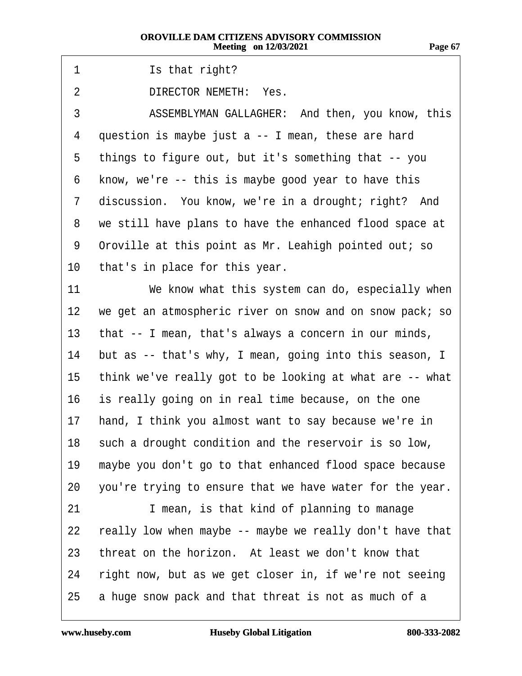**Page 67**

| -1 | Is that right? |  |
|----|----------------|--|
|----|----------------|--|

- 2 DIRECTOR NEMETH: Yes.
- 3 ASSEMBLYMAN GALLAGHER: And then, you know, this
- 4 question is maybe just a -- I mean, these are hard
- 5 things to figure out, but it's something that -- you
- 6 know, we're -- this is maybe good year to have this
- 7 discussion. You know, we're in a drought; right? And
- 8 we still have plans to have the enhanced flood space at
- 9 Oroville at this point as Mr. Leahigh pointed out; so
- 10 that's in place for this year.
- 11 We know what this system can do, especially when
- 12 we get an atmospheric river on snow and on snow pack; so
- 13 that -- I mean, that's always a concern in our minds,
- 14 but as -- that's why, I mean, going into this season, I
- 15 think we've really got to be looking at what are -- what
- 16 is really going on in real time because, on the one
- 17 hand, I think you almost want to say because we're in
- 18 such a drought condition and the reservoir is so low,
- 19 maybe you don't go to that enhanced flood space because
- 20 you're trying to ensure that we have water for the year.
- 21 I mean, is that kind of planning to manage
- 22 really low when maybe -- maybe we really don't have that
- 23 threat on the horizon. At least we don't know that
- 24 right now, but as we get closer in, if we're not seeing
- 25 a huge snow pack and that threat is not as much of a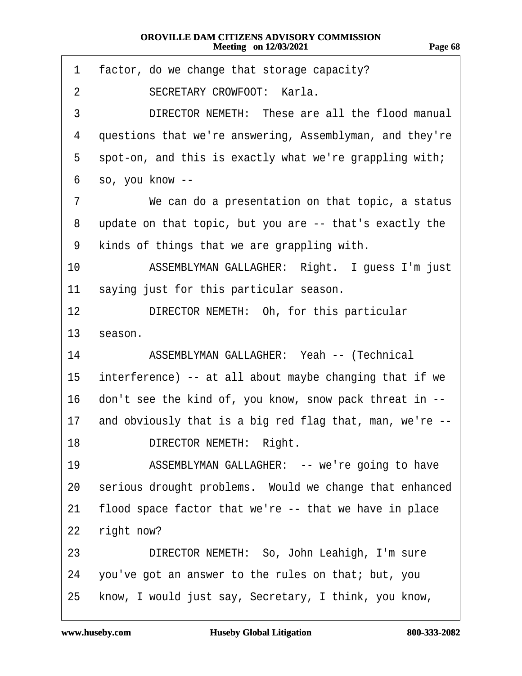| 1               | factor, do we change that storage capacity?              |
|-----------------|----------------------------------------------------------|
| 2               | <b>SECRETARY CROWFOOT: Karla.</b>                        |
| 3               | DIRECTOR NEMETH: These are all the flood manual          |
| 4               | questions that we're answering, Assemblyman, and they're |
| 5               | spot-on, and this is exactly what we're grappling with;  |
| 6               | so, you know --                                          |
| 7               | We can do a presentation on that topic, a status         |
| 8               | update on that topic, but you are -- that's exactly the  |
| 9               | kinds of things that we are grappling with.              |
| 10              | ASSEMBLYMAN GALLAGHER: Right. I guess I'm just           |
| 11              | saying just for this particular season.                  |
| 12              | DIRECTOR NEMETH: Oh, for this particular                 |
| 13              | season.                                                  |
| 14              | ASSEMBLYMAN GALLAGHER: Yeah -- (Technical                |
| 15              | interference) -- at all about maybe changing that if we  |
| 16              | don't see the kind of, you know, snow pack threat in --  |
| 17 <sup>1</sup> | and obviously that is a big red flag that, man, we're -- |
| 18              | <b>DIRECTOR NEMETH: Right.</b>                           |
| 19              | ASSEMBLYMAN GALLAGHER: -- we're going to have            |
| 20              | serious drought problems. Would we change that enhanced  |
| 21              | flood space factor that we're -- that we have in place   |
| 22              | right now?                                               |
| 23              | DIRECTOR NEMETH: So, John Leahigh, I'm sure              |
| 24              | you've got an answer to the rules on that; but, you      |
| 25              | know, I would just say, Secretary, I think, you know,    |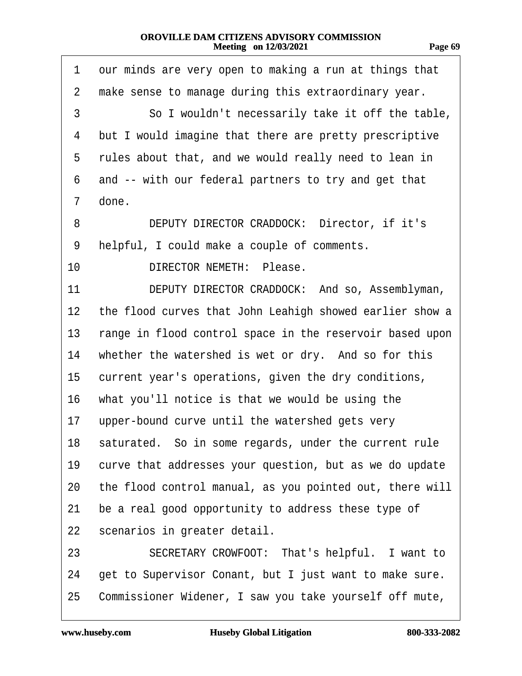| 1               | our minds are very open to making a run at things that   |
|-----------------|----------------------------------------------------------|
| 2               | make sense to manage during this extraordinary year.     |
| 3               | So I wouldn't necessarily take it off the table,         |
| 4               | but I would imagine that there are pretty prescriptive   |
|                 | 5 rules about that, and we would really need to lean in  |
| 6               | and -- with our federal partners to try and get that     |
| $\overline{7}$  | done.                                                    |
| 8               | DEPUTY DIRECTOR CRADDOCK: Director, if it's              |
| 9               | helpful, I could make a couple of comments.              |
| 10 <sup>1</sup> | DIRECTOR NEMETH: Please.                                 |
| 11              | DEPUTY DIRECTOR CRADDOCK: And so, Assemblyman,           |
| 12 <sub>2</sub> | the flood curves that John Leahigh showed earlier show a |
| 13              | range in flood control space in the reservoir based upon |
| 14              | whether the watershed is wet or dry. And so for this     |
| 15              | current year's operations, given the dry conditions,     |
|                 | 16 what you'll notice is that we would be using the      |

17 upper-bound curve until the watershed gets very

18 saturated. So in some regards, under the current rule

19 curve that addresses your question, but as we do update

- 20 the flood control manual, as you pointed out, there will
- 21 be a real good opportunity to address these type of
- 22 scenarios in greater detail.
- 23 SECRETARY CROWFOOT: That's helpful. I want to
- 24 get to Supervisor Conant, but I just want to make sure.
- 25 Commissioner Widener, I saw you take yourself off mute,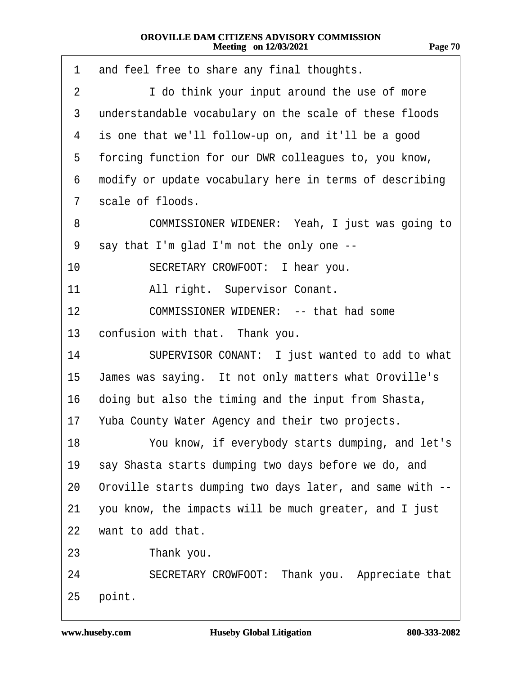| 1  | and feel free to share any final thoughts.               |
|----|----------------------------------------------------------|
| 2  | I do think your input around the use of more             |
| 3  | understandable vocabulary on the scale of these floods   |
| 4  | is one that we'll follow-up on, and it'll be a good      |
| 5  | forcing function for our DWR colleagues to, you know,    |
| 6  | modify or update vocabulary here in terms of describing  |
| 7  | scale of floods.                                         |
| 8  | COMMISSIONER WIDENER: Yeah, I just was going to          |
| 9  | say that I'm glad I'm not the only one --                |
| 10 | SECRETARY CROWFOOT: I hear you.                          |
| 11 | All right. Supervisor Conant.                            |
| 12 | COMMISSIONER WIDENER: -- that had some                   |
| 13 | confusion with that. Thank you.                          |
| 14 | SUPERVISOR CONANT: I just wanted to add to what          |
| 15 | James was saying. It not only matters what Oroville's    |
| 16 | doing but also the timing and the input from Shasta,     |
|    | 17 Yuba County Water Agency and their two projects.      |
| 18 | You know, if everybody starts dumping, and let's         |
| 19 | say Shasta starts dumping two days before we do, and     |
| 20 | Oroville starts dumping two days later, and same with -- |
| 21 | you know, the impacts will be much greater, and I just   |
| 22 | want to add that.                                        |
| 23 | Thank you.                                               |
| 24 | SECRETARY CROWFOOT: Thank you. Appreciate that           |
| 25 | point.                                                   |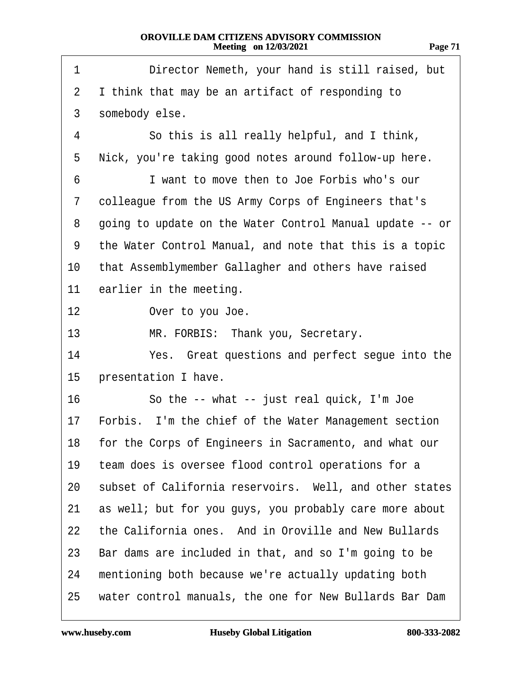| r. |  |
|----|--|
|    |  |

| 1              | Director Nemeth, your hand is still raised, but           |
|----------------|-----------------------------------------------------------|
| $\overline{2}$ | I think that may be an artifact of responding to          |
| 3              | somebody else.                                            |
| 4              | So this is all really helpful, and I think,               |
| 5              | Nick, you're taking good notes around follow-up here.     |
| 6              | I want to move then to Joe Forbis who's our               |
| 7              | colleague from the US Army Corps of Engineers that's      |
| 8              | going to update on the Water Control Manual update -- or  |
| 9              | the Water Control Manual, and note that this is a topic   |
| 10             | that Assemblymember Gallagher and others have raised      |
| 11             | earlier in the meeting.                                   |
| 12             | Over to you Joe.                                          |
| 13             | MR. FORBIS: Thank you, Secretary.                         |
| 14             | Yes. Great questions and perfect segue into the           |
| 15             | presentation I have.                                      |
| 16             | So the -- what -- just real quick, I'm Joe                |
| 17             | Forbis. I'm the chief of the Water Management section     |
|                | 18 for the Corps of Engineers in Sacramento, and what our |
| 19             | team does is oversee flood control operations for a       |
| 20             | subset of California reservoirs. Well, and other states   |
| 21             | as well; but for you guys, you probably care more about   |
| 22             | the California ones. And in Oroville and New Bullards     |
| 23             | Bar dams are included in that, and so I'm going to be     |
| 24             | mentioning both because we're actually updating both      |
| 25             | water control manuals, the one for New Bullards Bar Dam   |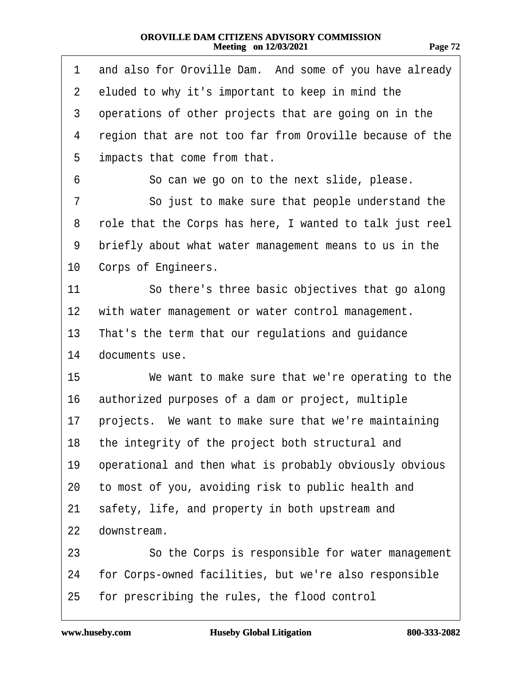| 1               | and also for Oroville Dam. And some of you have already  |
|-----------------|----------------------------------------------------------|
| 2 <sup>1</sup>  | eluded to why it's important to keep in mind the         |
| 3               | operations of other projects that are going on in the    |
| 4               | region that are not too far from Oroville because of the |
| 5               | impacts that come from that.                             |
| 6               | So can we go on to the next slide, please.               |
| 7               | So just to make sure that people understand the          |
| 8               | role that the Corps has here, I wanted to talk just reel |
| 9               | briefly about what water management means to us in the   |
| 10              | Corps of Engineers.                                      |
| 11              | So there's three basic objectives that go along          |
| 12 <sub>2</sub> | with water management or water control management.       |
|                 | 13 That's the term that our regulations and guidance     |
| 14              | documents use.                                           |
| 15              | We want to make sure that we're operating to the         |
| 16              | authorized purposes of a dam or project, multiple        |
| 17              | projects. We want to make sure that we're maintaining    |
|                 | 18 the integrity of the project both structural and      |
| 19              | operational and then what is probably obviously obvious  |
| 20              | to most of you, avoiding risk to public health and       |
| 21              | safety, life, and property in both upstream and          |
| 22              | downstream.                                              |
| 23              | So the Corps is responsible for water management         |
| 24              | for Corps-owned facilities, but we're also responsible   |
|                 | 25 for prescribing the rules, the flood control          |
|                 |                                                          |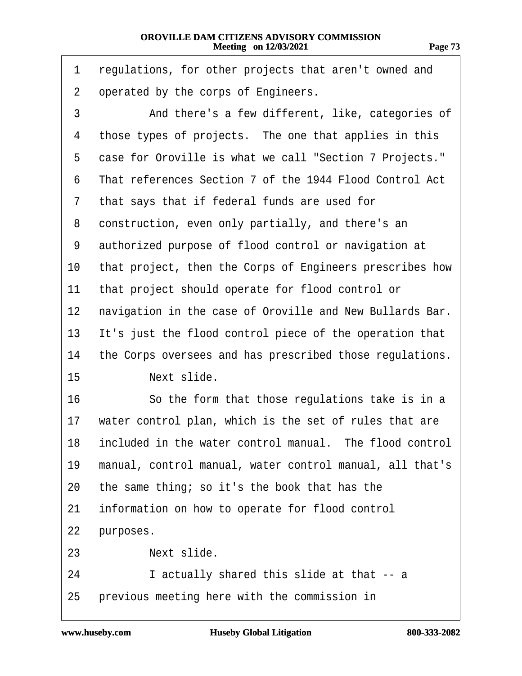| m<br>г.<br>٠ |  |
|--------------|--|
|              |  |

<span id="page-72-0"></span>

| 1              | regulations, for other projects that aren't owned and    |
|----------------|----------------------------------------------------------|
| $\overline{2}$ | operated by the corps of Engineers.                      |
| 3              | And there's a few different, like, categories of         |
| 4              | those types of projects. The one that applies in this    |
| 5              | case for Oroville is what we call "Section 7 Projects."  |
| 6              | That references Section 7 of the 1944 Flood Control Act  |
| 7              | that says that if federal funds are used for             |
| 8              | construction, even only partially, and there's an        |
| 9              | authorized purpose of flood control or navigation at     |
| 10             | that project, then the Corps of Engineers prescribes how |
| 11             | that project should operate for flood control or         |
| 12             | navigation in the case of Oroville and New Bullards Bar. |
| 13             | It's just the flood control piece of the operation that  |
| 14             | the Corps oversees and has prescribed those regulations. |
| 15             | Next slide.                                              |
| 16             | So the form that those regulations take is in a          |
| 17             | water control plan, which is the set of rules that are   |
| 18             | included in the water control manual. The flood control  |
| 19             | manual, control manual, water control manual, all that's |
| 20             | the same thing; so it's the book that has the            |
| 21             | information on how to operate for flood control          |
| <u>22</u>      | purposes.                                                |
| 23             | Next slide.                                              |
| 24             | I actually shared this slide at that -- a                |
| 25             | previous meeting here with the commission in             |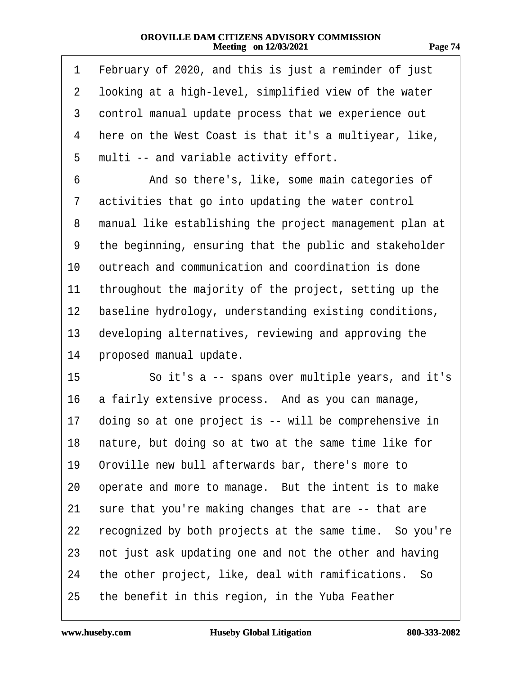| n<br>r. |  |
|---------|--|
|         |  |

<span id="page-73-0"></span>

| 1              | February of 2020, and this is just a reminder of just    |
|----------------|----------------------------------------------------------|
| $\overline{2}$ | looking at a high-level, simplified view of the water    |
| 3              | control manual update process that we experience out     |
| 4              | here on the West Coast is that it's a multiyear, like,   |
| 5              | multi -- and variable activity effort.                   |
| 6              | And so there's, like, some main categories of            |
| 7              | activities that go into updating the water control       |
| 8              | manual like establishing the project management plan at  |
| 9              | the beginning, ensuring that the public and stakeholder  |
| 10             | outreach and communication and coordination is done      |
| 11             | throughout the majority of the project, setting up the   |
| 12             | baseline hydrology, understanding existing conditions,   |
| 13             | developing alternatives, reviewing and approving the     |
| 14             | proposed manual update.                                  |
| 15             | So it's a -- spans over multiple years, and it's         |
| 16             | a fairly extensive process. And as you can manage,       |
| 17             | doing so at one project is -- will be comprehensive in   |
|                | 18 nature, but doing so at two at the same time like for |
| 19             | Oroville new bull afterwards bar, there's more to        |
| 20             | operate and more to manage. But the intent is to make    |
| 21             | sure that you're making changes that are -- that are     |
| 22             | recognized by both projects at the same time. So you're  |
| 23             | not just ask updating one and not the other and having   |
| 24             | the other project, like, deal with ramifications. So     |
| 25             | the benefit in this region, in the Yuba Feather          |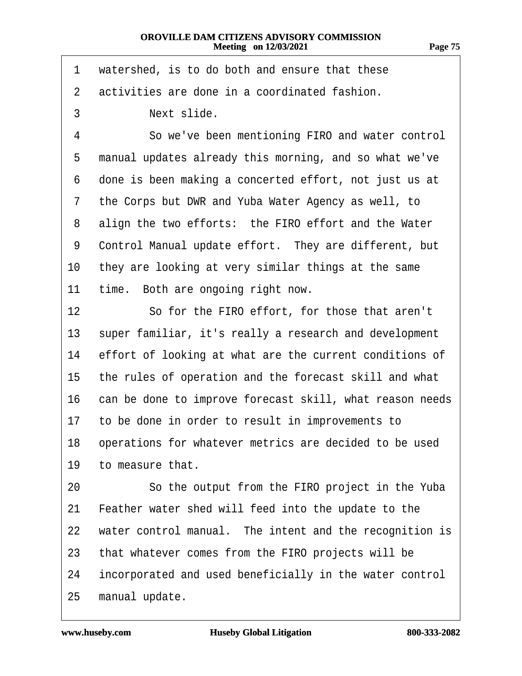- <span id="page-74-0"></span>1 watershed, is to do both and ensure that these
- 2 activities are done in a coordinated fashion.
- 3 **Next slide.**

4 So we've been mentioning FIRO and water control 5 manual updates already this morning, and so what we've 6 done is been making a concerted effort, not just us at 7 the Corps but DWR and Yuba Water Agency as well, to 8 align the two efforts: the FIRO effort and the Water 9 Control Manual update effort. They are different, but 10 they are looking at very similar things at the same 11 time. Both are ongoing right now. 12 **· · · So for the FIRO effort, for those that aren't** 13 super familiar, it's really a research and development 14 effort of looking at what are the current conditions of 15 the rules of operation and the forecast skill and what 16 can be done to improve forecast skill, what reason needs 17 to be done in order to result in improvements to 18 operations for whatever metrics are decided to be used 19 to measure that. 20 So the output from the FIRO project in the Yuba 21 Feather water shed will feed into the update to the 22 water control manual. The intent and the recognition is 23 that whatever comes from the FIRO projects will be 24 incorporated and used beneficially in the water control 25 manual update.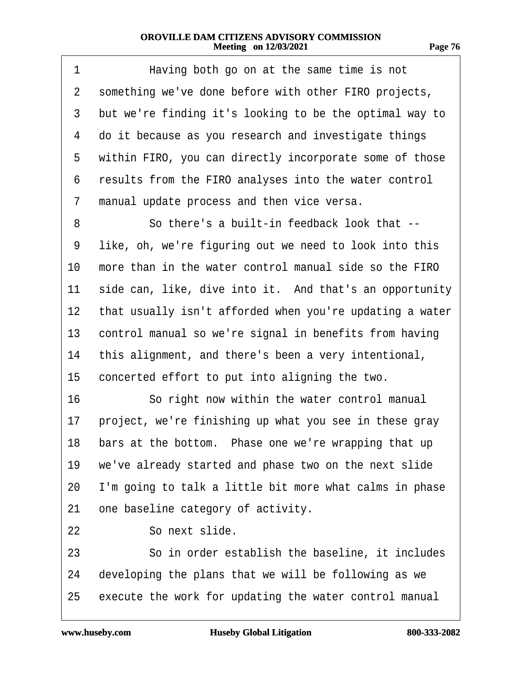<span id="page-75-0"></span>

| 1              | Having both go on at the same time is not                |
|----------------|----------------------------------------------------------|
| $\overline{2}$ | something we've done before with other FIRO projects,    |
| 3              | but we're finding it's looking to be the optimal way to  |
| 4              | do it because as you research and investigate things     |
| 5              | within FIRO, you can directly incorporate some of those  |
| 6              | results from the FIRO analyses into the water control    |
| 7              | manual update process and then vice versa.               |
| 8              | So there's a built-in feedback look that --              |
| 9              | like, oh, we're figuring out we need to look into this   |
| 10             | more than in the water control manual side so the FIRO   |
| 11             | side can, like, dive into it. And that's an opportunity  |
| 12             | that usually isn't afforded when you're updating a water |
| 13             | control manual so we're signal in benefits from having   |
| 14             | this alignment, and there's been a very intentional,     |
| 15             | concerted effort to put into aligning the two.           |
| 16             | So right now within the water control manual             |
| 17             | project, we're finishing up what you see in these gray   |
|                | 18 bars at the bottom. Phase one we're wrapping that up  |
| 19             | we've already started and phase two on the next slide    |
| 20             | I'm going to talk a little bit more what calms in phase  |
| 21             | one baseline category of activity.                       |
| 22             | So next slide.                                           |
| 23             | So in order establish the baseline, it includes          |
| 24             | developing the plans that we will be following as we     |
| 25             | execute the work for updating the water control manual   |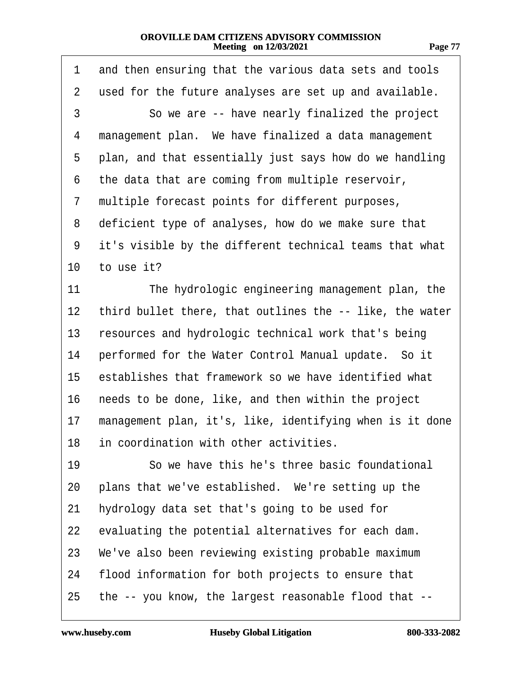| r. |  |
|----|--|
|    |  |

<span id="page-76-0"></span>

| 1  | and then ensuring that the various data sets and tools   |
|----|----------------------------------------------------------|
| 2  | used for the future analyses are set up and available.   |
| 3  | So we are -- have nearly finalized the project           |
| 4  | management plan. We have finalized a data management     |
| 5  | plan, and that essentially just says how do we handling  |
| 6  | the data that are coming from multiple reservoir,        |
| 7  | multiple forecast points for different purposes,         |
| 8  | deficient type of analyses, how do we make sure that     |
| 9  | it's visible by the different technical teams that what  |
| 10 | to use it?                                               |
| 11 | The hydrologic engineering management plan, the          |
| 12 | third bullet there, that outlines the -- like, the water |
| 13 | resources and hydrologic technical work that's being     |
| 14 | performed for the Water Control Manual update. So it     |
| 15 | establishes that framework so we have identified what    |
| 16 | needs to be done, like, and then within the project      |
| 17 | management plan, it's, like, identifying when is it done |
|    | 18 in coordination with other activities.                |
| 19 | So we have this he's three basic foundational            |
| 20 | plans that we've established. We're setting up the       |
| 21 | hydrology data set that's going to be used for           |
| 22 | evaluating the potential alternatives for each dam.      |
| 23 | We've also been reviewing existing probable maximum      |
| 24 | flood information for both projects to ensure that       |
| 25 | the -- you know, the largest reasonable flood that --    |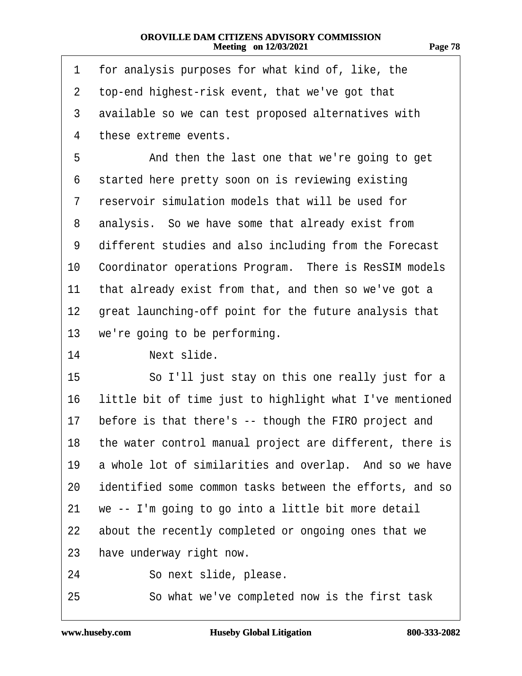| r. |  |
|----|--|
|    |  |

<span id="page-77-0"></span>

| 1              | for analysis purposes for what kind of, like, the        |
|----------------|----------------------------------------------------------|
| $\overline{2}$ | top-end highest-risk event, that we've got that          |
| 3              | available so we can test proposed alternatives with      |
| 4              | these extreme events.                                    |
| 5              | And then the last one that we're going to get            |
| 6              | started here pretty soon on is reviewing existing        |
| 7              | reservoir simulation models that will be used for        |
| 8              | analysis. So we have some that already exist from        |
| 9              | different studies and also including from the Forecast   |
| 10             | Coordinator operations Program. There is ResSIM models   |
| 11             | that already exist from that, and then so we've got a    |
| 12             | great launching-off point for the future analysis that   |
| 13             | we're going to be performing.                            |
| 14             | Next slide.                                              |
| 15             | So I'll just stay on this one really just for a          |
| 16             | little bit of time just to highlight what I've mentioned |
| 17             | before is that there's -- though the FIRO project and    |
| 18             | the water control manual project are different, there is |
| 19             | a whole lot of similarities and overlap. And so we have  |
| 20             | identified some common tasks between the efforts, and so |
| 21             | we -- I'm going to go into a little bit more detail      |
| 22             | about the recently completed or ongoing ones that we     |
| 23             | have underway right now.                                 |
| 24             | So next slide, please.                                   |
|                |                                                          |

25 · So what we've completed now is the first task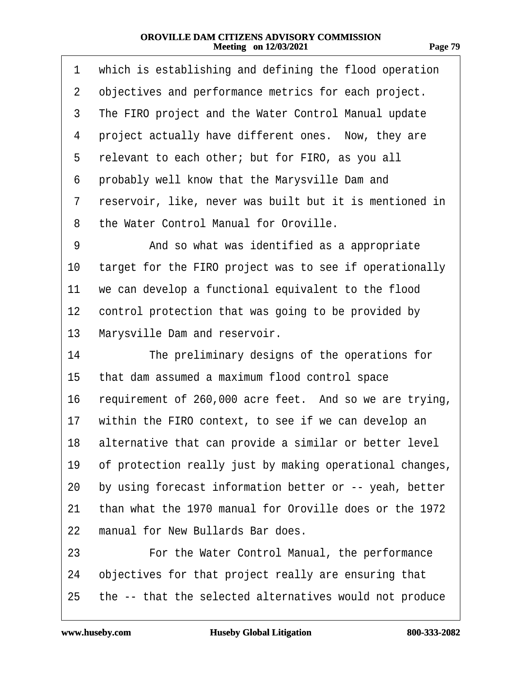<span id="page-78-0"></span>

| 1  | which is establishing and defining the flood operation   |
|----|----------------------------------------------------------|
| 2  | objectives and performance metrics for each project.     |
| 3  | The FIRO project and the Water Control Manual update     |
| 4  | project actually have different ones. Now, they are      |
| 5  | relevant to each other; but for FIRO, as you all         |
| 6  | probably well know that the Marysville Dam and           |
| 7  | reservoir, like, never was built but it is mentioned in  |
| 8  | the Water Control Manual for Oroville.                   |
| 9  | And so what was identified as a appropriate              |
| 10 | target for the FIRO project was to see if operationally  |
| 11 | we can develop a functional equivalent to the flood      |
| 12 | control protection that was going to be provided by      |
| 13 | Marysville Dam and reservoir.                            |
| 14 | The preliminary designs of the operations for            |
| 15 | that dam assumed a maximum flood control space           |
| 16 | requirement of 260,000 acre feet. And so we are trying,  |
| 17 | within the FIRO context, to see if we can develop an     |
| 18 | alternative that can provide a similar or better level   |
| 19 | of protection really just by making operational changes, |
| 20 | by using forecast information better or -- yeah, better  |
| 21 | than what the 1970 manual for Oroville does or the 1972  |
| 22 | manual for New Bullards Bar does.                        |
| 23 | For the Water Control Manual, the performance            |
| 24 | objectives for that project really are ensuring that     |
| 25 | the -- that the selected alternatives would not produce  |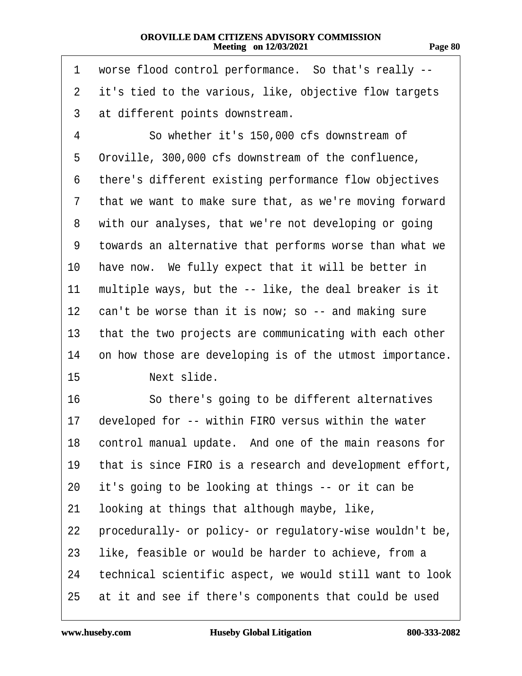<span id="page-79-0"></span>

| 1               | worse flood control performance. So that's really --     |
|-----------------|----------------------------------------------------------|
| 2               | it's tied to the various, like, objective flow targets   |
| 3               | at different points downstream.                          |
| 4               | So whether it's 150,000 cfs downstream of                |
| 5               | Oroville, 300,000 cfs downstream of the confluence,      |
| 6               | there's different existing performance flow objectives   |
| 7               | that we want to make sure that, as we're moving forward  |
| 8               | with our analyses, that we're not developing or going    |
| 9               | towards an alternative that performs worse than what we  |
| 10              | have now. We fully expect that it will be better in      |
| 11              | multiple ways, but the -- like, the deal breaker is it   |
| 12 <sup>°</sup> | can't be worse than it is now; so -- and making sure     |
| 13              | that the two projects are communicating with each other  |
| 14              | on how those are developing is of the utmost importance. |
| 15              | Next slide.                                              |
| 16              | So there's going to be different alternatives            |
| 17              | developed for -- within FIRO versus within the water     |
| 18              | control manual update. And one of the main reasons for   |
| 19              | that is since FIRO is a research and development effort, |
| 20              | it's going to be looking at things -- or it can be       |
| 21              | looking at things that although maybe, like,             |
| 22              | procedurally- or policy- or regulatory-wise wouldn't be, |
| 23              | like, feasible or would be harder to achieve, from a     |
| 24              | technical scientific aspect, we would still want to look |
| 25              | at it and see if there's components that could be used   |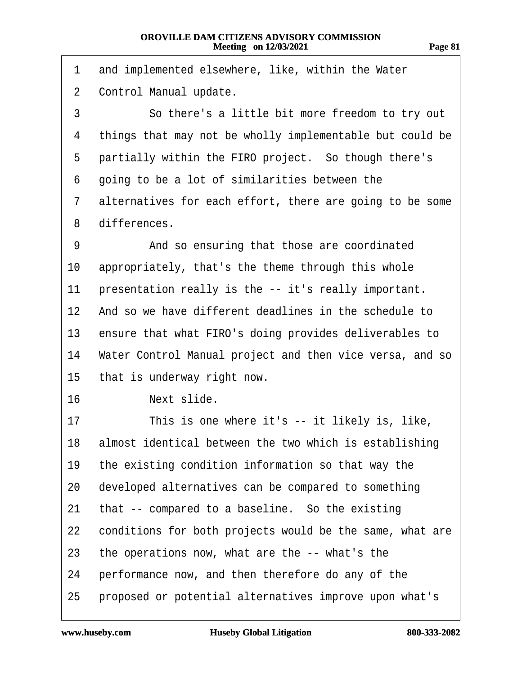| <br>r. |  |
|--------|--|
|        |  |

<span id="page-80-0"></span>

| 1              | and implemented elsewhere, like, within the Water        |
|----------------|----------------------------------------------------------|
| $\overline{2}$ | Control Manual update.                                   |
| 3              | So there's a little bit more freedom to try out          |
| 4              | things that may not be wholly implementable but could be |
| 5              | partially within the FIRO project. So though there's     |
| 6              | going to be a lot of similarities between the            |
| 7              | alternatives for each effort, there are going to be some |
| 8              | differences.                                             |
| 9              | And so ensuring that those are coordinated               |
| 10             | appropriately, that's the theme through this whole       |
| 11             | presentation really is the -- it's really important.     |
| 12             | And so we have different deadlines in the schedule to    |
| 13             | ensure that what FIRO's doing provides deliverables to   |
| 14             | Water Control Manual project and then vice versa, and so |
| 15             | that is underway right now.                              |
| 16             | Next slide.                                              |
| 17             | This is one where it's -- it likely is, like,            |
| 18             | almost identical between the two which is establishing   |
| 19             | the existing condition information so that way the       |
| 20             | developed alternatives can be compared to something      |
| 21             | that -- compared to a baseline. So the existing          |
| 22             | conditions for both projects would be the same, what are |
| 23             | the operations now, what are the -- what's the           |
| 24             | performance now, and then therefore do any of the        |
| 25             | proposed or potential alternatives improve upon what's   |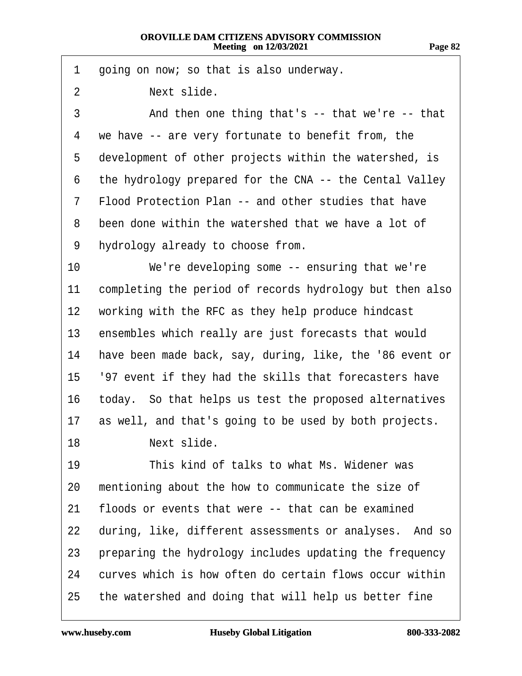- <span id="page-81-0"></span>1 going on now; so that is also underway.
- 2 **Next slide.**
- 3 And then one thing that's -- that we're -- that
- 4 we have -- are very fortunate to benefit from, the
- 5 development of other projects within the watershed, is
- 6 the hydrology prepared for the CNA -- the Cental Valley
- 7 Flood Protection Plan -- and other studies that have
- 8 been done within the watershed that we have a lot of
- 9 hydrology already to choose from.
- 10 We're developing some -- ensuring that we're
- 11 completing the period of records hydrology but then also
- 12 working with the RFC as they help produce hindcast
- 13 ensembles which really are just forecasts that would
- 14 have been made back, say, during, like, the '86 event or
- 15· ·'97 event if they had the skills that forecasters have
- 16 today. So that helps us test the proposed alternatives
- 17 as well, and that's going to be used by both projects.
- 18 · · · · Next slide.
- 19 This kind of talks to what Ms. Widener was 20 mentioning about the how to communicate the size of
- 21 floods or events that were -- that can be examined
- 22 during, like, different assessments or analyses. And so
- 23 preparing the hydrology includes updating the frequency
- 24 curves which is how often do certain flows occur within
- 25 the watershed and doing that will help us better fine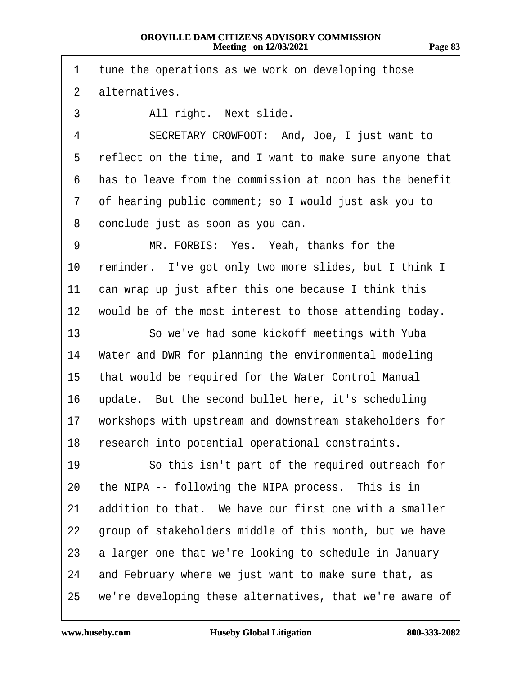<span id="page-82-0"></span>1 tune the operations as we work on developing those 2 alternatives. 3 All right. Next slide. 4 SECRETARY CROWFOOT: And, Joe, I just want to 5 reflect on the time, and I want to make sure anyone that ·6· ·has to leave from the commission at noon has the benefit ·7· ·of hearing public comment; so I would just ask you to 8 conclude just as soon as you can. 9 MR. FORBIS: Yes. Yeah, thanks for the 10 reminder. I've got only two more slides, but I think I 11 can wrap up just after this one because I think this 12 would be of the most interest to those attending today. 13 So we've had some kickoff meetings with Yuba 14 Water and DWR for planning the environmental modeling 15 that would be required for the Water Control Manual 16 update. But the second bullet here, it's scheduling 17 workshops with upstream and downstream stakeholders for 18 research into potential operational constraints. 19 **· · · So this isn't part of the required outreach for** 20 the NIPA -- following the NIPA process. This is in 21 addition to that. We have our first one with a smaller 22 group of stakeholders middle of this month, but we have 23 a larger one that we're looking to schedule in January 24 and February where we just want to make sure that, as 25 we're developing these alternatives, that we're aware of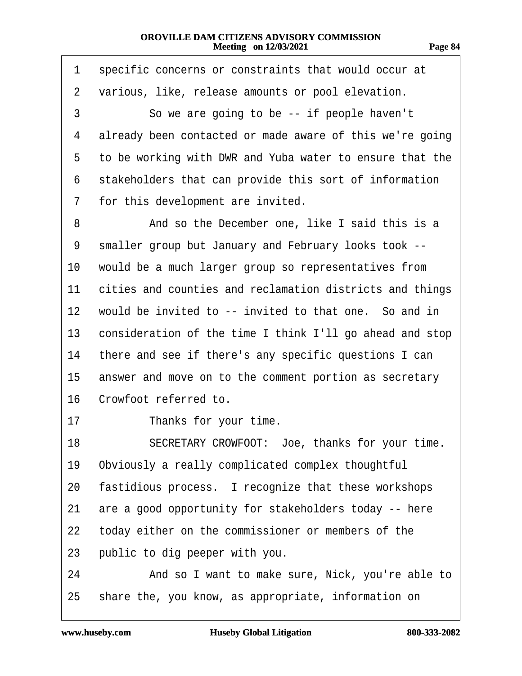|  | 787<br>ш<br>. . |  |
|--|-----------------|--|
|--|-----------------|--|

<span id="page-83-0"></span>

| 1  | specific concerns or constraints that would occur at     |
|----|----------------------------------------------------------|
| 2  | various, like, release amounts or pool elevation.        |
| 3  | So we are going to be -- if people haven't               |
| 4  | already been contacted or made aware of this we're going |
| 5  | to be working with DWR and Yuba water to ensure that the |
| 6  | stakeholders that can provide this sort of information   |
| 7  | for this development are invited.                        |
| 8  | And so the December one, like I said this is a           |
| 9  | smaller group but January and February looks took --     |
| 10 | would be a much larger group so representatives from     |
| 11 | cities and counties and reclamation districts and things |
| 12 | would be invited to -- invited to that one. So and in    |
| 13 | consideration of the time I think I'll go ahead and stop |
| 14 | there and see if there's any specific questions I can    |
| 15 | answer and move on to the comment portion as secretary   |
| 16 | Crowfoot referred to.                                    |
| 17 | Thanks for your time.                                    |
| 18 | SECRETARY CROWFOOT: Joe, thanks for your time.           |
| 19 | Obviously a really complicated complex thoughtful        |
| 20 | fastidious process. I recognize that these workshops     |
| 21 | are a good opportunity for stakeholders today -- here    |
| 22 | today either on the commissioner or members of the       |
| 23 | public to dig peeper with you.                           |
| 24 | And so I want to make sure, Nick, you're able to         |
| 25 | share the, you know, as appropriate, information on      |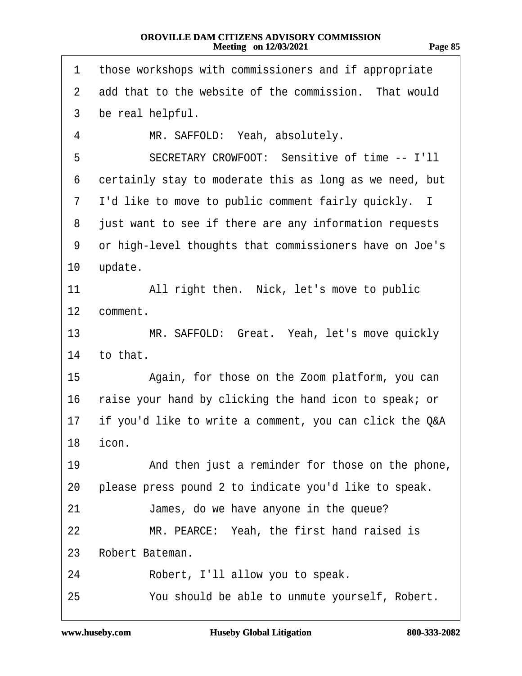| .<br>. .<br>., | ., |
|----------------|----|
|                |    |

<span id="page-84-0"></span>

| 1               | those workshops with commissioners and if appropriate   |
|-----------------|---------------------------------------------------------|
| $\overline{2}$  | add that to the website of the commission. That would   |
| 3               | be real helpful.                                        |
| 4               | MR. SAFFOLD: Yeah, absolutely.                          |
| 5               | SECRETARY CROWFOOT: Sensitive of time -- I'll           |
| 6               | certainly stay to moderate this as long as we need, but |
| 7               | I'd like to move to public comment fairly quickly. I    |
| 8               | just want to see if there are any information requests  |
| 9               | or high-level thoughts that commissioners have on Joe's |
| 10 <sup>°</sup> | update.                                                 |
| 11              | All right then. Nick, let's move to public              |
| 12              | comment.                                                |
| 13              | MR. SAFFOLD: Great. Yeah, let's move quickly            |
| 14              | to that.                                                |
| 15              | Again, for those on the Zoom platform, you can          |
| 16              | raise your hand by clicking the hand icon to speak; or  |
| 17              | if you'd like to write a comment, you can click the Q&A |
|                 | 18 icon                                                 |
| 19              | And then just a reminder for those on the phone,        |
| 20              | please press pound 2 to indicate you'd like to speak.   |
| 21              | James, do we have anyone in the queue?                  |
| 22              | MR. PEARCE: Yeah, the first hand raised is              |
| 23              | Robert Bateman.                                         |
| 24              | Robert, I'll allow you to speak.                        |
| 25              | You should be able to unmute yourself, Robert.          |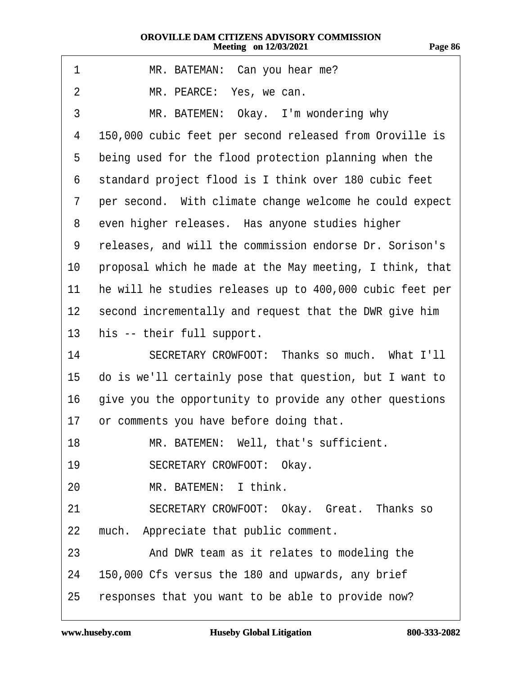<span id="page-85-0"></span>

| 1              | MR. BATEMAN: Can you hear me?                             |
|----------------|-----------------------------------------------------------|
| $\overline{2}$ | MR. PEARCE: Yes, we can.                                  |
| 3              | MR. BATEMEN: Okay. I'm wondering why                      |
| 4              | 150,000 cubic feet per second released from Oroville is   |
| 5              | being used for the flood protection planning when the     |
| 6              | standard project flood is I think over 180 cubic feet     |
| 7              | per second. With climate change welcome he could expect   |
| 8              | even higher releases. Has anyone studies higher           |
| 9              | releases, and will the commission endorse Dr. Sorison's   |
| 10             | proposal which he made at the May meeting, I think, that  |
| 11             | he will he studies releases up to 400,000 cubic feet per  |
|                | 12 second incrementally and request that the DWR give him |
| 13             | his -- their full support.                                |
| 14             | SECRETARY CROWFOOT: Thanks so much. What I'll             |
| 15             | do is we'll certainly pose that question, but I want to   |
| 16             | give you the opportunity to provide any other questions   |
| 17             | or comments you have before doing that.                   |
| 18             | MR. BATEMEN: Well, that's sufficient.                     |
| 19             | <b>SECRETARY CROWFOOT: Okay.</b>                          |
| 20             | MR. BATEMEN: I think.                                     |
| 21             | SECRETARY CROWFOOT: Okay. Great. Thanks so                |
| 22             | much. Appreciate that public comment.                     |
| 23             | And DWR team as it relates to modeling the                |
| 24             | 150,000 Cfs versus the 180 and upwards, any brief         |
| 25             | responses that you want to be able to provide now?        |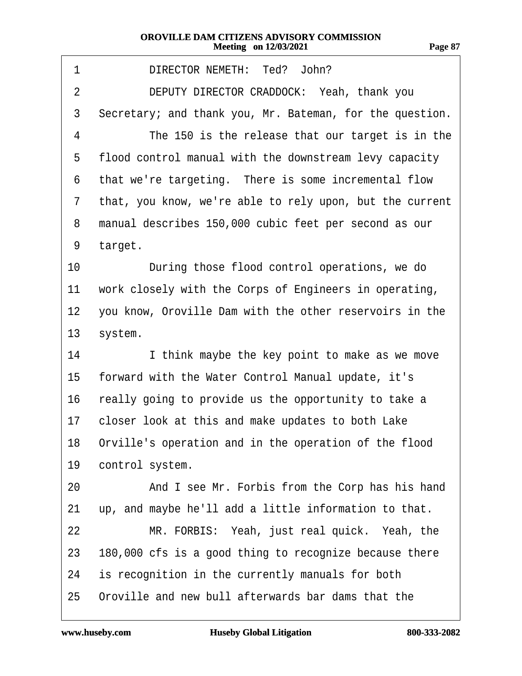| m<br>.,<br>н |  |
|--------------|--|
|              |  |

<span id="page-86-0"></span>

| 1       | DIRECTOR NEMETH: Ted? John?                              |
|---------|----------------------------------------------------------|
| 2       | DEPUTY DIRECTOR CRADDOCK: Yeah, thank you                |
| 3       | Secretary; and thank you, Mr. Bateman, for the question. |
| 4       | The 150 is the release that our target is in the         |
| 5       | flood control manual with the downstream levy capacity   |
| 6       | that we're targeting. There is some incremental flow     |
| 7       | that, you know, we're able to rely upon, but the current |
| 8       | manual describes 150,000 cubic feet per second as our    |
| 9       | target.                                                  |
| 10      | During those flood control operations, we do             |
| 11      | work closely with the Corps of Engineers in operating,   |
| $12 \,$ | you know, Oroville Dam with the other reservoirs in the  |
| 13      | system.                                                  |
| 14      | I think maybe the key point to make as we move           |
| 15      | forward with the Water Control Manual update, it's       |
| 16      | really going to provide us the opportunity to take a     |
| 17      | closer look at this and make updates to both Lake        |
|         | 18 Orville's operation and in the operation of the flood |
| 19      | control system.                                          |
| 20      | And I see Mr. Forbis from the Corp has his hand          |
| 21      | up, and maybe he'll add a little information to that.    |
| 22      | MR. FORBIS: Yeah, just real quick. Yeah, the             |
| 23      | 180,000 cfs is a good thing to recognize because there   |
| 24      | is recognition in the currently manuals for both         |
| 25      | Oroville and new bull afterwards bar dams that the       |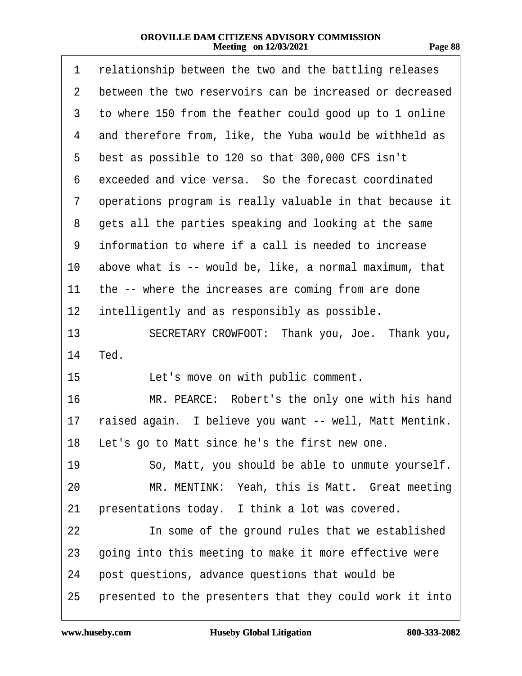<span id="page-87-0"></span>

| 1              | relationship between the two and the battling releases   |
|----------------|----------------------------------------------------------|
| $\overline{2}$ | between the two reservoirs can be increased or decreased |
| 3              | to where 150 from the feather could good up to 1 online  |
| 4              | and therefore from, like, the Yuba would be withheld as  |
| 5              | best as possible to 120 so that 300,000 CFS isn't        |
| 6              | exceeded and vice versa. So the forecast coordinated     |
| 7              | operations program is really valuable in that because it |
| 8              | gets all the parties speaking and looking at the same    |
| 9              | information to where if a call is needed to increase     |
| 10             | above what is -- would be, like, a normal maximum, that  |
| 11             | the -- where the increases are coming from are done      |
| 12             | intelligently and as responsibly as possible.            |
| 13             | SECRETARY CROWFOOT: Thank you, Joe. Thank you,           |
| 14             | Ted.                                                     |
| 15             | Let's move on with public comment.                       |
| 16             | MR. PEARCE: Robert's the only one with his hand          |
| 17             | raised again. I believe you want -- well, Matt Mentink.  |
|                | 18 Let's go to Matt since he's the first new one.        |
| 19             | So, Matt, you should be able to unmute yourself.         |
| 20             | MR. MENTINK: Yeah, this is Matt. Great meeting           |
| 21             | presentations today. I think a lot was covered.          |
| 22             | In some of the ground rules that we established          |
| 23             | going into this meeting to make it more effective were   |
| 24             | post questions, advance questions that would be          |
| 25             | presented to the presenters that they could work it into |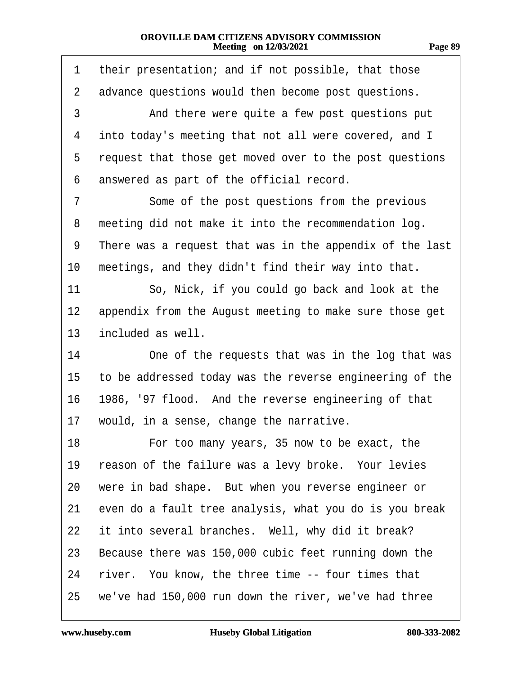<span id="page-88-0"></span>

| 1              | their presentation; and if not possible, that those      |
|----------------|----------------------------------------------------------|
| $\overline{2}$ | advance questions would then become post questions.      |
| 3              | And there were quite a few post questions put            |
| 4              | into today's meeting that not all were covered, and I    |
| 5              | request that those get moved over to the post questions  |
| 6              | answered as part of the official record.                 |
| 7              | Some of the post questions from the previous             |
| 8              | meeting did not make it into the recommendation log.     |
| 9              | There was a request that was in the appendix of the last |
| 10             | meetings, and they didn't find their way into that.      |
| 11             | So, Nick, if you could go back and look at the           |
| $12 \,$        | appendix from the August meeting to make sure those get  |
| 13             | included as well.                                        |
| 14             | One of the requests that was in the log that was         |
| 15             | to be addressed today was the reverse engineering of the |
| 16             | 1986, '97 flood. And the reverse engineering of that     |
| 17             | would, in a sense, change the narrative.                 |
| 18             | For too many years, 35 now to be exact, the              |
| 19             | reason of the failure was a levy broke. Your levies      |
| 20             | were in bad shape. But when you reverse engineer or      |
| 21             | even do a fault tree analysis, what you do is you break  |
| 22             | it into several branches. Well, why did it break?        |
| 23             | Because there was 150,000 cubic feet running down the    |
| 24             | river. You know, the three time -- four times that       |
| 25             | we've had 150,000 run down the river, we've had three    |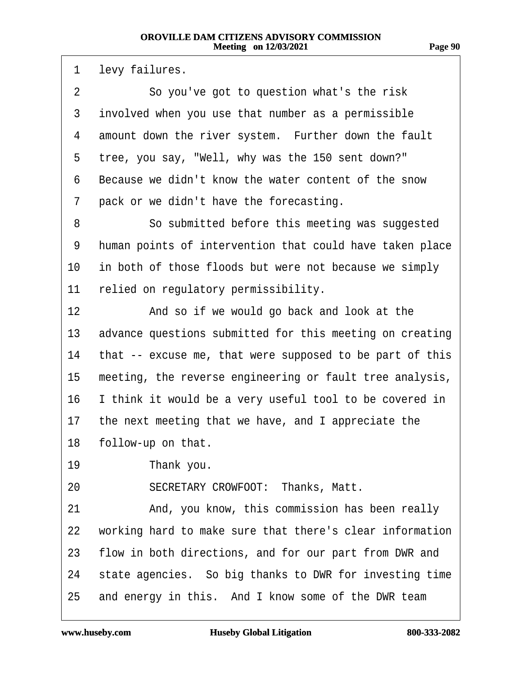**Page 90**

<span id="page-89-0"></span>1 levy failures. 2 So you've got to question what's the risk 3 involved when you use that number as a permissible 4 amount down the river system. Further down the fault 5 tree, you say, "Well, why was the 150 sent down?" 6 Because we didn't know the water content of the snow 7 pack or we didn't have the forecasting. 8 **8** · · So submitted before this meeting was suggested 9 human points of intervention that could have taken place 10 in both of those floods but were not because we simply 11 relied on regulatory permissibility. 12 • And so if we would go back and look at the 13 advance questions submitted for this meeting on creating 14 that -- excuse me, that were supposed to be part of this 15 meeting, the reverse engineering or fault tree analysis, 16 I think it would be a very useful tool to be covered in 17 the next meeting that we have, and I appreciate the 18 follow-up on that. 19 Thank you. 20 SECRETARY CROWFOOT: Thanks, Matt. 21 And, you know, this commission has been really 22 working hard to make sure that there's clear information 23 flow in both directions, and for our part from DWR and 24 state agencies. So big thanks to DWR for investing time 25 and energy in this. And I know some of the DWR team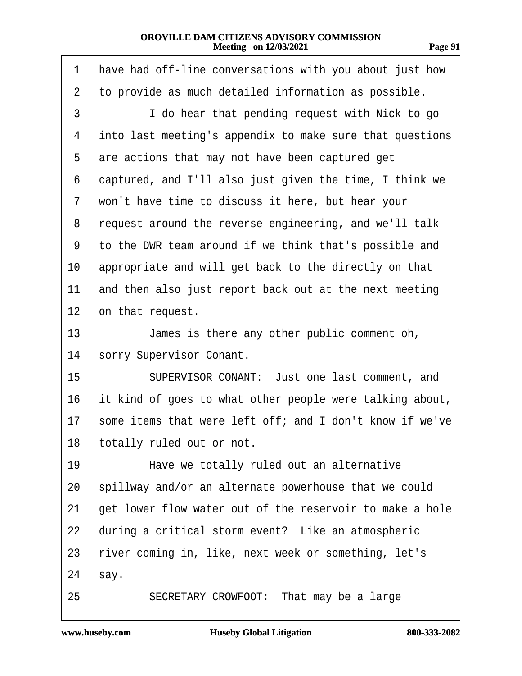<span id="page-90-0"></span>

| 1  | have had off-line conversations with you about just how  |
|----|----------------------------------------------------------|
| 2  | to provide as much detailed information as possible.     |
| 3  | I do hear that pending request with Nick to go           |
| 4  | into last meeting's appendix to make sure that questions |
| 5  | are actions that may not have been captured get          |
| 6  | captured, and I'll also just given the time, I think we  |
| 7  | won't have time to discuss it here, but hear your        |
| 8  | request around the reverse engineering, and we'll talk   |
| 9  | to the DWR team around if we think that's possible and   |
| 10 | appropriate and will get back to the directly on that    |
| 11 | and then also just report back out at the next meeting   |
| 12 | on that request.                                         |
| 13 | James is there any other public comment oh,              |
| 14 | sorry Supervisor Conant.                                 |
| 15 | SUPERVISOR CONANT: Just one last comment, and            |
| 16 | it kind of goes to what other people were talking about, |
| 17 | some items that were left off; and I don't know if we've |
|    | 18 totally ruled out or not.                             |
| 19 | Have we totally ruled out an alternative                 |
| 20 | spillway and/or an alternate powerhouse that we could    |
| 21 | get lower flow water out of the reservoir to make a hole |
| 22 | during a critical storm event? Like an atmospheric       |
| 23 | river coming in, like, next week or something, let's     |
| 24 | say.                                                     |
| 25 | SECRETARY CROWFOOT: That may be a large                  |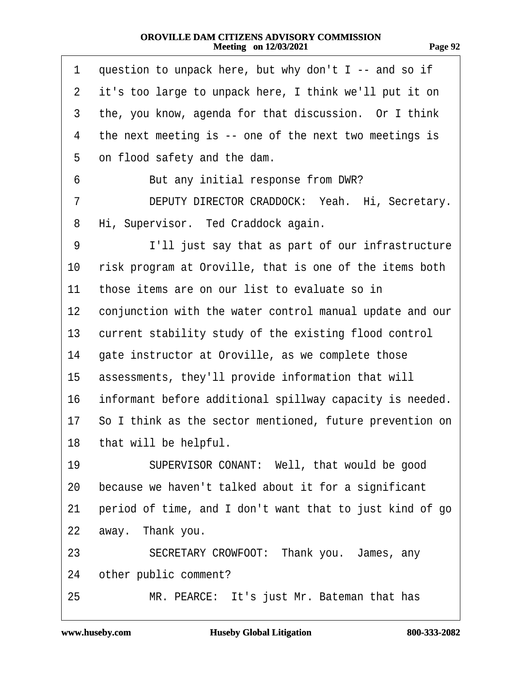| r. |  |
|----|--|
|----|--|

<span id="page-91-0"></span>

| 1              | question to unpack here, but why don't I -- and so if    |
|----------------|----------------------------------------------------------|
| $\overline{2}$ | it's too large to unpack here, I think we'll put it on   |
| 3              | the, you know, agenda for that discussion. Or I think    |
| 4              | the next meeting is -- one of the next two meetings is   |
| 5              | on flood safety and the dam.                             |
| 6              | But any initial response from DWR?                       |
| 7              | DEPUTY DIRECTOR CRADDOCK: Yeah. Hi, Secretary.           |
| 8              | Hi, Supervisor. Ted Craddock again.                      |
| 9              | I'll just say that as part of our infrastructure         |
| 10             | risk program at Oroville, that is one of the items both  |
| 11             | those items are on our list to evaluate so in            |
| 12             | conjunction with the water control manual update and our |
| 13             | current stability study of the existing flood control    |
| 14             | gate instructor at Oroville, as we complete those        |
| 15             | assessments, they'll provide information that will       |
| 16             | informant before additional spillway capacity is needed. |
| 17             | So I think as the sector mentioned, future prevention on |
|                | 18 that will be helpful.                                 |
| 19             | SUPERVISOR CONANT: Well, that would be good              |
| 20             | because we haven't talked about it for a significant     |
| 21             | period of time, and I don't want that to just kind of go |
| 22             | away. Thank you.                                         |
| 23             | SECRETARY CROWFOOT: Thank you. James, any                |
| 24             | other public comment?                                    |
| 25             | MR. PEARCE: It's just Mr. Bateman that has               |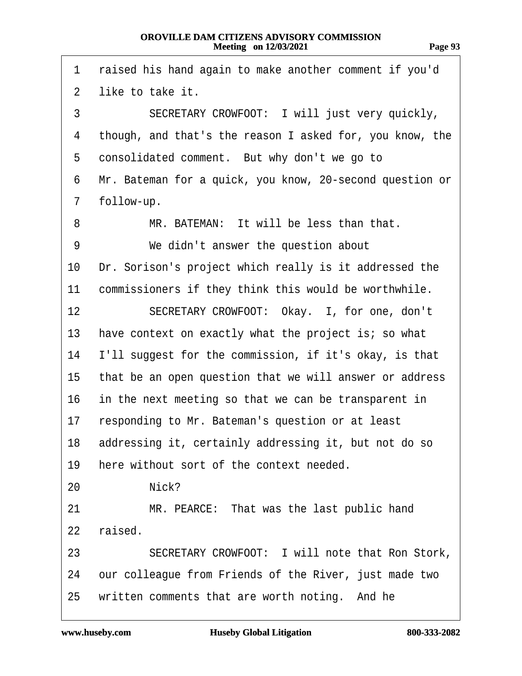<span id="page-92-0"></span>

| 1              | raised his hand again to make another comment if you'd   |
|----------------|----------------------------------------------------------|
| $\overline{2}$ | like to take it.                                         |
| 3              | SECRETARY CROWFOOT: I will just very quickly,            |
| 4              | though, and that's the reason I asked for, you know, the |
| 5              | consolidated comment. But why don't we go to             |
| 6              | Mr. Bateman for a quick, you know, 20-second question or |
| 7              | follow-up.                                               |
| 8              | MR. BATEMAN: It will be less than that.                  |
| 9              | We didn't answer the question about                      |
| 10             | Dr. Sorison's project which really is it addressed the   |
| 11             | commissioners if they think this would be worthwhile.    |
| 12             | SECRETARY CROWFOOT: Okay. I, for one, don't              |
| 13             | have context on exactly what the project is; so what     |
| 14             | I'll suggest for the commission, if it's okay, is that   |
| 15             | that be an open question that we will answer or address  |
| 16             | in the next meeting so that we can be transparent in     |
| 17             | responding to Mr. Bateman's question or at least         |
|                | 18 addressing it, certainly addressing it, but not do so |
| 19             | here without sort of the context needed.                 |
| 20             | Nick?                                                    |
| 21             | MR. PEARCE: That was the last public hand                |
| 22             | raised.                                                  |
| 23             | SECRETARY CROWFOOT: I will note that Ron Stork,          |
| 24             | our colleague from Friends of the River, just made two   |
| 25             | written comments that are worth noting. And he           |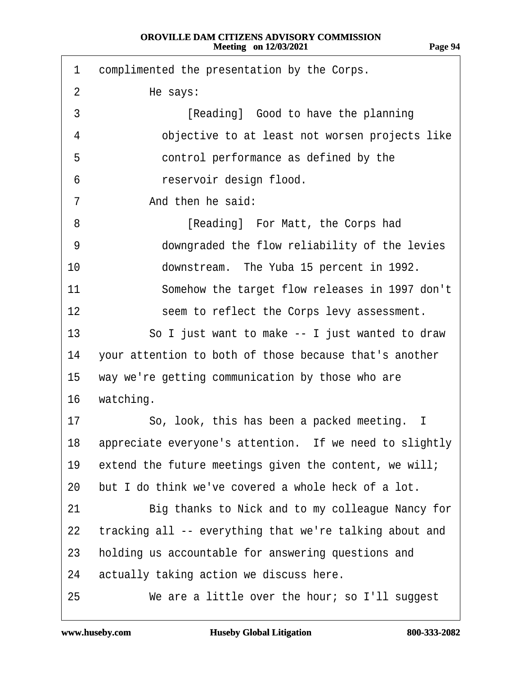<span id="page-93-0"></span>

| 1  | complimented the presentation by the Corps.                |
|----|------------------------------------------------------------|
| 2  | He says:                                                   |
| 3  | [Reading] Good to have the planning                        |
| 4  | objective to at least not worsen projects like             |
| 5  | control performance as defined by the                      |
| 6  | reservoir design flood.                                    |
| 7  | And then he said:                                          |
| 8  | [Reading] For Matt, the Corps had                          |
| 9  | downgraded the flow reliability of the levies              |
| 10 | downstream. The Yuba 15 percent in 1992.                   |
| 11 | Somehow the target flow releases in 1997 don't             |
| 12 | seem to reflect the Corps levy assessment.                 |
| 13 | So I just want to make -- I just wanted to draw            |
| 14 | your attention to both of those because that's another     |
| 15 | way we're getting communication by those who are           |
| 16 | watching.                                                  |
| 17 | So, look, this has been a packed meeting. I                |
|    | 18 appreciate everyone's attention. If we need to slightly |
| 19 | extend the future meetings given the content, we will;     |
| 20 | but I do think we've covered a whole heck of a lot.        |
| 21 | Big thanks to Nick and to my colleague Nancy for           |
| 22 | tracking all -- everything that we're talking about and    |
| 23 | holding us accountable for answering questions and         |
| 24 | actually taking action we discuss here.                    |
| 25 | We are a little over the hour; so I'll suggest             |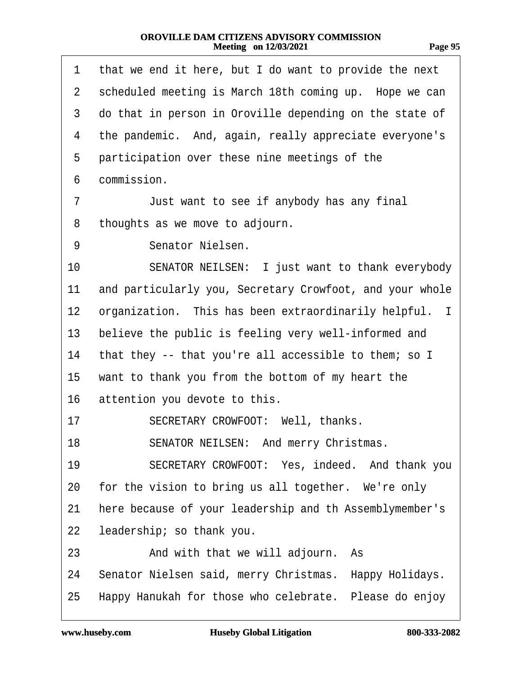<span id="page-94-0"></span>

| 1              | that we end it here, but I do want to provide the next   |
|----------------|----------------------------------------------------------|
| $\overline{2}$ | scheduled meeting is March 18th coming up. Hope we can   |
| 3              | do that in person in Oroville depending on the state of  |
| 4              | the pandemic. And, again, really appreciate everyone's   |
| 5              | participation over these nine meetings of the            |
| 6              | commission.                                              |
| 7              | Just want to see if anybody has any final                |
| 8              | thoughts as we move to adjourn.                          |
| 9              | Senator Nielsen.                                         |
| 10             | SENATOR NEILSEN: I just want to thank everybody          |
| 11             | and particularly you, Secretary Crowfoot, and your whole |
| 12             | organization. This has been extraordinarily helpful. I   |
| 13             | believe the public is feeling very well-informed and     |
| 14             | that they -- that you're all accessible to them; so I    |
| 15             | want to thank you from the bottom of my heart the        |
| 16             | attention you devote to this.                            |
| 17             | SECRETARY CROWFOOT: Well, thanks.                        |
| 18             | SENATOR NEILSEN: And merry Christmas.                    |
| 19             | SECRETARY CROWFOOT: Yes, indeed. And thank you           |
| 20             | for the vision to bring us all together. We're only      |
| 21             | here because of your leadership and th Assemblymember's  |
| 22             | leadership; so thank you.                                |
| 23             | And with that we will adjourn. As                        |
| 24             | Senator Nielsen said, merry Christmas. Happy Holidays.   |
| 25             | Happy Hanukah for those who celebrate. Please do enjoy   |
|                |                                                          |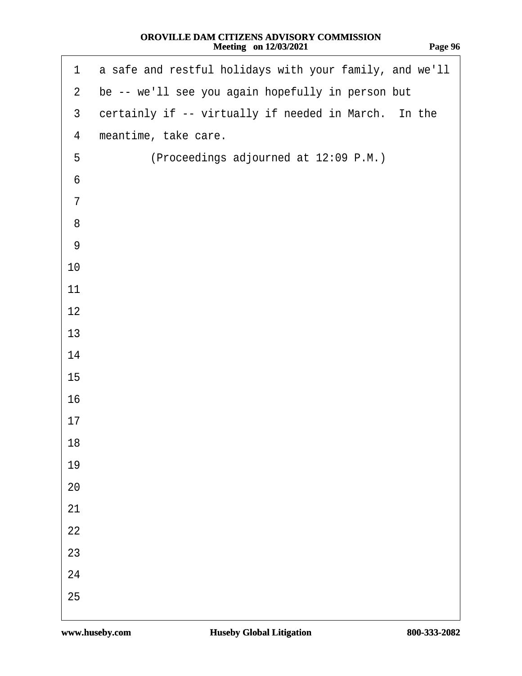<span id="page-95-0"></span>

| $\mathbf 1$    | a safe and restful holidays with your family, and we'll |
|----------------|---------------------------------------------------------|
| $\overline{2}$ | be -- we'll see you again hopefully in person but       |
| $\mathfrak{S}$ | certainly if -- virtually if needed in March. In the    |
| 4              | meantime, take care.                                    |
| 5              | (Proceedings adjourned at 12:09 P.M.)                   |
| $\,6$          |                                                         |
| $\overline{7}$ |                                                         |
| 8              |                                                         |
| $9\,$          |                                                         |
| 10             |                                                         |
| 11             |                                                         |
| 12             |                                                         |
| 13             |                                                         |
| 14             |                                                         |
| 15             |                                                         |
| 16             |                                                         |
| 17             |                                                         |
| 18             |                                                         |
| 19             |                                                         |
| 20             |                                                         |
| 21             |                                                         |
| 22             |                                                         |
| 23             |                                                         |
| 24             |                                                         |
| 25             |                                                         |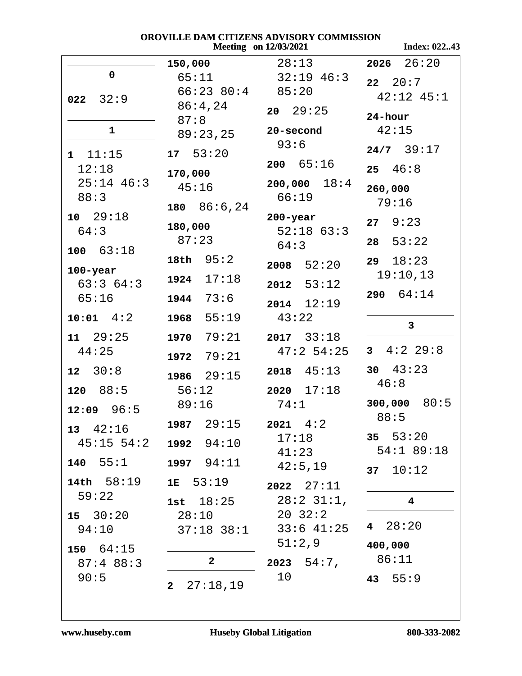**Index: 022..43** 

|                   | 150,000                    | 28:13              | $2026$ $26:20$           |
|-------------------|----------------------------|--------------------|--------------------------|
| $\mathbf 0$       | 65:11                      | $32:19$ 46:3       | $22 \quad 20:7$          |
|                   | $66:23$ $80:4$ $85:20$     |                    | $42:12$ $45:1$           |
| $022 \quad 32:9$  | 86:4,24                    | $20 \quad 29:25$   |                          |
|                   | 87:8                       |                    | 24-hour                  |
| $\mathbf{1}$      | 89:23,25                   | 20-second          | 42:15                    |
|                   |                            | 93:6               | $24/7$ 39:17             |
| 1 11:15           | 17 53:20                   | 200 65:16          |                          |
| 12:18             | 170,000                    |                    | $25 \quad 46:8$          |
| $25:14$ 46:3      | 45:16                      | $200,000$ $18:4$   | 260,000                  |
| 88:3              |                            | 66:19              | 79:16                    |
| 10 29:18          | 180 $86:6,24$              | $200 - year$       |                          |
| 64:3              | 180,000                    | $52:18$ 63:3       | $27 \quad 9:23$          |
|                   | 87:23                      | 64:3               | 53:22<br>28              |
| 100 63:18         | 18th $95:2$                |                    |                          |
| $100 - year$      |                            | $2008$ 52:20       | $29 \quad 18:23$         |
| 63:364:3          | $1924$ $17:18$             | 2012<br>53:12      | 19:10,13                 |
| 65:16             | 1944 73:6                  |                    | 290 64:14                |
|                   |                            | $2014$ $12:19$     |                          |
| $10:01$ $4:2$     | 55:19<br>1968              | 43:22              | 3                        |
| $11 \quad 29:25$  | 79:21<br>1970              | $2017$ $33:18$     |                          |
| 44:25             |                            | 47:2 54:25         | $3 \quad 4:2 \quad 29:8$ |
|                   | 79:21<br>1972              |                    | 30 $43:23$               |
| $12 \quad 30:8$   | 1986 29:15                 | $2018$ $45:13$     |                          |
| 88:5<br>120       | 56:12                      | $2020$ $17:18$     | 46:8                     |
| $12:09$ 96:5      | 89:16                      | 74:1               | $300,000$ 80:5           |
|                   | 1987 $29:15$ 2021 $4:2$    |                    | 88:5                     |
| $13 \quad 42:16$  |                            | 17:18              | 35 $53:20$               |
| $45:15$ 54:2      | 1992 94:10                 |                    | 54:1 89:18               |
| 140 55:1          | 1997 94:11                 | 41:23              |                          |
|                   |                            | 42:5,19            | 37 $10:12$               |
| $14th$ 58:19      | $1E$ 53:19                 | $2022 \quad 27:11$ |                          |
| 59:22             | 1st $18:25$                | $28:2$ 31:1,       | $\overline{\mathbf{4}}$  |
| $15 \quad 30:20$  | 28:10                      | $20 \t32:2$        |                          |
| 94:10             | $37:18$ $38:1$             | $33:6$ 41:25       | 4 $28:20$                |
|                   |                            | 51:2,9             | 400,000                  |
| $150 \quad 64:15$ |                            |                    | 86:11                    |
| 87:488:3          | $\mathbf{2}$               | 2023 54:7,         |                          |
| 90:5              | 27:18,19<br>2 <sub>2</sub> | 10                 | 43 $55:9$                |
|                   |                            |                    |                          |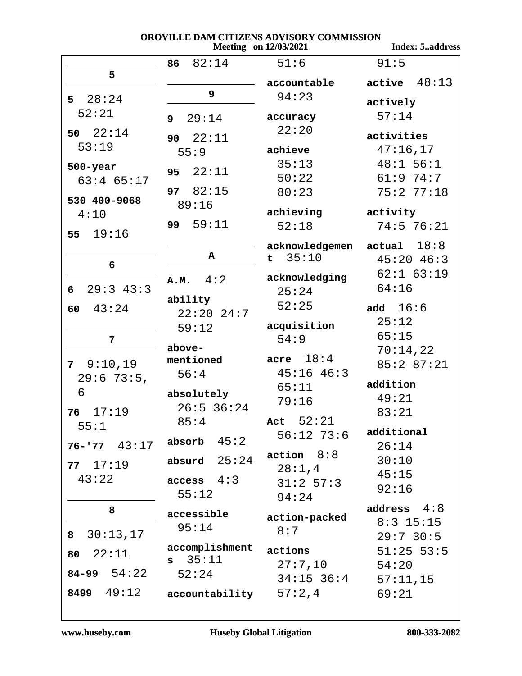**Index: 5..address** 

| 5                 | 82:14<br>86             | 51:6                 | 91:5            |
|-------------------|-------------------------|----------------------|-----------------|
|                   | 9                       | accountable          | 48:13<br>active |
| $5 \quad 28:24$   |                         | 94:23                | actively        |
| 52:21             | 29:14<br>9 <sup>1</sup> | accuracy             | 57:14           |
| 50 $22:14$        | 22:11<br>90             | 22:20                | activities      |
| 53:19             | 55:9                    | achieve              | 47:16,17        |
|                   |                         | 35:13                | $48:1$ 56:1     |
| $500 - year$      | 22:11<br>95             |                      |                 |
| $63:4$ $65:17$    |                         | 50:22                | 61:974:7        |
| 530 400-9068      | 97 82:15                | 80:23                | 75:277:18       |
| 4:10              | 89:16                   | achieving            | activity        |
|                   | 59:11<br>99             | 52:18                | $74:5$ 76:21    |
| 19:16<br>55       |                         |                      |                 |
|                   |                         | acknowledgemen       | 18:8<br>actual  |
| 6                 | A                       | 35:10<br>$\mathbf t$ | $45:20$ $46:3$  |
|                   |                         | acknowledging        | $62:1$ $63:19$  |
| $29:3$ 43:3<br>6  | A.M. 4:2                | 25:24                | 64:16           |
|                   | ability                 |                      |                 |
| 43:24<br>60       | $22:20$ 24:7            | 52:25                | add $16:6$      |
|                   |                         | acquisition          | 25:12           |
| 7                 | 59:12                   | 54:9                 | 65:15           |
|                   | above-                  |                      | 70:14,22        |
| 9:10,19           | mentioned               | acre $18:4$          |                 |
| 7 <sup>7</sup>    | 56:4                    | $45:16$ $46:3$       | 85:2 87:21      |
| $29:673:5$ ,      |                         | 65:11                | addition        |
| 6                 | absolutely              |                      | 49:21           |
| 17:19<br>76       | $26:5$ 36:24            | 79:16                | 83:21           |
|                   | 85:4                    | Act $52:21$          |                 |
| 55:1              |                         | $56:12$ 73:6         | additional      |
| $76 - 77$ 43:17   | 45:2<br>absorb          |                      | 26:14           |
|                   | absurd $25:24$          | action 8:8           | 30:10           |
| 77117:19          |                         | 28:1,4               | 45:15           |
| 43:22             | access 4:3              | $31:2$ 57:3          | 92:16           |
|                   | 55:12                   | 94:24                |                 |
| 8                 |                         |                      | 4:8<br>address  |
|                   | accessible              | action-packed        | $8:3$ 15:15     |
| 30:13,17<br>8     | 95:14                   | 8:7                  | $29:7$ 30:5     |
|                   | accomplishment          | actions              | $51:25$ 53:5    |
| 22:11<br>80       | 35:11<br>s              | 27:7,10              | 54:20           |
| $84 - 99$ $54:22$ | 52:24                   |                      |                 |
|                   |                         | $34:15$ $36:4$       | 57:11,15        |
| 8499 49:12        | accountability          | 57:2,4               | 69:21           |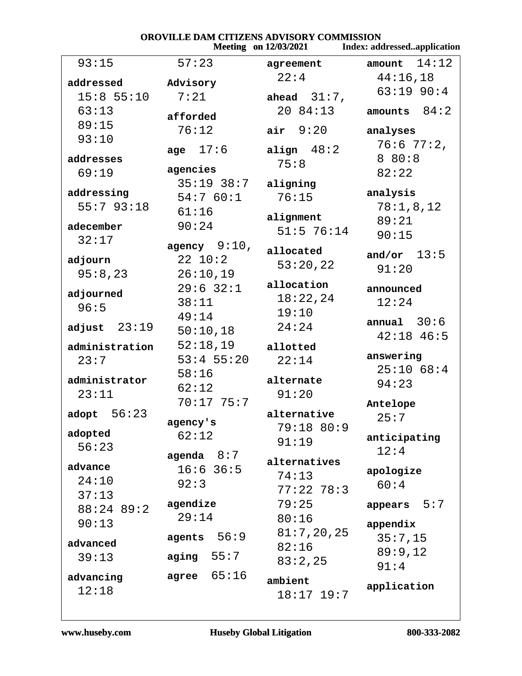| OROVILLE DAM CITIZENS ADVISORY COMMISSION<br><b>Meeting</b> on 12/03/2021<br>Index: addressedapplication |                            |                   |                    |
|----------------------------------------------------------------------------------------------------------|----------------------------|-------------------|--------------------|
| 93:15                                                                                                    | 57:23                      | agreement         | 14:12<br>amount    |
| addressed                                                                                                | Advisory                   | 22:4              | 44:16,18           |
| $15:8$ 55:10                                                                                             | 7:21                       | ahead $31:7$ ,    | 63:19 90:4         |
| 63:13                                                                                                    |                            | 20 84:13          | amounts $84:2$     |
| 89:15                                                                                                    | afforded                   |                   |                    |
| 93:10                                                                                                    | 76:12                      | air $9:20$        | analyses           |
|                                                                                                          | age $17:6$                 | align $48:2$      | 76:6 77:2,         |
| addresses                                                                                                | agencies                   | 75:8              | 8 80:8             |
| 69:19                                                                                                    | $35:19$ $38:7$             | aligning          | 82:22              |
| addressing                                                                                               | 54:760:1                   | 76:15             | analysis           |
| 55:793:18                                                                                                | 61:16                      |                   | 78:1,8,12          |
| adecember                                                                                                | 90:24                      | alignment         | 89:21              |
| 32:17                                                                                                    |                            | $51:5$ 76:14      | 90:15              |
|                                                                                                          | agency $9:10$ ,<br>22 10:2 | allocated         | and/or $13:5$      |
| adjourn                                                                                                  | 26:10,19                   | 53:20,22          | 91:20              |
| 95:8,23                                                                                                  | $29:6$ 32:1                | allocation        |                    |
| adjourned                                                                                                | 38:11                      | 18:22,24          | announced<br>12:24 |
| 96:5                                                                                                     | 49:14                      | 19:10             |                    |
| adjust $23:19$                                                                                           | 50:10,18                   | 24:24             | annual $30:6$      |
|                                                                                                          | 52:18,19                   |                   | $42:18$ 46:5       |
| administration<br>23:7                                                                                   | $53:4$ 55:20               | allotted<br>22:14 | answering          |
|                                                                                                          | 58:16                      |                   | 25:1068:4          |
| administrator                                                                                            | 62:12                      | alternate         | 94:23              |
| 23:11                                                                                                    | 70:17 75:7                 | 91:20             |                    |
| adopt $56:23$                                                                                            |                            | alternative       | Antelope<br>25:7   |
|                                                                                                          | agency's                   | 79:18 80:9        |                    |
| adopted<br>56:23                                                                                         | 62:12                      | 91:19             | anticipating       |
|                                                                                                          | agenda $8:7$               | alternatives      | 12:4               |
| advance                                                                                                  | $16:6$ 36:5                | 74:13             | apologize          |
| 24:10                                                                                                    | 92:3                       | $77:22$ 78:3      | 60:4               |
| 37:13                                                                                                    | agendize                   | 79:25             | appears $5:7$      |
| 88:24 89:2                                                                                               | 29:14                      | 80:16             |                    |
| 90:13                                                                                                    |                            | 81:7,20,25        | appendix           |
| advanced                                                                                                 | agents $56:9$              | 82:16             | 35:7,15            |
| 39:13                                                                                                    | aging $55:7$               | 83:2,25           | 89:9,12            |
| advancing                                                                                                | 65:16<br>agree             |                   | 91:4               |
| 12:18                                                                                                    |                            | ambient           | application        |
|                                                                                                          |                            | $18:17$ $19:7$    |                    |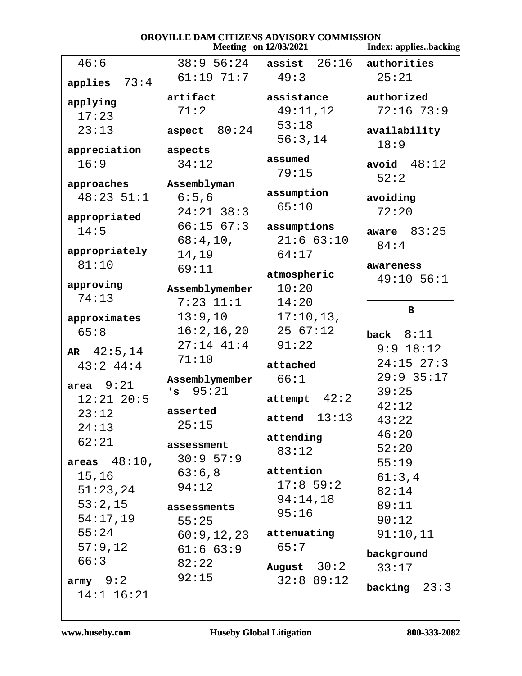| OROVILLE DAM CITIZENS ADVISORY COMMISSION<br><b>Meeting</b> on 12/03/2021<br><b>Index: appliesbacking</b> |                          |                                         |                           |
|-----------------------------------------------------------------------------------------------------------|--------------------------|-----------------------------------------|---------------------------|
| 46:6                                                                                                      |                          | $38:9$ 56:24 assist $26:16$ authorities |                           |
|                                                                                                           | 61:19 71:7               | 49:3                                    | 25:21                     |
| 73:4<br>applies                                                                                           |                          |                                         |                           |
| applying                                                                                                  | artifact                 | assistance                              | authorized                |
| 17:23                                                                                                     | 71:2                     | 49:11,12                                | $72:16$ 73:9              |
| 23:13                                                                                                     | aspect $80:24$           | 53:18                                   | availability              |
| appreciation                                                                                              | aspects                  | 56:3,14                                 | 18:9                      |
| 16:9                                                                                                      | 34:12                    | assumed                                 | avoid $48:12$             |
|                                                                                                           |                          | 79:15                                   | 52:2                      |
| approaches                                                                                                | Assemblyman              |                                         |                           |
| $48:23$ 51:1                                                                                              | 6:5,6                    | assumption<br>65:10                     | avoiding                  |
| appropriated                                                                                              | $24:21$ 38:3             |                                         | 72:20                     |
| 14:5                                                                                                      | 66:1567:3                | assumptions                             | aware $83:25$             |
|                                                                                                           | 68:4,10,                 | 21:663:10                               | 84:4                      |
| appropriately<br>81:10                                                                                    | 14,19                    | 64:17                                   |                           |
|                                                                                                           | 69:11                    | atmospheric                             | awareness<br>$49:10$ 56:1 |
| approving                                                                                                 | Assemblymember           | 10:20                                   |                           |
| 74:13                                                                                                     | $7:23$ $11:1$            | 14:20                                   |                           |
| approximates                                                                                              | 13:9,10                  | 17:10,13,                               | в                         |
| 65:8                                                                                                      | 16:2, 16, 20             | 2567:12                                 | back $8:11$               |
|                                                                                                           | $27:14$ $41:4$           | 91:22                                   | $9:9$ 18:12               |
| AR $42:5, 14$<br>$43:2$ $44:4$                                                                            | 71:10                    | attached                                | $24:15$ $27:3$            |
|                                                                                                           | Assemblymember           | 66:1                                    | $29:9$ 35:17              |
| area $9:21$                                                                                               | 95:21<br>' s             |                                         | 39:25                     |
| $12:21$ $20:5$                                                                                            |                          | 42:2<br>attempt                         | 42:12                     |
| 23:12                                                                                                     | asserted                 | attend $13:13$                          | 43:22                     |
| 24:13                                                                                                     | 25:15                    | attending                               | 46:20                     |
| 62:21                                                                                                     | assessment               | 83:12                                   | 52:20                     |
| areas $48:10$ ,                                                                                           | $30:9$ 57:9              |                                         | 55:19                     |
| 15,16                                                                                                     | 63:6,8                   | attention                               | 61:3,4                    |
| 51:23,24                                                                                                  | 94:12                    | $17:8$ 59:2                             | 82:14                     |
| 53:2,15                                                                                                   | assessments              | 94:14,18                                | 89:11                     |
| 54:17,19                                                                                                  | 55:25                    | 95:16                                   | 90:12                     |
| 55:24                                                                                                     | $60:9,12,23$ attenuating |                                         | 91:10,11                  |
| 57:9,12                                                                                                   | $61:6$ $63:9$            | 65:7                                    |                           |
| 66:3                                                                                                      | 82:22                    | August $30:2$                           | background<br>33:17       |
| army $9:2$                                                                                                | 92:15                    | 32:889:12                               |                           |
| $14:1$ $16:21$                                                                                            |                          |                                         | backing $23:3$            |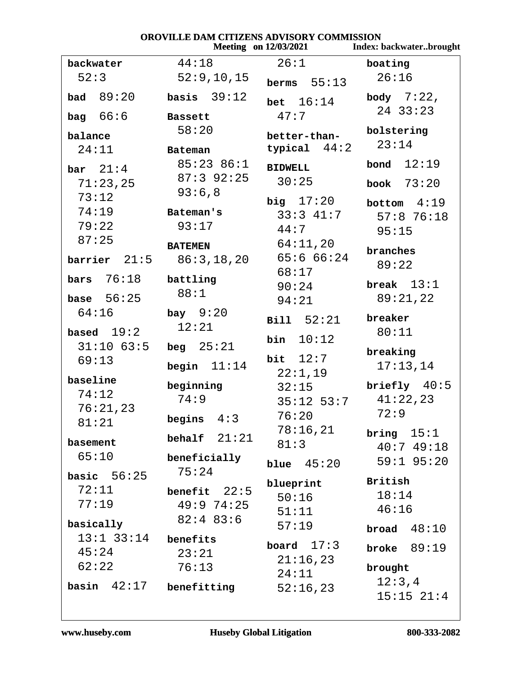### OROVILLE DAM CITIZENS ADVISORY COMMISSION

|                    |                                    | Meeting on 12/03/2021 | Index: backwaterbrought    |
|--------------------|------------------------------------|-----------------------|----------------------------|
| backwater          | 44:18                              | 26:1                  | boating                    |
| 52:3               | 52:9,10,15                         | berms $55:13$         | 26:16                      |
| <b>bad</b> $89:20$ | basis $39:12$                      | bet $16:14$           | body $7:22$ ,<br>24 33:23  |
| bag $66:6$         | Bassett                            | 47:7                  |                            |
| balance            | 58:20                              | better-than-          | bolstering<br>23:14        |
| 24:11              | Bateman                            | typical $44:2$        |                            |
| bar $21:4$         | 85:23 86:1                         | <b>BIDWELL</b>        | 12:19<br>bond              |
| 71:23,25           | $87:3$ 92:25                       | 30:25                 | book $73:20$               |
| 73:12              | 93:6,8                             | big $17:20$           | bottom $4:19$              |
| 74:19              | Bateman's                          | $33:3$ 41:7           | 57:876:18                  |
| 79:22              | 93:17                              | 44:7                  | 95:15                      |
| 87:25              | <b>BATEMEN</b>                     | 64:11,20              |                            |
|                    | <b>barrier</b> $21:5$ $86:3,18,20$ | 65:666:24             | branches                   |
| bars $76:18$       |                                    | 68:17                 | 89:22                      |
|                    | battling<br>88:1                   | 90:24                 | break $13:1$               |
| base $56:25$       |                                    | 94:21                 | 89:21,22                   |
| 64:16              | bay $9:20$                         | Bill 52:21            | breaker                    |
| based $19:2$       | 12:21                              | bin $10:12$           | 80:11                      |
| $31:10$ 63:5       | beg $25:21$                        |                       | breaking                   |
| 69:13              | begin $11:14$                      | bit $12:7$            | 17:13,14                   |
| baseline           |                                    | 22:1,19               |                            |
| 74:12              | beginning<br>74:9                  | 32:15                 | briefly $40:5$<br>41:22,23 |
| 76:21,23           |                                    | $35:12$ 53:7          | 72:9                       |
| 81:21              | 4:3<br>begins                      | 76:20                 |                            |
| basement           | behalf $21:21$                     | 78:16,21<br>81:3      | bring $15:1$               |
| 65:10              | beneficially                       |                       | 40:749:18                  |
| basic $56:25$      | 75:24                              | blue $45:20$          | $59:1$ $95:20$             |
| 72:11              |                                    | blueprint             | <b>British</b>             |
| 77:19              | benefit $22:5$<br>49:974:25        | 50:16                 | 18:14                      |
|                    | $82:4$ $83:6$                      | 51:11                 | 46:16                      |
| basically          |                                    | 57:19                 | 48:10<br>broad             |
| $13:1$ 33:14       | benefits                           | board $17:3$          | broke $89:19$              |
| 45:24<br>62:22     | 23:21                              | 21:16,23              |                            |
|                    | 76:13                              | 24:11                 | brought                    |
| basin $42:17$      | benefitting                        | 52:16,23              | 12:3,4<br>$15:15$ $21:4$   |
|                    |                                    |                       |                            |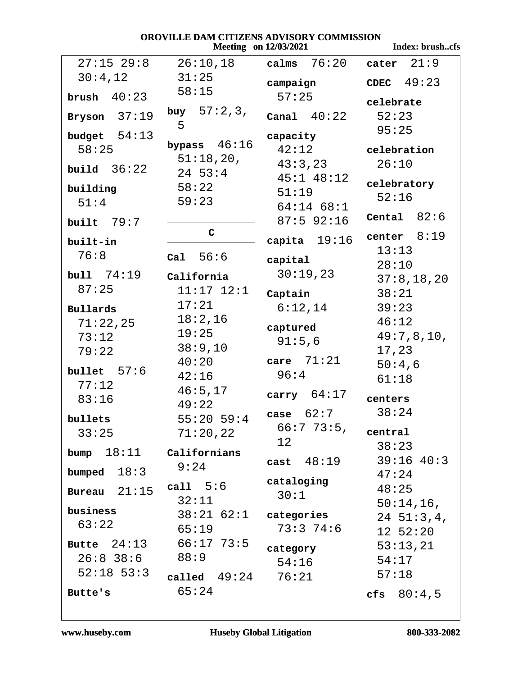Index: brush..cfs

| $27:15$ 29:8                    | 26:10,18                         | $calms$ $76:20$                           | 21:9<br>cater          |
|---------------------------------|----------------------------------|-------------------------------------------|------------------------|
| 30:4,12                         | 31:25                            | campaign                                  | CDEC $49:23$           |
| brush $40:23$<br>Bryson $37:19$ | 58:15<br>buy $57:2,3$ ,<br>5     | 57:25<br>Canal $40:22$                    | celebrate<br>52:23     |
| budget $54:13$<br>58:25         | bypass $46:16$                   | capacity<br>42:12                         | 95:25<br>celebration   |
| build $36:22$                   | 51:18,20,<br>$24 \;\; 53:4$      | 43:3,23                                   | 26:10                  |
| building<br>51:4                | 58:22<br>59:23                   | $45:1$ $48:12$<br>51:19<br>$64:14$ $68:1$ | celebratory<br>52:16   |
| built $79:7$                    |                                  | $87:5$ 92:16                              | Cental $82:6$          |
| built-in<br>76:8                | $\mathsf{C}$<br>Cal 56:6         | capita $19:16$<br>capital                 | center $8:19$<br>13:13 |
| bull 74:19                      | California                       | 30:19,23                                  | 28:10                  |
| 87:25                           | $11:17$ $12:1$                   | Captain                                   | 37:8, 18, 20<br>38:21  |
| Bullards                        | 17:21                            | 6:12,14                                   | 39:23                  |
| 71:22,25                        | 18:2,16                          | captured                                  | 46:12                  |
| 73:12<br>79:22                  | 19:25<br>38:9,10                 | 91:5,6                                    | 49:7,8,10,<br>17,23    |
| bullet $57:6$                   | 40:20                            | care $71:21$                              | 50:4,6                 |
| 77:12                           | 42:16                            | 96:4                                      | 61:18                  |
| 83:16                           | 46:5,17<br>49:22                 | carry $64:17$                             | centers                |
| bullets<br>33:25                | $55:20$ 59:4<br>71:20,22         | case $62:7$<br>66:773:5, central          | 38:24                  |
|                                 |                                  | 12                                        | 38:23                  |
| bump $18:11$                    | Californians<br>9:24             | cast 48:19                                | $39:16$ 40:3           |
| 18:3<br>bumped                  |                                  | cataloging                                | 47:24                  |
| Bureau $21:15$                  | call $5:6$                       | 30:1                                      | 48:25                  |
| business                        | 32:11<br>$38:21$ 62:1 categories |                                           | $50:14,16$ ,           |
| 63:22                           | 65:19                            | 73:374:6                                  | 24 51:3,4,<br>12 52:20 |
| Butte $24:13$                   | $66:17$ 73:5                     |                                           | 53:13,21               |
| $26:8$ 38:6                     | 88:9                             | category<br>54:16                         | 54:17                  |
| $52:18$ 53:3                    | called $49:24$ $76:21$           |                                           | 57:18                  |
| Butte's                         | 65:24                            |                                           | cfs $80:4,5$           |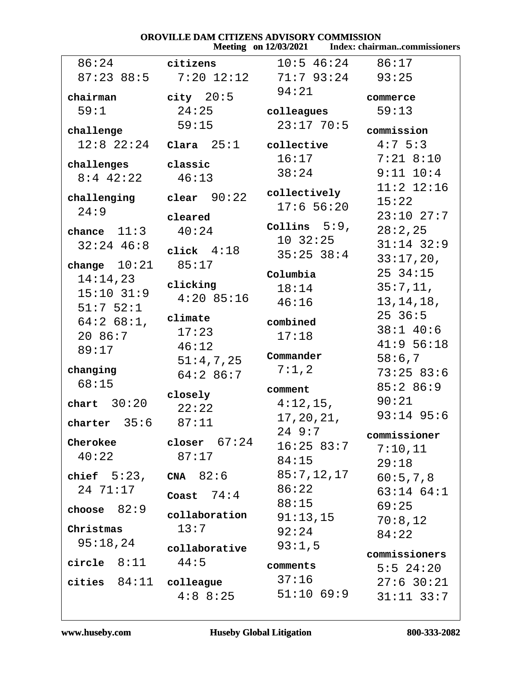# **OROVILLE DAM CITIZENS ADVISORY COMMISSION**<br>Meeting on 12/03/2021 Index: chairn

|                           |                                                        |                    | Meeting on 12/03/2021 Index: chairmancommissioners |
|---------------------------|--------------------------------------------------------|--------------------|----------------------------------------------------|
| 86:24                     | citizens                                               | $10:5$ 46:24 86:17 |                                                    |
|                           | 87:23 88:5 7:20 12:12 71:7 93:24 93:25                 |                    |                                                    |
| chairman                  | $city$ $20:5$                                          | 94:21              | commerce                                           |
| 59:1                      | 24:25                                                  | colleagues         | 59:13                                              |
| challenge                 | 59:15                                                  | $23:17$ 70:5       | commission                                         |
| $12:8$ $22:24$            | $\texttt{Clara} \quad 25:1 \qquad \texttt{collective}$ |                    | $4:7 \; 5:3$                                       |
|                           | classic                                                | 16:17              | $7:21$ 8:10                                        |
| challenges<br>$8:4$ 42:22 | 46:13                                                  | 38:24              | $9:11$ $10:4$                                      |
|                           |                                                        | collectively       | $11:2$ $12:16$                                     |
| challenging               | clear $90:22$                                          | $17:6$ 56:20       | 15:22                                              |
| 24:9                      | cleared                                                |                    | $23:10$ $27:7$                                     |
| chance $11:3$             | 40:24                                                  | Collins $5:9$ ,    | 28:2,25                                            |
| $32:24$ 46:8              |                                                        | 10.32:25           | $31:14$ $32:9$                                     |
|                           | click $4:18$                                           | $35:25$ $38:4$     | 33:17,20,                                          |
| change $10:21$            | 85:17                                                  | Columbia           | $25 \t34:15$                                       |
| 14:14,23                  | clicking                                               | 18:14              | 35:7,11,                                           |
| $15:10$ $31:9$            | $4:20$ 85:16                                           | 46:16              | 13, 14, 18,                                        |
| $51:7$ $52:1$             | climate                                                |                    | $25\,36:5$                                         |
| $64:268:1$ ,              | 17:23                                                  | combined           | $38:1$ 40:6                                        |
| 20 86:7                   | 46:12                                                  | 17:18              | 41:956:18                                          |
| 89:17                     | 51:4,7,25                                              | Commander          | 58:6,7                                             |
| changing                  | 64:286:7                                               | $7:1$ , $2$        | 73:2583:6                                          |
| 68:15                     |                                                        |                    | 85:286:9                                           |
| chart $30:20$             | closely                                                | comment            | 90:21                                              |
|                           | 22:22                                                  | $4:12,15$ ,        | $93:14$ 95:6                                       |
| charter $35:6$            | 87:11                                                  | 17, 20, 21,        |                                                    |
| Cherokee                  | $\texttt{closer}$ $67:24$                              | 24 9:7             | commissioner                                       |
| 40:22                     | 87:17                                                  | 16:25 83:7         | 7:10,11                                            |
|                           |                                                        | 84:15              | 29:18                                              |
| chief $5:23$ ,            | CNA $82:6$                                             | 85:7,12,17         | 60:5,7,8                                           |
| 24 71:17                  | Coast $74:4$                                           | 86:22              | $63:14$ $64:1$                                     |
| choose $82:9$             | collaboration                                          | 88:15              | 69:25                                              |
| Christmas                 | 13:7                                                   | 91:13,15           | 70:8,12                                            |
| 95:18,24                  |                                                        | 92:24              | 84:22                                              |
|                           | collaborative                                          | 93:1,5             | commissioners                                      |
| circle $8:11$             | 44:5                                                   | comments           | $5:5$ 24:20                                        |
| cities $84:11$ colleague  |                                                        | 37:16              | $27:6$ 30:21                                       |
|                           | $4:8$ 8:25                                             | $51:10$ 69:9       | $31:11$ $33:7$                                     |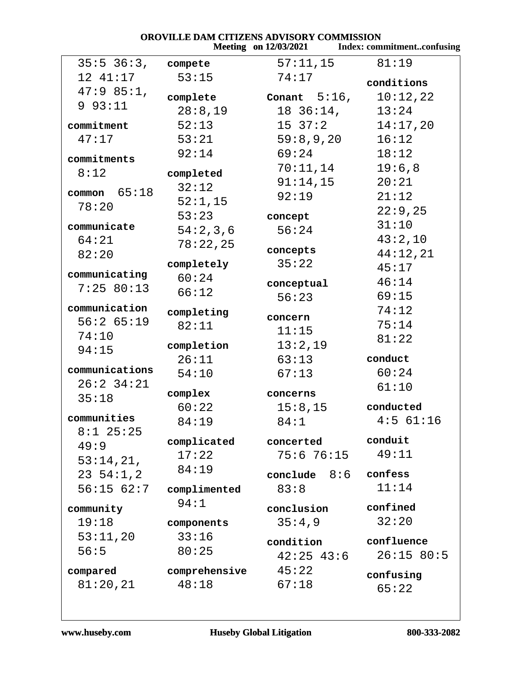|                         |               | OROVILLE DAM CITIZENS ADVISORY COMMISSION<br>Meeting on 12/03/2021 Index: commitmentconfusing |             |
|-------------------------|---------------|-----------------------------------------------------------------------------------------------|-------------|
| $35:5$ $36:3$ , compete |               | $57:11,15$ 81:19                                                                              |             |
| 12 41:17                | 53:15         | 74:17                                                                                         |             |
| 47:985:1,               |               |                                                                                               | conditions  |
| 993:11                  | complete      | Conant $5:16$ ,                                                                               | 10:12,22    |
|                         | 28:8,19       | 18 36:14,                                                                                     | 13:24       |
| commitment              | 52:13         | $15 \t37:2 \t14:17,20$                                                                        |             |
| 47:17                   | 53:21         | 59:8,9,20                                                                                     | 16:12       |
| commitments             | 92:14         | 69:24                                                                                         | 18:12       |
| 8:12                    | completed     | 70:11,14                                                                                      | 19:6,8      |
|                         | 32:12         | $91:14$ ,15                                                                                   | 20:21       |
| common $65:18$          | 52:1,15       | 92:19                                                                                         | 21:12       |
| 78:20                   | 53:23         | concept                                                                                       | 22:9,25     |
| communicate             | 54:2,3,6      | 56:24                                                                                         | 31:10       |
| 64:21                   | 78:22,25      |                                                                                               | 43:2,10     |
| 82:20                   |               | concepts                                                                                      | 44:12,21    |
|                         | completely    | 35:22                                                                                         | 45:17       |
| communicating           | 60:24         | conceptual                                                                                    | 46:14       |
| 7:25 80:13              | 66:12         | 56:23                                                                                         | 69:15       |
| communication           | completing    |                                                                                               | 74:12       |
| 56:265:19               | 82:11         | concern                                                                                       | 75:14       |
| 74:10                   |               | 11:15                                                                                         | 81:22       |
| 94:15                   | completion    | 13:2,19                                                                                       |             |
|                         | 26:11         | 63:13                                                                                         | conduct     |
| communications          | 54:10         | 67:13                                                                                         | 60:24       |
| $26:2$ 34:21            | complex       | concerns                                                                                      | 61:10       |
| 35:18                   | 60:22         | 15:8,15                                                                                       | conducted   |
| communities             | 84:19         | 84:1                                                                                          | $4:5$ 61:16 |
| $8:1$ 25:25             |               |                                                                                               |             |
| 49:9                    | complicated   | concerted                                                                                     | conduit     |
| 53:14,21,               | 17:22         | 75:6 76:15                                                                                    | 49:11       |
| 23, 54:1, 2             | 84:19         | conclude $8:6$ confess                                                                        |             |
| 56:15 62:7              | complimented  | 83:8                                                                                          | 11:14       |
| community               | 94:1          | conclusion                                                                                    | confined    |
| 19:18                   | components    | 35:4,9                                                                                        | 32:20       |
| 53:11,20                | 33:16         |                                                                                               |             |
| 56:5                    | 80:25         | condition                                                                                     | confluence  |
|                         |               | $42:25$ $43:6$                                                                                | 26:15 80:5  |
| compared                | comprehensive | 45:22                                                                                         | confusing   |
| 81:20,21                | 48:18         | 67:18                                                                                         | 65:22       |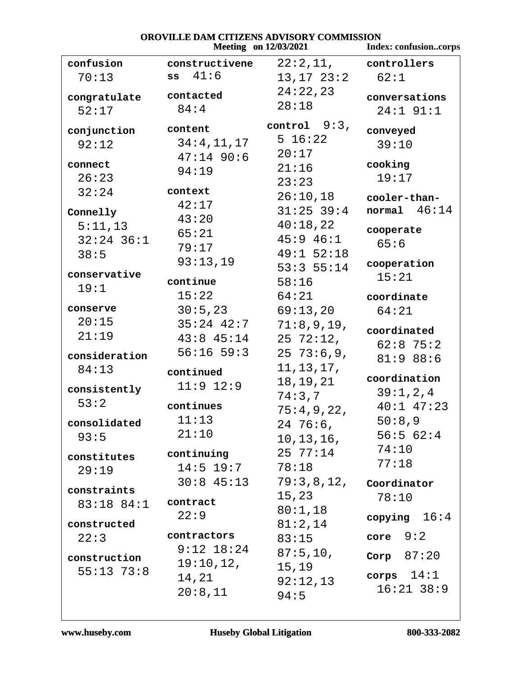## OROVILLE DAM CITIZENS ADVISORY COMMISSION

|               |                       | <b>Meeting</b> on 12/03/2021 | Index: confusioncorps |
|---------------|-----------------------|------------------------------|-----------------------|
| confusion     | constructivene        | $22:2,11,$ controllers       |                       |
| 70:13         | $ss$ $41:6$           | $13, 17$ $23:2$              | 62:1                  |
| congratulate  | contacted             | 24:22,23                     | conversations         |
| 52:17         | 84:4                  | 28:18                        | $24:1$ 91:1           |
|               |                       | control $9:3$ ,              |                       |
| conjunction   | content               | 5 16:22                      | conveyed              |
| 92:12         | 34:4,11,17            | 20:17                        | 39:10                 |
| connect       | $47:14$ 90:6<br>94:19 | 21:16                        | cooking               |
| 26:23         |                       | 23:23                        | 19:17                 |
| 32:24         | context               | 26:10,18                     | cooler-than-          |
| Connelly      | 42:17                 | $31:25$ 39:4                 | normal $46:14$        |
| 5:11,13       | 43:20                 | 40:18,22                     |                       |
| $32:24$ 36:1  | 65:21                 | $45:9$ $46:1$                | cooperate             |
| 38:5          | 79:17                 | $49:1$ 52:18                 | 65:6                  |
|               | 93:13,19              | 53:355:14                    | cooperation           |
| conservative  | continue              | 58:16                        | 15:21                 |
| 19:1          | 15:22                 | 64:21                        | coordinate            |
| conserve      | 30:5,23               | 69:13,20                     | 64:21                 |
| 20:15         | $35:24$ $42:7$        | 71:8,9,19,                   |                       |
| 21:19         | $43:8$ $45:14$        | $25\ \ 72:12$ ,              | coordinated           |
| consideration | $56:16$ $59:3$        | $25\ \ 73:6,9,$              | $62:8$ 75:2           |
| 84:13         | continued             | 11, 13, 17,                  | 81:988:6              |
|               | $11:9$ $12:9$         | 18,19,21                     | coordination          |
| consistently  |                       | 74:3,7                       | 39:1, 2, 4            |
| 53:2          | continues             | 75:4,9,22,                   | $40:1$ $47:23$        |
| consolidated  | 11:13                 | 24 76:6,                     | 50:8,9                |
| 93:5          | 21:10                 | 10, 13, 16,                  | 56:562:4              |
| constitutes   | continuing            | 25 77:14                     | 74:10                 |
| 29:19         | $14:5$ $19:7$         | 78:18                        | 77:18                 |
|               | $30:8$ 45:13          | $79:3,8,12$ , Coordinator    |                       |
| constraints   | contract              | 15,23                        | 78:10                 |
| 83:18 84:1    | 22:9                  | 80:1,18                      |                       |
| constructed   |                       | 81:2,14                      | copying $16:4$        |
| 22:3          | contractors           | 83:15                        | core $9:2$            |
| construction  | $9:12$ $18:24$        | 87:5,10,                     | Corp $87:20$          |
| $55:13$ 73:8  | 19:10,12,             | 15,19                        |                       |
|               | 14,21                 | 92:12,13                     | corps $14:1$          |
|               | 20:8,11               | 94:5                         | $16:21$ 38:9          |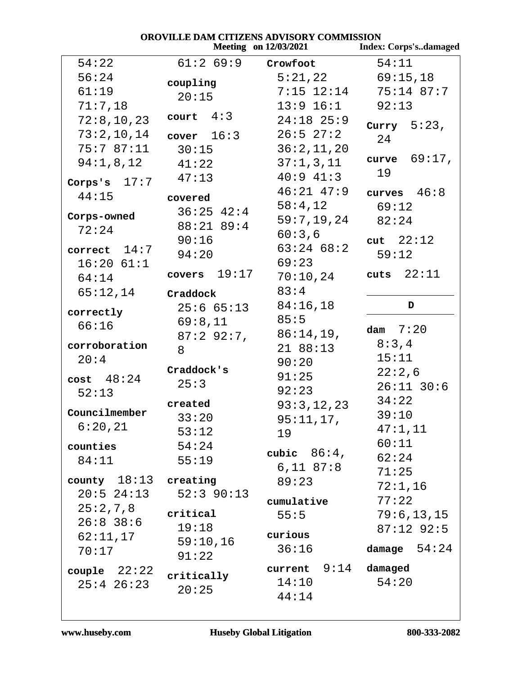| OROVILLE DAM CITIZENS ADVISORY COMMISSION<br><b>Meeting</b> on 12/03/2021 |                |                        |                              |  |
|---------------------------------------------------------------------------|----------------|------------------------|------------------------------|--|
|                                                                           |                |                        | <b>Index: Corps'sdamaged</b> |  |
| 54:22                                                                     | 61:269:9       | Crowfoot               | 54:11                        |  |
| 56:24                                                                     | coupling       | 5:21,22                | 69:15,18                     |  |
| 61:19                                                                     | 20:15          | $7:15$ $12:14$         | $75:14$ 87:7                 |  |
| 71:7,18                                                                   |                | $13:9$ $16:1$          | 92:13                        |  |
| 72:8, 10, 23                                                              | court $4:3$    | $24:18$ 25:9           | Curry $5:23$ ,               |  |
| 73:2,10,14                                                                | cover $16:3$   | $26:5$ $27:2$          | 24                           |  |
| 75:787:11                                                                 | 30:15          | 36:2,11,20             |                              |  |
| 94:1,8,12                                                                 | 41:22          | 37:1,3,11              | curve $69:17$ ,              |  |
| Corps's $17:7$                                                            | 47:13          | $40:9$ $41:3$          | 19                           |  |
|                                                                           |                | $46:21$ $47:9$         | curves $46:8$                |  |
| 44:15                                                                     | covered        | 58:4,12                | 69:12                        |  |
| Corps-owned                                                               | $36:25$ 42:4   | 59:7,19,24             | 82:24                        |  |
| 72:24                                                                     | 88:21 89:4     | 60:3,6                 |                              |  |
| correct $14:7$                                                            | 90:16          | $63:24$ $68:2$         | cut $22:12$                  |  |
| $16:20$ $61:1$                                                            | 94:20          | 69:23                  | 59:12                        |  |
| 64:14                                                                     | covers $19:17$ | 70:10,24               | cuts $22:11$                 |  |
| 65:12,14                                                                  |                | 83:4                   |                              |  |
|                                                                           | Craddock       | 84:16,18               | D                            |  |
| correctly                                                                 | 25:665:13      | 85:5                   |                              |  |
| 66:16                                                                     | 69:8,11        |                        | dam $7:20$                   |  |
| corroboration                                                             | 87:292:7,      | 86:14,19,<br>2188:13   | 8:3,4                        |  |
| 20:4                                                                      | 8              | 90:20                  | 15:11                        |  |
|                                                                           | Craddock's     |                        | 22:2,6                       |  |
| $cost$ 48:24                                                              | 25:3           | 91:25                  | $26:11$ 30:6                 |  |
| 52:13                                                                     | created        | 92:23                  | 34:22                        |  |
| Councilmember                                                             | 33:20          | 93:3,12,23             | 39:10                        |  |
| 6:20,21                                                                   |                | 95:11,17,              | 47:1,11                      |  |
|                                                                           | 53:12<br>54:24 | 19                     | 60:11                        |  |
| counties                                                                  |                | cubic $86:4$ ,         | 62:24                        |  |
| 84:11                                                                     | 55:19          | $6,11$ $87:8$          | 71:25                        |  |
| county $18:13$ creating                                                   |                | 89:23                  | 72:1,16                      |  |
| $20:5$ $24:13$                                                            | $52:3$ 90:13   | cumulative             | 77:22                        |  |
| 25:2,7,8                                                                  | critical       |                        | 79:6, 13, 15                 |  |
| $26:8$ 38:6                                                               | 19:18          | 55:5                   | $87:12$ 92:5                 |  |
| 62:11,17                                                                  | 59:10,16       | curious                |                              |  |
| 70:17                                                                     | 91:22          | 36:16                  | damage $54:24$               |  |
|                                                                           |                | current $9:14$ damaged |                              |  |
| couple $22:22$                                                            | critically     | 14:10                  | 54:20                        |  |
| $25:4$ $26:23$                                                            | 20:25          | 44:14                  |                              |  |
|                                                                           |                |                        |                              |  |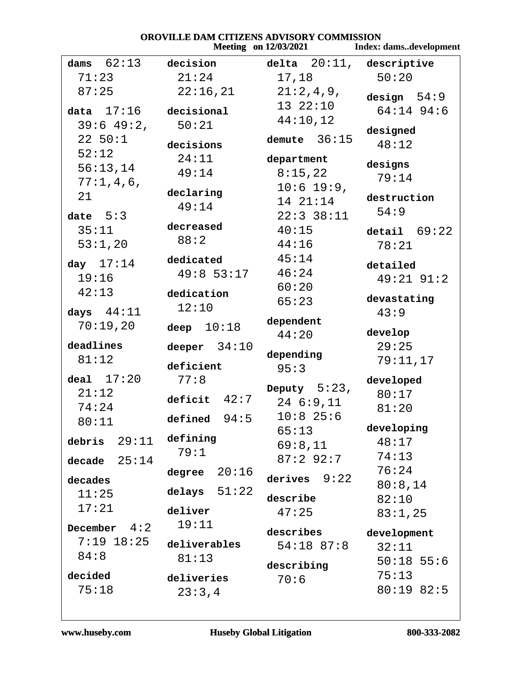|                         | OROVILLE DAM CITIZENS ADVISORY COMMISSION |                            | Meeting on 12/03/2021 Index: damsdevelopment |
|-------------------------|-------------------------------------------|----------------------------|----------------------------------------------|
| dams $62:13$            | decision                                  | $delta$ 20:11, descriptive |                                              |
| 71:23                   | 21:24                                     | 17,18                      | 50:20                                        |
| 87:25<br>$data$ $17:16$ | 22:16,21<br>decisional                    | 21:2,4,9,<br>132:10        | design $54:9$<br>$64:14$ 94:6                |
| $39:6$ 49:2,            | 50:21                                     | 44:10,12                   |                                              |
| 22 50:1                 |                                           | demute $36:15$             | designed                                     |
| 52:12                   | decisions                                 |                            | 48:12                                        |
| 56:13,14                | 24:11                                     | department                 | designs                                      |
| 77:1,4,6,               | 49:14                                     | 8:15,22                    | 79:14                                        |
| 21                      | declaring                                 | $10:6$ 19:9,<br>14 21:14   | destruction                                  |
| date $5:3$              | 49:14                                     | $22:3$ 38:11               | 54:9                                         |
| 35:11                   | decreased                                 | 40:15                      | detail $69:22$                               |
| 53:1,20                 | 88:2                                      | 44:16                      | 78:21                                        |
|                         | dedicated                                 | 45:14                      |                                              |
| day $17:14$             | $49:8$ 53:17                              | 46:24                      | detailed                                     |
| 19:16                   |                                           | 60:20                      | $49:21$ $91:2$                               |
| 42:13                   | dedication                                | 65:23                      | devastating                                  |
| days $44:11$            | 12:10                                     |                            | 43:9                                         |
| 70:19,20                | deep $10:18$                              | dependent<br>44:20         | develop                                      |
| deadlines               | deeper $34:10$                            |                            | 29:25                                        |
| 81:12                   |                                           | depending                  | 79:11,17                                     |
| deal $17:20$            | deficient<br>77:8                         | 95:3                       |                                              |
| 21:12                   |                                           | Deputy $5:23$ ,            | developed<br>80:17                           |
| 74:24                   | deficit $42:7$                            | $24\ \ 6:9,11$             | 81:20                                        |
| 80:11                   | defined $94:5$                            | $10:8$ 25:6                |                                              |
|                         | defining                                  | 65:13                      | developing                                   |
| 29:11<br>debris         | 79:1                                      | 69:8,11                    | 48:17                                        |
| decade $25:14$          |                                           | $87:2$ 92:7                | 74:13                                        |
| decades                 | degree $20:16$                            | 9:22<br>derives            | 76:24                                        |
| 11:25                   | delays $51:22$                            | describe                   | 80:8,14<br>82:10                             |
| 17:21                   | deliver                                   | 47:25                      | 83:1,25                                      |
| 4:2<br>December         | 19:11                                     | describes                  |                                              |
| $7:19$ 18:25            | deliverables                              | $54:18$ 87:8               | development<br>32:11                         |
| 84:8                    | 81:13                                     |                            | $50:18$ 55:6                                 |
| decided                 |                                           | describing                 | 75:13                                        |
| 75:18                   | deliveries                                | 70:6                       | 80:19 82:5                                   |
|                         | 23:3,4                                    |                            |                                              |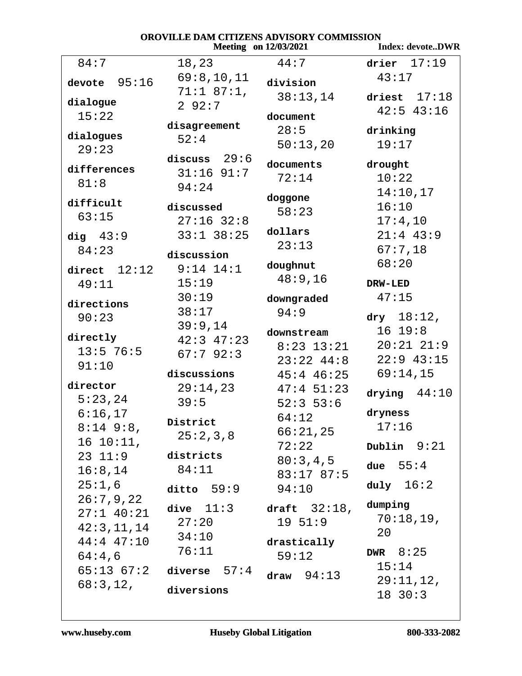| OROVILLE DAM CITIZENS ADVISORY COMMISSION<br><b>Index: devoteDWR</b><br>Meeting on 12/03/2021 |                |                    |                       |
|-----------------------------------------------------------------------------------------------|----------------|--------------------|-----------------------|
| 84:7                                                                                          |                | 44:7               | drier $17:19$         |
|                                                                                               | 18,23          |                    |                       |
| 95:16<br>devote                                                                               | 69:8,10,11     | division           | 43:17                 |
| dialogue                                                                                      | $71:1$ 87:1,   | 38:13,14           | driest $17:18$        |
| 15:22                                                                                         | 292:7          | document           | $42:5$ $43:16$        |
|                                                                                               | disagreement   | 28:5               | drinking              |
| dialogues                                                                                     | 52:4           | 50:13,20           | 19:17                 |
| 29:23                                                                                         | discuss $29:6$ |                    |                       |
| differences                                                                                   | $31:16$ 91:7   | documents          | drought               |
| 81:8                                                                                          | 94:24          | 72:14              | 10:22                 |
|                                                                                               |                | doggone            | 14:10,17              |
| difficult                                                                                     | discussed      | 58:23              | 16:10                 |
| 63:15                                                                                         | $27:16$ 32:8   |                    | 17:4,10               |
| dig $43:9$                                                                                    | $33:1$ $38:25$ | dollars            | $21:4$ 43:9           |
| 84:23                                                                                         | discussion     | 23:13              | 67:7,18               |
| direct $12:12$                                                                                | $9:14$ $14:1$  | doughnut           | 68:20                 |
| 49:11                                                                                         | 15:19          | 48:9,16            | DRW-LED               |
|                                                                                               | 30:19          |                    | 47:15                 |
| directions                                                                                    | 38:17          | downgraded<br>94:9 |                       |
| 90:23                                                                                         | 39:9,14        |                    | $\frac{dry}{18:12}$ , |
| directly                                                                                      | $42:3$ $47:23$ | downstream         | 16 19:8               |
| $13:5$ 76:5                                                                                   | 67:792:3       | $8:23$ 13:21       | $20:21$ $21:9$        |
| 91:10                                                                                         |                | $23:22$ 44:8       | $22:9$ 43:15          |
|                                                                                               | discussions    | $45:4$ $46:25$     | 69:14,15              |
| director                                                                                      | 29:14,23       | $47:4$ 51:23       | drying $44:10$        |
| 5:23,24                                                                                       | 39:5           | $52:3$ 53:6        |                       |
| 6:16,17                                                                                       | District       | 64:12              | dryness               |
| $8:14$ 9:8,                                                                                   | 25:2,3,8       | 66:21,25           | 17:16                 |
| $16 10:11$ ,                                                                                  |                | 72:22              | Dublin $9:21$         |
| $23 \t11:9$                                                                                   | districts      | 80:3,4,5           | due $55:4$            |
| 16:8,14                                                                                       | 84:11          | 83:17 87:5         |                       |
| 25:1,6                                                                                        | ditto $59:9$   | 94:10              | duly $16:2$           |
| 26:7,9,22                                                                                     | dive $11:3$    | draft $32:18$ ,    | dumping               |
| $27:1$ 40:21                                                                                  | 27:20          | $19\;\;51:9$       | 70:18,19,             |
| 42:3,11,14                                                                                    | 34:10          |                    | 20                    |
| $44:4$ $47:10$                                                                                | 76:11          | drastically        |                       |
| 64:4,6                                                                                        |                | 59:12              | DWR $8:25$            |
| 65:13 67:2                                                                                    | diverse $57:4$ | draw $94:13$       | 15:14                 |
| 68:3,12,                                                                                      | diversions     |                    | 29:11,12,             |
|                                                                                               |                |                    | $18$ 30:3             |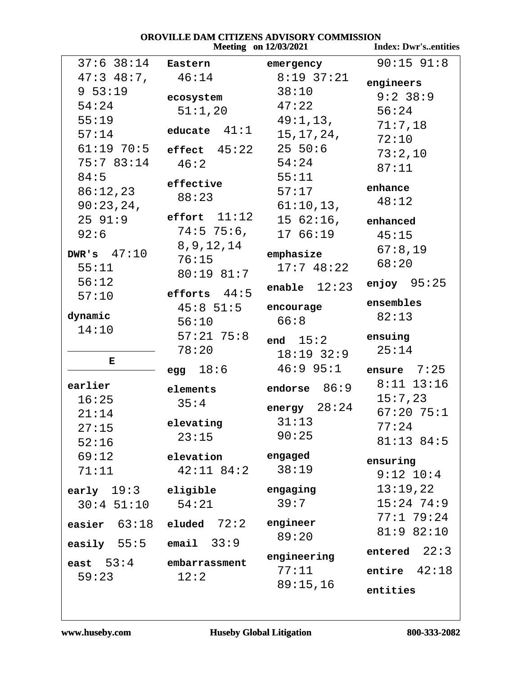# **OROVILLE DAM CITIZENS ADVISORY COMMISSION<br>Meeting on 12/03/2021 In**

|                            | <b>Meeting</b> on 12/03/2021 | <b>Index: Dwr'sentities</b> |                |
|----------------------------|------------------------------|-----------------------------|----------------|
| $37:6$ $38:14$             | Eastern                      | emergency                   | $90:15$ $91:8$ |
| $47:3$ $48:7$ ,            | 46:14                        | $8:19$ 37:21                | engineers      |
| 9 53:19                    | ecosystem                    | 38:10                       | $9:2$ 38:9     |
| 54:24                      | 51:1,20                      | 47:22                       | 56:24          |
| 55:19                      |                              | 49:1,13,                    | 71:7,18        |
| 57:14                      | educate $41:1$               | 15, 17, 24,                 | 72:10          |
| $61:19$ $70:5$             | effect $45:22$               | $25\;\;50:6$                | 73:2,10        |
| 75:7 83:14                 | 46:2                         | 54:24                       | 87:11          |
| 84:5                       |                              | 55:11                       |                |
| 86:12,23                   | effective                    | 57:17                       | enhance        |
| 90:23,24,                  | 88:23                        | 61:10,13,                   | 48:12          |
| 2591:9                     | effort $11:12$               | $1562:16$ ,                 | enhanced       |
| 92:6                       | $74:5$ 75:6,                 | 17 66:19                    | 45:15          |
|                            | 8, 9, 12, 14                 |                             | 67:8,19        |
| DWR's $47:10$              | 76:15                        | emphasize                   | 68:20          |
| 55:11                      | $80:19$ $81:7$               | 17:748:22                   |                |
| 56:12                      | efforts $44:5$               | enable $12:23$              | enjoy $95:25$  |
| 57:10                      | $45:8$ 51:5                  | encourage                   | ensembles      |
| dynamic                    | 56:10                        | 66:8                        | 82:13          |
| 14:10                      | $57:21$ 75:8                 |                             |                |
|                            | 78:20                        | end $15:2$                  | ensuing        |
| Е                          |                              | $18:19$ 32:9                | 25:14          |
|                            | 18:6<br>egg                  | $46:9$ 95:1                 | 7:25<br>ensure |
| earlier                    | elements                     | endorse $86:9$              | $8:11$ 13:16   |
| 16:25                      | 35:4                         |                             | 15:7,23        |
| 21:14                      |                              | 28:24<br>energy             | $67:20$ 75:1   |
| 27:15                      | elevating                    | 31:13                       | 77:24          |
| 52:16                      | 23:15                        | 90:25                       | 81:13 84:5     |
| 69:12                      | elevation                    | engaged                     | ensuring       |
| 71:11                      | $42:11$ $84:2$               | 38:19                       | $9:12$ $10:4$  |
| early $19:3$               | eligible                     | engaging                    | 13:19,22       |
| $30:4$ $51:10$ $54:21$     |                              | 39:7                        | $15:24$ 74:9   |
|                            |                              |                             | 77:1 79:24     |
| easier $63:18$             | $e1$ uded $72:2$             | engineer                    | 81:9 82:10     |
| easily $55:5$ email $33:9$ |                              | 89:20                       |                |
|                            |                              | engineering                 | entered $22:3$ |
| east $53:4$                | embarrassment                | 77:11                       | entire $42:18$ |
| 59:23                      | 12:2                         | 89:15,16                    |                |
|                            |                              |                             | entities       |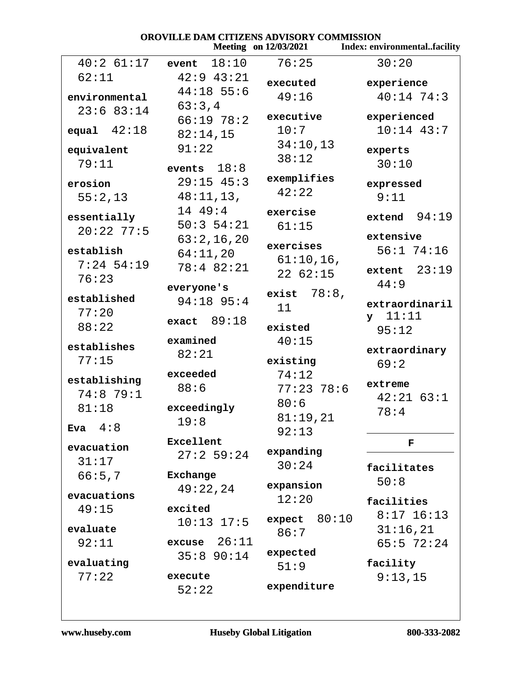| OROVILLE DAM CITIZENS ADVISORY COMMISSION<br><b>Meeting</b> on 12/03/2021<br>Index: environmentalfacility |                |                |                |  |
|-----------------------------------------------------------------------------------------------------------|----------------|----------------|----------------|--|
|                                                                                                           |                |                |                |  |
| $40:2$ 61:17                                                                                              | 18:10<br>event | 76:25          | 30:20          |  |
| 62:11                                                                                                     | $42:9$ $43:21$ | executed       | experience     |  |
| environmental                                                                                             | $44:18$ 55:6   | 49:16          | $40:14$ 74:3   |  |
| 23:683:14                                                                                                 | 63:3,4         |                |                |  |
|                                                                                                           | 66:1978:2      | executive      | experienced    |  |
| equal $42:18$                                                                                             | 82:14,15       | 10:7           | $10:14$ 43:7   |  |
| equivalent                                                                                                | 91:22          | 34:10,13       | experts        |  |
| 79:11                                                                                                     |                | 38:12          | 30:10          |  |
|                                                                                                           | events $18:8$  | exemplifies    |                |  |
| erosion                                                                                                   | $29:15$ 45:3   | 42:22          | expressed      |  |
| 55:2,13                                                                                                   | 48:11,13,      |                | 9:11           |  |
| essentially                                                                                               | 14 49:4        | exercise       | extend $94:19$ |  |
| $20:22$ 77:5                                                                                              | 50:354:21      | 61:15          |                |  |
|                                                                                                           | 63:2,16,20     |                | extensive      |  |
| establish                                                                                                 | 64:11,20       | exercises      | $56:1$ 74:16   |  |
| $7:24$ 54:19                                                                                              | 78:4 82:21     | $61:10,16$ ,   | extent $23:19$ |  |
| 76:23                                                                                                     |                | 2262:15        | 44:9           |  |
|                                                                                                           | everyone's     | exist $78:8$ , |                |  |
| established                                                                                               | 94:18 95:4     | 11             | extraordinaril |  |
| 77:20                                                                                                     | exact $89:18$  |                | $y$ 11:11      |  |
| 88:22                                                                                                     |                | existed        | 95:12          |  |
| establishes                                                                                               | examined       | 40:15          |                |  |
| 77:15                                                                                                     | 82:21          | existing       | extraordinary  |  |
|                                                                                                           | exceeded       | 74:12          | 69:2           |  |
| establishing                                                                                              | 88:6           | $77:23$ 78:6   | extreme        |  |
| $74:8$ 79:1                                                                                               |                |                | $42:21$ 63:1   |  |
| 81:18                                                                                                     | exceedingly    | 80:6           | 78:4           |  |
| 4:8                                                                                                       | 19:8           | 81:19,21       |                |  |
| <b>Eva</b>                                                                                                |                | 92:13          |                |  |
| evacuation                                                                                                | Excellent      | expanding      | F              |  |
| 31:17                                                                                                     | 27:259:24      | 30:24          |                |  |
| 66:5,7                                                                                                    | Exchange       |                | facilitates    |  |
|                                                                                                           | 49:22,24       | expansion      | 50:8           |  |
| evacuations                                                                                               |                | 12:20          | facilities     |  |
| 49:15                                                                                                     | excited        | 80:10          | $8:17$ 16:13   |  |
| evaluate                                                                                                  | $10:13$ $17:5$ | expect         | 31:16,21       |  |
| 92:11                                                                                                     | excuse $26:11$ | 86:7           | $65:5$ 72:24   |  |
|                                                                                                           | 35:8 90:14     | expected       |                |  |
| evaluating                                                                                                |                | 51:9           | facility       |  |
| 77:22                                                                                                     | execute        |                | 9:13,15        |  |
|                                                                                                           | 52:22          | expenditure    |                |  |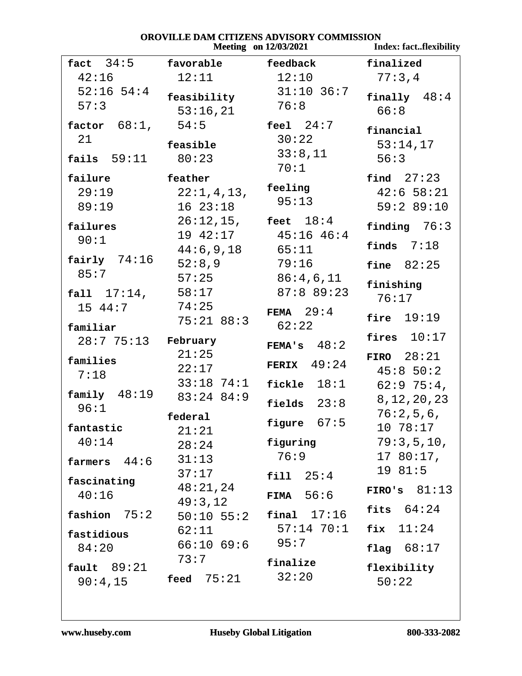### **OROVILLE DAM CITIZENS ADVISORY COMMISSION**<br>Meeting on 12/03/2021 *Meeting 12/03/2021* Index: fact..flexibility

|                                        |                                      | $Meeung$ on $12/03/2021$        | THUEX: TactTHEXIDIHTY                  |
|----------------------------------------|--------------------------------------|---------------------------------|----------------------------------------|
| fact $34:5$                            | favorable                            | feedback                        | finalized                              |
| 42:16                                  | 12:11                                | 12:10                           | 77:3,4                                 |
| $52:16$ 54:4<br>57:3                   | feasibility<br>53:16,21              | $31:10$ 36:7<br>76:8            | finally $48:4$<br>66:8                 |
| factor $68:1$ ,<br>21<br>fails $59:11$ | 54:5<br>feasible<br>80:23            | feel $24:7$<br>30:22<br>33:8,11 | financial<br>53:14,17<br>56:3          |
|                                        |                                      | 70:1                            |                                        |
| failure<br>29:19<br>89:19              | feather<br>22:1,4,13,<br>1623:18     | feeling<br>95:13                | find $27:23$<br>42:658:21<br>59:289:10 |
| failures<br>90:1                       | $26:12,15$ , feet $18:4$<br>19 42:17 | $45:16$ $46:4$                  | finding $76:3$<br>finds $7:18$         |
| fairly $74:16$                         | 44:6,9,18<br>52:8,9                  | 65:11<br>79:16                  | fine $82:25$                           |
| 85:7<br>fall 17:14,                    | 57:25<br>58:17<br>74:25              | 86:4,6,11<br>87:889:23          | finishing<br>76:17                     |
| 15 44:7<br>familiar                    | 75:21 88:3                           | FEMA $29:4$<br>62:22            | fire $19:19$                           |
| $28:775:13$ February                   |                                      | FEMA's $48:2$                   | fires $10:17$                          |
| families<br>7:18                       | 21:25<br>22:17<br>$33:18$ 74:1       | FERIX $49:24$<br>fickle $18:1$  | FIRO $28:21$<br>45:850:2<br>62:975:4   |
| family $48:19$<br>96:1                 | $83:24$ $84:9$                       | fields $23:8$                   | 8, 12, 20, 23                          |
| fantastic<br>40:14                     | federal<br>21:21                     | figure $67:5$<br>figuring       | 76:2,5,6,<br>10 78:17<br>79:3,5,10,    |
| farmers $44:6$                         | 28:24<br>31:13                       | 76:9                            | 1780:17,                               |
| fascinating                            | 37:17<br>48:21,24                    | 25:4<br>fill                    | 19 81:5<br>FIRO's $81:13$              |
| 40:16<br>75:2<br>fashion               | 49:3,12<br>$50:10$ $55:2$            | FIMA $56:6$<br>17:16<br>final   | fits $64:24$                           |
| fastidious                             | 62:11                                | $57:14$ $70:1$                  | fix $11:24$                            |
| 84:20                                  | 66:1069:6                            | 95:7                            | flag $68:17$                           |
| fault 89:21<br>90:4,15                 | 73:7<br>feed $75:21$                 | finalize<br>32:20               | flexibility<br>50:22                   |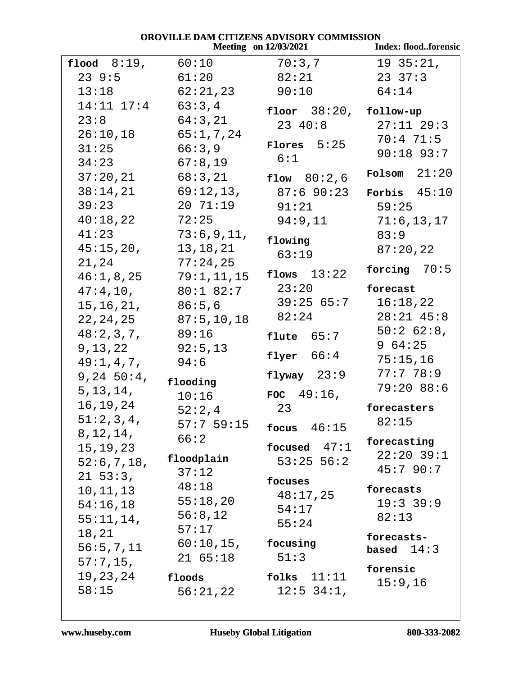|                |              | <b>HELLIND THE VERSUALE COMMENDED.</b><br><b>Meeting</b> on 12/03/2021 | Index: floodforensic |
|----------------|--------------|------------------------------------------------------------------------|----------------------|
| flood $8:19$ , | 60:10        | 70:3,7                                                                 | 1935:21,             |
| 239:5          | 61:20        | 82:21                                                                  | $23 \t37:3$          |
| 13:18          | 62:21,23     | 90:10                                                                  | 64:14                |
| $14:11$ $17:4$ | 63:3,4       | floor $38:20$ , follow-up                                              |                      |
| 23:8           | 64:3,21      | 23 40:8                                                                | $27:11$ $29:3$       |
| 26:10,18       | 65:1,7,24    |                                                                        | 70:471:5             |
| 31:25          | 66:3,9       | Flores $5:25$                                                          | $90:18$ 93:7         |
| 34:23          | 67:8,19      | 6:1                                                                    |                      |
| 37:20,21       | 68:3,21      | flow $80:2,6$                                                          | Folsom $21:20$       |
| 38:14,21       | 69:12,13,    | 87:690:23                                                              | Forbis $45:10$       |
| 39:23          | 20 71:19     | 91:21                                                                  | 59:25                |
| 40:18,22       | 72:25        | 94:9,11                                                                | 71:6, 13, 17         |
| 41:23          | 73:6,9,11,   | flowing                                                                | 83:9                 |
| 45:15,20,      | 13, 18, 21   | 63:19                                                                  | 87:20,22             |
| 21,24          | 77:24,25     |                                                                        | forcing $70:5$       |
| 46:1,8,25      | 79:1, 11, 15 | flows $13:22$                                                          |                      |
| 47:4,10,       | $80:1$ 82:7  | 23:20                                                                  | forecast             |
| 15, 16, 21,    | 86:5,6       | $39:25$ $65:7$                                                         | 16:18,22             |
| 22, 24, 25     | 87:5, 10, 18 | 82:24                                                                  | $28:21$ 45:8         |
| 48:2,3,7,      | 89:16        | flute $65:7$                                                           | $50:2$ 62:8,         |
| 9,13,22        | 92:5,13      |                                                                        | 964:25               |
| 49:1,4,7,      | 94:6         | flyer $66:4$                                                           | 75:15,16             |
| 9, 24, 50:4,   | flooding     | flyway $23:9$                                                          | 77:778:9             |
| 5, 13, 14,     | 10:16        | FOC $49:16$ ,                                                          | 79:2088:6            |
| 16,19,24       | 52:2,4       | 23                                                                     | forecasters          |
| 51:2,3,4,      | 57:759:15    |                                                                        | 82:15                |
| 8, 12, 14,     | 66:2         | focus $46:15$                                                          | forecasting          |
| 15, 19, 23     |              | focused $47:1$                                                         | $22:20$ 39:1         |
| 52:6,7,18,     | floodplain   | $53:25$ 56:2                                                           | 45:790:7             |
| $21\;\;53:3$ , | 37:12        | focuses                                                                |                      |
| 10,11,13       | 48:18        | 48:17,25                                                               | forecasts            |
| 54:16,18       | 55:18,20     | 54:17                                                                  | $19:3$ 39:9          |
| $55:11,14$ ,   | 56:8,12      | 55:24                                                                  | 82:13                |
| 18,21          | 57:17        |                                                                        | forecasts-           |
| 56:5, 7, 11    | $60:10,15$ , | focusing                                                               | based $14:3$         |
| $57:7,15$ ,    | 2165:18      | 51:3                                                                   | forensic             |
| 19, 23, 24     | floods       | 11:11<br>folks                                                         | 15:9,16              |
| 58:15          | 56:21,22     | $12:5$ 34:1,                                                           |                      |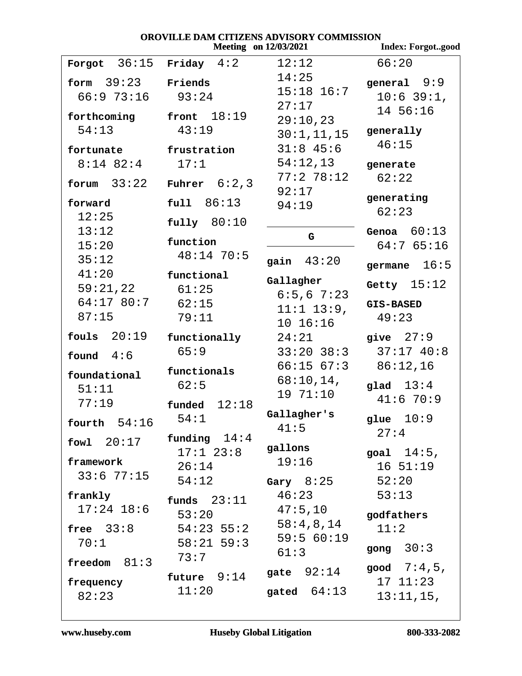#### OROVILLE DAM CITIZENS ADVISORY COMMISSION **Meeting** on 12/03/2021 **Index: Forgot..good** Forgot  $36:15$  Friday  $4:2$  $66:20$  $12:12$  $14:25$  $form 39:23$ Friends qeneral  $9:9$  $15:18$   $16:7$  $93:24$  $66:973:16$  $10:6$  39:1,  $27:17$ 14 56:16 front  $18:19$ forthcoming  $29:10,23$  $43:19$  $54:13$ generally  $30:1, 11, 15$  $46:15$  $31:8$  45:6 fortunate frustration  $8:14$  82:4  $17:1$  $54:12,13$ generate  $77:278:12$  $62:22$  $form 33:22$ Fuhrer  $6:2,3$  $92:17$ generating  $full 86:13$ forward 94:19  $62:23$  $12:25$  $fullv$  80:10  $13:12$ Genoa  $60:13$ G. function  $15:20$  $64:765:16$  $48:14$  70:5  $35:12$ gain  $43:20$ germane  $16:5$  $41:20$ functional Gallagher Getty  $15:12$  $59:21.22$  $61:25$  $6:5,6$  7:23  $64:17$  80:7  $62:15$ **GIS-BASED**  $11:1$   $13:9$ ,  $87:15$  $79:11$  $49:23$  $10 16:16$ fouls  $20:19$  $24:21$ give  $27:9$ functionally  $65:9$  $33:20$   $38:3$  $37:17$  40:8 found  $4:6$  $86:12,16$  $66:1567:3$ functionals foundational  $68:10,14$ , glad  $13:4$  $62:5$  $51:11$  $1971:10$  $41:670:9$  $77:19$  $f$ unded  $12:18$ Gallagher's  $54:1$ qlue  $10:9$ fourth  $54:16$  $41:5$  $27:4$ funding  $14:4$ fowl  $20:17$ gallons  $17:1$   $23:8$ goal  $14:5$ ,  $19:16$ framework  $1651:19$  $26:14$  $33:677:15$  $54:12$ Gary  $8:25$  $52:20$  $46:23$  $53:13$ frankly funds  $23:11$  $17:24$  18:6  $47:5,10$  $53:20$ godfathers  $58:4,8,14$ free  $33:8$  $54:23$  55:2  $11:2$  $59:560:19$  $58:21$  59:3  $70:1$ gong  $30:3$  $61:3$  $73:7$ freedom  $81:3$ good  $7:4,5$ , gate  $92:14$ future 9:14  $171:23$ frequency  $11:20$ qated  $64:13$  $82:23$  $13:11,15$ ,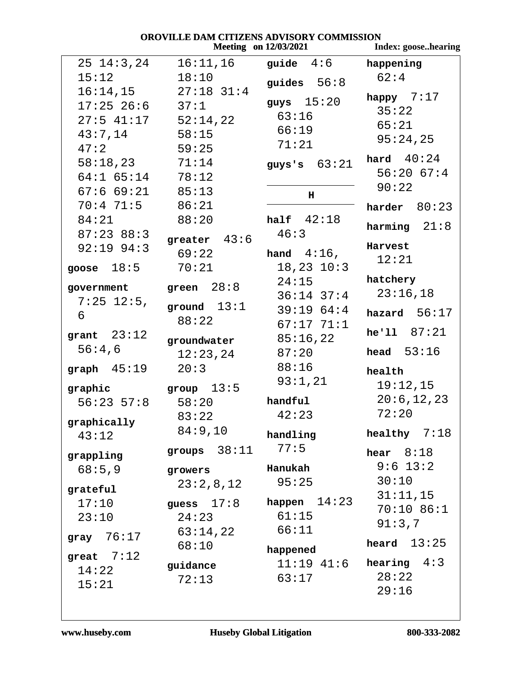|                                      |                       | <b>Meeting</b> on 12/03/2021 | Index: goosehearing |
|--------------------------------------|-----------------------|------------------------------|---------------------|
| $25 \t14:3.24$                       | 16:11,16              | guide $4:6$                  | happening           |
| 15:12                                | 18:10                 | guides $56:8$                | 62:4                |
|                                      | $16:14,15$ 27:18 31:4 |                              | happy $7:17$        |
| $17:25$ $26:6$ $37:1$                |                       | guys $15:20$                 | 35:22               |
| $27:5$ 41:17 $52:14,22$              |                       | 63:16                        | 65:21               |
| $43:7,14$ 58:15                      |                       | 66:19                        | 95:24,25            |
| 47:2                                 | 59:25                 | 71:21                        |                     |
| $58:18,23$ $71:14$                   |                       | guys's $63:21$               | hard $40:24$        |
| $64:1$ $65:14$ $78:12$               |                       |                              | 56:2067:4           |
| $67:6$ $69:21$ $85:13$               |                       | н                            | 90:22               |
| 70:4 71:5 86:21                      |                       |                              | harder $80:23$      |
| 84:21                                | 88:20                 | half $42:18$                 | harming $21:8$      |
| $87:23$ $88:3$                       | greater $43:6$        | 46:3                         |                     |
| $92:19$ $94:3$                       | 69:22                 | hand $4:16$ ,                | Harvest             |
| goose $18:5$                         | 70:21                 | $18, 23$ $10:3$              | 12:21               |
|                                      | green $28:8$          | 24:15                        | hatchery            |
| government<br>$7:25$ 12:5,           |                       | $36:14$ $37:4$               | 23:16,18            |
| 6                                    | ground $13:1$         | 39:1964:4                    | hazard $56:17$      |
|                                      | 88:22                 | $67:17$ $71:1$               |                     |
| grant $23:12$                        | groundwater           | 85:16,22                     | he'11 87:21         |
| 56:4,6                               | 12:23,24              | 87:20                        | head $53:16$        |
| graph $45:19$                        | 20:3                  | 88:16                        | health              |
| graphic $\qquad \qquad$ group $13:5$ |                       | 93:1,21                      | 19:12,15            |
| $56:23$ $57:8$ $58:20$               |                       | handful                      | 20:6,12,23          |
|                                      | 83:22                 | 42:23                        | 72:20               |
| graphically                          | 84:9,10               |                              | healthy $7:18$      |
| 43:12                                |                       | handling<br>77:5             |                     |
| grappling                            | groups $38:11$        |                              | hear $8:18$         |
| 68:5,9                               | growers               | Hanukah                      | $9:6$ 13:2          |
| grateful                             | 23:2,8,12             | 95:25                        | 30:10               |
| 17:10                                | guess $17:8$          | happen $14:23$               | 31:11,15            |
| 23:10                                | 24:23                 | 61:15                        | 70:10 86:1          |
|                                      | 63:14,22              | 66:11                        | 91:3,7              |
| gray $76:17$                         | 68:10                 |                              | heard $13:25$       |
| great $7:12$                         |                       | happened<br>$11:19$ $41:6$   | hearing $4:3$       |
| 14:22                                | guidance<br>72:13     | 63:17                        | 28:22               |
| 15:21                                |                       |                              | 29:16               |
|                                      |                       |                              |                     |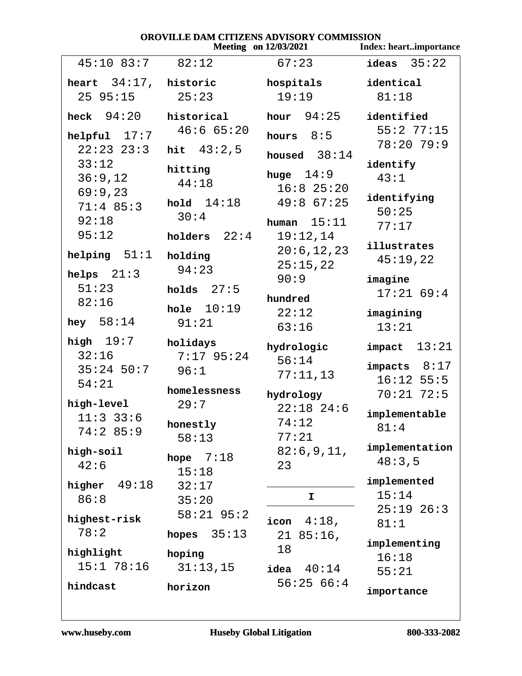| OROVILLE DAM CITIZENS ADVISORY COMMISSION |                          |                              |                               |  |
|-------------------------------------------|--------------------------|------------------------------|-------------------------------|--|
|                                           |                          | <b>Meeting</b> on 12/03/2021 | <b>Index: heartimportance</b> |  |
| $45:10$ 83:7                              | 82:12                    | 67:23                        | ideas $35:22$                 |  |
| heart $34:17$ , historic                  |                          | hospitals                    | identical                     |  |
| 2595:15                                   | 25:23                    | 19:19                        | 81:18                         |  |
| heck $94:20$                              | historical               | hour $94:25$                 | identified                    |  |
| helpful $17:7$                            | 46:665:20                | hours $8:5$                  | 55:277:15<br>78:20 79:9       |  |
| $22:23$ $23:3$                            | hit $43:2,5$             | housed $38:14$               |                               |  |
| 33:12                                     | hitting                  | huge $14:9$                  | identify                      |  |
| 36:9,12                                   | 44:18                    | $16:8$ 25:20                 | 43:1                          |  |
| 69:9,23                                   | hold $14:18$             | $49:8$ 67:25                 | identifying                   |  |
| $71:4$ 85:3                               | 30:4                     |                              | 50:25                         |  |
| 92:18                                     |                          | human $15:11$                | 77:17                         |  |
| 95:12                                     | holders $22:4$           | 19:12,14                     |                               |  |
| helping $51:1$                            | holding                  | 20:6, 12, 23                 | illustrates                   |  |
|                                           | 94:23                    | 25:15,22                     | 45:19,22                      |  |
| helps $21:3$                              |                          | 90:9                         | imagine                       |  |
| 51:23                                     | 27:5<br>holds            | hundred                      | 17:2169:4                     |  |
| 82:16                                     | hole $10:19$             | 22:12                        |                               |  |
| hey $58:14$                               | 91:21                    |                              | imagining                     |  |
|                                           |                          | 63:16                        | 13:21                         |  |
| high $19:7$<br>32:16                      | holidays<br>$7:17$ 95:24 | hydrologic                   | $impact$ 13:21                |  |
| $35:24$ 50:7                              | 96:1                     | 56:14                        | impacts $8:17$                |  |
| 54:21                                     |                          | 77:11,13                     | $16:12$ 55:5                  |  |
| high-level                                | homelessness<br>29:7     | hydrology                    | $70:21$ 72:5                  |  |
| $11:3$ 33:6                               |                          | $22:18$ 24:6                 | implementable                 |  |
| 74:285:9                                  | honestly                 | 74:12                        | 81:4                          |  |
|                                           | 58:13                    | 77:21                        |                               |  |
| high-soil                                 | hope $7:18$              | 82:6,9,11,                   | implementation                |  |
| 42:6                                      | 15:18                    | 23                           | 48:3,5                        |  |
| higher $49:18$                            | 32:17                    |                              | implemented                   |  |
| 86:8                                      | 35:20                    | $\mathbf{I}$                 | 15:14                         |  |
|                                           | $58:21$ 95:2             |                              | $25:19$ $26:3$                |  |
| highest-risk                              |                          | $4:18$ ,<br>icon             | 81:1                          |  |
| 78:2                                      | 35:13<br>hopes           | $2185:16$ ,                  | implementing                  |  |
| highlight                                 | hoping                   | 18                           | 16:18                         |  |
| 15:178:16                                 | 31:13,15                 | idea $40:14$                 | 55:21                         |  |
| hindcast                                  | horizon                  | 56:2566:4                    | importance                    |  |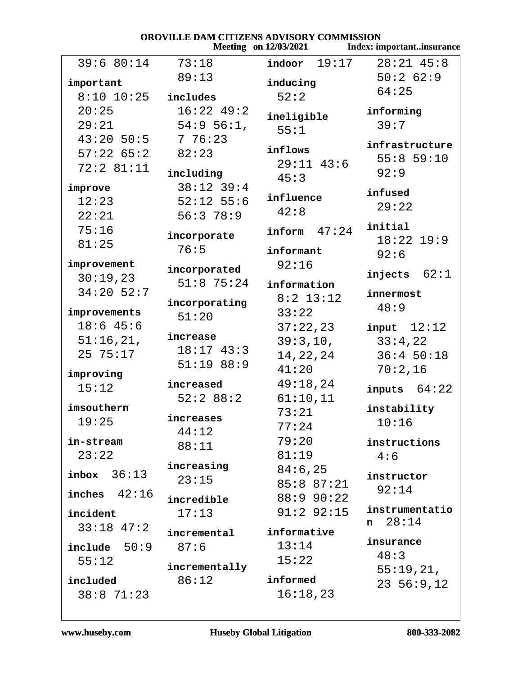#### OROVILLE DAM CITIZENS ADVISORY COMMISSION **Meeting** on 12/03/2021 Index: important..insurance  $39:6 80:14$  $indoor$  19:17  $73:18$  $28:21$  45:8  $50:262:9$  $89:13$ important inducing  $64:25$  $52:2$  $8:10$  10:25 includes  $20:25$  $16:22$  49:2 informing ineligible  $54:9$  56:1,  $29:21$  $39:7$  $55:1$  $43:20$  50:5  $776:23$ infrastructure inflows  $57:2265:2$  $82:23$  $55:859:10$  $29:11$  43:6  $72:281:11$ including  $92:9$  $45:3$  $38:12$  39:4 improve infused influence  $12:23$  $52:12$  55:6  $29:22$  $42:8$  $22:21$  $56:378:9$ initial  $75:16$  $inform 47:24$ incorporate  $18:22$   $19:9$  $81:25$  $76:5$ informant  $92:6$ improvement  $92:16$ incorporated injects  $62:1$  $30:19,23$  $51:8$  75:24 information  $34:20$  52:7 innermost  $8:2$  13:12 incorporating  $48:9$ improvements  $33:22$  $51:20$  $18:6$  45:6  $37:22,23$  $input$   $12:12$ increase  $51:16,21,$  $39:3,10,$  $33:4,22$  $18:17$  43:3  $2575:17$ 14, 22, 24  $36:450:18$  $51:1988:9$  $70:2,16$  $41:20$ improving  $49:18,24$ increased  $15:12$ inputs  $64:22$  $52:288:2$  $61:10,11$ imsouthern instability  $73:21$ increases  $19:25$  $10:16$  $77:24$  $44:12$  $79:20$ in-stream instructions  $88:11$  $23:22$  $81:19$  $4:6$ increasing  $84:6,25$  $inbox$  36:13 instructor  $23:15$  $85:887:21$  $92:14$ inches  $42:16$ 88:9 90:22 incredible instrumentatio  $91:2$   $92:15$  $17:13$ incident  $n \quad 28:14$  $33:18$  47:2 informative incremental insurance  $13:14$  $87:6$  $include 50:9$  $48:3$  $15:22$  $55:12$ incrementally  $55:19,21,$  $86:12$ informed included  $23, 56:9, 12$  $38:871:23$  $16:18,23$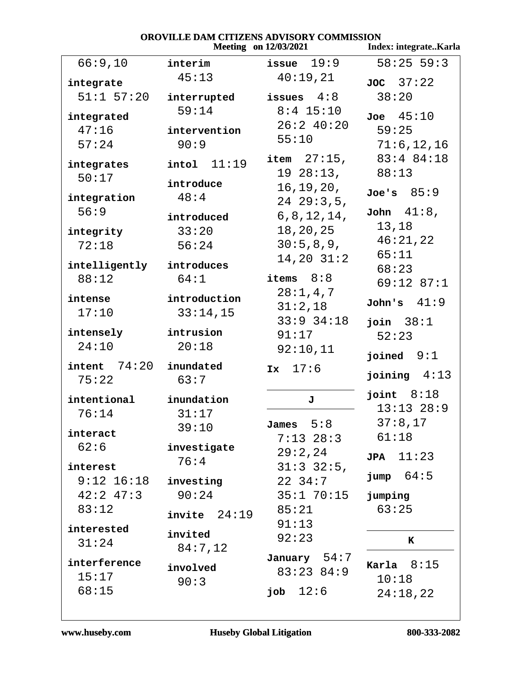|                        |                     | ZERAD AD VIBOAT COMMISSIO<br><b>Meeting</b> on 12/03/2021 | Index: integrateKarla          |
|------------------------|---------------------|-----------------------------------------------------------|--------------------------------|
| 66:9,10                | interim             | issue $19:9$                                              | $58:25$ 59:3                   |
| integrate              | 45:13               | 40:19,21                                                  | JOC 37:22                      |
| $51:1$ $57:20$         | interrupted         | issues $4:8$                                              | 38:20                          |
| integrated             | 59:14               | $8:4$ 15:10                                               | $Joe$ 45:10                    |
| 47:16                  | intervention        | 26:240:20                                                 | 59:25                          |
| 57:24                  | 90:9                | 55:10                                                     | 71:6, 12, 16                   |
| integrates             | 11:19<br>intol      | item $27:15$ ,                                            | 83:4 84:18                     |
| 50:17                  | introduce           | 1928:13,                                                  | 88:13                          |
| integration            | 48:4                | 16, 19, 20,                                               | Joe's 85:9                     |
| 56:9                   |                     | 2429:3,5,<br>6, 8, 12, 14,                                | John $41:8$ ,                  |
| integrity              | introduced<br>33:20 | 18,20,25                                                  | 13,18                          |
| 72:18                  | 56:24               | 30:5,8,9,                                                 | 46:21,22                       |
|                        |                     | $14, 20$ $31:2$                                           | 65:11                          |
| intelligently<br>88:12 | introduces<br>64:1  | items $8:8$                                               | 68:23                          |
|                        |                     | 28:1,4,7                                                  | 69:12 87:1                     |
| intense                | introduction        | 31:2,18                                                   | John's $41:9$                  |
| 17:10                  | 33:14,15            | $33:9$ $34:18$                                            | join $38:1$                    |
| intensely              | intrusion           | 91:17                                                     | 52:23                          |
| 24:10                  | 20:18               | 92:10,11                                                  | joined $9:1$                   |
| $intent$ $74:20$       | inundated           | 17:6<br>Ix                                                | joining $4:13$                 |
| 75:22                  | 63:7                |                                                           |                                |
| intentional            | inundation          | J                                                         | joint $8:18$<br>$13:13$ $28:9$ |
| 76:14                  | 31:17               | James $5:8$                                               | $37:8$ , $17$                  |
| interact               | 39:10               | $7:13$ 28:3                                               | 61:18                          |
| 62:6                   | investigate         | 29:2,24                                                   | 11:23                          |
| interest               | 76:4                | 31:332:5,                                                 | <b>JPA</b>                     |
| $9:12$ $16:18$         | investing           | $22 \t34:7$                                               | jump 64:5                      |
| $42:2$ $47:3$          | 90:24               | 35:170:15                                                 | jumping                        |
| 83:12                  | $invite$ $24:19$    | 85:21                                                     | 63:25                          |
| interested             | invited             | 91:13                                                     |                                |
| 31:24                  | 84:7,12             | 92:23                                                     | K                              |
| interference           | involved            | January 54:7                                              | Karla $8:15$                   |
| 15:17                  | 90:3                | $83:23$ $84:9$                                            | 10:18                          |
| 68:15                  |                     | job $12:6$                                                | 24:18,22                       |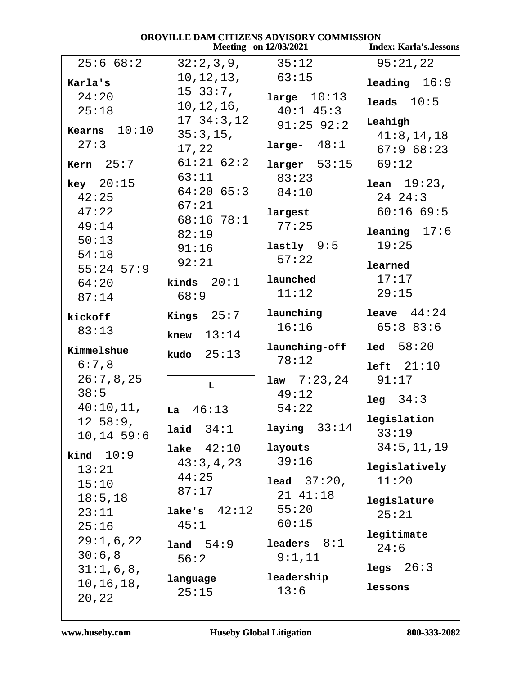| OROVILLE DAM CITIZENS ADVISORY COMMISSION |                     |                              |                              |
|-------------------------------------------|---------------------|------------------------------|------------------------------|
|                                           |                     | <b>Meeting</b> on 12/03/2021 | <b>Index: Karla'slessons</b> |
| 25:668:2                                  | 32:2,3,9,           | 35:12                        | 95:21,22                     |
| Karla's                                   | 10,12,13,           | 63:15                        | leading $16:9$               |
| 24:20                                     | $15\,33:7$ ,        | large $10:13$                |                              |
| 25:18                                     | 10, 12, 16,         | $40:1$ $45:3$                | leads $10:5$                 |
|                                           | 17, 34:3, 12        | $91:25$ $92:2$               | Leahigh                      |
| <b>Kearns</b> $10:10$                     | 35:3,15,            |                              | 41:8, 14, 18                 |
| 27:3                                      | 17,22               | large- $48:1$                | 67:968:23                    |
| Kern $25:7$                               | $61:21$ $62:2$      | $larger$ 53:15               | 69:12                        |
| key 20:15                                 | 63:11               | 83:23                        | <b>lean</b> $19:23$ ,        |
| 42:25                                     | $64:20$ $65:3$      | 84:10                        | $24 \t24:3$                  |
| 47:22                                     | 67:21               | largest                      | 60:1669:5                    |
| 49:14                                     | 68:1678:1           | 77:25                        |                              |
| 50:13                                     | 82:19               |                              | leaning $17:6$               |
| 54:18                                     | 91:16               | $lastly$ 9:5                 | 19:25                        |
| $55:24$ 57:9                              | 92:21               | 57:22                        | learned                      |
| 64:20                                     | kinds $20:1$        | launched                     | 17:17                        |
| 87:14                                     | 68:9                | 11:12                        | 29:15                        |
| kickoff                                   | Kings $25:7$        | launching                    | leave $44:24$                |
| 83:13                                     |                     | 16:16                        | 65:883:6                     |
|                                           | knew $13:14$        | launching-off                | $1ed \quad 58:20$            |
| Kimmelshue                                | <b>kudo</b> $25:13$ | 78:12                        |                              |
| 6:7,8                                     |                     |                              | left  21:10                  |
| 26:7,8,25<br>38:5                         | L                   | $1aw \quad 7:23,24$<br>49:12 | 91:17                        |
| 40:10,11,                                 |                     | 54:22                        | 34:3<br>leg                  |
| 12, 58:9,                                 | 46:13<br>La         |                              | legislation                  |
| $10, 14$ 59:6                             | laid $34:1$         | laying $33:14$               | 33:19                        |
|                                           | lake $42:10$        | layouts                      | 34:5, 11, 19                 |
| kind $10:9$                               | 43:3,4,23           | 39:16                        | legislatively                |
| 13:21<br>15:10                            | 44:25               | <b>lead</b> $37:20$ ,        | 11:20                        |
| 18:5, 18                                  | 87:17               | 21 41:18                     |                              |
| 23:11                                     | lake's $42:12$      | 55:20                        | legislature                  |
| 25:16                                     | 45:1                | 60:15                        | 25:21                        |
| 29:1,6,22                                 |                     |                              | legitimate                   |
| 30:6,8                                    | land 54:9<br>56:2   | leaders $8:1$<br>9:1,11      | 24:6                         |
| 31:1,6,8,                                 |                     |                              | legs $26:3$                  |
| 10, 16, 18,                               | language            | leadership                   | lessons                      |
| 20,22                                     | 25:15               | 13:6                         |                              |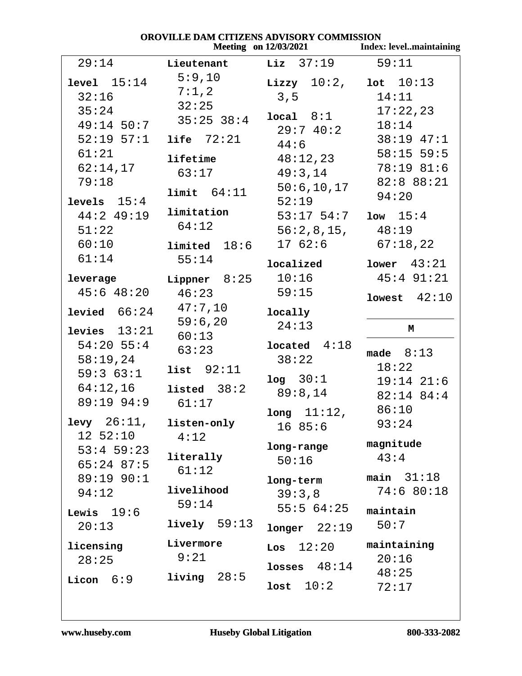| OROVILLE DAM CITIZENS ADVISORY COMMISSION<br><b>Meeting</b> on 12/03/2021<br><b>Index: levelmaintaining</b> |                   |                                          |                   |  |
|-------------------------------------------------------------------------------------------------------------|-------------------|------------------------------------------|-------------------|--|
| 29:14                                                                                                       | Lieutenant        | $\mathtt{Liz}$ 37:19                     | 59:11             |  |
| level 15:14                                                                                                 | 5:9,10            | <b>Lizzy</b> $10:2$ , <b>lot</b> $10:13$ |                   |  |
| 32:16                                                                                                       | 7:1,2             | 3, 5                                     | 14:11             |  |
| 35:24                                                                                                       | 32:25             | local 8:1                                | 17:22,23          |  |
| $49:14$ 50:7                                                                                                | $35:25$ $38:4$    | 29:740:2                                 | 18:14             |  |
| $52:19$ $57:1$                                                                                              | life $72:21$      |                                          | 38:19 47:1        |  |
| 61:21                                                                                                       |                   | 44:6                                     | $58:15$ 59:5      |  |
| 62:14,17                                                                                                    | lifetime          | 48:12,23                                 | 78:19 81:6        |  |
| 79:18                                                                                                       | 63:17             | 49:3,14                                  | 82:8 88:21        |  |
| levels $15:4$                                                                                               | limit 64:11       | 50:6, 10, 17<br>52:19                    | 94:20             |  |
| $44:2$ 49:19                                                                                                | limitation        | $53:17$ 54:7                             | $1ow \quad 15:4$  |  |
| 51:22                                                                                                       | 64:12             | 56:2,8,15,                               | 48:19             |  |
| 60:10                                                                                                       | $1$ imited $18:6$ | 1762:6                                   | 67:18,22          |  |
| 61:14                                                                                                       | 55:14             |                                          |                   |  |
|                                                                                                             |                   | localized                                | lower 43:21       |  |
| leverage                                                                                                    | Lippner $8:25$    | 10:16                                    | 45:4 91:21        |  |
| $45:6$ $48:20$                                                                                              | 46:23             | 59:15                                    | $1$ owest $42:10$ |  |
| <b>levied</b> $66:24$                                                                                       | 47:7,10           | locally                                  |                   |  |
|                                                                                                             | 59:6,20           | 24:13                                    |                   |  |
| levies $13:21$                                                                                              | 60:13             |                                          | М                 |  |
| $54:20$ 55:4                                                                                                | 63:23             | $1$ ocated $4:18$                        | made $8:13$       |  |
| 58:19,24                                                                                                    | list $92:11$      | 38:22                                    | 18:22             |  |
| 59:363:1                                                                                                    |                   | log 30:1                                 | $19:14$ $21:6$    |  |
| 64:12,16                                                                                                    | listed $38:2$     | 89:8,14                                  | 82:14 84:4        |  |
| 89:19 94:9                                                                                                  | 61:17             |                                          | 86:10             |  |
| $levy$ 26:11,                                                                                               | listen-only       | $long 11:12$ ,                           | 93:24             |  |
| 12 52:10                                                                                                    | 4:12              | 1685:6                                   |                   |  |
| $53:4$ 59:23                                                                                                |                   | long-range                               | magnitude         |  |
| $65:24$ 87:5                                                                                                | literally         | 50:16                                    | 43:4              |  |
| 89:19 90:1                                                                                                  | 61:12             |                                          | main $31:18$      |  |
| 94:12                                                                                                       | livelihood        | long-term                                | 74:680:18         |  |
|                                                                                                             | 59:14             | 39:3,8                                   |                   |  |
| Lewis $19:6$                                                                                                |                   | 55:564:25                                | maintain          |  |
| 20:13                                                                                                       | lively 59:13      | $longer$ 22:19                           | 50:7              |  |
| licensing                                                                                                   | Livermore         | $\texttt{Los}$ $12:20$                   | maintaining       |  |
| 28:25                                                                                                       | 9:21              |                                          | 20:16             |  |
|                                                                                                             | living $28:5$     | losses $48:14$                           | 48:25             |  |
| Licon $6:9$                                                                                                 |                   | 10:2<br>lost                             | 72:17             |  |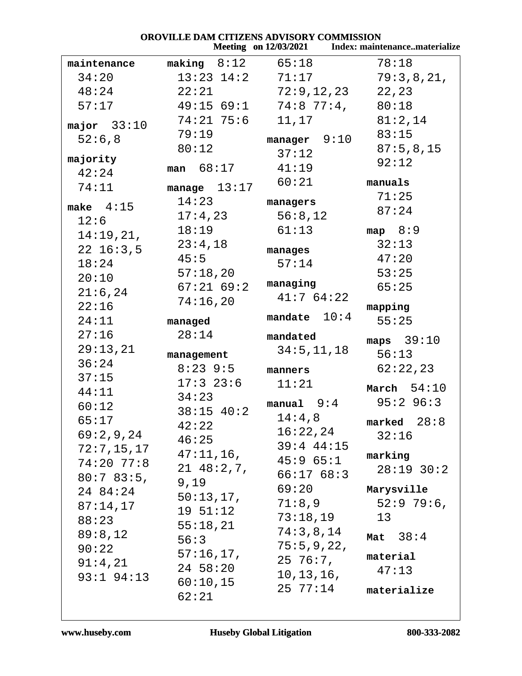|                | OROVILLE DAM CITIZENS ADVISORY COMMISSION |                               |                                                     |
|----------------|-------------------------------------------|-------------------------------|-----------------------------------------------------|
|                |                                           |                               | Meeting on 12/03/2021 Index: maintenancematerialize |
| maintenance    | making $8:12$ $65:18$                     |                               | 78:18                                               |
| 34:20          |                                           | $13:23$ $14:2$ $71:17$        | 79:3,8,21,                                          |
| 48:24          | 22:21                                     | 72:9,12,23                    | 22,23                                               |
| 57:17          |                                           | $49:15$ 69:1 74:8 77:4, 80:18 |                                                     |
| major $33:10$  | 74:21 75:6                                | 11,17                         | 81:2,14                                             |
| 52:6,8         | 79:19                                     | manager $9:10$                | 83:15                                               |
|                | 80:12                                     | 37:12                         | 87:5,8,15                                           |
| majority       | man 68:17                                 | 41:19                         | 92:12                                               |
| 42:24          |                                           |                               |                                                     |
| 74:11          | manage $13:17$                            | 60:21                         | manuals                                             |
| make $4:15$    | 14:23                                     | managers                      | 71:25                                               |
| 12:6           | 17:4,23                                   | 56:8,12                       | 87:24                                               |
| 14:19,21,      | 18:19                                     | 61:13                         | map $8:9$                                           |
| $22\;16:3.5$   | 23:4,18                                   | manages                       | 32:13                                               |
| 18:24          | 45:5                                      | 57:14                         | 47:20                                               |
| 20:10          | 57:18,20                                  |                               | 53:25                                               |
| 21:6,24        | $67:21$ $69:2$                            | managing                      | 65:25                                               |
| 22:16          | 74:16,20                                  | 41:764:22                     | mapping                                             |
| 24:11          | managed                                   | mandate $10:4$                | 55:25                                               |
| 27:16          | 28:14                                     |                               |                                                     |
| 29:13,21       |                                           | mandated                      | maps $39:10$                                        |
|                | management                                | 34:5, 11, 18                  | 56:13                                               |
| 36:24          | $8:23$ 9:5                                | manners                       | 62:22,23                                            |
| 37:15          | $17:3$ $23:6$                             | 11:21                         | March $54:10$                                       |
| 44:11          | 34:23                                     | manual 9:4 95:2 96:3          |                                                     |
| 60:12          | 38:15 40:2                                | 14:4,8                        |                                                     |
| 65:17          | 42:22                                     | 16:22,24                      | marked $28:8$                                       |
| 69:2,9,24      | 46:25                                     | $39:4$ 44:15                  | 32:16                                               |
| 72:7,15,17     | $47:11,16$ ,                              | 45:965:1                      | marking                                             |
| $74:20$ 77:8   | 2148:2,7,                                 | 66:1768:3                     | $28:19$ $30:2$                                      |
| 80:783:5,      | 9,19                                      | 69:20                         | Marysville                                          |
| 24 84:24       | 50:13,17,                                 |                               |                                                     |
| 87:14,17       | 19 51:12                                  | 71:8,9                        | 52:979:6                                            |
| 88:23          | 55:18,21                                  | 73:18,19                      | 13                                                  |
| 89:8,12        | 56:3                                      | 74:3,8,14                     | Mat $38:4$                                          |
| 90:22          | 57:16,17,                                 | 75:5,9,22,                    | material                                            |
| 91:4,21        | $24\;\;58:20$                             | 25 76:7,                      | 47:13                                               |
| $93:1$ $94:13$ | 60:10,15                                  | 10, 13, 16,                   |                                                     |
|                | 62:21                                     | $25\ \ 77:14$                 | materialize                                         |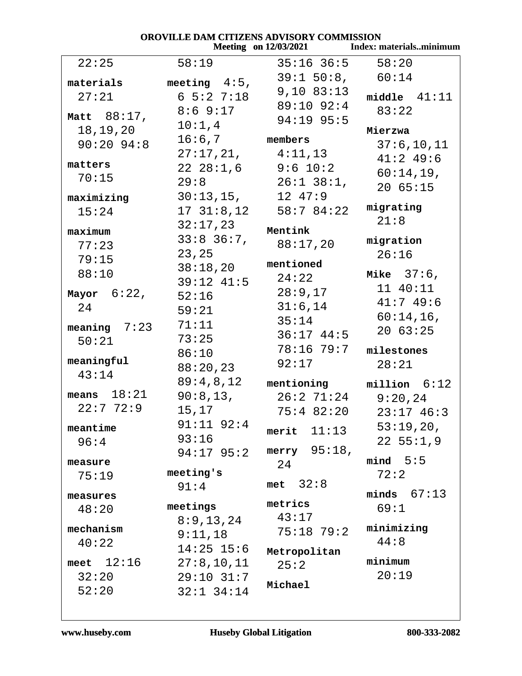| OROVILLE DAM CITIZENS ADVISORY COMMISSION |                  |                              |                                |
|-------------------------------------------|------------------|------------------------------|--------------------------------|
|                                           |                  | <b>Meeting</b> on 12/03/2021 | <b>Index: materialsminimum</b> |
| 22:25                                     | 58:19            | $35:16$ 36:5 58:20           |                                |
| materials                                 | meeting $4:5$ ,  | $39:1$ 50:8, 60:14           |                                |
| 27:21                                     | $6\,5:2\,7:18$   | $9,10$ $83:13$               | middle $41:11$                 |
|                                           | $8:6$ 9:17       | 89:10 92:4                   | 83:22                          |
| Matt $88:17$ ,                            | 10:1,4           | $94:19$ 95:5                 |                                |
| 18,19,20                                  | $16:6,7$ members |                              | Mierzwa                        |
| $90:20$ $94:8$                            |                  | 27:17,21, 4:11,13            | 37:6, 10, 11                   |
| matters                                   |                  | $22\ \ 28:1,6$ $9:6\ \ 10:2$ | $41:2$ 49:6                    |
| 70:15                                     | 29:8             | $26:1$ 38:1,                 | 60:14,19,                      |
| maximizing                                | 30:13,15,        | 12 47:9                      | 2065:15                        |
| 15:24                                     | 17 31:8,12       | 58:7 84:22                   | migrating                      |
|                                           | 32:17,23         | Mentink                      | 21:8                           |
| maximum                                   | $33:8$ 36:7,     | 88:17,20                     | migration                      |
| 77:23                                     | 23,25            |                              | 26:16                          |
| 79:15                                     | 38:18,20         | mentioned                    |                                |
| 88:10                                     | $39:12$ $41:5$   | 24:22                        | Mike $37:6$ ,                  |
| Mayor $6:22$ ,                            | 52:16            | 28:9,17                      | 11 40:11                       |
| 24                                        | 59:21            | 31:6,14                      | 41:7 49:6                      |
| meaning $7:23$                            | 71:11            | 35:14                        | $60:14,16$ ,                   |
| 50:21                                     | 73:25            | $36:17$ $44:5$               | 2063:25                        |
|                                           | 86:10            | 78:16 79:7                   | milestones                     |
| meaningful                                | 88:20,23         | 92:17                        | 28:21                          |
| 43:14                                     | 89:4,8,12        | mentioning                   | $million$ $6:12$               |
| means $18:21$                             | 90:8,13,         |                              | $26:2$ 71:24 9:20,24           |
| 22:772:9                                  | 15,17            | 75:4 82:20                   | $23:17$ 46:3                   |
| meantime                                  | $91:11$ $92:4$   | merit $11:13$                | 53:19,20,                      |
| 96:4                                      | 93:16            |                              | 22, 55:1, 9                    |
|                                           | $94:17$ $95:2$   | merry $95:18$ ,              |                                |
| measure                                   | meeting's        | 24                           | mind 5:5                       |
| 75:19                                     | 91:4             | met $32:8$                   | 72:2                           |
| measures                                  |                  |                              | minds $67:13$                  |
| 48:20                                     | meetings         | metrics                      | 69:1                           |
| mechanism                                 | 8:9,13,24        | 43:17                        | minimizing                     |
| 40:22                                     | 9:11,18          | $75:18$ $79:2$               | 44:8                           |
|                                           | $14:25$ 15:6     | Metropolitan                 |                                |
| meet $12:16$                              | 27:8, 10, 11     | 25:2                         | minimum                        |
| 32:20                                     | $29:10$ $31:7$   | Michael                      | 20:19                          |
| 52:20                                     | $32:1$ $34:14$   |                              |                                |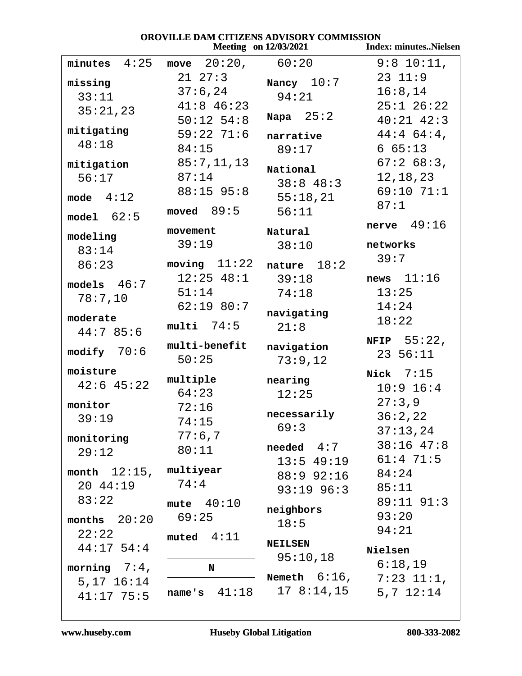| <b>OROVILLE DAM CITIZENS ADVISORY COMMISSION</b><br><b>Index: minutesNielsen</b><br><b>Meeting</b> on 12/03/2021 |                |                                          |                       |  |  |
|------------------------------------------------------------------------------------------------------------------|----------------|------------------------------------------|-----------------------|--|--|
| minutes $4:25$                                                                                                   | move $20:20$ , | 60:20                                    | $9:8$ 10:11,          |  |  |
| missing                                                                                                          | $21 \t27:3$    | Nancy $10:7$                             | $23 \t11:9$           |  |  |
| 33:11                                                                                                            | 37:6,24        | 94:21                                    | 16:8,14               |  |  |
| 35:21,23                                                                                                         | $41:8$ 46:23   |                                          | $25:1$ $26:22$        |  |  |
|                                                                                                                  | $50:12$ $54:8$ | Napa $25:2$                              | $40:21$ $42:3$        |  |  |
| mitigating                                                                                                       | $59:22$ 71:6   | narrative                                | $44:4$ 64:4,          |  |  |
| 48:18                                                                                                            | 84:15          | 89:17                                    | 665:13                |  |  |
| mitigation                                                                                                       | 85:7,11,13     | National                                 | 67:268:3,             |  |  |
| 56:17                                                                                                            | 87:14          | 38:848:3                                 | 12, 18, 23            |  |  |
| mode $4:12$                                                                                                      | 88:15 95:8     | 55:18,21                                 | 69:10 71:1            |  |  |
|                                                                                                                  | moved $89:5$   | 56:11                                    | 87:1                  |  |  |
| model 62:5                                                                                                       |                |                                          | nerve $49:16$         |  |  |
| modeling                                                                                                         | movement       | Natural                                  |                       |  |  |
| 83:14                                                                                                            | 39:19          | 38:10                                    | networks              |  |  |
| 86:23                                                                                                            | moving $11:22$ | nature $18:2$                            | 39:7                  |  |  |
| models $46:7$                                                                                                    | $12:25$ 48:1   | 39:18                                    | news $11:16$          |  |  |
| 78:7,10                                                                                                          | 51:14          | 74:18                                    | 13:25                 |  |  |
|                                                                                                                  | $62:19$ 80:7   | navigating                               | 14:24                 |  |  |
| moderate                                                                                                         | $multi$ 74:5   | 21:8                                     | 18:22                 |  |  |
| 44:785:6                                                                                                         |                |                                          | <b>NFIP</b> $55:22$ , |  |  |
| modify $70:6$                                                                                                    | multi-benefit  | navigation                               | 23 56:11              |  |  |
| moisture                                                                                                         | 50:25          | 73:9,12                                  |                       |  |  |
| $42:6$ $45:22$                                                                                                   | multiple       | nearing                                  | Nick $7:15$           |  |  |
|                                                                                                                  | 64:23          | 12:25                                    | $10:9$ 16:4           |  |  |
| monitor                                                                                                          | 72:16          | necessarily                              | 27:3,9                |  |  |
| 39:19                                                                                                            | 74:15          | 69:3                                     | 36:2,22               |  |  |
| monitoring                                                                                                       | 77:6,7         |                                          | 37:13,24              |  |  |
| 29:12                                                                                                            | 80:11          | $\bm{{\small \textsf{needed}}}\quad 4:7$ | $38:16$ 47:8          |  |  |
|                                                                                                                  | multiyear      |                                          | 13:5 49:19 61:4 71:5  |  |  |
| month $12:15$ ,<br>20 44:19                                                                                      | 74:4           | 88:9 92:16                               | 84:24                 |  |  |
| 83:22                                                                                                            |                | $93:19$ $96:3$                           | 85:11                 |  |  |
|                                                                                                                  | mute $40:10$   | neighbors                                | $89:11$ $91:3$        |  |  |
| months $20:20$                                                                                                   | 69:25          | 18:5                                     | 93:20                 |  |  |
| 22:22                                                                                                            | muted $4:11$   |                                          | 94:21                 |  |  |
| $44:17$ 54:4                                                                                                     |                | <b>NEILSEN</b><br>95:10,18               | Nielsen               |  |  |
| morning $7:4$ ,                                                                                                  | N              |                                          | 6:18,19               |  |  |
| $5,17$ $16:14$                                                                                                   |                | Nemeth $6:16$ ,                          | $7:23$ $11:1$ ,       |  |  |
| $41:17$ 75:5                                                                                                     | name's $41:18$ | 17 8:14,15                               | $5,7$ $12:14$         |  |  |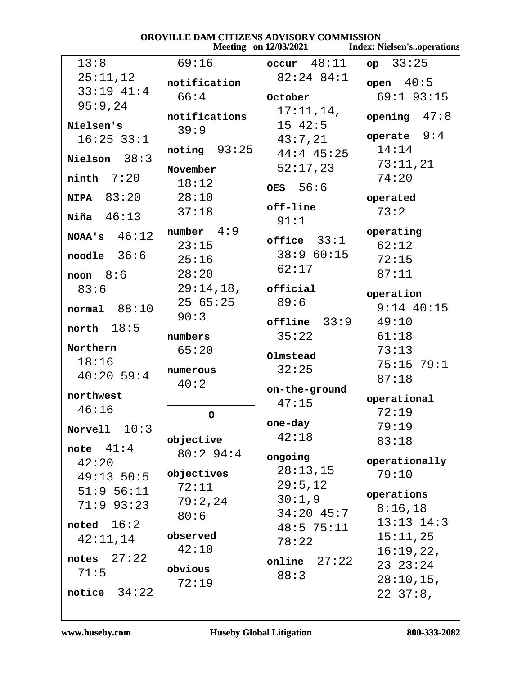| OROVILLE DAM CITIZENS ADVISORY COMMISSION<br><b>Meeting</b> on 12/03/2021 |                         |                             |                                   |
|---------------------------------------------------------------------------|-------------------------|-----------------------------|-----------------------------------|
|                                                                           |                         |                             | <b>Index: Nielsen'soperations</b> |
| 13:8                                                                      | 69:16                   | $\texttt{occur}$ $48:11$    | $op$ 33:25                        |
| 25:11,12                                                                  | notification            | 82:24 84:1                  | open $40:5$                       |
| 33:19 41:4                                                                | 66:4                    | October                     | $69:1$ 93:15                      |
| 95:9,24                                                                   |                         | 17:11,14,                   |                                   |
| Nielsen's                                                                 | notifications           | $15 \t42:5$                 | opening $47:8$                    |
| $16:25$ 33:1                                                              | 39:9                    | 43:7,21                     | operate $9:4$                     |
|                                                                           | noting 93:25            | $44:4$ $45:25$              | 14:14                             |
| Nielson $38:3$                                                            | November                | 52:17,23                    | 73:11,21                          |
| $ninth$ $7:20$                                                            | 18:12                   |                             | 74:20                             |
|                                                                           |                         | OES $56:6$                  |                                   |
| <b>NIPA</b> 83:20                                                         | 28:10                   | off-line                    | operated                          |
| Niña $46:13$                                                              | 37:18                   | 91:1                        | 73:2                              |
| NOAA's $46:12$                                                            | number $4:9$            |                             | operating                         |
|                                                                           | 23:15                   | $of \texttt{face}$ $33:1$   | 62:12                             |
| $\text{node}$ 36:6                                                        | 25:16                   | 38:960:15                   | 72:15                             |
| noon $8:6$                                                                | 28:20                   | 62:17                       | 87:11                             |
| 83:6                                                                      | 29:14,18,               | $of \ddot{\texttt{ficial}}$ |                                   |
|                                                                           | 2565:25                 | 89:6                        | operation<br>$9:14$ 40:15         |
| normal 88:10                                                              | 90:3                    |                             |                                   |
| north $18:5$                                                              |                         | offline 33:9                | 49:10                             |
| Northern                                                                  | numbers                 | 35:22                       | 61:18                             |
| 18:16                                                                     | 65:20                   | Olmstead                    | 73:13                             |
| $40:20$ 59:4                                                              | numerous                | 32:25                       | 75:15 79:1                        |
|                                                                           | 40:2                    | on-the-ground               | 87:18                             |
| northwest                                                                 |                         | 47:15                       | operational                       |
| 46:16                                                                     | $\overline{\mathsf{O}}$ |                             | 72:19                             |
| Norvell $10:3$                                                            |                         | one-day                     | 79:19                             |
|                                                                           | objective               | 42:18                       | 83:18                             |
| note $41:4$                                                               | 80:294:4                | ongoing                     |                                   |
| 42:20                                                                     | objectives              | 28:13,15                    | operationally                     |
| $49:13$ 50:5                                                              | 72:11                   | 29:5,12                     | 79:10                             |
| 51:956:11                                                                 |                         | 30:1,9                      | operations                        |
| $71:9$ 93:23                                                              | 79:2,24                 | $34:20$ 45:7                | 8:16,18                           |
| noted $16:2$                                                              | 80:6                    | $48:5$ 75:11                | $13:13$ $14:3$                    |
| 42:11,14                                                                  | observed                | 78:22                       | 15:11,25                          |
|                                                                           | 42:10                   |                             | 16:19,22,                         |
| 27:22<br>notes                                                            | obvious                 | 27:22<br>online             | 23 23:24                          |
| 71:5                                                                      | 72:19                   | 88:3                        | $28:10,15$ ,                      |
| 34:22<br>notice                                                           |                         |                             | $22 \t37:8,$                      |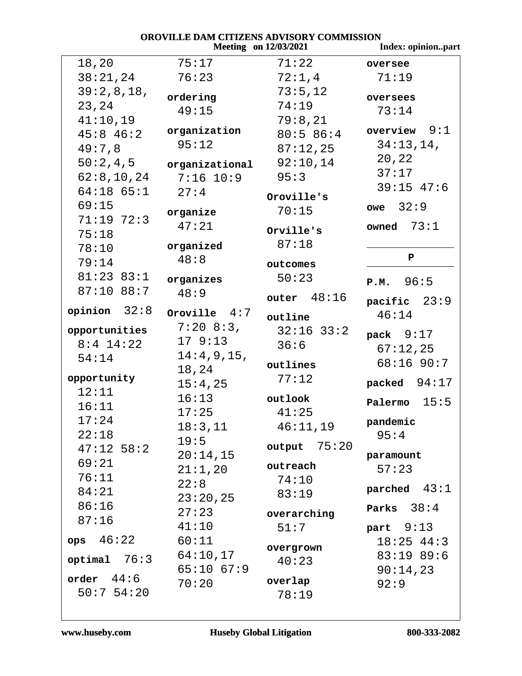|                |                | <b>Meeting</b> on 12/03/2021 | Index: opinionpart |
|----------------|----------------|------------------------------|--------------------|
| 18,20          | 75:17          | 71:22                        | oversee            |
| 38:21,24       | 76:23          | 72:1,4                       | 71:19              |
| 39:2,8,18,     | ordering       | 73:5,12                      | oversees           |
| 23,24          | 49:15          | 74:19                        | 73:14              |
| 41:10,19       |                | 79:8,21                      |                    |
| $45:8$ 46:2    | organization   | 80:586:4                     | overview $9:1$     |
| 49:7,8         | 95:12          | 87:12,25                     | 34:13,14,          |
| 50:2,4,5       | organizational | 92:10,14                     | 20,22              |
| 62:8,10,24     | $7:16$ 10:9    | 95:3                         | 37:17              |
| $64:18$ $65:1$ | 27:4           | Oroville's                   | $39:15$ 47:6       |
| 69:15          | organize       | 70:15                        | 32:9<br>owe        |
| $71:19$ $72:3$ | 47:21          |                              | owned $73:1$       |
| 75:18          |                | Orville's                    |                    |
| 78:10          | organized      | 87:18                        |                    |
| 79:14          | 48:8           | outcomes                     | ${\bf P}$          |
| $81:23$ $83:1$ | organizes      | 50:23                        | P.M. 96:5          |
| $87:10$ $88:7$ | 48:9           | outer $48:16$                |                    |
| opinion $32:8$ | Oroville $4:7$ |                              | pacific 23:9       |
|                | $7:20$ 8:3,    | outline                      | 46:14              |
| opportunities  | 179:13         | $32:16$ $33:2$               | pack $9:17$        |
| $8:4$ 14:22    | 14:4,9,15,     | 36:6                         | 67:12,25           |
| 54:14          | 18,24          | outlines                     | 68:16 90:7         |
| opportunity    | 15:4,25        | 77:12                        | packed $94:17$     |
| 12:11          | 16:13          | outlook                      |                    |
| 16:11          | 17:25          | 41:25                        | 15:5<br>Palermo    |
| 17:24          | 18:3,11        | 46:11,19                     | pandemic           |
| 22:18          | 19:5           |                              | 95:4               |
| $47:12$ 58:2   | 20:14,15       | output $75:20$               | paramount          |
| 69:21          | 21:1,20        | outreach                     | 57:23              |
| 76:11          | 22:8           | 74:10                        |                    |
| 84:21          | 23:20,25       | 83:19                        | parched $43:1$     |
| 86:16          | 27:23          | overarching                  | Parks $38:4$       |
| 87:16          | 41:10          | 51:7                         | part $9:13$        |
| ops 46:22      | 60:11          |                              | $18:25$ 44:3       |
|                | 64:10,17       | overgrown                    | 83:1989:6          |
| $optimal$ 76:3 | $65:10$ $67:9$ | 40:23                        | 90:14,23           |
| order 44:6     | 70:20          | overlap                      | 92:9               |
| 50:754:20      |                | 78:19                        |                    |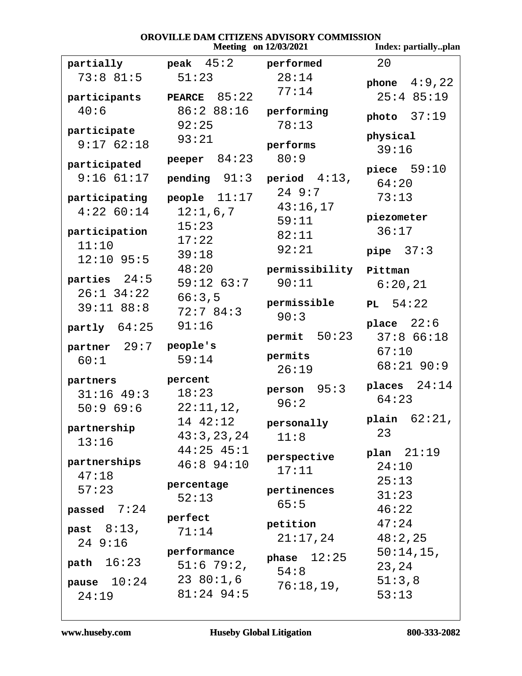### **OROVILLE DAM CITIZENS ADVISORY COMMISSION**<br>Meeting on 12/03/2021 Inde

|                                |                               | <b>Meeting</b> on 12/03/2021 | Index: partiallyplan      |
|--------------------------------|-------------------------------|------------------------------|---------------------------|
|                                | partially peak 45:2 performed |                              | 20                        |
| 73:881:5                       | 51:23                         | 28:14<br>77:14               | phone $4:9,22$            |
| participants                   | PEARCE $85:22$                |                              | $25:4$ 85:19              |
| 40:6                           | 86:2 88:16<br>92:25           | performing<br>78:13          | photo $37:19$             |
| participate                    | 93:21                         |                              | physical                  |
| 9:1762:18                      |                               | performs                     | 39:16                     |
| participated                   | peeper $84:23$                | 80:9                         | piece $59:10$             |
| $9:16$ $61:17$                 | $pending \quad 91:3$          | period $4:13$ ,              | 64:20                     |
| participating                  | people $11:17$                | 24 9:7                       | 73:13                     |
| $4:22$ 60:14                   | 12:1,6,7                      | 43:16,17                     | piezometer                |
| participation                  | 15:23                         | 59:11                        | 36:17                     |
| 11:10                          | 17:22                         | 82:11<br>92:21               |                           |
| $12:10$ 95:5                   | 39:18                         |                              | pipe $37:3$               |
|                                | 48:20                         | permissibility Pittman       |                           |
| parties $24:5$                 | $59:12$ $63:7$                | 90:11                        | 6:20,21                   |
| $26:1$ 34:22<br>$39:11$ $88:8$ | 66:3,5                        | permissible                  | PL $54:22$                |
|                                | 72:784:3                      | 90:3                         |                           |
| partly $64:25$                 | 91:16                         | $permit$ 50:23               | place $22:6$<br>37:866:18 |
| partner 29:7 people's          |                               |                              | 67:10                     |
| 60:1                           | 59:14                         | permits                      | $68:21$ 90:9              |
| partners                       | percent                       | 26:19                        |                           |
| $31:16$ 49:3                   | 18:23                         | person 95:3                  | places $24:14$            |
| 50:969:6                       | $22:11,12$ ,                  | 96:2                         | 64:23                     |
|                                | 14 42:12                      | personally                   | plain $62:21$ ,           |
| partnership                    | 43:3,23,24                    | 11:8                         | 23                        |
| 13:16                          | $44:25$ $45:1$                |                              | plan $21:19$              |
| partnerships                   | $46:8$ 94:10                  | perspective<br>17:11         | 24:10                     |
| 47:18                          | percentage                    |                              | 25:13                     |
| 57:23                          | 52:13                         | pertinences                  | 31:23                     |
| passed $7:24$                  |                               | 65:5                         | 46:22                     |
| past $8:13$ ,                  | perfect                       | petition                     | 47:24                     |
| 249:16                         | 71:14                         | 21:17,24                     | 48:2,25                   |
|                                | performance                   | phase $12:25$                | 50:14,15,                 |
| path $16:23$                   | 51:679:2,                     | 54:8                         | 23,24                     |
| pause $10:24$                  | 2380:1,6                      | 76:18,19,                    | 51:3,8                    |
| 24:19                          | $81:24$ 94:5                  |                              | 53:13                     |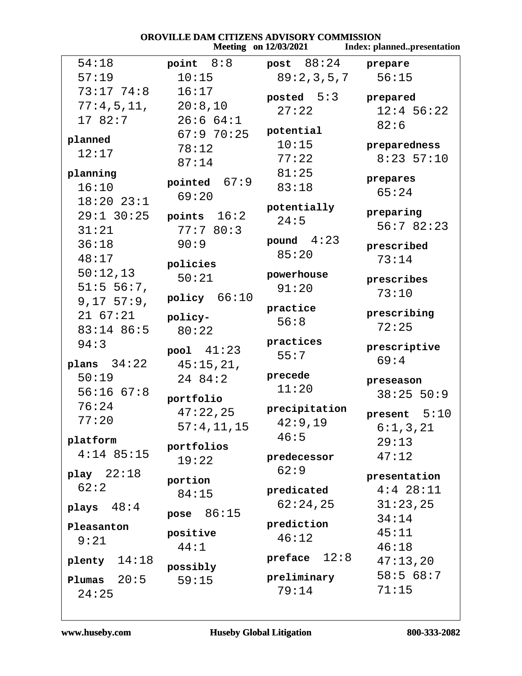| OROVILLE DAM CITIZENS ADVISORY COMMISSION<br><b>Meeting</b> on 12/03/2021<br><b>Index: plannedpresentation</b> |                    |                     |                              |
|----------------------------------------------------------------------------------------------------------------|--------------------|---------------------|------------------------------|
| 54:18                                                                                                          | point $8:8$        | <b>post</b> 88:24   | prepare                      |
| 57:19                                                                                                          | 10:15              | 89:2,3,5,7          | 56:15                        |
| 73:17 74:8                                                                                                     | 16:17              | posted $5:3$        | prepared                     |
| 77:4,5,11, 20:8,10                                                                                             |                    | 27:22               | $12:4$ 56:22                 |
| 17 82:7                                                                                                        | 26:664:1           |                     | 82:6                         |
| planned                                                                                                        | 67:970:25          | potential           |                              |
| 12:17                                                                                                          | 78:12              | 10:15               | preparedness<br>$8:23$ 57:10 |
|                                                                                                                | 87:14              | 77:22               |                              |
| planning<br>16:10                                                                                              | pointed $67:9$     | 81:25<br>83:18      | prepares                     |
| $18:20$ $23:1$                                                                                                 | 69:20              |                     | 65:24                        |
| $29:1$ 30:25                                                                                                   | points 16:2        | potentially         | preparing                    |
| 31:21                                                                                                          | 77:780:3           | 24:5                | 56:782:23                    |
| 36:18                                                                                                          | 90:9               | pound $4:23$        |                              |
| 48:17                                                                                                          |                    | 85:20               | prescribed<br>73:14          |
| 50:12,13                                                                                                       | policies           |                     |                              |
| 51:5 56:7,                                                                                                     | 50:21              | powerhouse<br>91:20 | prescribes                   |
| 9,17,57:9,                                                                                                     | policy 66:10       |                     | 73:10                        |
| $21\ \ 67:21$                                                                                                  | policy-            | practice            | prescribing                  |
| 83:14 86:5                                                                                                     | 80:22              | 56:8                | 72:25                        |
| 94:3                                                                                                           |                    | practices           |                              |
|                                                                                                                | $pool \quad 41:23$ | 55:7                | prescriptive<br>69:4         |
| plans $34:22$                                                                                                  | 45:15,21,          | precede             |                              |
| 50:19                                                                                                          | 24 84:2            | 11:20               | preseason                    |
| $56:16$ $67:8$<br>76:24                                                                                        | portfolio          |                     | 38:25 50:9                   |
| 77:20                                                                                                          | 47:22,25           | precipitation       | present $5:10$               |
|                                                                                                                | 57:4, 11, 15       | 42:9,19             | 6:1,3,21                     |
| platform                                                                                                       | portfolios         | 46:5                | 29:13                        |
| $4:14$ 85:15                                                                                                   | 19:22              | predecessor         | 47:12                        |
| play $22:18$                                                                                                   |                    | 62:9                | presentation                 |
| 62:2                                                                                                           | portion<br>84:15   | predicated          | $4:4$ 28:11                  |
| plays $48:4$                                                                                                   |                    | 62:24,25            | 31:23,25                     |
|                                                                                                                | 86:15<br>pose      |                     | 34:14                        |
| Pleasanton                                                                                                     | positive           | prediction          | 45:11                        |
| 9:21                                                                                                           | 44:1               | 46:12               | 46:18                        |
| plenty $14:18$                                                                                                 |                    | preface $12:8$      | 47:13,20                     |
| 20:5<br>Plumas                                                                                                 | possibly<br>59:15  | preliminary         | 58:568:7                     |
| 24:25                                                                                                          |                    | 79:14               | 71:15                        |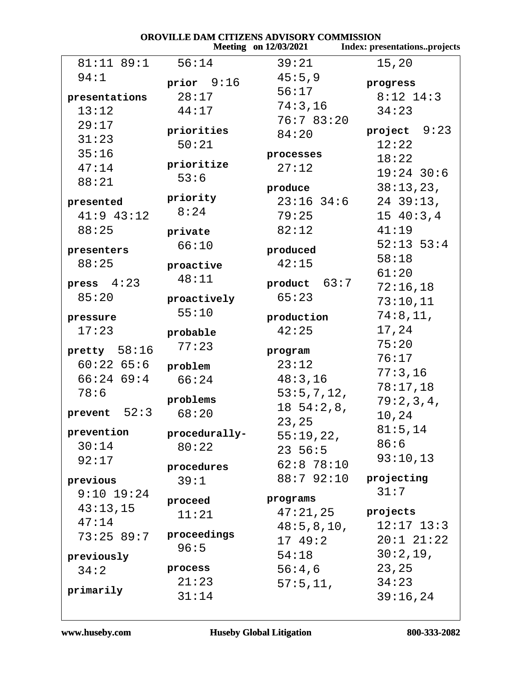| OROVILLE DAM CITIZENS ADVISORY COMMISSION |                        |                              |                              |
|-------------------------------------------|------------------------|------------------------------|------------------------------|
|                                           |                        | <b>Meeting</b> on 12/03/2021 | Index: presentationsprojects |
| $81:11$ $89:1$                            | 56:14                  | 39:21                        | 15,20                        |
| 94:1                                      | prior $9:16$           | 45:5,9                       | progress                     |
| presentations                             | 28:17                  | 56:17                        | $8:12$ 14:3                  |
| 13:12                                     | 44:17                  | 74:3,16                      | 34:23                        |
| 29:17                                     |                        | 76:783:20                    |                              |
| 31:23                                     | priorities             | 84:20                        | 9:23<br>project              |
| 35:16                                     | 50:21                  |                              | 12:22                        |
|                                           | prioritize             | processes                    | 18:22                        |
| 47:14                                     | 53:6                   | 27:12                        | $19:24$ 30:6                 |
| 88:21                                     |                        | produce                      | 38:13,23,                    |
| presented                                 | priority               | $23:16$ $34:6$               | $24$ 39:13,                  |
| $41:9$ $43:12$                            | 8:24                   | 79:25                        | 1540:3,4                     |
| 88:25                                     | private                | 82:12                        | 41:19                        |
| presenters                                | 66:10                  | produced                     | $52:13$ $53:4$               |
| 88:25                                     | proactive              | 42:15                        | 58:18                        |
|                                           | 48:11                  |                              | 61:20                        |
| press $4:23$                              |                        | product $63:7$               | 72:16,18                     |
| 85:20                                     | proactively            | 65:23                        | 73:10,11                     |
| pressure                                  | 55:10                  | production                   | 74:8,11,                     |
| 17:23                                     | probable               | 42:25                        | 17,24                        |
|                                           | 77:23                  |                              | 75:20                        |
| pretty $58:16$                            |                        | program                      | 76:17                        |
| 60:2265:6                                 | problem                | 23:12                        | 77:3,16                      |
| 66:2469:4                                 | 66:24                  | 48:3,16                      | 78:17,18                     |
| 78:6                                      | problems               | 53:5,7,12,                   | 79:2,3,4,                    |
| $prevent$ 52:3                            | 68:20                  | $18\;\;54:2,8,$              | 10,24                        |
| prevention                                |                        | 23,25                        | 81:5,14                      |
| 30:14                                     | procedurally-<br>80:22 | 55:19,22,                    | 86:6                         |
| 92:17                                     |                        | $23\;\;56:5$                 | 93:10,13                     |
|                                           | procedures             | $62:8$ 78:10                 |                              |
| previous                                  | 39:1                   | 88:7 92:10                   | projecting                   |
| $9:10$ 19:24                              | proceed                | programs                     | 31:7                         |
| 43:13,15                                  | 11:21                  | 47:21,25                     | projects                     |
| 47:14                                     |                        | 48:5, 8, 10,                 | $12:17$ $13:3$               |
| 73:25 89:7                                | proceedings            | 17 49:2                      | $20:1$ $21:22$               |
| previously                                | 96:5                   | 54:18                        | 30:2,19,                     |
| 34:2                                      | process                | 56:4,6                       | 23,25                        |
|                                           | 21:23                  | 57:5,11,                     | 34:23                        |
| primarily                                 | 31:14                  |                              | 39:16,24                     |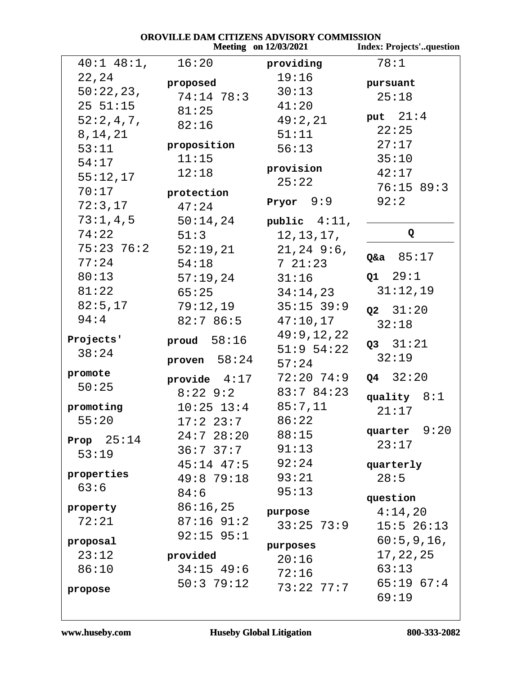|                 | OROVILLE DAM CITIZENS ADVISORY COMMISSION | <b>Meeting</b> on 12/03/2021 | <b>Index: Projects'question</b> |
|-----------------|-------------------------------------------|------------------------------|---------------------------------|
| $40:1$ $48:1$ , | 16:20                                     | providing                    | 78:1                            |
| 22,24           | proposed                                  | 19:16                        | pursuant                        |
| 50:22,23,       | 74:14 78:3                                | 30:13                        | 25:18                           |
| 25 51:15        | 81:25                                     | 41:20                        |                                 |
| 52:2,4,7,       | 82:16                                     | 49:2,21                      | put $21:4$                      |
| 8, 14, 21       |                                           | 51:11                        | 22:25                           |
| 53:11           | proposition                               | 56:13                        | 27:17                           |
| 54:17           | 11:15                                     |                              | 35:10                           |
| 55:12,17        | 12:18                                     | provision                    | 42:17                           |
| 70:17           | protection                                | 25:22                        | 76:15 89:3                      |
| 72:3,17         | 47:24                                     | Pryor $9:9$                  | 92:2                            |
| 73:1,4,5        | 50:14,24                                  | public $4:11$ ,              |                                 |
| 74:22           | 51:3                                      | 12, 13, 17,                  | Q                               |
| $75:23$ 76:2    | 52:19,21                                  | $21, 24$ 9:6,                |                                 |
| 77:24           | 54:18                                     | 721:23                       | $Q$ &a $85:17$                  |
| 80:13           | 57:19,24                                  | 31:16                        | Q1 29:1                         |
| 81:22           | 65:25                                     | 34:14,23                     | 31:12,19                        |
| 82:5,17         | 79:12,19                                  | $35:15$ 39:9                 | $Q2 \quad 31:20$                |
| 94:4            | 82:786:5                                  | 47:10,17                     | 32:18                           |
| Projects'       | proud $58:16$                             | 49:9,12,22                   |                                 |
| 38:24           |                                           | $51:9$ $54:22$               | Q3 31:21                        |
|                 | proven $58:24$                            | 57:24                        | 32:19                           |
| promote         | provide $4:17$                            | $72:20$ $74:9$               | $Q4 \quad 32:20$                |
| 50:25           | $8:22$ 9:2                                | 83:784:23                    | quality $8:1$                   |
| promoting       | $10:25$ $13:4$                            | 85:7,11                      | 21:17                           |
| 55:20           | $17:2$ $23:7$                             | 86:22                        |                                 |
| Prop $25:14$    | 24:728:20                                 | 88:15                        | 9:20<br>quarter                 |
| 53:19           | 36:737:7                                  | 91:13                        | 23:17                           |
|                 | $45:14$ $47:5$                            | 92:24                        | quarterly                       |
| properties      | 49:8 79:18                                | 93:21                        | 28:5                            |
| 63:6            | 84:6                                      | 95:13                        | question                        |
| property        | 86:16,25                                  | purpose                      | 4:14,20                         |
| 72:21           | $87:16$ 91:2                              | $33:25$ 73:9                 | $15:5$ 26:13                    |
| proposal        | $92:15$ $95:1$                            |                              | 60:5,9,16,                      |
| 23:12           | provided                                  | purposes                     | 17, 22, 25                      |
| 86:10           | $34:15$ 49:6                              | 20:16                        | 63:13                           |
|                 | 50:379:12                                 | 72:16                        | $65:19$ $67:4$                  |
| propose         |                                           | $73:22$ $77:7$               | 69:19                           |

www.huseby.com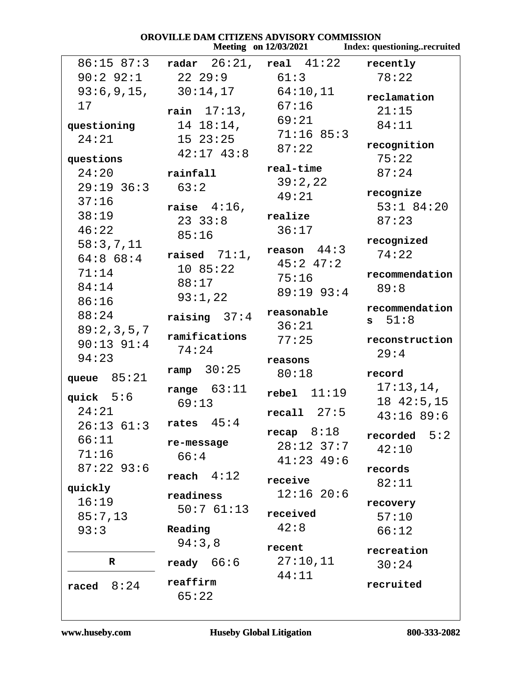| OROVILLE DAM CITIZENS ADVISORY COMMISSION |                 |                              |                                    |
|-------------------------------------------|-----------------|------------------------------|------------------------------------|
|                                           |                 | <b>Meeting</b> on 12/03/2021 | <b>Index: questioningrecruited</b> |
| $86:15$ $87:3$                            |                 | radar $26:21$ , real $41:22$ | recently                           |
| $90:2$ $92:1$                             | 22 29:9         | 61:3                         | 78:22                              |
| 93:6,9,15,                                | $30:14$ , $17$  | 64:10,11                     | reclamation                        |
| 17                                        | rain $17:13$ ,  | 67:16                        | 21:15                              |
| questioning                               | $14 18:14$ ,    | 69:21                        | 84:11                              |
| 24:21                                     | $15\ \ 23:25$   | 71:1685:3                    |                                    |
|                                           | $42:17$ $43:8$  | 87:22                        | recognition                        |
| questions                                 |                 |                              | 75:22                              |
| 24:20                                     | rainfall        | real-time                    | 87:24                              |
| $29:19$ 36:3                              | 63:2            | 39:2,22                      | recognize                          |
| 37:16                                     | raise $4:16$ ,  | 49:21                        | $53:1$ 84:20                       |
| 38:19                                     | $23 \t33:8$     | realize                      | 87:23                              |
| 46:22                                     | 85:16           | 36:17                        |                                    |
| 58:3,7,11                                 |                 |                              | recognized                         |
| 64:868:4                                  | raised $71:1$ , | reason $44:3$                | 74:22                              |
| 71:14                                     | 10 85:22        | $45:2$ $47:2$                | recommendation                     |
| 84:14                                     | 88:17           | 75:16                        | 89:8                               |
| 86:16                                     | 93:1,22         | $89:19$ $93:4$               |                                    |
| 88:24                                     | raising $37:4$  | reasonable                   | recommendation                     |
| 89:2,3,5,7                                |                 | 36:21                        | $s = 51:8$                         |
| $90:13$ $91:4$                            | ramifications   | 77:25                        | reconstruction                     |
| 94:23                                     | 74:24           |                              | 29:4                               |
|                                           | ramp $30:25$    | reasons                      |                                    |
| queue $85:21$                             |                 | 80:18                        | record                             |
| quick $5:6$                               | range $63:11$   | $rebel$ $11:19$              | 17:13,14,                          |
| 24:21                                     | 69:13           | recall 27:5                  | 1842:5, 15                         |
| 26:13 61:3                                | rates $45:4$    |                              | 43:1689:6                          |
| 66:11                                     |                 | recap $8:18$                 | 5:2<br>recorded                    |
| 71:16                                     | re-message      | $28:12$ 37:7                 | 42:10                              |
| $87:22$ 93:6                              | 66:4            | $41:23$ $49:6$               |                                    |
|                                           | reach $4:12$    | receive                      | records                            |
| quickly                                   | readiness       | $12:16$ 20:6                 | 82:11                              |
| 16:19                                     | 50:761:13       |                              | recovery                           |
| 85:7,13                                   |                 | received                     | 57:10                              |
| 93:3                                      | Reading         | 42:8                         | 66:12                              |
|                                           | 94:3,8          | recent                       |                                    |
| $\mathbf R$                               | ready $66:6$    | 27:10,11                     | recreation                         |
|                                           |                 | 44:11                        | 30:24                              |
| 8:24<br>raced                             | reaffirm        |                              | recruited                          |
|                                           | 65:22           |                              |                                    |
|                                           |                 |                              |                                    |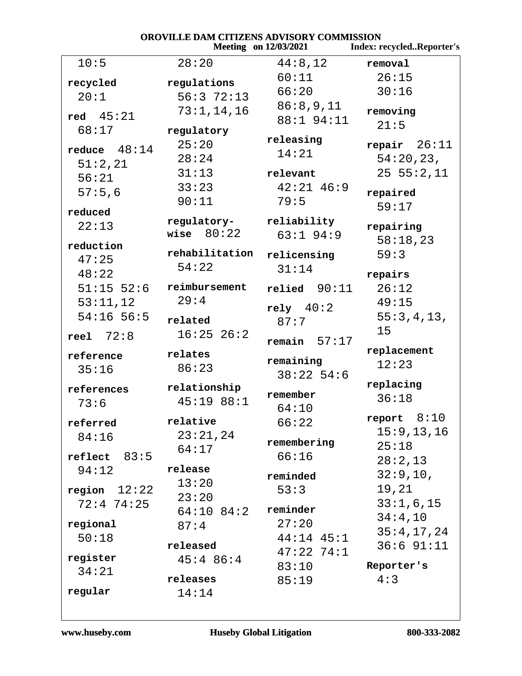| OROVILLE DAM CITIZENS ADVISORY COMMISSION |                             |                              |                           |
|-------------------------------------------|-----------------------------|------------------------------|---------------------------|
|                                           |                             | <b>Meeting</b> on 12/03/2021 | Index: recycledReporter's |
| 10:5                                      | 28:20                       | 44:8,12                      | removal                   |
| recycled                                  | regulations                 | 60:11                        | 26:15                     |
| 20:1                                      | 56:372:13                   | 66:20                        | 30:16                     |
|                                           | 73:1, 14, 16                | 86:8,9,11                    |                           |
| red $45:21$                               |                             | 88:1 94:11                   | removing<br>21:5          |
| 68:17                                     | regulatory                  |                              |                           |
| reduce $48:14$                            | 25:20                       | releasing                    | repair $26:11$            |
| 51:2,21                                   | 28:24                       | 14:21                        | 54:20,23,                 |
| 56:21                                     | 31:13                       | relevant                     | 25 55:2,11                |
| 57:5,6                                    | 33:23                       | $42:21$ $46:9$               | repaired                  |
|                                           | 90:11                       | 79:5                         | 59:17                     |
| reduced                                   |                             |                              |                           |
| 22:13                                     | regulatory-<br>wise $80:22$ | reliability                  | repairing                 |
| reduction                                 |                             | $63:1$ 94:9                  | 58:18,23                  |
| 47:25                                     | rehabilitation              | relicensing                  | 59:3                      |
| 48:22                                     | 54:22                       | 31:14                        | repairs                   |
| $51:15$ 52:6                              | reimbursement               | $relied$ 90:11               | 26:12                     |
|                                           | 29:4                        |                              | 49:15                     |
| 53:11,12                                  |                             | rely 40:2                    |                           |
| $54:16$ 56:5                              | related                     | 87:7                         | 55:3,4,13,                |
| reel $72:8$                               | $16:25$ $26:2$              | remain $57:17$               | 15                        |
| reference                                 | relates                     |                              | replacement               |
| 35:16                                     | 86:23                       | remaining                    | 12:23                     |
|                                           |                             | $38:22$ 54:6                 |                           |
| references                                | relationship                | remember                     | replacing                 |
| 73:6                                      | 45:1988:1                   | 64:10                        | 36:18                     |
| referred                                  | relative                    | 66:22                        | report $8:10$             |
| 84:16                                     | 23:21,24                    |                              | 15:9, 13, 16              |
|                                           | 64:17                       | remembering                  | 25:18                     |
| reflect 83:5                              |                             | 66:16                        | 28:2,13                   |
| 94:12                                     | release                     | reminded                     | 32:9,10,                  |
| region $12:22$                            | 13:20                       | 53:3                         | 19,21                     |
| $72:4$ $74:25$                            | 23:20                       |                              | 33:1,6,15                 |
|                                           | $64:10$ 84:2                | reminder                     | 34:4,10                   |
| regional                                  | 87:4                        | 27:20                        | 35:4,17,24                |
| 50:18                                     | released                    | $44:14$ $45:1$               | $36:6$ $91:11$            |
| register                                  | $45:4$ 86:4                 | $47:22$ $74:1$               |                           |
| 34:21                                     |                             | 83:10                        | Reporter's                |
|                                           | releases                    | 85:19                        | 4:3                       |
| regular                                   | 14:14                       |                              |                           |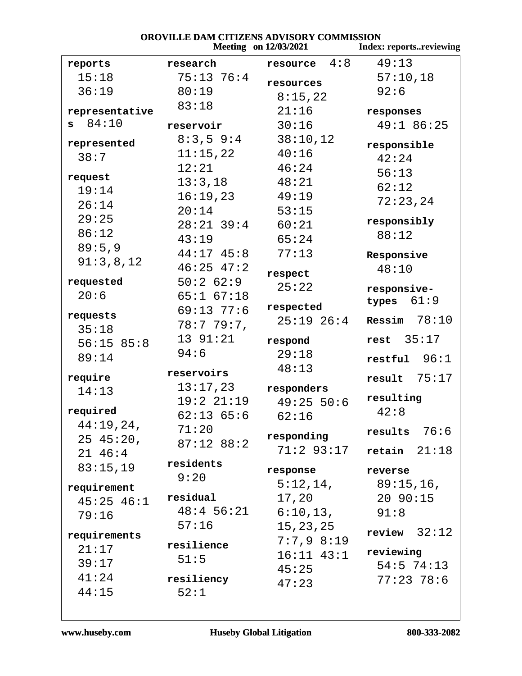| OROVILLE DAM CITIZENS ADVISORY COMMISSION |                |                              |                           |
|-------------------------------------------|----------------|------------------------------|---------------------------|
|                                           |                | <b>Meeting</b> on 12/03/2021 | Index: reportsreviewing   |
| reports                                   | research       | resource $4:8$               | 49:13                     |
| 15:18                                     | $75:13 \ 76:4$ | resources                    | 57:10,18                  |
| 36:19                                     | 80:19          | 8:15,22                      | 92:6                      |
| representative                            | 83:18          | 21:16                        | responses                 |
| 84:10<br>s                                | reservoir      | 30:16                        | 49:1 86:25                |
| represented                               | $8:3,5$ 9:4    | 38:10,12                     |                           |
| 38:7                                      | 11:15,22       | 40:16                        | responsible               |
|                                           | 12:21          | 46:24                        | 42:24                     |
| request                                   | 13:3,18        | 48:21                        | 56:13                     |
| 19:14                                     | 16:19,23       | 49:19                        | 62:12                     |
| 26:14                                     | 20:14          | 53:15                        | 72:23,24                  |
| 29:25                                     | $28:21$ 39:4   | 60:21                        | responsibly               |
| 86:12                                     | 43:19          | 65:24                        | 88:12                     |
| 89:5,9                                    | $44:17$ $45:8$ | 77:13                        | Responsive                |
| 91:3,8,12                                 | $46:25$ $47:2$ |                              | 48:10                     |
| requested                                 | 50:262:9       | respect                      |                           |
| 20:6                                      | $65:1$ $67:18$ | 25:22                        | responsive-               |
|                                           | $69:13$ $77:6$ | respected                    | types $61:9$              |
| requests                                  | 78:779:7       | $25:19$ $26:4$               | Ressim $78:10$            |
| 35:18                                     | 13 91:21       | respond                      | rest $35:17$              |
| 56:1585:8                                 | 94:6           | 29:18                        |                           |
| 89:14                                     |                | 48:13                        | $restful$ 96:1            |
| require                                   | reservoirs     |                              | $result$ 75:17            |
| 14:13                                     | 13:17,23       | responders                   |                           |
| required                                  | 19:221:19      | 49:25 50:6                   | resulting<br>42:8         |
| 44:19,24,                                 | $62:13$ $65:6$ | 62:16                        |                           |
| 2545:20,                                  | 71:20          | responding                   | results $76:6$            |
| $21 \t46:4$                               | $87:12$ $88:2$ | 71:2 93:17                   | $retain$ $21:18$          |
| 83:15,19                                  | residents      |                              |                           |
|                                           | 9:20           | response                     | reverse                   |
| requirement                               |                | 5:12,14,                     | 89:15,16,                 |
| $45:25$ $46:1$                            | residual       | 17,20                        | 20 90:15                  |
| 79:16                                     | $48:4$ 56:21   | $6:10,13$ ,                  | 91:8                      |
| requirements                              | 57:16          | 15, 23, 25                   | review $32:12$            |
| 21:17                                     | resilience     | 7:7,98:19                    |                           |
| 39:17                                     | 51:5           | $16:11$ $43:1$               | reviewing<br>$54:5$ 74:13 |
| 41:24                                     | resiliency     | 45:25                        | $77:23$ 78:6              |
| 44:15                                     |                | 47:23                        |                           |
|                                           | 52:1           |                              |                           |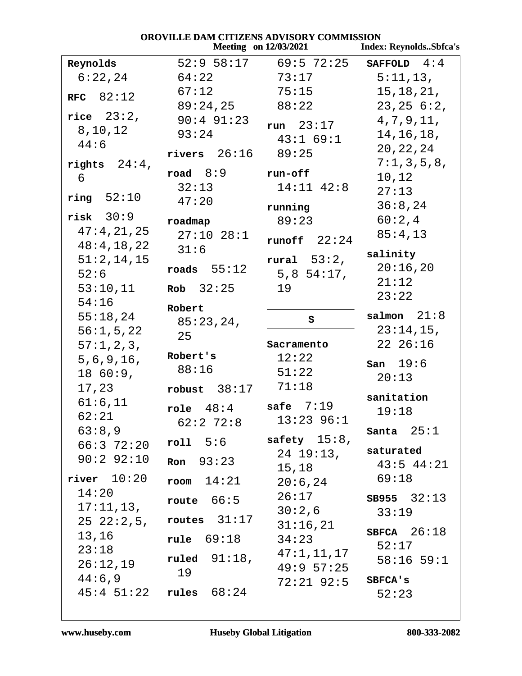| OROVILLE DAM CITIZENS ADVISORY COMMISSION<br><b>Meeting</b> on 12/03/2021<br><b>Index: ReynoldsSbfca's</b> |                    |                           |                     |  |
|------------------------------------------------------------------------------------------------------------|--------------------|---------------------------|---------------------|--|
| Reynolds                                                                                                   |                    | $52:9$ $58:17$ 69:5 72:25 | SAFFOLD $4:4$       |  |
| 6:22,24                                                                                                    | 64:22              | 73:17                     | 5:11,13,            |  |
| RFC $82:12$                                                                                                | 67:12              | 75:15                     | 15, 18, 21,         |  |
|                                                                                                            | 89:24,25           | 88:22                     | 23, 25, 6:2,        |  |
| rice $23:2$ ,                                                                                              | $90:4$ $91:23$     | run $23:17$               | 4, 7, 9, 11,        |  |
| 8, 10, 12                                                                                                  | 93:24              | 43:1 69:1                 | 14, 16, 18,         |  |
| 44:6                                                                                                       | rivers $26:16$     | 89:25                     | 20, 22, 24          |  |
| rights $24:4$ ,                                                                                            |                    |                           | 7:1,3,5,8,          |  |
| 6                                                                                                          | road $8:9$         | run-off                   | 10,12               |  |
| ring 52:10                                                                                                 | 32:13              | $14:11$ $42:8$            | 27:13               |  |
|                                                                                                            | 47:20              | running                   | 36:8,24             |  |
| $risk$ 30:9                                                                                                | roadmap            | 89:23                     | 60:2,4              |  |
| 47:4,21,25                                                                                                 | $27:10$ $28:1$     | runoff $22:24$            | 85:4,13             |  |
| 48:4, 18, 22                                                                                               | 31:6               |                           | salinity            |  |
| 51:2,14,15<br>52:6                                                                                         | roads $55:12$      | rural $53:2$ ,            | 20:16,20            |  |
|                                                                                                            | Rob $32:25$        | $5,8$ 54:17,              | 21:12               |  |
| 53:10,11<br>54:16                                                                                          |                    | 19                        | 23:22               |  |
| 55:18,24                                                                                                   | Robert             |                           | salmon $21:8$       |  |
| 56:1, 5, 22                                                                                                | 85:23,24,          | S                         | $23:14,15$ ,        |  |
| 57:1,2,3,                                                                                                  | 25                 | Sacramento                | 22 26:16            |  |
| 5, 6, 9, 16,                                                                                               | Robert's           | 12:22                     |                     |  |
| 1860:9,                                                                                                    | 88:16              | 51:22                     | san 19:6            |  |
| 17,23                                                                                                      | robust $38:17$     | 71:18                     | 20:13               |  |
| 61:6,11                                                                                                    |                    | safe $7:19$               | sanitation          |  |
| 62:21                                                                                                      | role $48:4$        | $13:23$ 96:1              | 19:18               |  |
| 63:8,9                                                                                                     | $62:2$ 72:8        |                           | Santa $25:1$        |  |
| $66:3$ $72:20$                                                                                             | roll 5:6           | safety $15:8$ ,           | saturated           |  |
| $90:2$ 92:10                                                                                               | <b>Ron</b> $93:23$ | 24 19:13,                 | $43:5$ $44:21$      |  |
| $river$ $10:20$                                                                                            | 14:21<br>room      | 15,18                     | 69:18               |  |
| 14:20                                                                                                      |                    | 20:6,24<br>26:17          |                     |  |
| 17:11,13,                                                                                                  | route $66:5$       | $30:2$ , $6$              | $SB955 \quad 32:13$ |  |
| $25\;\;22:2,5$ ,                                                                                           | routes $31:17$     | 31:16,21                  | 33:19               |  |
| 13,16                                                                                                      | <b>rule</b> 69:18  | 34:23                     | SBFCA $26:18$       |  |
| 23:18                                                                                                      |                    | 47:1,11,17                | 52:17               |  |
| 26:12,19                                                                                                   | ruled $91:18$ ,    | 49:957:25                 | $58:16$ 59:1        |  |
| 44:6,9                                                                                                     | 19                 | 72:21 92:5                | SBFCA'S             |  |
| $45:4$ $51:22$                                                                                             | rules $68:24$      |                           | 52:23               |  |

#### www.huseby.com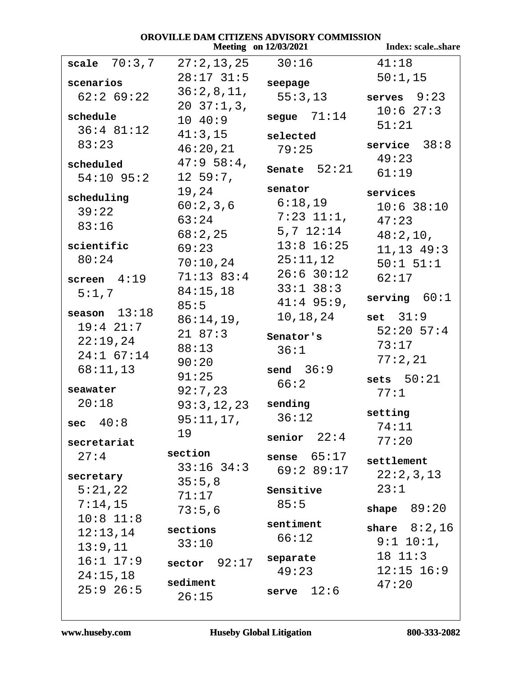## **OROVILLE DAM CITIZENS ADVISORY COMMISSION**<br>Meeting on 12/03/2021 *Meeting 1203*

|                | $Meeung$ on $12/03/2021$ |                 | muex; scaleshare |
|----------------|--------------------------|-----------------|------------------|
| scale $70:3,7$ | 27:2,13,25               | 30:16           | 41:18            |
| scenarios      | $28:17$ 31:5             | seepage         | 50:1,15          |
| $62:2$ 69:22   | 36:2,8,11,               |                 |                  |
|                | $20 \t37:1,3,$           | 55:3,13         | serves $9:23$    |
| schedule       | 1040:9                   | segue $71:14$   | 10:627:3         |
| $36:4$ 81:12   | 41:3,15                  |                 | 51:21            |
| 83:23          |                          | selected        | service $38:8$   |
|                | 46:20,21                 | 79:25           | 49:23            |
| scheduled      | $47:958:4$ ,             | Senate $52:21$  |                  |
| $54:10$ 95:2   | $12\;\;59:7$ ,           |                 | 61:19            |
| scheduling     | 19,24                    | senator         | services         |
|                | 60:2,3,6                 | 6:18,19         | $10:6$ 38:10     |
| 39:22          | 63:24                    | $7:23$ $11:1$ , | 47:23            |
| 83:16          | 68:2,25                  | $5,7$ $12:14$   | 48:2,10,         |
| scientific     | 69:23                    | $13:8$ 16:25    |                  |
| 80:24          |                          | 25:11,12        | 11, 13 49: 3     |
|                | 70:10,24                 | $26:6$ 30:12    | $50:1$ $51:1$    |
| screen $4:19$  | $71:13$ 83:4             |                 | 62:17            |
| 5:1,7          | 84:15,18                 | $33:1$ $38:3$   | serving $60:1$   |
| season $13:18$ | 85:5                     | $41:4$ 95:9,    |                  |
| $19:4$ $21:7$  | 86:14,19,                | 10,18,24        | set $31:9$       |
|                | 2187:3                   | Senator's       | $52:20$ 57:4     |
| 22:19,24       | 88:13                    | 36:1            | 73:17            |
| $24:1$ 67:14   | 90:20                    |                 | 77:2,21          |
| 68:11,13       | 91:25                    | send $36:9$     |                  |
| seawater       | 92:7,23                  | 66:2            | sets $50:21$     |
| 20:18          |                          | sending         | 77:1             |
|                | 93:3,12,23               |                 | setting          |
| 40:8<br>sec    | $95:11,17$ ,             | 36:12           | 74:11            |
| secretariat    | 19                       | senior $22:4$   | 77:20            |
| 27:4           | section                  | sense $65:17$   |                  |
|                | $33:16$ $34:3$           |                 | settlement       |
| secretary      |                          | 69:289:17       | 22:2,3,13        |
| 5:21,22        | 35:5,8                   | Sensitive       | 23:1             |
| 7:14,15        | 71:17                    | 85:5            |                  |
| $10:8$ 11:8    | 73:5,6                   |                 | 89:20<br>shape   |
|                | sections                 | sentiment       | share $8:2,16$   |
| 12:13,14       | 33:10                    | 66:12           | $9:1$ 10:1,      |
| 13:9,11        |                          |                 | $18 \t11:3$      |
| $16:1$ $17:9$  | 92:17<br>sector          | separate        |                  |
| 24:15,18       |                          | 49:23           | $12:15$ $16:9$   |
| $25:9$ 26:5    | sediment                 | 12:6<br>serve   | 47:20            |
|                | 26:15                    |                 |                  |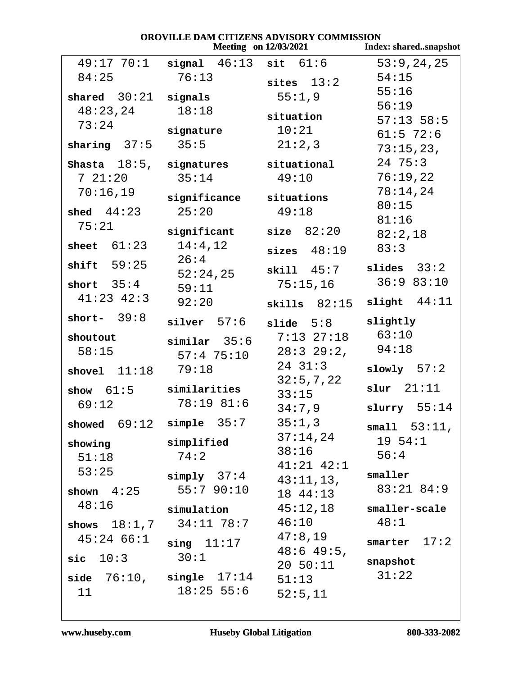| OROVILLE DAM CITIZENS ADVISORY COMMISSION |                               |                              |                       |
|-------------------------------------------|-------------------------------|------------------------------|-----------------------|
|                                           |                               | <b>Meeting</b> on 12/03/2021 | Index: sharedsnapshot |
| 49:17 70:1                                | signal $46:13$ sit $61:6$     |                              | 53:9,24,25            |
| 84:25                                     | 76:13                         | sites $13:2$                 | 54:15                 |
| shared $30:21$ signals                    |                               | 55:1,9                       | 55:16                 |
| 48:23,24                                  | 18:18                         |                              | 56:19                 |
| 73:24                                     |                               | situation                    | $57:13$ 58:5          |
|                                           | signature                     | 10:21                        | $61:5$ 72:6           |
| sharing $37:5$ $35:5$                     |                               | 21:2,3                       | 73:15,23,             |
| Shasta $18:5$ , signatures                |                               | situational                  | $24 \t75:3$           |
| 721:20                                    | 35:14                         | 49:10                        | 76:19,22              |
| 70:16,19                                  | significance situations       |                              | 78:14,24              |
| shed $44:23$                              | 25:20                         | 49:18                        | 80:15                 |
| 75:21                                     |                               |                              | 81:16                 |
|                                           | significant                   | size 82:20                   | 82:2,18               |
| sheet $61:23$ $14:4,12$                   | 26:4                          | sizes $48:19$                | 83:3                  |
| shift $59:25$                             | 52:24,25                      | $\textbf{skill}$ 45:7        | slides $33:2$         |
| short $35:4$                              | 59:11                         | 75:15,16                     | 36:983:10             |
| $41:23$ $42:3$                            | 92:20                         | skills $82:15$               | slight $44:11$        |
| short- $39:8$                             | $silver$ 57:6                 | $\verb slide  5:8$           | slightly              |
| shoutout                                  | similar 35:6                  | $7:13$ $27:18$               | 63:10                 |
| 58:15                                     | $57:4$ $75:10$                | $28:3$ $29:2$ ,              | 94:18                 |
| shovel $11:18$                            | 79:18                         | $24 \quad 31:3$              | slowly $57:2$         |
|                                           |                               | 32:5,7,22                    |                       |
| show $61:5$ similarities                  |                               | 33:15                        | $slur$ $21:11$        |
| 69:12                                     | 78:19 81:6                    | 34:7,9                       | slurry $55:14$        |
|                                           | showed $69:12$ simple $35:7$  | 35:1,3                       | small 53:11,          |
| showing                                   | simplified                    | 37:14,24                     | $19 \, 54:1$          |
| 51:18                                     | 74:2                          | 38:16                        | 56:4                  |
| 53:25                                     |                               | $41:21$ $42:1$               |                       |
|                                           | $simply$ 37:4                 | 43:11,13,                    | smaller               |
| $shown \quad 4:25$                        | 55:7 90:10                    | 18 44:13                     | $83:21$ $84:9$        |
| 48:16                                     | simulation                    | 45:12,18                     | smaller-scale         |
|                                           | shows $18:1,7$ $34:11$ $78:7$ | 46:10                        | 48:1                  |
| $45:24$ 66:1                              | $sing$ $11:17$                | 47:8,19                      | smarter $17:2$        |
| $\textsf{sic}\quad 10:3$                  | 30:1                          | $48:649:5$ ,                 |                       |
|                                           |                               | $20\;\;50:11$                | snapshot              |
|                                           | side $76:10$ , single $17:14$ | 51:13                        | 31:22                 |
| 11                                        | $18:25$ 55:6                  | 52:5,11                      |                       |

www.huseby.com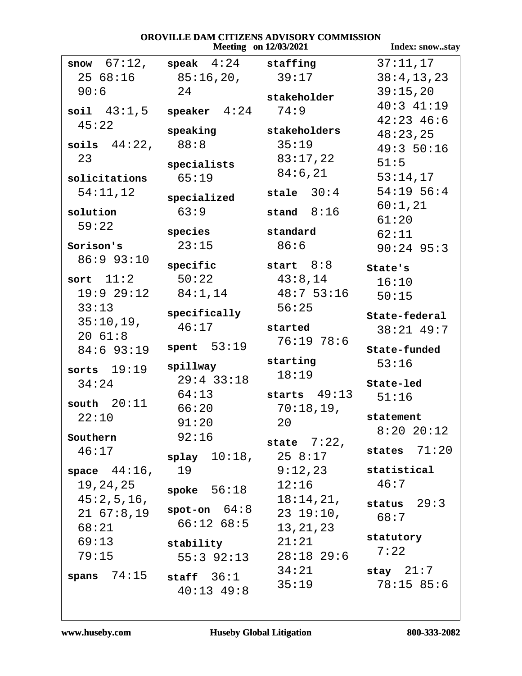#### OROVILLE DAM CITIZENS ADVISORY COMMISSION **Meeting** on 12/03/2021

Index: snow..stay  $37:11,17$ snow  $67:12$ ,  $\texttt{speak}$  4:24 staffing  $2568:16$  $38:4,13,23$  $85:16,20,$  $39:17$  $90:6$ 24  $39:15.20$ stakeholder  $40:3$   $41:19$ soil  $43:1.5$  speaker  $4:24$  $74:9$  $42:23$   $46:6$  $45:22$ speaking stakeholders  $48:23,25$ soils  $44:22$ , 88:8  $35:19$  $49:350:16$ 23  $83:17,22$  $51:5$ specialists  $84:6,21$  $65:19$  $53:14,17$ solicitations  $54:11,12$ stale  $30:4$  $54:19$  56:4 specialized  $60:1,21$  $63:9$ stand  $8:16$ solution  $61:20$  $59:22$ species standard  $62:11$  $23:15$  $86:6$ Sorison's  $90:24$  95:3  $86:993:10$ start  $8:8$ specific State's sort  $11:2$  $43:8,14$  $50:22$  $16:10$  $84:1,14$  $19:929:12$  $48:753:16$  $50:15$  $33:13$  $56:25$ specifically State-federal  $35:10,19,$  $46:17$ started  $38:21$  49:7  $2061:8$  $76:19$  78:6 spent  $53:19$  $84:693:19$ State-funded starting  $53:16$ spillway sorts  $19:19$  $18:19$  $29:4$  33:18  $34:24$ State-led  $64:13$ starts  $49:13$  $51:16$ south  $20:11$  $70:18,19,$  $66:20$  $22:10$ statement  $91:20$ 20  $8:2020:12$  $92:16$ Southern state  $7:22$ , states  $71:20$  $46:17$  $258:17$  $splay 10:18,$ space  $44:16$ , 19  $9:12.23$ statistical  $46:7$ 19, 24, 25  $12:16$ spoke  $56:18$  $45:2,5,16,$  $18:14,21,$ status  $29:3$ spot-on  $64:8$  $21, 67:8, 19$  $2319:10,$  $68:7$  $66:1268:5$  $68:21$ 13, 21, 23 statutory 69:13  $21:21$ stability  $7:22$  $28:18$  29:6 79:15  $55:3$  92:13  $34:21$ stay  $21:7$ spans  $74:15$ staff  $36:1$  $78:1585:6$  $35:19$  $40:13$   $49:8$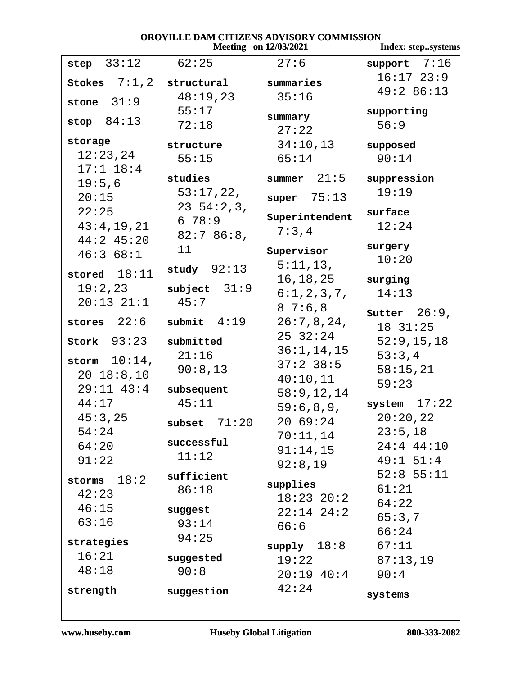## **OROVILLE DAM CITIZENS ADVISORY COMMISSION<br>Meeting on 12/03/2021 1**

|                 | <b>Meeting</b> on 12/03/2021 | Index: stepsystems |                 |
|-----------------|------------------------------|--------------------|-----------------|
| step $33:12$    | 62:25                        | 27:6               | support $7:16$  |
| Stokes $7:1,2$  | structural                   | summaries          | $16:17$ $23:9$  |
|                 | 48:19,23                     | 35:16              | 49:286:13       |
| stone $31:9$    | 55:17                        |                    | supporting      |
| stop $84:13$    | 72:18                        | summary            | 56:9            |
| storage         |                              | 27:22              |                 |
| 12:23,24        | structure                    | 34:10,13           | supposed        |
| $17:1$ $18:4$   | 55:15                        | 65:14              | 90:14           |
| 19:5,6          | studies                      | summer $21:5$      | suppression     |
| 20:15           | 53:17,22,                    | super $75:13$      | 19:19           |
| 22:25           | $23\;\;54:2,3,$              |                    | surface         |
| 43:4,19,21      | 678:9                        | Superintendent     | 12:24           |
| $44:2$ 45:20    | 82:786:8,                    | 7:3,4              |                 |
| 46:368:1        | 11                           | Supervisor         | surgery         |
|                 | study $92:13$                | 5:11,13,           | 10:20           |
| stored $18:11$  |                              | 16,18,25           | surging         |
| 19:2,23         | subject $31:9$               | 6:1,2,3,7,         | 14:13           |
| $20:13$ $21:1$  | 45:7                         | 87:6,8             | Sutter $26:9$ , |
| stores $22:6$   | submit $4:19$                | 26:7,8,24,         | 18 31:25        |
| $stork$ $93:23$ | submitted                    | 25 32:24           | 52:9, 15, 18    |
|                 | 21:16                        | 36:1, 14, 15       | 53:3,4          |
| storm $10:14$ , | 90:8,13                      | $37:2$ 38:5        | 58:15,21        |
| $20 \t18:8,10$  |                              | 40:10,11           | 59:23           |
| $29:11$ $43:4$  | subsequent                   | 58:9, 12, 14       |                 |
| 44:17           | 45:11                        | 59:6,8,9,          | system $17:22$  |
| 45:3,25         | subset $71:20$               | 20 69:24           | 20:20,22        |
| 54:24           | successful                   | 70:11,14           | 23:5,18         |
| 64:20           | 11:12                        | 91:14,15           | $24:4$ $44:10$  |
| 91:22           |                              | 92:8,19            | 49:1 51:4       |
| storms $18:2$   | sufficient                   | supplies           | $52:8$ 55:11    |
| 42:23           | 86:18                        | $18:23$ $20:2$     | 61:21           |
| 46:15           | suggest                      | $22:14$ $24:2$     | 64:22           |
| 63:16           | 93:14                        | 66:6               | 65:3,7<br>66:24 |
| strategies      | 94:25                        | $supp1y$ 18:8      | 67:11           |
| 16:21           | suggested                    | 19:22              | 87:13,19        |
| 48:18           | 90:8                         | $20:19$ $40:4$     | 90:4            |
|                 |                              | 42:24              |                 |
| strength        | suggestion                   |                    | systems         |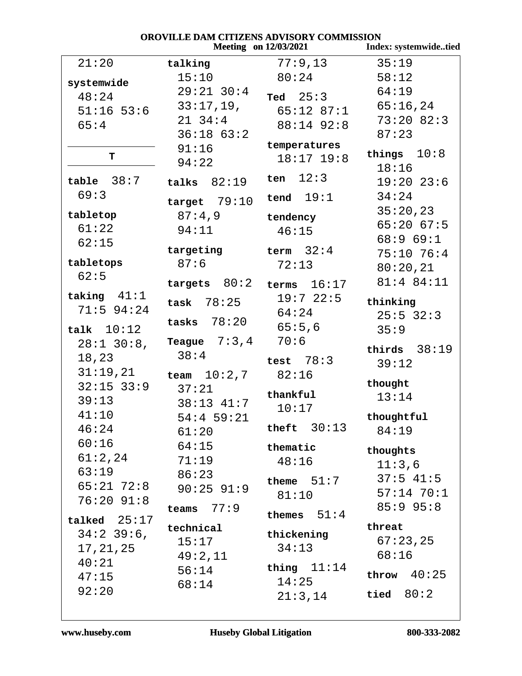| OROVILLE DAM CITIZENS ADVISORY COMMISSION |                |                              |                       |  |
|-------------------------------------------|----------------|------------------------------|-----------------------|--|
|                                           |                | <b>Meeting</b> on 12/03/2021 | Index: systemwidetied |  |
| 21:20                                     | talking        | 77:9,13                      | 35:19                 |  |
| systemwide                                | 15:10          | 80:24                        | 58:12                 |  |
| 48:24                                     | $29:21$ 30:4   | Ted $25:3$                   | 64:19                 |  |
| $51:16$ 53:6                              | 33:17,19,      | $65:12$ 87:1                 | 65:16,24              |  |
| 65:4                                      | $21 \t34:4$    | 88:14 92:8                   | $73:20$ 82:3          |  |
|                                           | $36:18$ $63:2$ |                              | 87:23                 |  |
|                                           | 91:16          | temperatures                 | things $10:8$         |  |
| т                                         | 94:22          | $18:17$ $19:8$               | 18:16                 |  |
| $table$ $38:7$                            | talks $82:19$  | ten $12:3$                   | $19:20$ 23:6          |  |
| 69:3                                      |                | tend $19:1$                  | 34:24                 |  |
|                                           | target $79:10$ |                              | 35:20,23              |  |
| tabletop                                  | 87:4,9         | tendency                     | $65:20$ $67:5$        |  |
| 61:22                                     | 94:11          | 46:15                        | 68:969:1              |  |
| 62:15                                     | targeting      | term $32:4$                  | $75:10$ 76:4          |  |
| tabletops                                 | 87:6           | 72:13                        | 80:20,21              |  |
| 62:5                                      |                |                              | 81:4 84:11            |  |
| taking $41:1$                             | targets $80:2$ | terms $16:17$                |                       |  |
| $71:5$ 94:24                              | task $78:25$   | 19:722:5                     | thinking              |  |
|                                           | tasks $78:20$  | 64:24                        | $25:5$ 32:3           |  |
| talk $10:12$                              |                | 65:5,6                       | 35:9                  |  |
| $28:1$ 30:8,                              | Teague $7:3,4$ | 70:6                         | thirds $38:19$        |  |
| 18,23                                     | 38:4           | test $78:3$                  | 39:12                 |  |
| 31:19,21                                  | team $10:2,7$  | 82:16                        |                       |  |
| $32:15$ $33:9$                            | 37:21          | thankful                     | thought               |  |
| 39:13                                     | 38:13 41:7     | 10:17                        | 13:14                 |  |
| 41:10                                     | $54:4$ 59:21   |                              | thoughtful            |  |
| 46:24                                     | 61:20          | theft $30:13$                | 84:19                 |  |
| 60:16                                     | 64:15          | thematic                     | thoughts              |  |
| 61:2,24                                   | 71:19          | 48:16                        | 11:3,6                |  |
| 63:19                                     | 86:23          | theme $51:7$                 | $37:5$ 41:5           |  |
| $65:21$ 72:8                              | $90:25$ 91:9   | 81:10                        | $57:14$ 70:1          |  |
| $76:20$ $91:8$                            | 77:9<br>teams  |                              | $85:9$ 95:8           |  |
| talked $25:17$                            |                | themes $51:4$                |                       |  |
| $34:2$ 39:6,                              | technical      | thickening                   | threat                |  |
| 17, 21, 25                                | 15:17          | 34:13                        | 67:23,25              |  |
| 40:21                                     | 49:2,11        | thing $11:14$                | 68:16                 |  |
| 47:15                                     | 56:14          | 14:25                        | throw $40:25$         |  |
| 92:20                                     | 68:14          | 21:3,14                      | tied $80:2$           |  |
|                                           |                |                              |                       |  |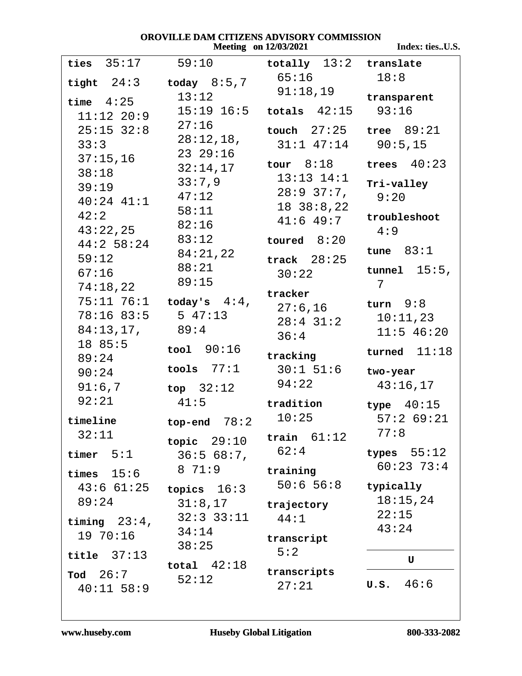#### OROVILLE DAM CITIZENS ADVISORY COMMISSION **Meeting** on 12/03/2021

Index: ties..U.S.

| ties $35:17$                              | 59:10                          | totally $13:2$ translate      |                 |
|-------------------------------------------|--------------------------------|-------------------------------|-----------------|
| tight $24:3$                              | today $8:5,7$                  | 65:16                         | 18:8            |
| time $4:25$                               | 13:12                          | 91:18,19                      | transparent     |
| $11:12$ $20:9$                            |                                | $15:19$ $16:5$ totals $42:15$ | 93:16           |
| $25:15$ $32:8$                            | 27:16                          | touch $27:25$ tree $89:21$    |                 |
| 33:3                                      | 28:12,18,                      | $31:1$ 47:14 90:5,15          |                 |
| 37:15,16                                  | $23\ \ 29:16$                  |                               |                 |
| 38:18                                     | 32:14,17                       | tour $8:18$                   | trees $40:23$   |
| 39:19                                     | 33:7,9                         | $13:13$ $14:1$                | Tri-valley      |
| $40:24$ $41:1$                            | 47:12                          | 28:9 37:7,                    | 9:20            |
| 42:2                                      | 58:11                          | 1838:8,22                     | troubleshoot    |
| 43:22,25                                  | 82:16                          | $41:6$ $49:7$                 | 4:9             |
| $44:2$ 58:24                              | 83:12                          | toured $8:20$                 |                 |
| 59:12                                     | 84:21,22                       | track $28:25$                 | tune $83:1$     |
| 67:16                                     | 88:21                          | 30:22                         | tunnel $15:5$ , |
| 74:18,22                                  | 89:15                          |                               | 7               |
|                                           | $75:11$ $76:1$ today's $4:4$ , | tracker<br>$27:6$ , $16$      | turn $9:8$      |
| $78:16$ 83:5                              | 5 47:13                        | $28:4$ 31:2                   | 10:11,23        |
| 84:13,17,                                 | 89:4                           | 36:4                          | $11:5$ 46:20    |
| 18 85:5                                   | $\text{tool}$ $90:16$          |                               | turned $11:18$  |
|                                           |                                | tracking                      |                 |
| 89:24                                     |                                |                               |                 |
| 90:24                                     | tools $77:1$                   | $30:1$ 51:6                   | two-year        |
| 91:6,7                                    | top $32:12$                    | 94:22                         | 43:16,17        |
| 92:21                                     | 41:5                           | tradition                     | type $40:15$    |
| timeline                                  | top-end $78:2$                 | 10:25                         | 57:269:21       |
| 32:11                                     |                                | train $61:12$                 | 77:8            |
|                                           | topic $29:10$                  | 62:4                          | types $55:12$   |
| timer $5:1$                               | 36:568:7                       |                               | $60:23$ 73:4    |
| times $15:6$                              | 8 71:9                         | training                      |                 |
| 43:661:25                                 | topics $16:3$                  | 50:656:8                      | typically       |
| 89:24                                     | 31:8,17                        | trajectory                    | 18:15,24        |
| timing $23:4$ ,                           | 32:33:11                       | 44:1                          | 22:15           |
| 19 70:16                                  | 34:14                          | transcript                    | 43:24           |
| title $37:13$                             | 38:25                          | 5:2                           |                 |
|                                           | total $42:18$                  | transcripts                   | U               |
| $\texttt{rod} \quad 26:7$<br>$40:11$ 58:9 | 52:12                          | 27:21                         | U.S. 46:6       |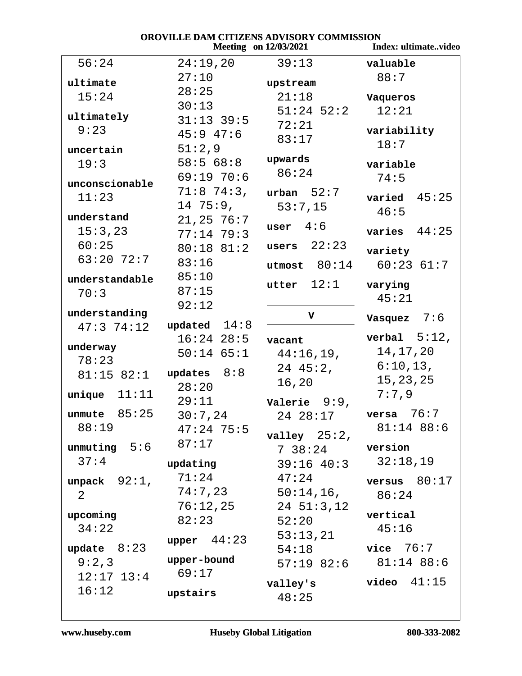| OROVILLE DAM CITIZENS ADVISORY COMMISSION<br><b>Meeting</b> on 12/03/2021<br>Index: ultimatevideo |                |                 |                       |  |
|---------------------------------------------------------------------------------------------------|----------------|-----------------|-----------------------|--|
| 56:24                                                                                             | 24:19,20       | 39:13           | valuable              |  |
| ultimate                                                                                          | 27:10          | upstream        | 88:7                  |  |
| 15:24                                                                                             | 28:25          | 21:18           | Vaqueros              |  |
|                                                                                                   | 30:13          | $51:24$ $52:2$  | 12:21                 |  |
| ultimately                                                                                        | $31:13$ 39:5   | 72:21           |                       |  |
| 9:23                                                                                              | $45:9$ $47:6$  | 83:17           | variability           |  |
| uncertain                                                                                         | 51:2,9         |                 | 18:7                  |  |
| 19:3                                                                                              | 58:568:8       | upwards         | variable              |  |
| unconscionable                                                                                    | 69:1970:6      | 86:24           | 74:5                  |  |
| 11:23                                                                                             | $71:8$ 74:3,   | urban $52:7$    | varied $45:25$        |  |
|                                                                                                   | 1475:9,        | 53:7,15         | 46:5                  |  |
| understand                                                                                        | 21, 25, 76:7   | user $4:6$      |                       |  |
| 15:3,23                                                                                           | $77:14$ 79:3   |                 | 44:25<br>varies       |  |
| 60:25                                                                                             | $80:18$ $81:2$ | users $22:23$   | variety               |  |
| $63:20$ 72:7                                                                                      | 83:16          | utmost $80:14$  | $60:23$ $61:7$        |  |
| understandable                                                                                    | 85:10          | utter $12:1$    | varying               |  |
| 70:3                                                                                              | 87:15          |                 | 45:21                 |  |
|                                                                                                   | 92:12          |                 |                       |  |
| understanding<br>47:374:12                                                                        | updated $14:8$ | V               | Vasquez $7:6$         |  |
|                                                                                                   | $16:24$ $28:5$ | vacant          | verbal $5:12$ ,       |  |
| underway                                                                                          | $50:14$ 65:1   | 44:16,19,       | 14, 17, 20            |  |
| 78:23                                                                                             |                | $24 \t 45:2,$   | 6:10,13,              |  |
| 81:15 82:1                                                                                        | updates $8:8$  | 16,20           | 15, 23, 25            |  |
| 11:11<br>unique                                                                                   | 28:20          |                 | 7:7.9                 |  |
|                                                                                                   | 29:11          | Valerie $9:9$ , |                       |  |
| 85:25<br>unmute                                                                                   | 30:7,24        | 24 28:17        | 76:7<br>versa         |  |
| 88:19                                                                                             | $47:24$ 75:5   | valley $25:2$ , | $81:14$ 88:6          |  |
| unmuting $5:6$ $87:17$                                                                            |                | 738:24          | version               |  |
| 37:4                                                                                              | updating       | $39:16$ $40:3$  | 32:18,19              |  |
| unpack $92:1$ ,                                                                                   | 71:24          | 47:24           | versus $80:17$        |  |
| $\overline{2}$                                                                                    | 74:7,23        | $50:14,16$ ,    | 86:24                 |  |
|                                                                                                   | 76:12,25       | $24\ \ 51:3,12$ |                       |  |
| upcoming                                                                                          | 82:23          | 52:20           | vertical              |  |
| 34:22                                                                                             |                | 53:13,21        | 45:16                 |  |
| update $8:23$                                                                                     | upper $44:23$  | 54:18 vice 76:7 |                       |  |
| 9:2,3                                                                                             | upper-bound    |                 | 57:19 82:6 81:14 88:6 |  |
| $12:17$ $13:4$                                                                                    | 69:17          |                 |                       |  |
| 16:12                                                                                             | upstairs       | valley's        | $video$ $41:15$       |  |
|                                                                                                   |                | 48:25           |                       |  |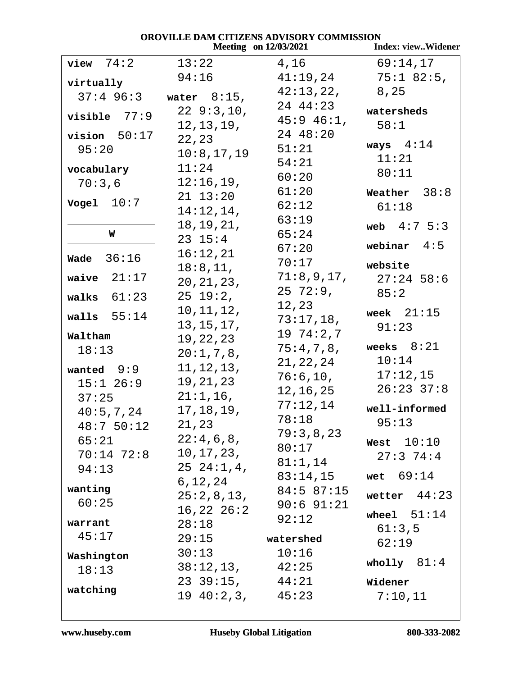|                  |                     | <b>Meeting</b> on 12/03/2021 | <b>Index: viewWidener</b> |
|------------------|---------------------|------------------------------|---------------------------|
| 74:2<br>view     | 13:22               | 4,16                         | 69:14,17                  |
| virtually        | 94:16               | 41:19,24                     | $75:1$ 82:5,              |
| $37:4$ 96:3      | water $8:15$ ,      | 42:13,22,                    | 8,25                      |
|                  | 229:3,10,           | 24 44:23                     | watersheds                |
| visible $77:9$   | 12, 13, 19,         | $45:9$ $46:1$ ,              | 58:1                      |
| $vision 50:17$   | 22,23               | 24 48:20                     |                           |
| 95:20            | 10:8,17,19          | 51:21                        | ways $4:14$               |
| vocabulary       | 11:24               | 54:21                        | 11:21                     |
| 70:3,6           | 12:16,19,           | 60:20                        | 80:11                     |
|                  | $21 \t13:20$        | 61:20                        | 38:8<br>Weather           |
| Vogel $10:7$     | 14:12,14,           | 62:12                        | 61:18                     |
|                  | 18, 19, 21,         | 63:19                        | web $4:7 \, 5:3$          |
| W                | $23 \t15:4$         | 65:24                        |                           |
| 36:16<br>Wade    | 16:12,21            | 67:20                        | webinar $4:5$             |
|                  | 18:8, 11,           | 70:17                        | website                   |
| 21:17<br>waive   | 20, 21, 23,         | 71:8,9,17,                   | $27:24$ 58:6              |
| walks $61:23$    | $25\;19:2,$         | $25\ \ 72:9$ ,               | 85:2                      |
| walls $55:14$    | 10, 11, 12,         | 12,23                        | week $21:15$              |
|                  | 13, 15, 17,         | 73:17,18,                    | 91:23                     |
| Waltham          | 19,22,23            | 1974:2,7                     | weeks $8:21$              |
| 18:13            | 20:1,7,8,           | 75:4,7,8,                    | 10:14                     |
| wanted $9:9$     | 11, 12, 13,         | 21, 22, 24<br>76:6,10,       | 17:12,15                  |
| $15:1$ 26:9      | 19,21,23            | 12,16,25                     | $26:23$ 37:8              |
| 37:25            | $21:1,16$ ,         | 77:12,14                     |                           |
| 40:5,7,24        | 17,18,19,           | 78:18                        | well-informed             |
| 48:750:12        | 21,23               | 79:3,8,23                    | 95:13                     |
| 65:21            | $22:4$ , 6 , 8 ,    | 80:17                        | West $10:10$              |
| $70:14$ $72:8$   | 10,17,23,           | $81:1$ , $14$                | 27:374:4                  |
| 94:13            | $25\;\;24:1,4,$     | 83:14,15                     | wet $69:14$               |
| wanting          | 6,12,24             | $84:5$ $87:15$               |                           |
| 60:25            | 25:2,8,13,          | $90:6$ $91:21$               | wetter $44:23$            |
|                  | $16,22$ $26:2$      | 92:12                        | wheel $51:14$             |
| warrant<br>45:17 | 28:18               |                              | 61:3,5                    |
|                  | 29:15               | watershed                    | 62:19                     |
| Washington       | 30:13               | 10:16                        | wholly $81:4$             |
| 18:13            | 38:12,13, 42:25     |                              |                           |
| watching         | $23 \t39:15, 44:21$ |                              | Widener                   |
|                  | 19 40:2,3, 45:23    |                              | 7:10,11                   |